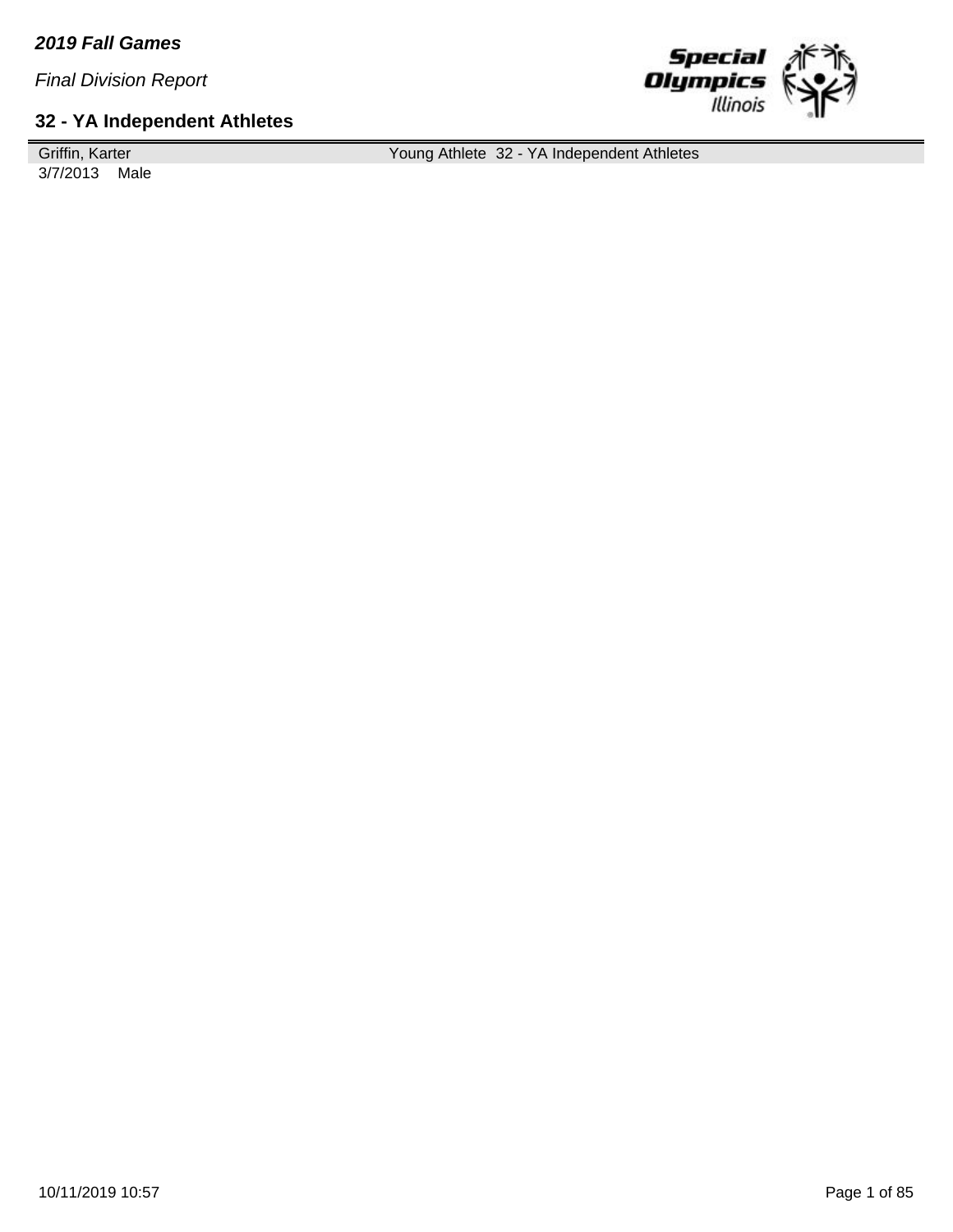### **32 - YA Independent Athletes**

Griffin, Karter 3/7/2013 Male Young Athlete 32 - YA Independent Athletes

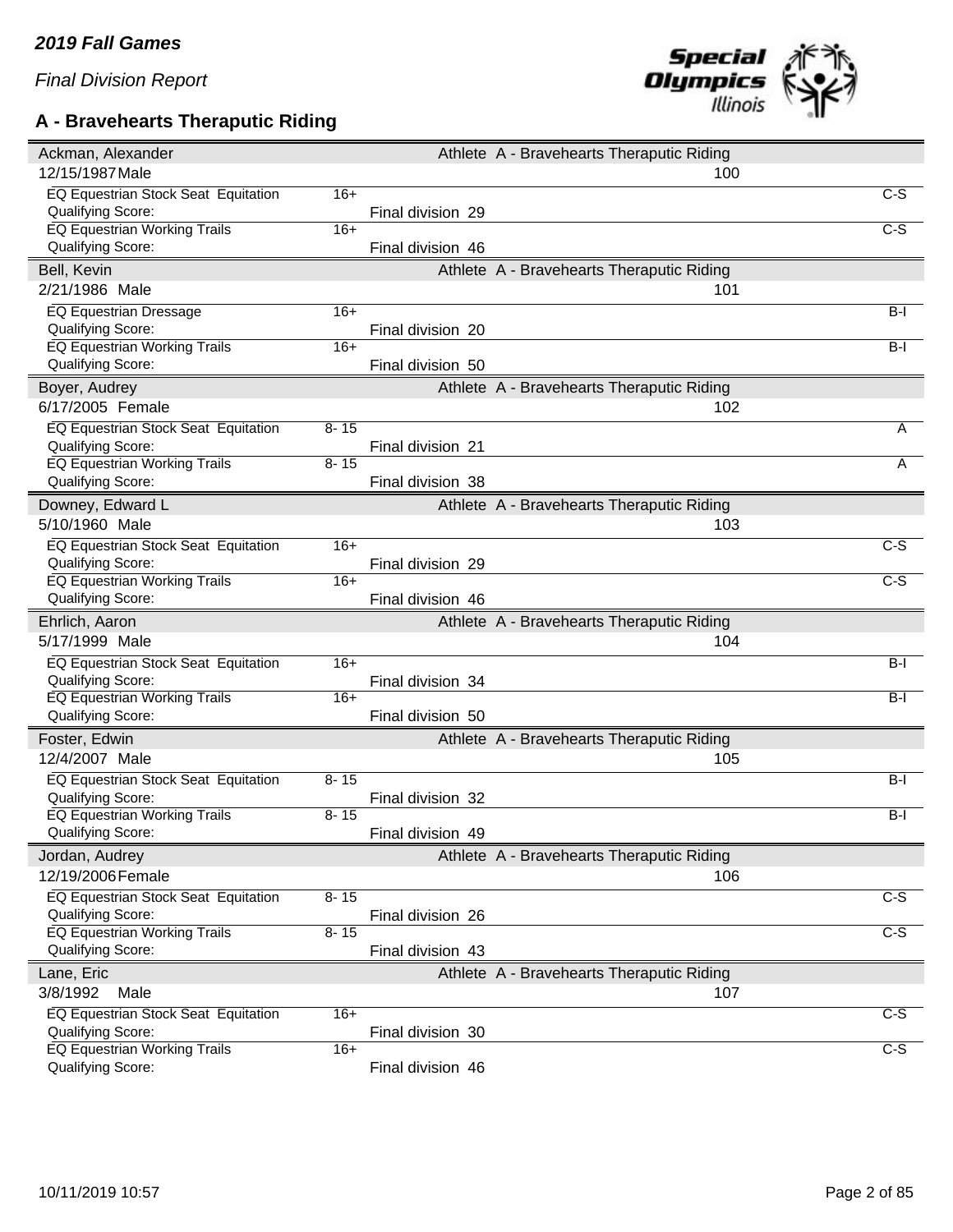# **A - Bravehearts Theraputic Riding**



| Ackman, Alexander                                        |          |                   | Athlete A - Bravehearts Theraputic Riding        |                  |
|----------------------------------------------------------|----------|-------------------|--------------------------------------------------|------------------|
| 12/15/1987 Male                                          |          |                   | 100                                              |                  |
| EQ Equestrian Stock Seat Equitation                      | $16+$    |                   |                                                  | $C-S$            |
| Qualifying Score:                                        |          | Final division 29 |                                                  |                  |
| EQ Equestrian Working Trails                             | $16+$    |                   |                                                  | $\overline{C-S}$ |
| Qualifying Score:                                        |          | Final division 46 |                                                  |                  |
| Bell, Kevin                                              |          |                   | Athlete A - Bravehearts Theraputic Riding        |                  |
| 2/21/1986 Male                                           |          |                   | 101                                              |                  |
| <b>EQ Equestrian Dressage</b>                            | $16+$    |                   |                                                  | $B-I$            |
| Qualifying Score:                                        |          | Final division 20 |                                                  |                  |
| EQ Equestrian Working Trails                             | $16+$    |                   |                                                  | $B-I$            |
| Qualifying Score:                                        |          | Final division 50 |                                                  |                  |
| Boyer, Audrey                                            |          |                   | Athlete A - Bravehearts Theraputic Riding        |                  |
| 6/17/2005 Female                                         |          |                   | 102                                              |                  |
| EQ Equestrian Stock Seat Equitation                      | $8 - 15$ |                   |                                                  | A                |
| Qualifying Score:                                        |          | Final division 21 |                                                  |                  |
| <b>EQ Equestrian Working Trails</b>                      | $8 - 15$ |                   |                                                  | A                |
| Qualifying Score:                                        |          | Final division 38 |                                                  |                  |
| Downey, Edward L                                         |          |                   | Athlete A - Bravehearts Theraputic Riding        |                  |
| 5/10/1960 Male                                           |          |                   | 103                                              |                  |
| EQ Equestrian Stock Seat Equitation                      | $16+$    |                   |                                                  | $C-S$            |
| Qualifying Score:                                        |          | Final division 29 |                                                  |                  |
| <b>EQ Equestrian Working Trails</b>                      | $16+$    |                   |                                                  | $C-S$            |
| Qualifying Score:                                        |          | Final division 46 |                                                  |                  |
|                                                          |          |                   |                                                  |                  |
| Ehrlich, Aaron                                           |          |                   | Athlete A - Bravehearts Theraputic Riding        |                  |
| 5/17/1999 Male                                           |          |                   | 104                                              |                  |
| EQ Equestrian Stock Seat Equitation                      | $16+$    |                   |                                                  | $B-I$            |
| Qualifying Score:                                        |          | Final division 34 |                                                  |                  |
| <b>EQ Equestrian Working Trails</b>                      | $16+$    |                   |                                                  | $B-I$            |
| Qualifying Score:                                        |          | Final division 50 |                                                  |                  |
| Foster, Edwin                                            |          |                   | Athlete A - Bravehearts Theraputic Riding        |                  |
| 12/4/2007 Male                                           |          |                   | 105                                              |                  |
|                                                          |          |                   |                                                  |                  |
| EQ Equestrian Stock Seat Equitation                      | $8 - 15$ |                   |                                                  | $B-I$            |
| Qualifying Score:<br>EQ Equestrian Working Trails        | $8 - 15$ | Final division 32 |                                                  | $B-I$            |
| Qualifying Score:                                        |          | Final division 49 |                                                  |                  |
|                                                          |          |                   |                                                  |                  |
| Jordan, Audrey<br>12/19/2006 Female                      |          |                   | Athlete A - Bravehearts Theraputic Riding        |                  |
|                                                          |          |                   | 106                                              |                  |
| EQ Equestrian Stock Seat Equitation                      | $8 - 15$ |                   |                                                  | $\overline{C-S}$ |
| Qualifying Score:                                        | $8 - 15$ | Final division 26 |                                                  | $C-S$            |
| EQ Equestrian Working Trails<br>Qualifying Score:        |          | Final division 43 |                                                  |                  |
|                                                          |          |                   |                                                  |                  |
| Lane, Eric<br>3/8/1992<br>Male                           |          |                   | Athlete A - Bravehearts Theraputic Riding<br>107 |                  |
|                                                          |          |                   |                                                  |                  |
| EQ Equestrian Stock Seat Equitation                      | $16+$    | Final division 30 |                                                  | C-S              |
| Qualifying Score:<br><b>EQ Equestrian Working Trails</b> | $16+$    |                   |                                                  | $\overline{C-S}$ |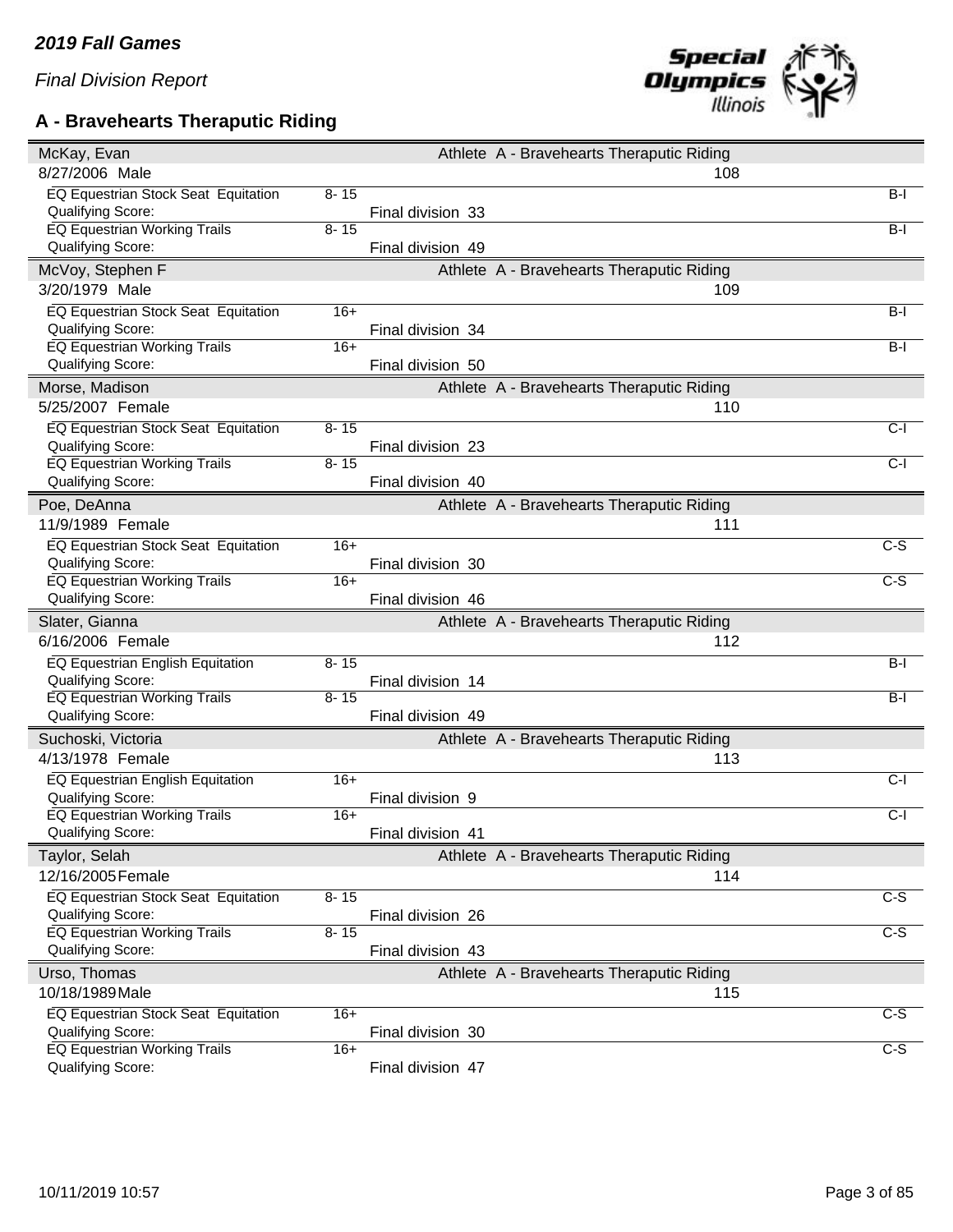### **A - Bravehearts Theraputic Riding**



| McKay, Evan                                              |          |                   | Athlete A - Bravehearts Theraputic Riding |                  |
|----------------------------------------------------------|----------|-------------------|-------------------------------------------|------------------|
| 8/27/2006 Male                                           |          |                   | 108                                       |                  |
| EQ Equestrian Stock Seat Equitation                      | $8 - 15$ |                   |                                           | $B-I$            |
| Qualifying Score:                                        |          | Final division 33 |                                           |                  |
| <b>EQ Equestrian Working Trails</b>                      | $8 - 15$ |                   |                                           | $B-I$            |
| Qualifying Score:                                        |          | Final division 49 |                                           |                  |
| McVoy, Stephen F                                         |          |                   | Athlete A - Bravehearts Theraputic Riding |                  |
| 3/20/1979 Male                                           |          |                   | 109                                       |                  |
| EQ Equestrian Stock Seat Equitation                      | $16+$    |                   |                                           | $B-I$            |
| Qualifying Score:                                        |          | Final division 34 |                                           |                  |
| <b>EQ Equestrian Working Trails</b>                      | $16+$    |                   |                                           | $B-I$            |
| Qualifying Score:                                        |          | Final division 50 |                                           |                  |
| Morse, Madison                                           |          |                   | Athlete A - Bravehearts Theraputic Riding |                  |
| 5/25/2007 Female                                         |          |                   | 110                                       |                  |
| EQ Equestrian Stock Seat Equitation                      | $8 - 15$ |                   |                                           | $C-I$            |
| Qualifying Score:                                        |          | Final division 23 |                                           |                  |
| <b>EQ Equestrian Working Trails</b>                      | $8 - 15$ |                   |                                           | $C-I$            |
| Qualifying Score:                                        |          | Final division 40 |                                           |                  |
| Poe, DeAnna                                              |          |                   | Athlete A - Bravehearts Theraputic Riding |                  |
| 11/9/1989 Female                                         |          |                   | 111                                       |                  |
| EQ Equestrian Stock Seat Equitation                      | $16+$    |                   |                                           | C-S              |
| Qualifying Score:                                        |          | Final division 30 |                                           |                  |
| <b>EQ Equestrian Working Trails</b>                      | $16+$    |                   |                                           | $\overline{C-S}$ |
| Qualifying Score:                                        |          | Final division 46 |                                           |                  |
|                                                          |          |                   |                                           |                  |
|                                                          |          |                   |                                           |                  |
| Slater, Gianna                                           |          |                   | Athlete A - Bravehearts Theraputic Riding |                  |
| 6/16/2006 Female                                         |          |                   | 112                                       |                  |
| EQ Equestrian English Equitation                         | $8 - 15$ |                   |                                           | $B-I$            |
| Qualifying Score:                                        |          | Final division 14 |                                           |                  |
| <b>EQ Equestrian Working Trails</b>                      | $8 - 15$ |                   |                                           | $B-I$            |
| Qualifying Score:                                        |          | Final division 49 |                                           |                  |
| Suchoski, Victoria                                       |          |                   | Athlete A - Bravehearts Theraputic Riding |                  |
| 4/13/1978 Female                                         |          |                   | 113                                       |                  |
| EQ Equestrian English Equitation                         | $16+$    |                   |                                           | $C-I$            |
| Qualifying Score:                                        |          | Final division 9  |                                           |                  |
| <b>EQ Equestrian Working Trails</b>                      | $16+$    |                   |                                           | $C-I$            |
| Qualifying Score:                                        |          | Final division 41 |                                           |                  |
| Taylor, Selah                                            |          |                   | Athlete A - Bravehearts Theraputic Riding |                  |
| 12/16/2005 Female                                        |          |                   | 114                                       |                  |
| EQ Equestrian Stock Seat Equitation                      | $8 - 15$ |                   |                                           | $\overline{c-s}$ |
| Qualifying Score:                                        |          | Final division 26 |                                           |                  |
| <b>EQ Equestrian Working Trails</b>                      | $8 - 15$ |                   |                                           | $C-S$            |
| Qualifying Score:                                        |          | Final division 43 |                                           |                  |
| Urso, Thomas                                             |          |                   | Athlete A - Bravehearts Theraputic Riding |                  |
| 10/18/1989 Male                                          |          |                   | 115                                       |                  |
| EQ Equestrian Stock Seat Equitation                      | $16+$    |                   |                                           | $C-S$            |
| Qualifying Score:                                        |          | Final division 30 |                                           |                  |
| <b>EQ Equestrian Working Trails</b><br>Qualifying Score: | $16+$    | Final division 47 |                                           | $\overline{C-S}$ |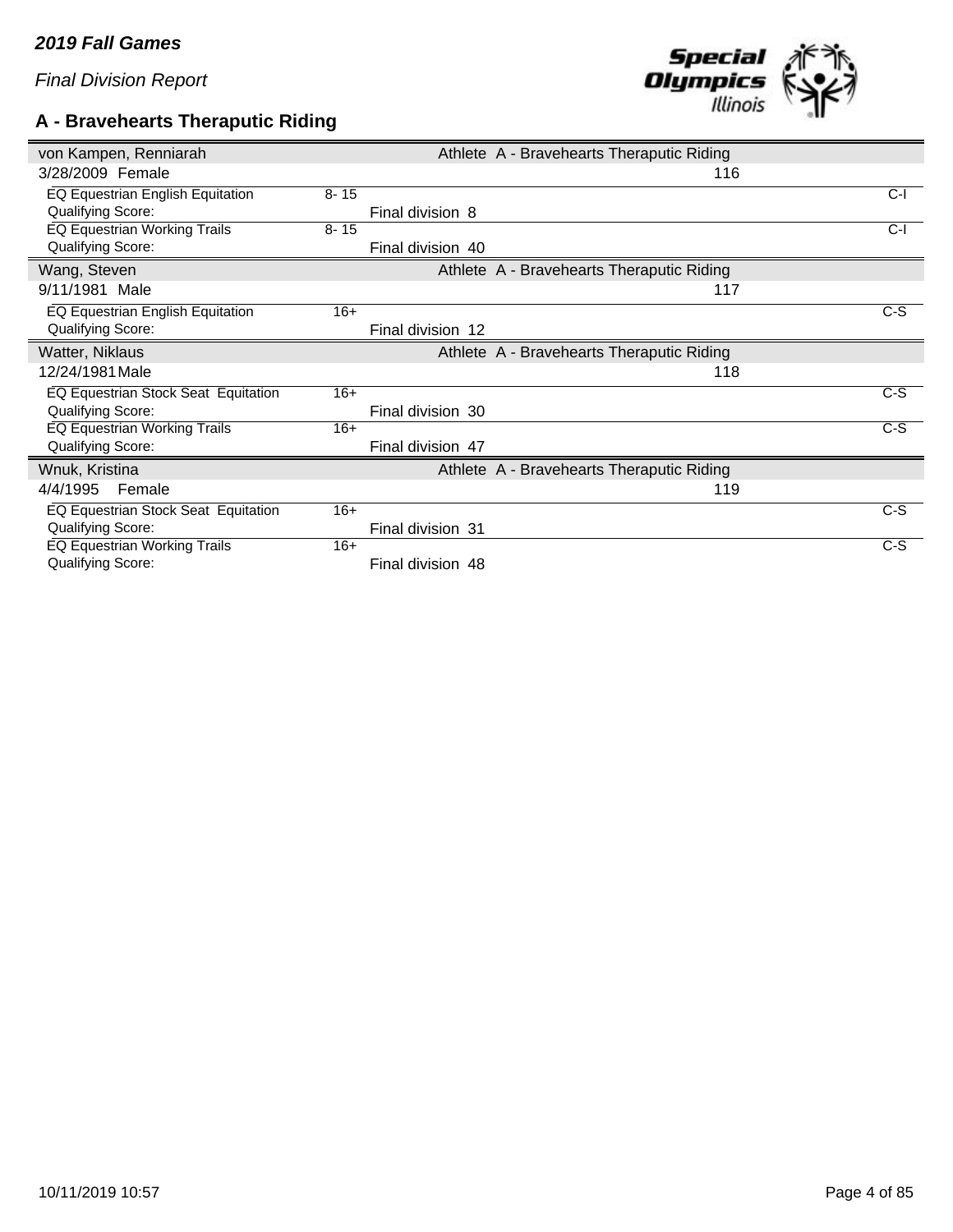### **A - Bravehearts Theraputic Riding**



| von Kampen, Renniarah                   |          |                   | Athlete A - Bravehearts Theraputic Riding |       |
|-----------------------------------------|----------|-------------------|-------------------------------------------|-------|
| 3/28/2009 Female                        |          |                   | 116                                       |       |
| EQ Equestrian English Equitation        | $8 - 15$ |                   |                                           | $C-I$ |
| <b>Qualifying Score:</b>                |          | Final division 8  |                                           |       |
| EQ Equestrian Working Trails            | $8 - 15$ |                   |                                           | $C-I$ |
| Qualifying Score:                       |          | Final division 40 |                                           |       |
| Wang, Steven                            |          |                   | Athlete A - Bravehearts Theraputic Riding |       |
| 9/11/1981 Male                          |          |                   | 117                                       |       |
| <b>EQ Equestrian English Equitation</b> | $16+$    |                   |                                           | $C-S$ |
| Qualifying Score:                       |          | Final division 12 |                                           |       |
| Watter, Niklaus                         |          |                   | Athlete A - Bravehearts Theraputic Riding |       |
| 12/24/1981 Male                         |          |                   | 118                                       |       |
| EQ Equestrian Stock Seat Equitation     | $16+$    |                   |                                           | $C-S$ |
| Qualifying Score:                       |          | Final division 30 |                                           |       |
| EQ Equestrian Working Trails            | $16+$    |                   |                                           | $C-S$ |
| Qualifying Score:                       |          | Final division 47 |                                           |       |
| Wnuk, Kristina                          |          |                   | Athlete A - Bravehearts Theraputic Riding |       |
| Female<br>4/4/1995                      |          |                   | 119                                       |       |
| EQ Equestrian Stock Seat Equitation     | $16+$    |                   |                                           | $C-S$ |
| Qualifying Score:                       |          | Final division 31 |                                           |       |
| EQ Equestrian Working Trails            | $16+$    |                   |                                           | $C-S$ |
| <b>Qualifying Score:</b>                |          | Final division 48 |                                           |       |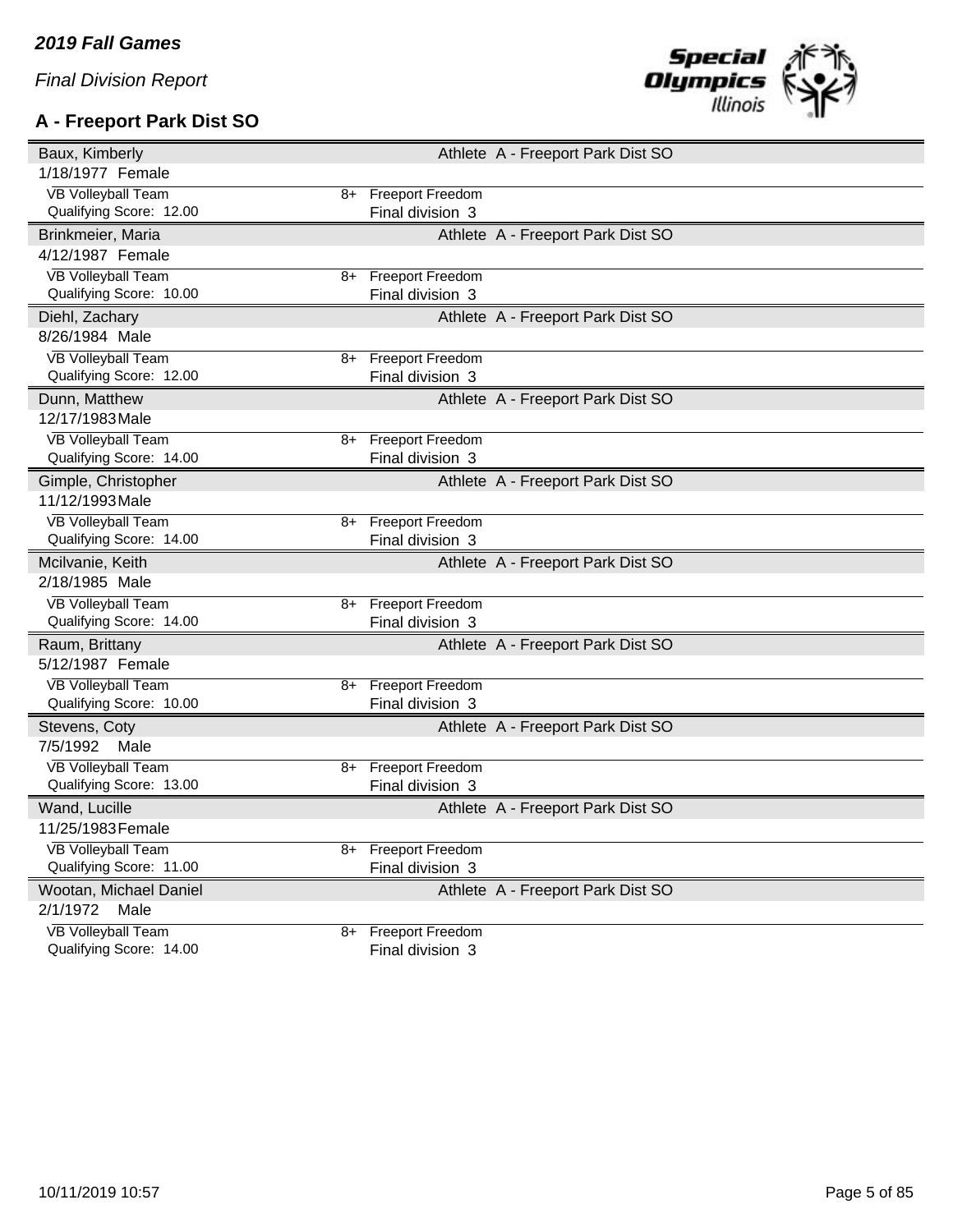# **A - Freeport Park Dist SO**



| Baux, Kimberly                                       |      |                                             | Athlete A - Freeport Park Dist SO |  |
|------------------------------------------------------|------|---------------------------------------------|-----------------------------------|--|
| 1/18/1977 Female                                     |      |                                             |                                   |  |
| <b>VB Volleyball Team</b>                            | 8+   | <b>Freeport Freedom</b>                     |                                   |  |
| Qualifying Score: 12.00                              |      | Final division 3                            |                                   |  |
| Brinkmeier, Maria                                    |      |                                             | Athlete A - Freeport Park Dist SO |  |
| 4/12/1987 Female                                     |      |                                             |                                   |  |
| <b>VB Volleyball Team</b>                            | 8+   | <b>Freeport Freedom</b>                     |                                   |  |
| Qualifying Score: 10.00                              |      | Final division 3                            |                                   |  |
| Diehl, Zachary                                       |      |                                             | Athlete A - Freeport Park Dist SO |  |
| 8/26/1984 Male                                       |      |                                             |                                   |  |
| <b>VB Volleyball Team</b>                            | 8+   | <b>Freeport Freedom</b>                     |                                   |  |
| Qualifying Score: 12.00                              |      | Final division 3                            |                                   |  |
| Dunn, Matthew                                        |      |                                             | Athlete A - Freeport Park Dist SO |  |
| 12/17/1983 Male                                      |      |                                             |                                   |  |
| <b>VB Volleyball Team</b>                            | 8+   | <b>Freeport Freedom</b>                     |                                   |  |
| Qualifying Score: 14.00                              |      | Final division 3                            |                                   |  |
| Gimple, Christopher                                  |      |                                             | Athlete A - Freeport Park Dist SO |  |
| 11/12/1993 Male                                      |      |                                             |                                   |  |
| <b>VB Volleyball Team</b>                            | $8+$ | <b>Freeport Freedom</b>                     |                                   |  |
| Qualifying Score: 14.00                              |      | Final division 3                            |                                   |  |
|                                                      |      |                                             |                                   |  |
| Mcilvanie, Keith                                     |      |                                             | Athlete A - Freeport Park Dist SO |  |
| 2/18/1985 Male                                       |      |                                             |                                   |  |
| <b>VB Volleyball Team</b>                            | 8+   | <b>Freeport Freedom</b>                     |                                   |  |
| Qualifying Score: 14.00                              |      | Final division 3                            |                                   |  |
| Raum, Brittany                                       |      |                                             | Athlete A - Freeport Park Dist SO |  |
| 5/12/1987 Female                                     |      |                                             |                                   |  |
| <b>VB Volleyball Team</b>                            | 8+   | <b>Freeport Freedom</b>                     |                                   |  |
| Qualifying Score: 10.00                              |      | Final division 3                            |                                   |  |
| Stevens, Coty                                        |      |                                             | Athlete A - Freeport Park Dist SO |  |
| 7/5/1992<br>Male                                     |      |                                             |                                   |  |
| <b>VB Volleyball Team</b>                            | 8+   | <b>Freeport Freedom</b>                     |                                   |  |
| Qualifying Score: 13.00                              |      | Final division 3                            |                                   |  |
| Wand, Lucille                                        |      |                                             | Athlete A - Freeport Park Dist SO |  |
| 11/25/1983 Female                                    |      |                                             |                                   |  |
| <b>VB Volleyball Team</b>                            | 8+   | <b>Freeport Freedom</b>                     |                                   |  |
| Qualifying Score: 11.00                              |      | Final division 3                            |                                   |  |
| Wootan, Michael Daniel                               |      |                                             | Athlete A - Freeport Park Dist SO |  |
| 2/1/1972<br>Male                                     |      |                                             |                                   |  |
| <b>VB Volleyball Team</b><br>Qualifying Score: 14.00 | 8+   | <b>Freeport Freedom</b><br>Final division 3 |                                   |  |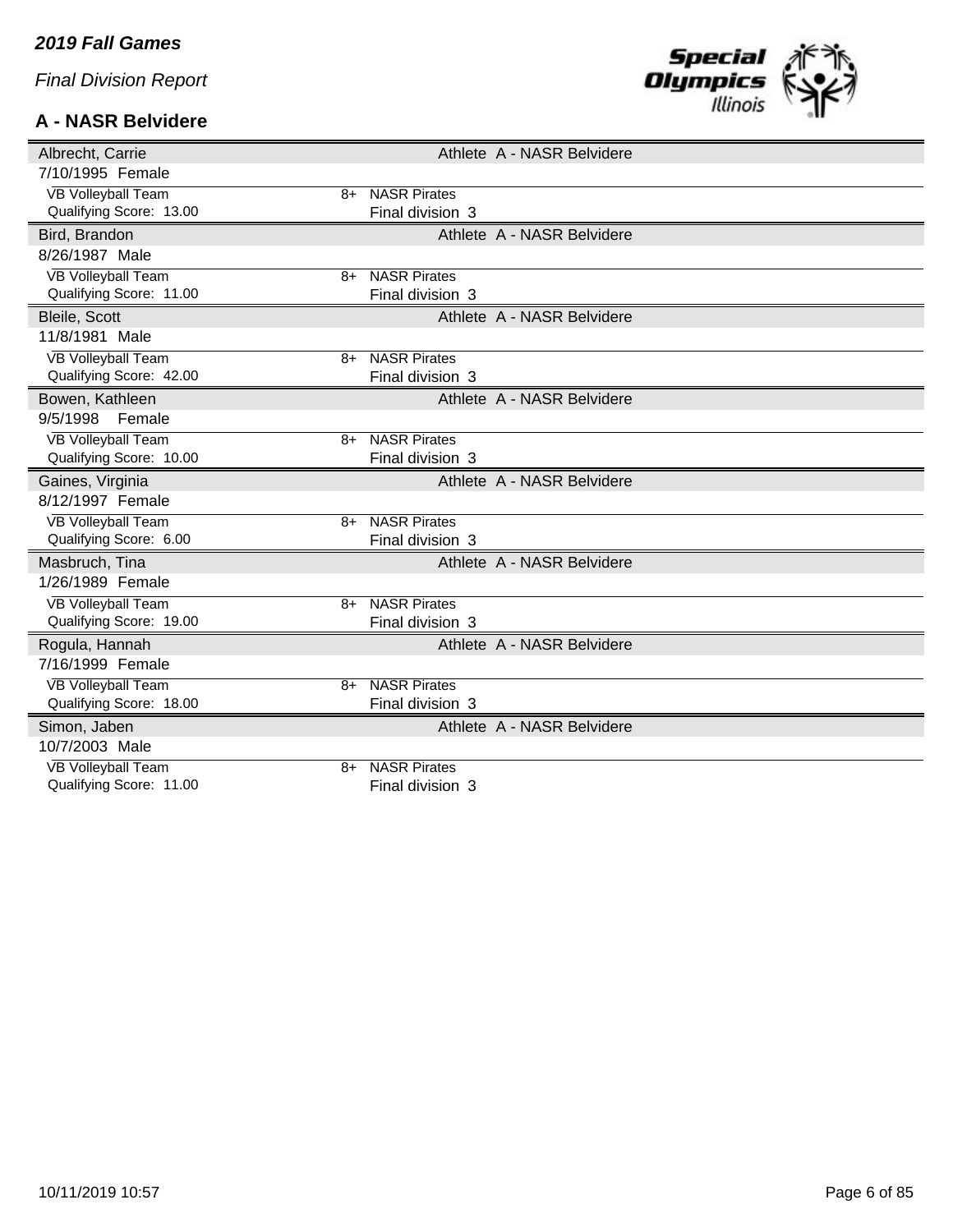#### **A - NASR Belvidere**



| Albrecht, Carrie                                     |      |                                         | Athlete A - NASR Belvidere |
|------------------------------------------------------|------|-----------------------------------------|----------------------------|
| 7/10/1995 Female                                     |      |                                         |                            |
| <b>VB Volleyball Team</b>                            | $8+$ | <b>NASR Pirates</b>                     |                            |
| Qualifying Score: 13.00                              |      | Final division 3                        |                            |
| Bird, Brandon                                        |      |                                         | Athlete A - NASR Belvidere |
| 8/26/1987 Male                                       |      |                                         |                            |
| <b>VB Volleyball Team</b>                            | 8+   | <b>NASR Pirates</b>                     |                            |
| Qualifying Score: 11.00                              |      | Final division 3                        |                            |
| Bleile, Scott                                        |      |                                         | Athlete A - NASR Belvidere |
| 11/8/1981 Male                                       |      |                                         |                            |
| <b>VB Volleyball Team</b>                            | $8+$ | <b>NASR Pirates</b>                     |                            |
| Qualifying Score: 42.00                              |      | Final division 3                        |                            |
| Bowen, Kathleen                                      |      |                                         | Athlete A - NASR Belvidere |
| 9/5/1998<br>Female                                   |      |                                         |                            |
| <b>VB Volleyball Team</b>                            | $8+$ | <b>NASR Pirates</b>                     |                            |
| Qualifying Score: 10.00                              |      | Final division 3                        |                            |
| Gaines, Virginia                                     |      |                                         | Athlete A - NASR Belvidere |
|                                                      |      |                                         |                            |
| 8/12/1997 Female                                     |      |                                         |                            |
| <b>VB Volleyball Team</b>                            | 8+   | <b>NASR Pirates</b>                     |                            |
| Qualifying Score: 6.00                               |      | Final division 3                        |                            |
| Masbruch, Tina                                       |      |                                         | Athlete A - NASR Belvidere |
| 1/26/1989 Female                                     |      |                                         |                            |
| <b>VB Volleyball Team</b>                            | $8+$ | <b>NASR Pirates</b>                     |                            |
| Qualifying Score: 19.00                              |      | Final division 3                        |                            |
| Rogula, Hannah                                       |      |                                         | Athlete A - NASR Belvidere |
| 7/16/1999 Female                                     |      |                                         |                            |
| <b>VB Volleyball Team</b>                            | 8+   | <b>NASR Pirates</b>                     |                            |
| Qualifying Score: 18.00                              |      | Final division 3                        |                            |
| Simon, Jaben                                         |      |                                         | Athlete A - NASR Belvidere |
| 10/7/2003 Male                                       |      |                                         |                            |
| <b>VB Volleyball Team</b><br>Qualifying Score: 11.00 | 8+   | <b>NASR Pirates</b><br>Final division 3 |                            |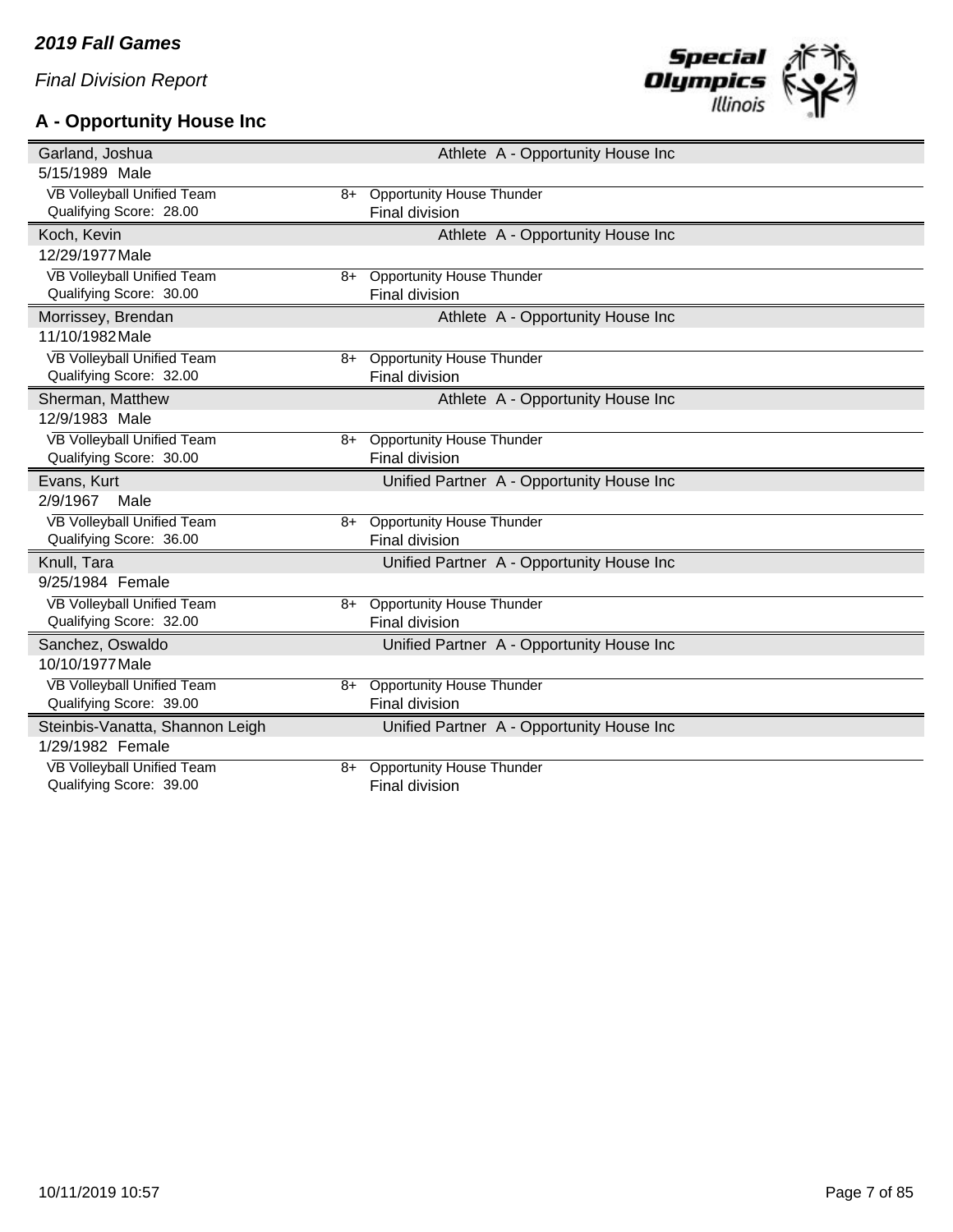# **A - Opportunity House Inc**



| Garland, Joshua                                       |      |                                                           | Athlete A - Opportunity House Inc         |
|-------------------------------------------------------|------|-----------------------------------------------------------|-------------------------------------------|
| 5/15/1989 Male                                        |      |                                                           |                                           |
| VB Volleyball Unified Team                            | 8+   | <b>Opportunity House Thunder</b>                          |                                           |
| Qualifying Score: 28.00                               |      | Final division                                            |                                           |
| Koch, Kevin                                           |      |                                                           | Athlete A - Opportunity House Inc         |
| 12/29/1977 Male                                       |      |                                                           |                                           |
| VB Volleyball Unified Team                            | $8+$ | <b>Opportunity House Thunder</b>                          |                                           |
| Qualifying Score: 30.00                               |      | <b>Final division</b>                                     |                                           |
| Morrissey, Brendan                                    |      |                                                           | Athlete A - Opportunity House Inc         |
| 11/10/1982 Male                                       |      |                                                           |                                           |
| VB Volleyball Unified Team                            | $8+$ | <b>Opportunity House Thunder</b>                          |                                           |
| Qualifying Score: 32.00                               |      | <b>Final division</b>                                     |                                           |
| Sherman, Matthew                                      |      |                                                           | Athlete A - Opportunity House Inc         |
| 12/9/1983 Male                                        |      |                                                           |                                           |
| <b>VB Volleyball Unified Team</b>                     | 8+   | <b>Opportunity House Thunder</b>                          |                                           |
| Qualifying Score: 30.00                               |      | <b>Final division</b>                                     |                                           |
|                                                       |      |                                                           |                                           |
| Evans, Kurt                                           |      |                                                           | Unified Partner A - Opportunity House Inc |
| 2/9/1967<br>Male                                      |      |                                                           |                                           |
| VB Volleyball Unified Team                            | 8+   | <b>Opportunity House Thunder</b>                          |                                           |
| Qualifying Score: 36.00                               |      | Final division                                            |                                           |
| Knull, Tara                                           |      |                                                           | Unified Partner A - Opportunity House Inc |
| 9/25/1984 Female                                      |      |                                                           |                                           |
| VB Volleyball Unified Team                            | 8+   | <b>Opportunity House Thunder</b>                          |                                           |
| Qualifying Score: 32.00                               |      | Final division                                            |                                           |
| Sanchez, Oswaldo                                      |      |                                                           | Unified Partner A - Opportunity House Inc |
| 10/10/1977 Male                                       |      |                                                           |                                           |
| VB Volleyball Unified Team                            | 8+   | <b>Opportunity House Thunder</b>                          |                                           |
| Qualifying Score: 39.00                               |      | Final division                                            |                                           |
| Steinbis-Vanatta, Shannon Leigh                       |      |                                                           | Unified Partner A - Opportunity House Inc |
| 1/29/1982 Female                                      |      |                                                           |                                           |
| VB Volleyball Unified Team<br>Qualifying Score: 39.00 | $8+$ | <b>Opportunity House Thunder</b><br><b>Final division</b> |                                           |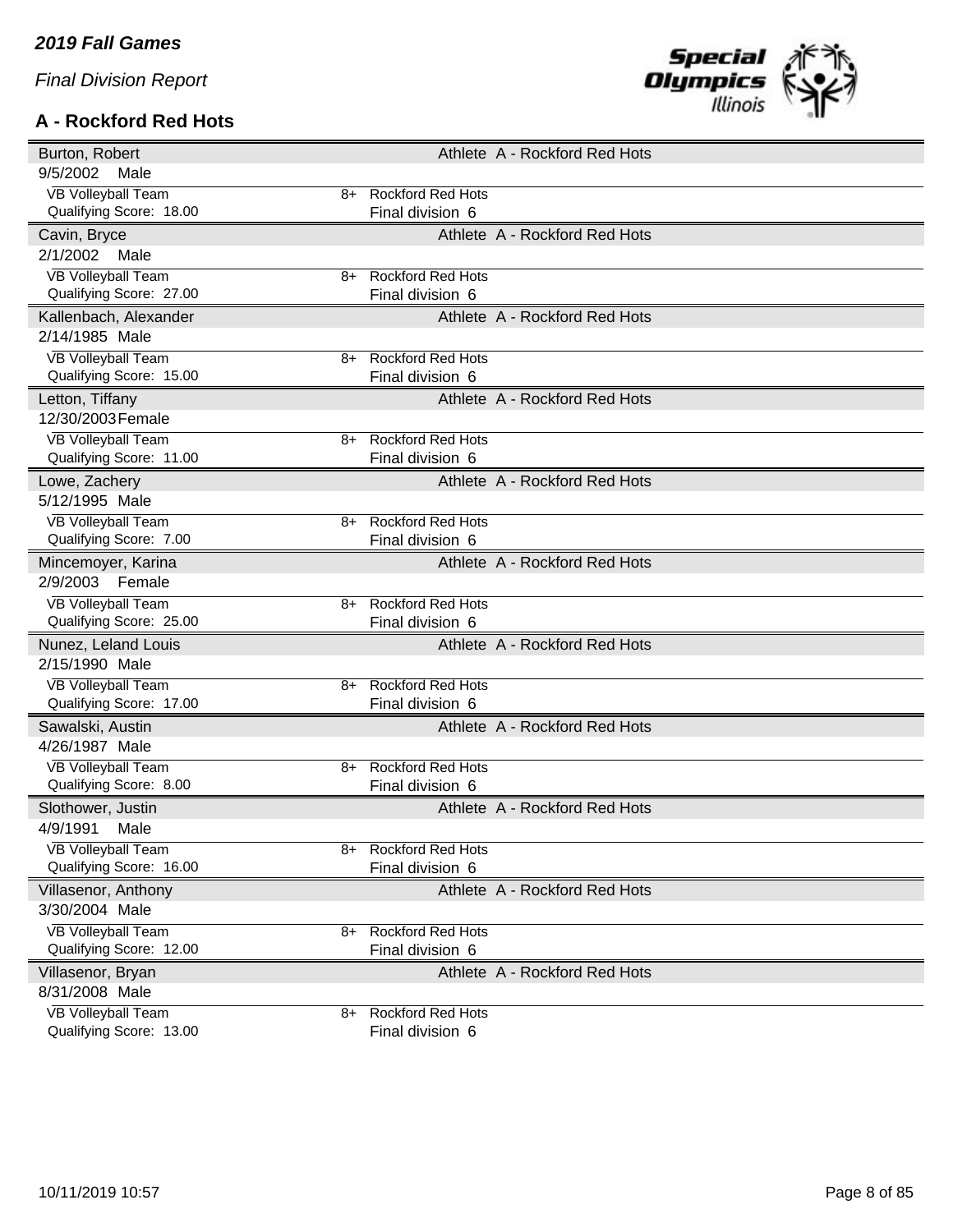### **A - Rockford Red Hots**



| Burton, Robert            |    |                          | Athlete A - Rockford Red Hots |
|---------------------------|----|--------------------------|-------------------------------|
| 9/5/2002<br>Male          |    |                          |                               |
| <b>VB Volleyball Team</b> | 8+ | <b>Rockford Red Hots</b> |                               |
| Qualifying Score: 18.00   |    | Final division 6         |                               |
| Cavin, Bryce              |    |                          | Athlete A - Rockford Red Hots |
| 2/1/2002<br>Male          |    |                          |                               |
| <b>VB Volleyball Team</b> | 8+ | <b>Rockford Red Hots</b> |                               |
| Qualifying Score: 27.00   |    | Final division 6         |                               |
| Kallenbach, Alexander     |    |                          | Athlete A - Rockford Red Hots |
| 2/14/1985 Male            |    |                          |                               |
| <b>VB Volleyball Team</b> | 8+ | <b>Rockford Red Hots</b> |                               |
| Qualifying Score: 15.00   |    | Final division 6         |                               |
| Letton, Tiffany           |    |                          | Athlete A - Rockford Red Hots |
| 12/30/2003 Female         |    |                          |                               |
| <b>VB Volleyball Team</b> | 8+ | <b>Rockford Red Hots</b> |                               |
| Qualifying Score: 11.00   |    | Final division 6         |                               |
| Lowe, Zachery             |    |                          | Athlete A - Rockford Red Hots |
| 5/12/1995 Male            |    |                          |                               |
| <b>VB Volleyball Team</b> | 8+ | <b>Rockford Red Hots</b> |                               |
| Qualifying Score: 7.00    |    | Final division 6         |                               |
| Mincemoyer, Karina        |    |                          | Athlete A - Rockford Red Hots |
| 2/9/2003 Female           |    |                          |                               |
| <b>VB Volleyball Team</b> | 8+ | <b>Rockford Red Hots</b> |                               |
| Qualifying Score: 25.00   |    | Final division 6         |                               |
| Nunez, Leland Louis       |    |                          | Athlete A - Rockford Red Hots |
| 2/15/1990 Male            |    |                          |                               |
| <b>VB Volleyball Team</b> | 8+ | <b>Rockford Red Hots</b> |                               |
| Qualifying Score: 17.00   |    | Final division 6         |                               |
| Sawalski, Austin          |    |                          | Athlete A - Rockford Red Hots |
| 4/26/1987 Male            |    |                          |                               |
| <b>VB Volleyball Team</b> | 8+ | <b>Rockford Red Hots</b> |                               |
| Qualifying Score: 8.00    |    | Final division 6         |                               |
| Slothower, Justin         |    |                          | Athlete A - Rockford Red Hots |
| 4/9/1991<br>Male          |    |                          |                               |
| <b>VB Volleyball Team</b> | 8+ | <b>Rockford Red Hots</b> |                               |
| Qualifying Score: 16.00   |    | Final division 6         |                               |
| Villasenor, Anthony       |    |                          | Athlete A - Rockford Red Hots |
| 3/30/2004 Male            |    |                          |                               |
| <b>VB Volleyball Team</b> | 8+ | <b>Rockford Red Hots</b> |                               |
| Qualifying Score: 12.00   |    | Final division 6         |                               |
| Villasenor, Bryan         |    |                          | Athlete A - Rockford Red Hots |
| 8/31/2008 Male            |    |                          |                               |
| <b>VB Volleyball Team</b> | 8+ | <b>Rockford Red Hots</b> |                               |
| Qualifying Score: 13.00   |    | Final division 6         |                               |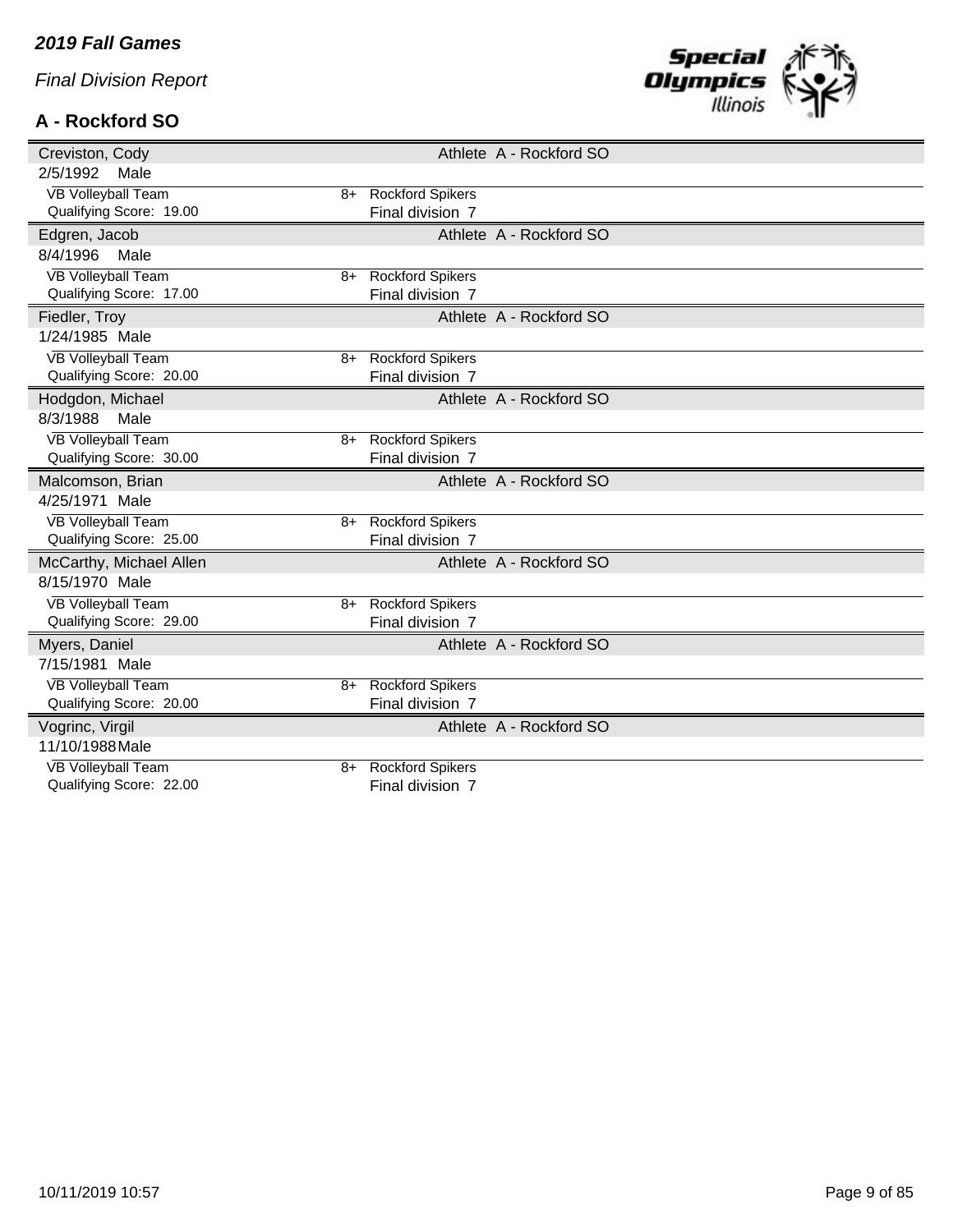## **A - Rockford SO**



| Creviston, Cody                   | Athlete A - Rockford SO |
|-----------------------------------|-------------------------|
| 2/5/1992<br>Male                  |                         |
| <b>VB Volleyball Team</b>         | 8+ Rockford Spikers     |
| Qualifying Score: 19.00           | Final division 7        |
| Edgren, Jacob                     | Athlete A - Rockford SO |
| 8/4/1996<br>Male                  |                         |
| <b>VB Volleyball Team</b><br>8+   | <b>Rockford Spikers</b> |
| Qualifying Score: 17.00           | Final division 7        |
| Fiedler, Troy                     | Athlete A - Rockford SO |
| 1/24/1985 Male                    |                         |
| <b>VB Volleyball Team</b><br>$8+$ | <b>Rockford Spikers</b> |
| Qualifying Score: 20.00           | Final division 7        |
| Hodgdon, Michael                  | Athlete A - Rockford SO |
| 8/3/1988<br>Male                  |                         |
| <b>VB Volleyball Team</b><br>$8+$ | <b>Rockford Spikers</b> |
| Qualifying Score: 30.00           | Final division 7        |
| Malcomson, Brian                  | Athlete A - Rockford SO |
| 4/25/1971 Male                    |                         |
| <b>VB Volleyball Team</b><br>8+   | <b>Rockford Spikers</b> |
| Qualifying Score: 25.00           | Final division 7        |
| McCarthy, Michael Allen           | Athlete A - Rockford SO |
| 8/15/1970 Male                    |                         |
| <b>VB Volleyball Team</b><br>$8+$ | <b>Rockford Spikers</b> |
| Qualifying Score: 29.00           | Final division 7        |
| Myers, Daniel                     | Athlete A - Rockford SO |
| 7/15/1981 Male                    |                         |
| <b>VB Volleyball Team</b><br>$8+$ | <b>Rockford Spikers</b> |
| Qualifying Score: 20.00           | Final division 7        |
| Vogrinc, Virgil                   | Athlete A - Rockford SO |
| 11/10/1988 Male                   |                         |
| <b>VB Volleyball Team</b><br>8+   | <b>Rockford Spikers</b> |
| Qualifying Score: 22.00           | Final division 7        |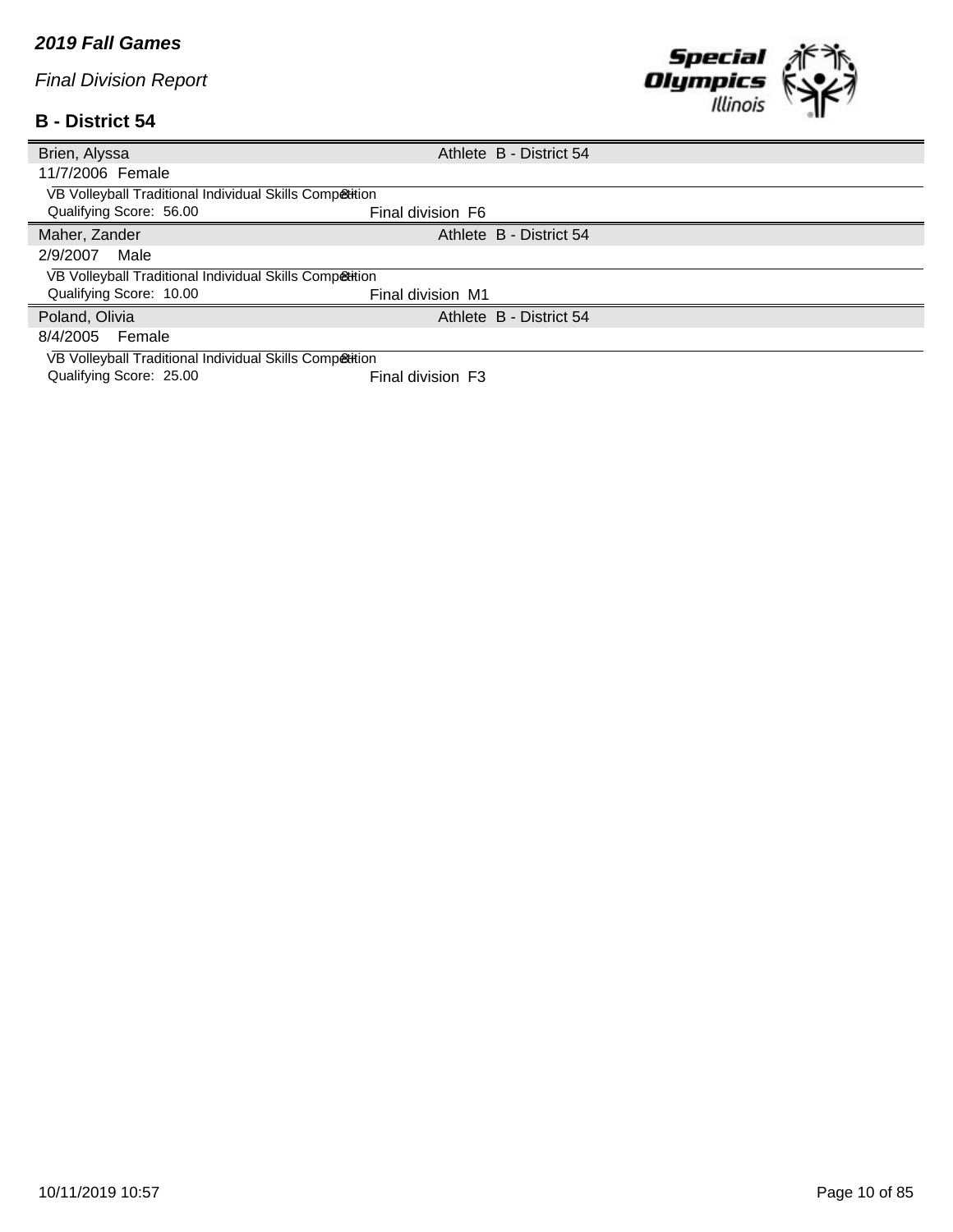#### **B - District 54**



| Brien, Alyssa                                           |                   | Athlete B - District 54 |
|---------------------------------------------------------|-------------------|-------------------------|
| 11/7/2006 Female                                        |                   |                         |
| VB Volleyball Traditional Individual Skills Competition |                   |                         |
| Qualifying Score: 56.00                                 | Final division F6 |                         |
| Maher, Zander                                           |                   | Athlete B - District 54 |
| 2/9/2007<br>Male                                        |                   |                         |
| VB Volleyball Traditional Individual Skills Competition |                   |                         |
| Qualifying Score: 10.00                                 | Final division M1 |                         |
| Poland, Olivia                                          |                   | Athlete B - District 54 |
| 8/4/2005<br>Female                                      |                   |                         |
| VB Volleyball Traditional Individual Skills Competition |                   |                         |

Qualifying Score: 25.00 Final division F3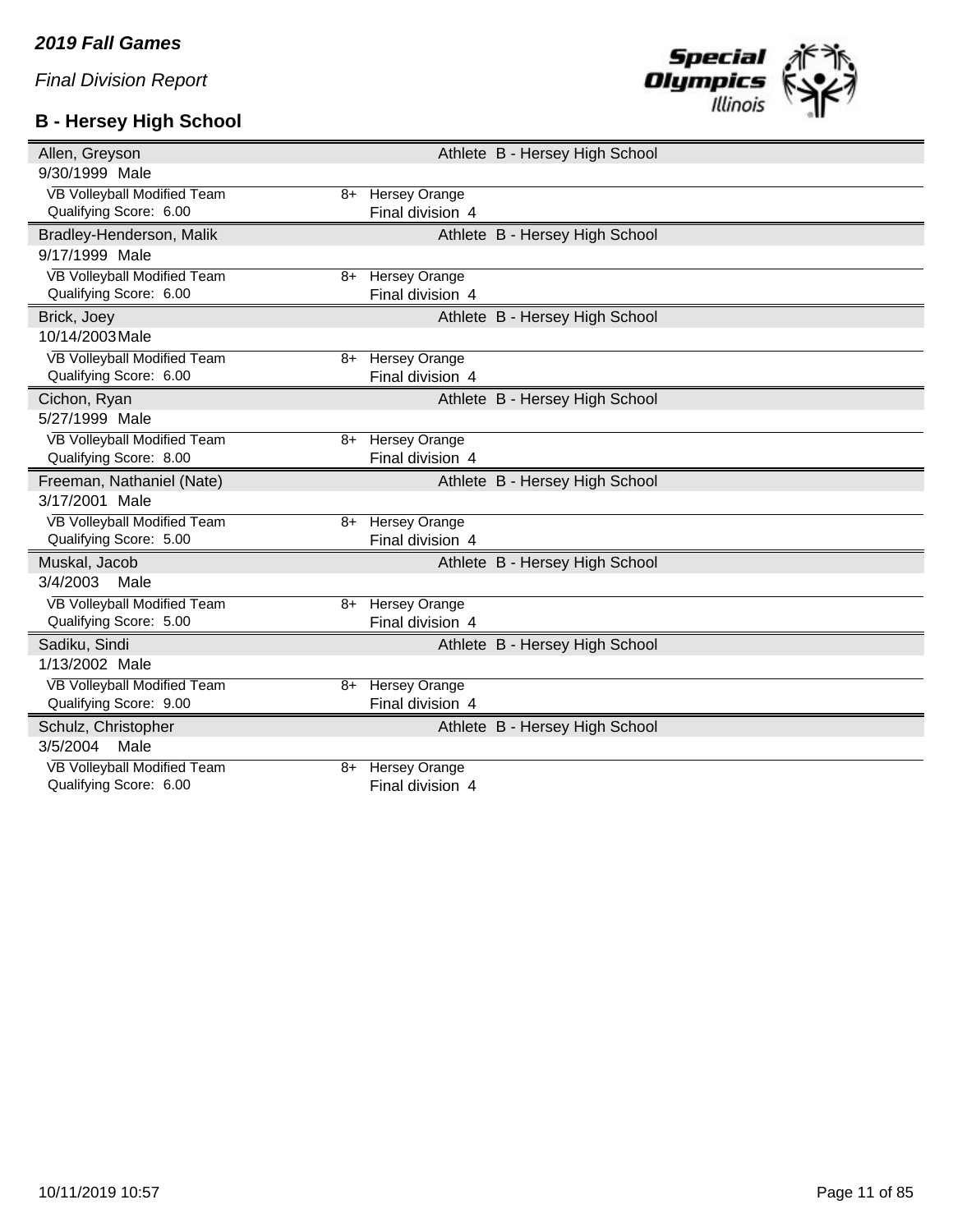# **B - Hersey High School**



| Athlete B - Hersey High School                 |
|------------------------------------------------|
|                                                |
| <b>Hersey Orange</b><br>8+                     |
| Final division 4                               |
| Athlete B - Hersey High School                 |
|                                                |
| <b>Hersey Orange</b><br>$8+$                   |
| Final division 4                               |
| Athlete B - Hersey High School                 |
|                                                |
| <b>Hersey Orange</b><br>8+                     |
| Final division 4                               |
| Athlete B - Hersey High School                 |
|                                                |
| 8+ Hersey Orange                               |
| Final division 4                               |
| Athlete B - Hersey High School                 |
|                                                |
| <b>Hersey Orange</b><br>8+                     |
| Final division 4                               |
| Athlete B - Hersey High School                 |
|                                                |
| <b>Hersey Orange</b><br>$8+$                   |
| Final division 4                               |
| Athlete B - Hersey High School                 |
|                                                |
| <b>Hersey Orange</b><br>8+                     |
| Final division 4                               |
|                                                |
| Athlete B - Hersey High School                 |
|                                                |
| <b>Hersey Orange</b><br>8+<br>Final division 4 |
|                                                |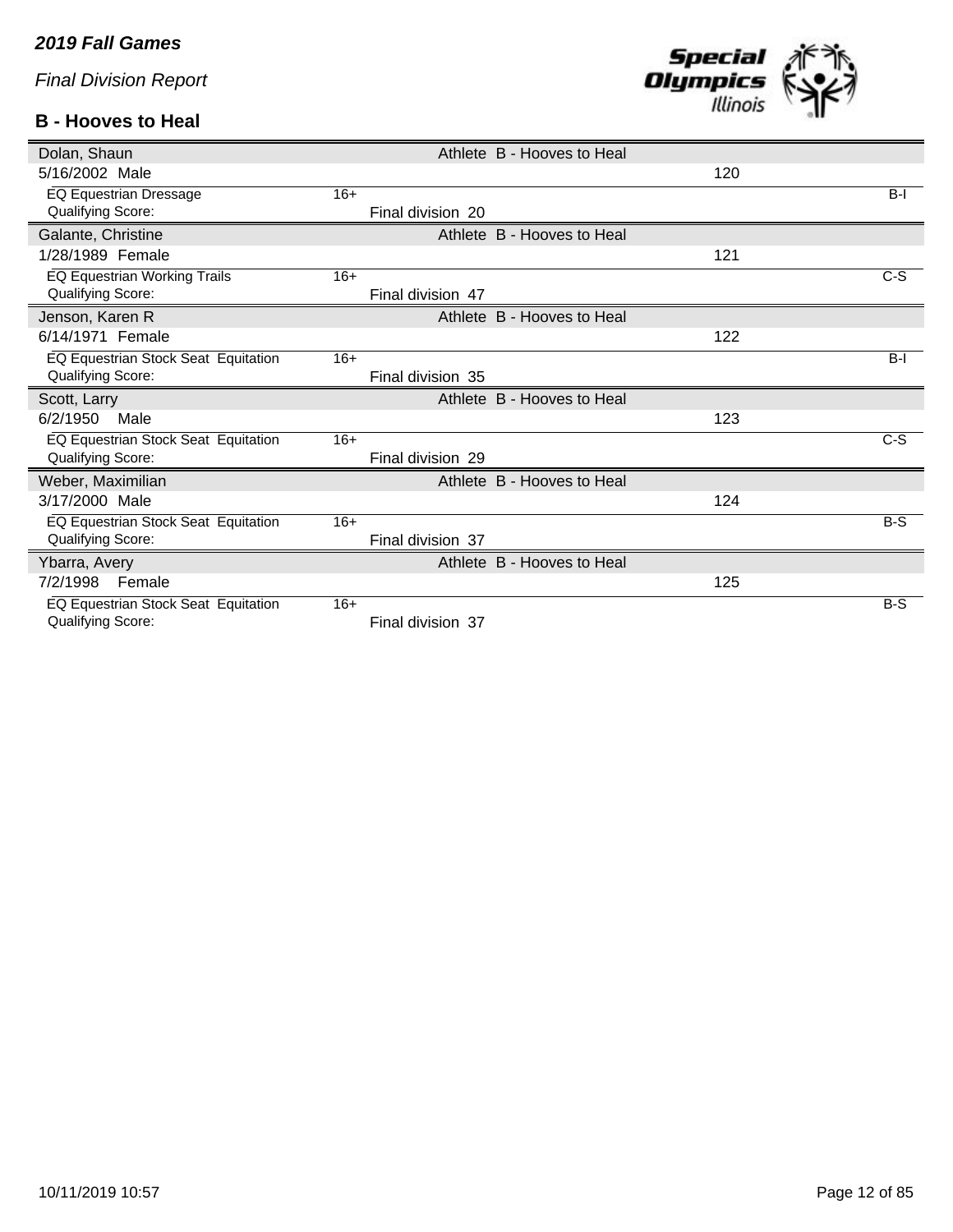### **B - Hooves to Heal**



| Dolan, Shaun                        |                   | Athlete B - Hooves to Heal |     |       |
|-------------------------------------|-------------------|----------------------------|-----|-------|
| 5/16/2002 Male                      |                   |                            | 120 |       |
| EQ Equestrian Dressage              | $16+$             |                            |     | $B-I$ |
| Qualifying Score:                   | Final division 20 |                            |     |       |
| Galante, Christine                  |                   | Athlete B - Hooves to Heal |     |       |
| 1/28/1989 Female                    |                   |                            | 121 |       |
| EQ Equestrian Working Trails        | $16+$             |                            |     | $C-S$ |
| Qualifying Score:                   | Final division 47 |                            |     |       |
| Jenson, Karen R                     |                   | Athlete B - Hooves to Heal |     |       |
| 6/14/1971 Female                    |                   |                            | 122 |       |
| EQ Equestrian Stock Seat Equitation | $16+$             |                            |     | $B-I$ |
| <b>Qualifying Score:</b>            | Final division 35 |                            |     |       |
| Scott, Larry                        |                   | Athlete B - Hooves to Heal |     |       |
| 6/2/1950<br>Male                    |                   |                            | 123 |       |
| EQ Equestrian Stock Seat Equitation | $16+$             |                            |     | $C-S$ |
| Qualifying Score:                   | Final division 29 |                            |     |       |
| Weber, Maximilian                   |                   | Athlete B - Hooves to Heal |     |       |
| 3/17/2000 Male                      |                   |                            | 124 |       |
| EQ Equestrian Stock Seat Equitation | $16+$             |                            |     | $B-S$ |
| Qualifying Score:                   | Final division 37 |                            |     |       |
| Ybarra, Avery                       |                   | Athlete B - Hooves to Heal |     |       |
| 7/2/1998<br>Female                  |                   |                            | 125 |       |
| EQ Equestrian Stock Seat Equitation | $16+$             |                            |     | $B-S$ |
| Qualifying Score:                   | Final division 37 |                            |     |       |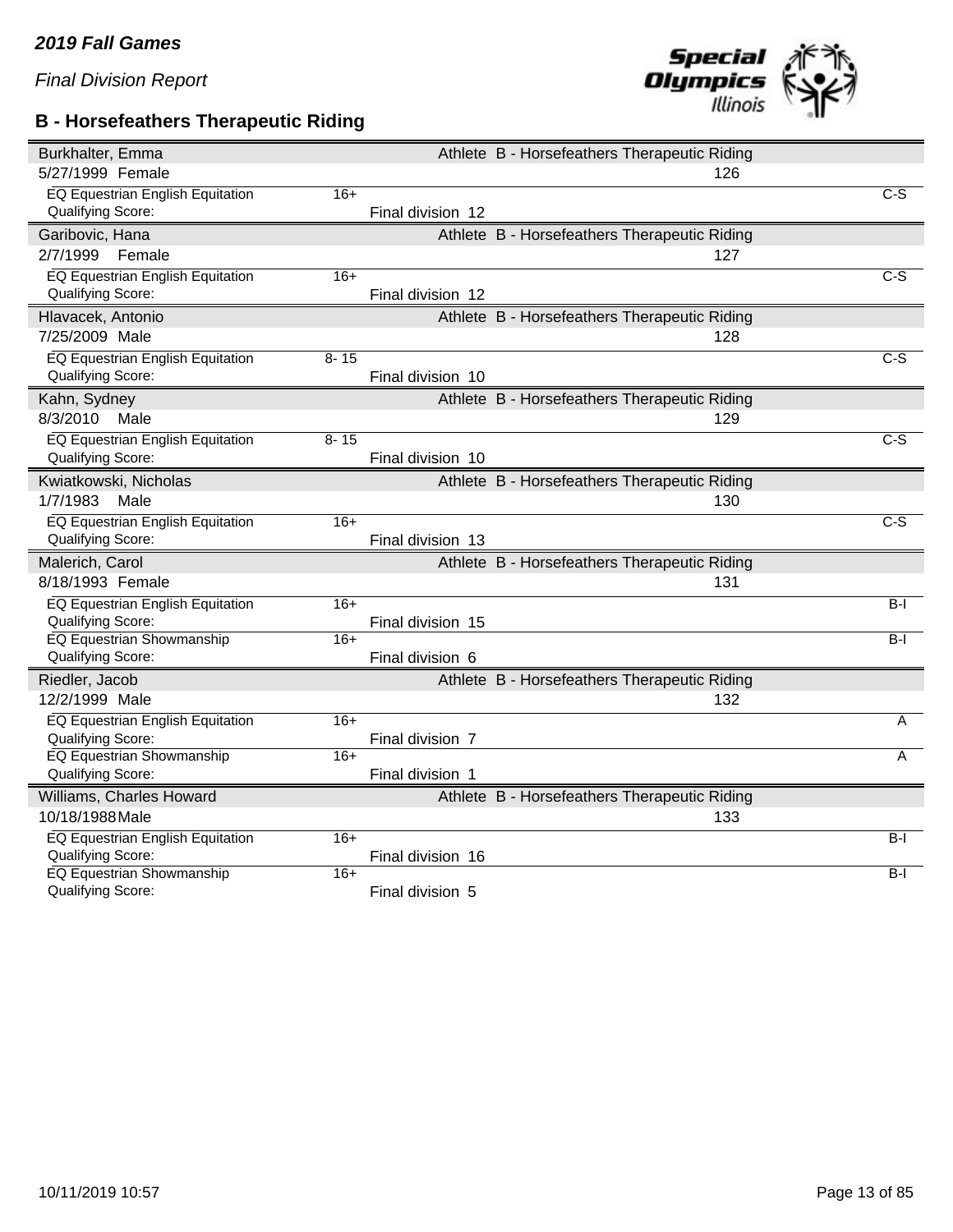### **B - Horsefeathers Therapeutic Riding**



| 5/27/1999 Female<br>126<br>EQ Equestrian English Equitation<br>$16+$<br>$C-S$<br>Qualifying Score:<br>Final division 12<br>Athlete B - Horsefeathers Therapeutic Riding<br>Garibovic, Hana<br>2/7/1999<br>Female<br>127<br><b>EQ Equestrian English Equitation</b><br>$16+$<br>$\overline{C-S}$<br>Qualifying Score:<br>Final division 12<br>Athlete B - Horsefeathers Therapeutic Riding<br>Hlavacek, Antonio<br>7/25/2009 Male<br>128<br>EQ Equestrian English Equitation<br>$8 - 15$<br>C-S<br>Qualifying Score:<br>Final division 10 |
|------------------------------------------------------------------------------------------------------------------------------------------------------------------------------------------------------------------------------------------------------------------------------------------------------------------------------------------------------------------------------------------------------------------------------------------------------------------------------------------------------------------------------------------|
|                                                                                                                                                                                                                                                                                                                                                                                                                                                                                                                                          |
|                                                                                                                                                                                                                                                                                                                                                                                                                                                                                                                                          |
|                                                                                                                                                                                                                                                                                                                                                                                                                                                                                                                                          |
|                                                                                                                                                                                                                                                                                                                                                                                                                                                                                                                                          |
|                                                                                                                                                                                                                                                                                                                                                                                                                                                                                                                                          |
|                                                                                                                                                                                                                                                                                                                                                                                                                                                                                                                                          |
|                                                                                                                                                                                                                                                                                                                                                                                                                                                                                                                                          |
|                                                                                                                                                                                                                                                                                                                                                                                                                                                                                                                                          |
|                                                                                                                                                                                                                                                                                                                                                                                                                                                                                                                                          |
|                                                                                                                                                                                                                                                                                                                                                                                                                                                                                                                                          |
|                                                                                                                                                                                                                                                                                                                                                                                                                                                                                                                                          |
| Athlete B - Horsefeathers Therapeutic Riding<br>Kahn, Sydney                                                                                                                                                                                                                                                                                                                                                                                                                                                                             |
| 8/3/2010<br>Male<br>129                                                                                                                                                                                                                                                                                                                                                                                                                                                                                                                  |
| <b>EQ Equestrian English Equitation</b><br>$\overline{c-s}$<br>$8 - 15$                                                                                                                                                                                                                                                                                                                                                                                                                                                                  |
| Qualifying Score:<br>Final division 10                                                                                                                                                                                                                                                                                                                                                                                                                                                                                                   |
| Kwiatkowski, Nicholas<br>Athlete B - Horsefeathers Therapeutic Riding                                                                                                                                                                                                                                                                                                                                                                                                                                                                    |
| 1/7/1983<br>Male<br>130                                                                                                                                                                                                                                                                                                                                                                                                                                                                                                                  |
| EQ Equestrian English Equitation<br>$16+$<br>$C-S$                                                                                                                                                                                                                                                                                                                                                                                                                                                                                       |
| Qualifying Score:<br>Final division 13                                                                                                                                                                                                                                                                                                                                                                                                                                                                                                   |
| Malerich, Carol<br>Athlete B - Horsefeathers Therapeutic Riding                                                                                                                                                                                                                                                                                                                                                                                                                                                                          |
| 8/18/1993 Female<br>131                                                                                                                                                                                                                                                                                                                                                                                                                                                                                                                  |
| EQ Equestrian English Equitation<br>$16+$<br>$B-I$                                                                                                                                                                                                                                                                                                                                                                                                                                                                                       |
| Qualifying Score:<br>Final division 15                                                                                                                                                                                                                                                                                                                                                                                                                                                                                                   |
| <b>EQ Equestrian Showmanship</b><br>$B-I$<br>$16+$                                                                                                                                                                                                                                                                                                                                                                                                                                                                                       |
| Qualifying Score:<br>Final division 6                                                                                                                                                                                                                                                                                                                                                                                                                                                                                                    |
| Riedler, Jacob<br>Athlete B - Horsefeathers Therapeutic Riding                                                                                                                                                                                                                                                                                                                                                                                                                                                                           |
| 12/2/1999 Male<br>132                                                                                                                                                                                                                                                                                                                                                                                                                                                                                                                    |
| EQ Equestrian English Equitation<br>$16+$<br>A                                                                                                                                                                                                                                                                                                                                                                                                                                                                                           |
| <b>Qualifying Score:</b><br>Final division 7                                                                                                                                                                                                                                                                                                                                                                                                                                                                                             |
| <b>EQ Equestrian Showmanship</b><br>$16+$<br>A<br>Qualifying Score:<br>Final division 1                                                                                                                                                                                                                                                                                                                                                                                                                                                  |
|                                                                                                                                                                                                                                                                                                                                                                                                                                                                                                                                          |
| Williams, Charles Howard<br>Athlete B - Horsefeathers Therapeutic Riding<br>10/18/1988 Male                                                                                                                                                                                                                                                                                                                                                                                                                                              |
| 133                                                                                                                                                                                                                                                                                                                                                                                                                                                                                                                                      |
| EQ Equestrian English Equitation<br>$16+$<br>$B-I$<br><b>Qualifying Score:</b><br>Final division 16                                                                                                                                                                                                                                                                                                                                                                                                                                      |
| <b>EQ Equestrian Showmanship</b><br>$16+$<br>B-I                                                                                                                                                                                                                                                                                                                                                                                                                                                                                         |
| Qualifying Score:<br>Final division 5                                                                                                                                                                                                                                                                                                                                                                                                                                                                                                    |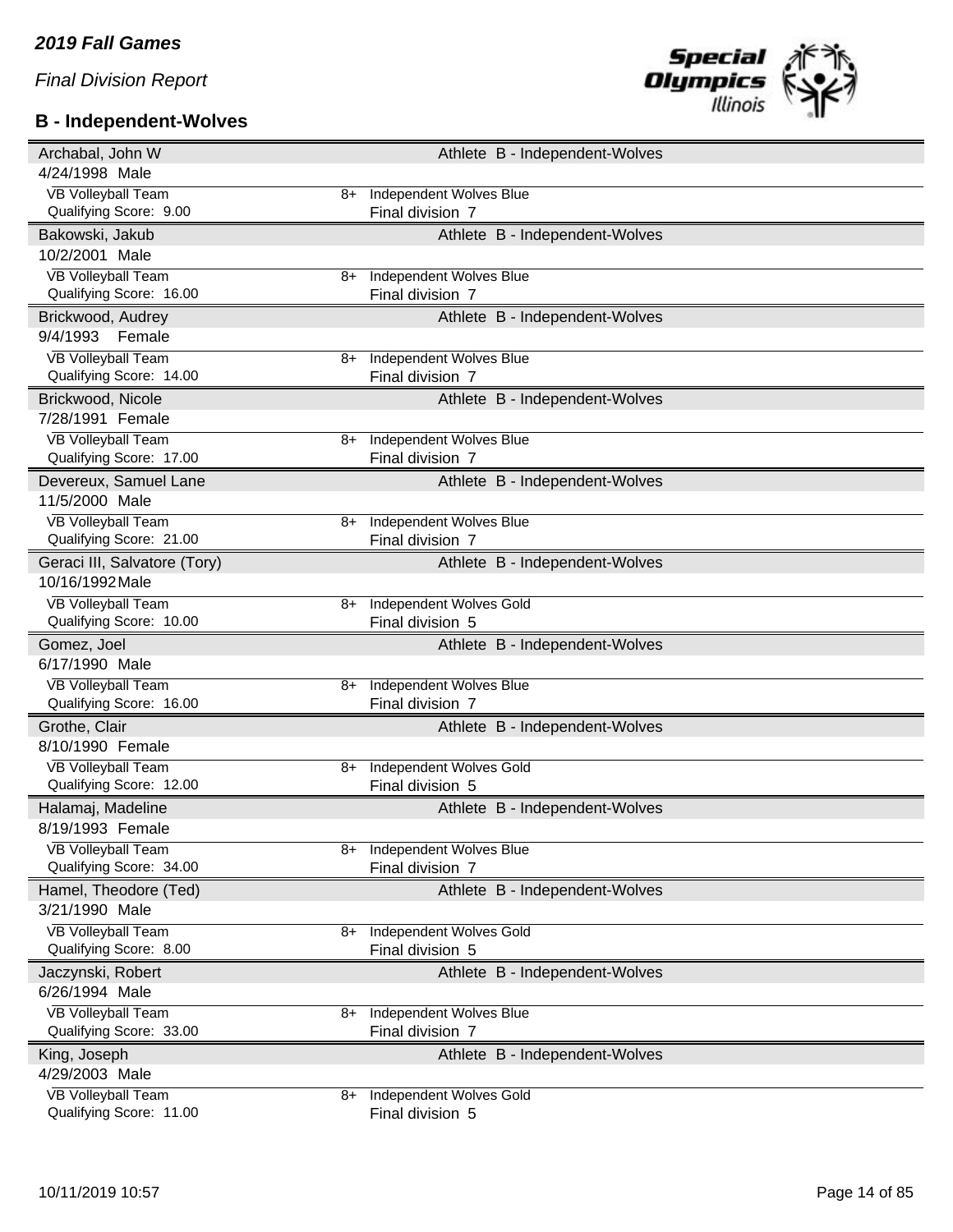# **B - Independent-Wolves**



| Archabal, John W                                     |      | Athlete B - Independent-Wolves              |
|------------------------------------------------------|------|---------------------------------------------|
| 4/24/1998 Male                                       |      |                                             |
| <b>VB Volleyball Team</b>                            | 8+   | Independent Wolves Blue                     |
| Qualifying Score: 9.00                               |      | Final division 7                            |
| Bakowski, Jakub                                      |      | Athlete B - Independent-Wolves              |
| 10/2/2001 Male                                       |      |                                             |
| <b>VB Volleyball Team</b>                            | 8+   | Independent Wolves Blue                     |
| Qualifying Score: 16.00                              |      | Final division 7                            |
| Brickwood, Audrey                                    |      | Athlete B - Independent-Wolves              |
| 9/4/1993<br>Female                                   |      |                                             |
| <b>VB Volleyball Team</b>                            | 8+   | Independent Wolves Blue                     |
| Qualifying Score: 14.00                              |      | Final division 7                            |
| Brickwood, Nicole                                    |      | Athlete B - Independent-Wolves              |
| 7/28/1991 Female                                     |      |                                             |
| <b>VB Volleyball Team</b>                            | 8+   | <b>Independent Wolves Blue</b>              |
| Qualifying Score: 17.00                              |      | Final division 7                            |
| Devereux, Samuel Lane                                |      | Athlete B - Independent-Wolves              |
| 11/5/2000 Male                                       |      |                                             |
| <b>VB Volleyball Team</b>                            | 8+   | Independent Wolves Blue                     |
| Qualifying Score: 21.00                              |      | Final division 7                            |
| Geraci III, Salvatore (Tory)                         |      | Athlete B - Independent-Wolves              |
| 10/16/1992 Male                                      |      |                                             |
| <b>VB Volleyball Team</b>                            | 8+   | <b>Independent Wolves Gold</b>              |
| Qualifying Score: 10.00                              |      | Final division 5                            |
|                                                      |      |                                             |
| Gomez, Joel                                          |      | Athlete B - Independent-Wolves              |
| 6/17/1990 Male                                       |      |                                             |
| <b>VB Volleyball Team</b>                            | 8+   | <b>Independent Wolves Blue</b>              |
| Qualifying Score: 16.00                              |      | Final division 7                            |
| Grothe, Clair                                        |      | Athlete B - Independent-Wolves              |
| 8/10/1990 Female                                     |      |                                             |
| <b>VB Volleyball Team</b>                            | $8+$ | <b>Independent Wolves Gold</b>              |
| Qualifying Score: 12.00                              |      | Final division 5                            |
| Halamaj, Madeline                                    |      | Athlete B - Independent-Wolves              |
| 8/19/1993 Female                                     |      |                                             |
| <b>VB Volleyball Team</b>                            | 8+   | <b>Independent Wolves Blue</b>              |
| Qualifying Score: 34.00                              |      | Final division 7                            |
| Hamel, Theodore (Ted)                                |      | Athlete B - Independent-Wolves              |
| 3/21/1990 Male                                       |      |                                             |
| <b>VB Volleyball Team</b>                            | 8+   | <b>Independent Wolves Gold</b>              |
| Qualifying Score: 8.00                               |      | Final division 5                            |
| Jaczynski, Robert                                    |      | Athlete B - Independent-Wolves              |
| 6/26/1994 Male                                       |      |                                             |
| <b>VB Volleyball Team</b>                            | 8+   | <b>Independent Wolves Blue</b>              |
| Qualifying Score: 33.00                              |      | Final division 7                            |
| King, Joseph                                         |      | Athlete B - Independent-Wolves              |
| 4/29/2003 Male                                       |      |                                             |
| <b>VB Volleyball Team</b><br>Qualifying Score: 11.00 | 8+   | Independent Wolves Gold<br>Final division 5 |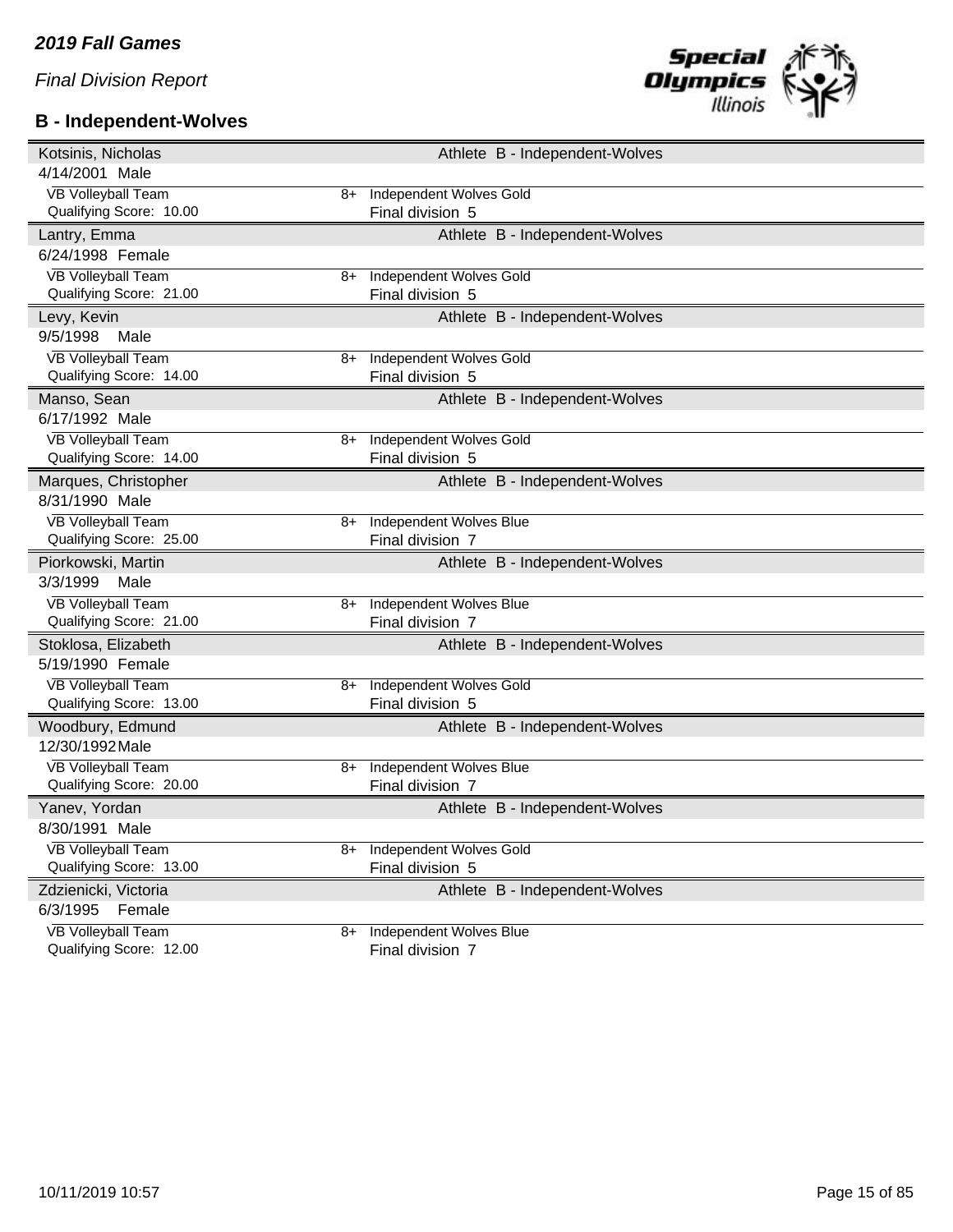# **B - Independent-Wolves**



| Kotsinis, Nicholas                                   |      | Athlete B - Independent-Wolves                     |
|------------------------------------------------------|------|----------------------------------------------------|
| 4/14/2001 Male                                       |      |                                                    |
| <b>VB Volleyball Team</b>                            | 8+   | <b>Independent Wolves Gold</b>                     |
| Qualifying Score: 10.00                              |      | Final division 5                                   |
| Lantry, Emma                                         |      | Athlete B - Independent-Wolves                     |
| 6/24/1998 Female                                     |      |                                                    |
| <b>VB Volleyball Team</b>                            | $8+$ | <b>Independent Wolves Gold</b>                     |
| Qualifying Score: 21.00                              |      | Final division 5                                   |
| Levy, Kevin                                          |      | Athlete B - Independent-Wolves                     |
| 9/5/1998<br>Male                                     |      |                                                    |
| <b>VB Volleyball Team</b>                            | 8+   | <b>Independent Wolves Gold</b>                     |
| Qualifying Score: 14.00                              |      | Final division 5                                   |
| Manso, Sean                                          |      | Athlete B - Independent-Wolves                     |
| 6/17/1992 Male                                       |      |                                                    |
| <b>VB Volleyball Team</b>                            | 8+   | <b>Independent Wolves Gold</b>                     |
| Qualifying Score: 14.00                              |      | Final division 5                                   |
| Marques, Christopher                                 |      | Athlete B - Independent-Wolves                     |
| 8/31/1990 Male                                       |      |                                                    |
| <b>VB Volleyball Team</b>                            | $8+$ | <b>Independent Wolves Blue</b>                     |
| Qualifying Score: 25.00                              |      | Final division 7                                   |
| Piorkowski, Martin                                   |      | Athlete B - Independent-Wolves                     |
|                                                      |      |                                                    |
| 3/3/1999<br>Male                                     |      |                                                    |
| <b>VB Volleyball Team</b>                            | 8+   | <b>Independent Wolves Blue</b>                     |
| Qualifying Score: 21.00                              |      | Final division 7                                   |
| Stoklosa, Elizabeth                                  |      | Athlete B - Independent-Wolves                     |
| 5/19/1990 Female                                     |      |                                                    |
| <b>VB Volleyball Team</b>                            | $8+$ | <b>Independent Wolves Gold</b>                     |
| Qualifying Score: 13.00                              |      | Final division 5                                   |
| Woodbury, Edmund                                     |      | Athlete B - Independent-Wolves                     |
| 12/30/1992 Male                                      |      |                                                    |
| <b>VB Volleyball Team</b>                            | 8+   | <b>Independent Wolves Blue</b>                     |
| Qualifying Score: 20.00                              |      | Final division 7                                   |
| Yanev, Yordan                                        |      | Athlete B - Independent-Wolves                     |
| 8/30/1991 Male                                       |      |                                                    |
| <b>VB Volleyball Team</b>                            | 8+   | <b>Independent Wolves Gold</b>                     |
| Qualifying Score: 13.00                              |      | Final division 5                                   |
| Zdzienicki, Victoria                                 |      | Athlete B - Independent-Wolves                     |
| 6/3/1995<br>Female                                   |      |                                                    |
| <b>VB Volleyball Team</b><br>Qualifying Score: 12.00 | 8+   | <b>Independent Wolves Blue</b><br>Final division 7 |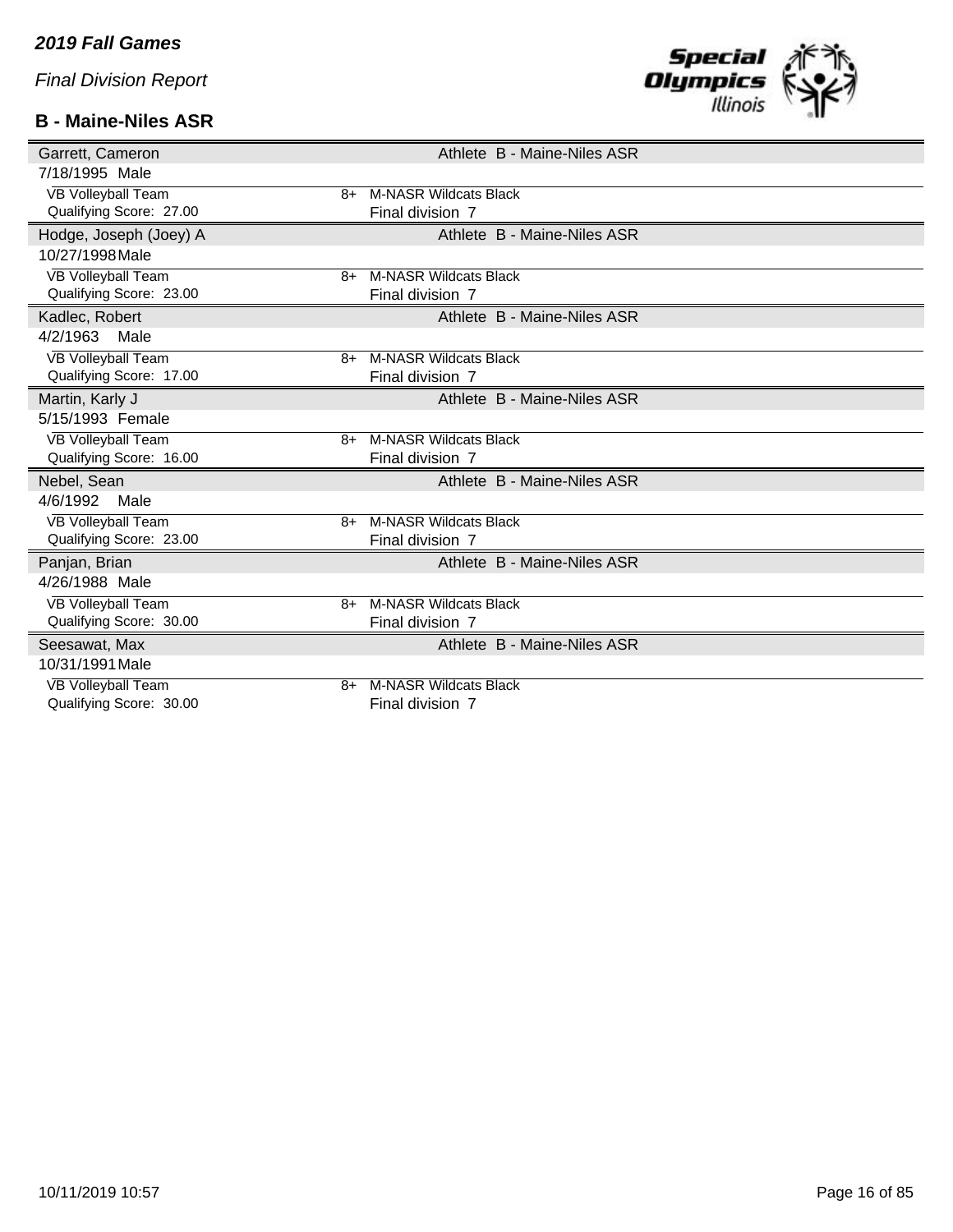### **B - Maine-Niles ASR**



| Garrett, Cameron                  | Athlete B - Maine-Niles ASR  |
|-----------------------------------|------------------------------|
| 7/18/1995 Male                    |                              |
| <b>VB Volleyball Team</b><br>8+   | <b>M-NASR Wildcats Black</b> |
| Qualifying Score: 27.00           | Final division 7             |
| Hodge, Joseph (Joey) A            | Athlete B - Maine-Niles ASR  |
| 10/27/1998 Male                   |                              |
| <b>VB Volleyball Team</b><br>8+   | <b>M-NASR Wildcats Black</b> |
| Qualifying Score: 23.00           | Final division 7             |
| Kadlec, Robert                    | Athlete B - Maine-Niles ASR  |
| 4/2/1963<br>Male                  |                              |
| <b>VB Volleyball Team</b><br>8+   | <b>M-NASR Wildcats Black</b> |
| Qualifying Score: 17.00           | Final division 7             |
| Martin, Karly J                   | Athlete B - Maine-Niles ASR  |
| 5/15/1993 Female                  |                              |
| VB Volleyball Team<br>8+          | <b>M-NASR Wildcats Black</b> |
| Qualifying Score: 16.00           | Final division 7             |
| Nebel, Sean                       | Athlete B - Maine-Niles ASR  |
| 4/6/1992<br>Male                  |                              |
| <b>VB Volleyball Team</b><br>$8+$ | <b>M-NASR Wildcats Black</b> |
| Qualifying Score: 23.00           | Final division 7             |
| Panjan, Brian                     | Athlete B - Maine-Niles ASR  |
| 4/26/1988 Male                    |                              |
| <b>VB Volleyball Team</b><br>8+   | <b>M-NASR Wildcats Black</b> |
| Qualifying Score: 30.00           | Final division 7             |
| Seesawat, Max                     | Athlete B - Maine-Niles ASR  |
| 10/31/1991 Male                   |                              |
| VB Volleyball Team<br>8+          | <b>M-NASR Wildcats Black</b> |
| Qualifying Score: 30.00           | Final division 7             |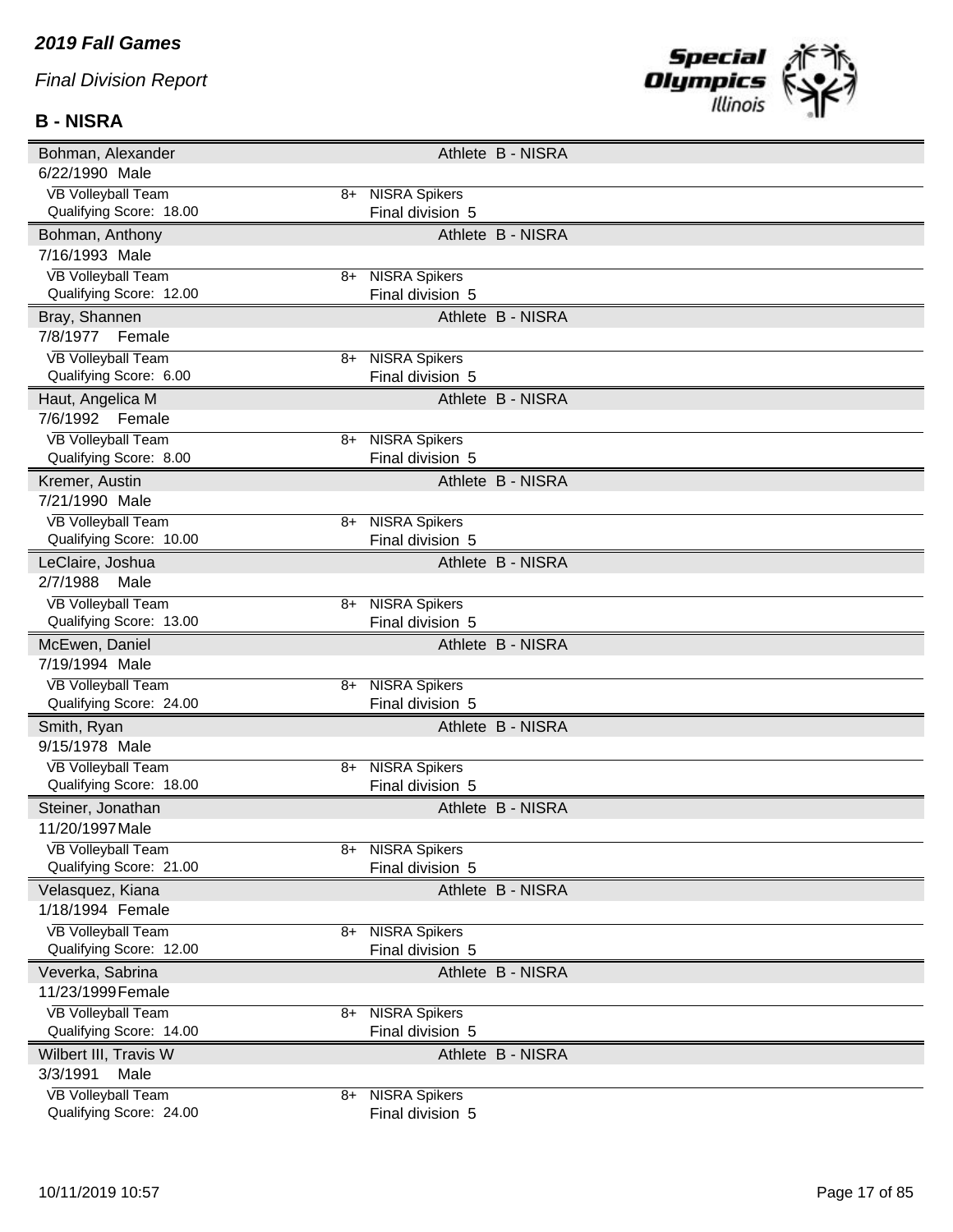#### *2019 Fall Games*

*Final Division Report*

#### **B - NISRA**



| Bohman, Alexander                                    |      | Athlete B - NISRA                        |
|------------------------------------------------------|------|------------------------------------------|
| 6/22/1990 Male                                       |      |                                          |
| <b>VB Volleyball Team</b>                            |      | 8+ NISRA Spikers                         |
| Qualifying Score: 18.00                              |      | Final division 5                         |
| Bohman, Anthony                                      |      | Athlete B - NISRA                        |
| 7/16/1993 Male                                       |      |                                          |
| <b>VB Volleyball Team</b>                            |      | 8+ NISRA Spikers                         |
| Qualifying Score: 12.00                              |      | Final division 5                         |
| Bray, Shannen                                        |      | Athlete B - NISRA                        |
| 7/8/1977<br>Female                                   |      |                                          |
| <b>VB Volleyball Team</b>                            | 8+   | <b>NISRA Spikers</b>                     |
| Qualifying Score: 6.00                               |      | Final division 5                         |
| Haut, Angelica M                                     |      | Athlete B - NISRA                        |
| 7/6/1992 Female                                      |      |                                          |
| <b>VB Volleyball Team</b>                            | $8+$ | <b>NISRA Spikers</b>                     |
| Qualifying Score: 8.00                               |      | Final division 5                         |
| Kremer, Austin                                       |      | Athlete B - NISRA                        |
| 7/21/1990 Male                                       |      |                                          |
| <b>VB Volleyball Team</b>                            |      | 8+ NISRA Spikers                         |
| Qualifying Score: 10.00                              |      | Final division 5                         |
| LeClaire, Joshua                                     |      | Athlete B - NISRA                        |
| 2/7/1988<br>Male                                     |      |                                          |
| <b>VB Volleyball Team</b>                            | 8+   | <b>NISRA Spikers</b>                     |
| Qualifying Score: 13.00                              |      | Final division 5                         |
|                                                      |      |                                          |
| McEwen, Daniel                                       |      | Athlete B - NISRA                        |
| 7/19/1994 Male                                       |      |                                          |
| <b>VB Volleyball Team</b>                            |      | 8+ NISRA Spikers                         |
| Qualifying Score: 24.00                              |      | Final division 5                         |
| Smith, Ryan                                          |      | Athlete B - NISRA                        |
| 9/15/1978 Male                                       |      |                                          |
| <b>VB Volleyball Team</b>                            | 8+   | <b>NISRA Spikers</b>                     |
| Qualifying Score: 18.00                              |      | Final division 5                         |
| Steiner, Jonathan                                    |      | Athlete B - NISRA                        |
| 11/20/1997 Male                                      |      |                                          |
| <b>VB Volleyball Team</b>                            | 8+   | <b>NISRA Spikers</b>                     |
| Qualifying Score: 21.00                              |      | Final division 5                         |
| Velasquez, Kiana                                     |      | Athlete B - NISRA                        |
| 1/18/1994 Female                                     |      |                                          |
| <b>VB Volleyball Team</b>                            | 8+   | <b>NISRA Spikers</b>                     |
| Qualifying Score: 12.00                              |      | Final division 5                         |
| Veverka, Sabrina                                     |      | Athlete B - NISRA                        |
| 11/23/1999 Female                                    |      |                                          |
| <b>VB Volleyball Team</b>                            | 8+   | <b>NISRA Spikers</b>                     |
| Qualifying Score: 14.00                              |      | Final division 5                         |
| Wilbert III, Travis W                                |      | Athlete B - NISRA                        |
| 3/3/1991<br>Male                                     |      |                                          |
| <b>VB Volleyball Team</b><br>Qualifying Score: 24.00 | 8+   | <b>NISRA Spikers</b><br>Final division 5 |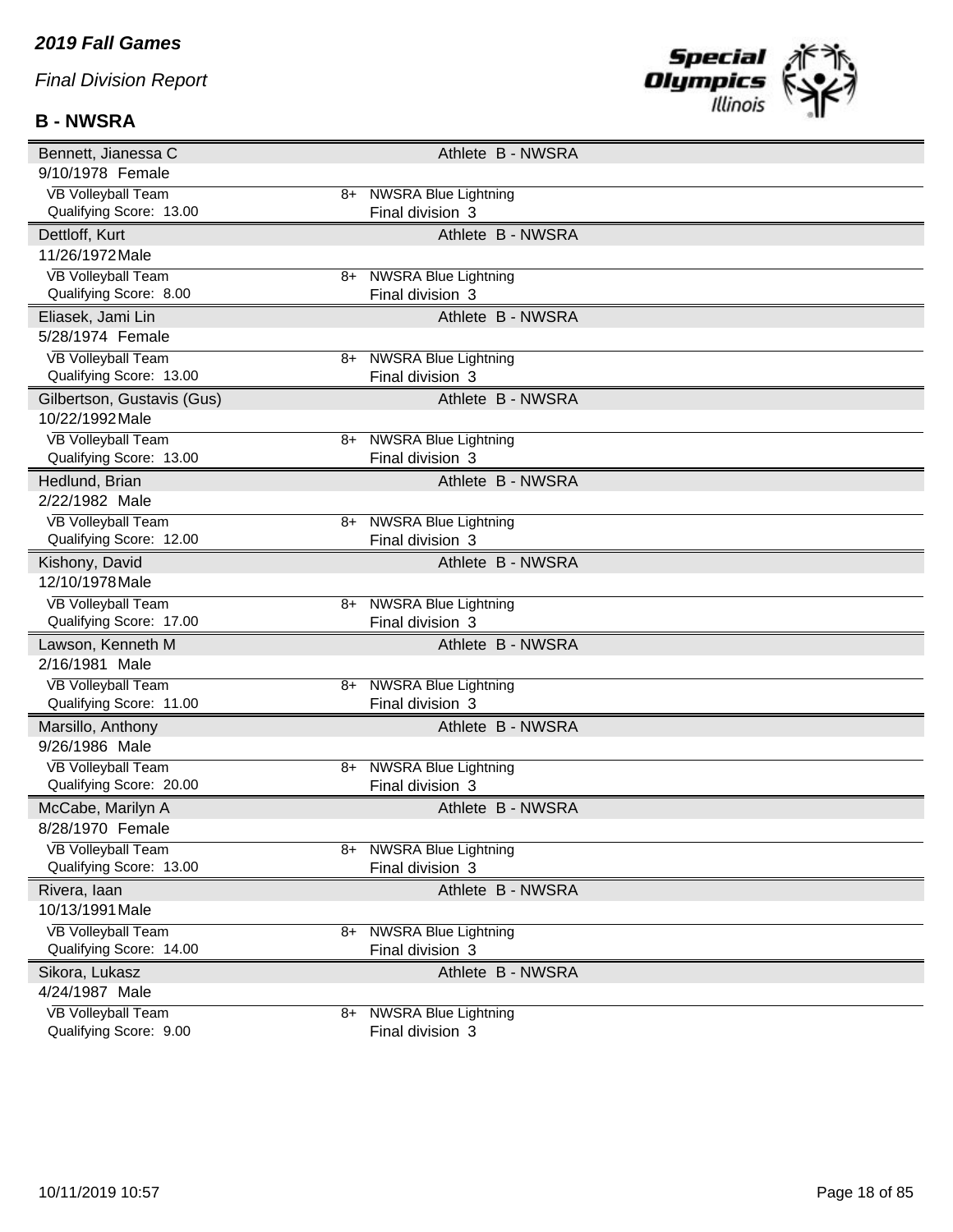### **B - NWSRA**



| Bennett, Jianessa C                                  |      |                                                 | Athlete B - NWSRA |  |
|------------------------------------------------------|------|-------------------------------------------------|-------------------|--|
| 9/10/1978 Female                                     |      |                                                 |                   |  |
| <b>VB Volleyball Team</b>                            | 8+   | <b>NWSRA Blue Lightning</b>                     |                   |  |
| Qualifying Score: 13.00                              |      | Final division 3                                |                   |  |
| Dettloff, Kurt                                       |      |                                                 | Athlete B - NWSRA |  |
| 11/26/1972 Male                                      |      |                                                 |                   |  |
| <b>VB Volleyball Team</b>                            | 8+   | <b>NWSRA Blue Lightning</b>                     |                   |  |
| Qualifying Score: 8.00                               |      | Final division 3                                |                   |  |
| Eliasek, Jami Lin                                    |      |                                                 | Athlete B - NWSRA |  |
| 5/28/1974 Female                                     |      |                                                 |                   |  |
| <b>VB Volleyball Team</b>                            |      | 8+ NWSRA Blue Lightning                         |                   |  |
| Qualifying Score: 13.00                              |      | Final division 3                                |                   |  |
| Gilbertson, Gustavis (Gus)                           |      |                                                 | Athlete B - NWSRA |  |
| 10/22/1992 Male                                      |      |                                                 |                   |  |
| <b>VB Volleyball Team</b>                            | 8+   | <b>NWSRA Blue Lightning</b>                     |                   |  |
| Qualifying Score: 13.00                              |      | Final division 3                                |                   |  |
| Hedlund, Brian                                       |      |                                                 | Athlete B - NWSRA |  |
| 2/22/1982 Male                                       |      |                                                 |                   |  |
| <b>VB Volleyball Team</b>                            | 8+   | <b>NWSRA Blue Lightning</b>                     |                   |  |
| Qualifying Score: 12.00                              |      | Final division 3                                |                   |  |
| Kishony, David                                       |      |                                                 | Athlete B - NWSRA |  |
| 12/10/1978 Male                                      |      |                                                 |                   |  |
| <b>VB Volleyball Team</b>                            | $8+$ | <b>NWSRA Blue Lightning</b>                     |                   |  |
| Qualifying Score: 17.00                              |      | Final division 3                                |                   |  |
| Lawson, Kenneth M                                    |      |                                                 | Athlete B - NWSRA |  |
| 2/16/1981 Male                                       |      |                                                 |                   |  |
| <b>VB Volleyball Team</b>                            | 8+   | <b>NWSRA Blue Lightning</b>                     |                   |  |
| Qualifying Score: 11.00                              |      | Final division 3                                |                   |  |
| Marsillo, Anthony                                    |      |                                                 | Athlete B - NWSRA |  |
| 9/26/1986 Male                                       |      |                                                 |                   |  |
| <b>VB Volleyball Team</b>                            | 8+   | <b>NWSRA Blue Lightning</b>                     |                   |  |
| Qualifying Score: 20.00                              |      | Final division 3                                |                   |  |
| McCabe, Marilyn A                                    |      |                                                 | Athlete B - NWSRA |  |
| 8/28/1970 Female                                     |      |                                                 |                   |  |
| <b>VB Volleyball Team</b>                            | 8+   | <b>NWSRA Blue Lightning</b>                     |                   |  |
| Qualifying Score: 13.00                              |      | Final division 3                                |                   |  |
| Rivera, laan                                         |      |                                                 | Athlete B - NWSRA |  |
| 10/13/1991 Male                                      |      |                                                 |                   |  |
| <b>VB Volleyball Team</b><br>Qualifying Score: 14.00 | $8+$ | <b>NWSRA Blue Lightning</b><br>Final division 3 |                   |  |
|                                                      |      |                                                 |                   |  |
| Sikora, Lukasz                                       |      |                                                 | Athlete B - NWSRA |  |
| 4/24/1987 Male                                       |      |                                                 |                   |  |
| <b>VB Volleyball Team</b><br>Qualifying Score: 9.00  | 8+   | <b>NWSRA Blue Lightning</b><br>Final division 3 |                   |  |
|                                                      |      |                                                 |                   |  |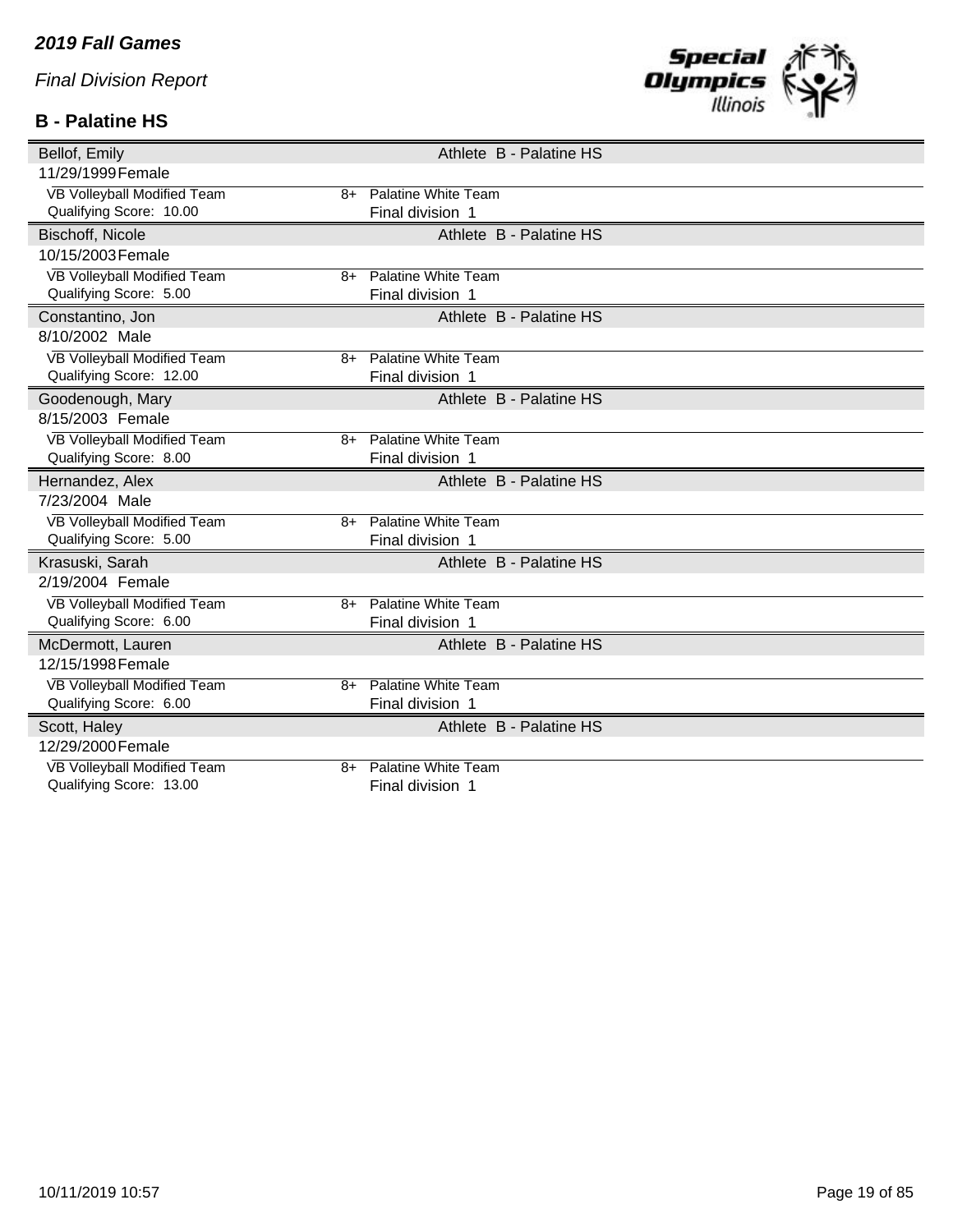### **B - Palatine HS**



| Bellof, Emily                       | Athlete B - Palatine HS    |
|-------------------------------------|----------------------------|
| 11/29/1999 Female                   |                            |
| VB Volleyball Modified Team<br>$8+$ | <b>Palatine White Team</b> |
| Qualifying Score: 10.00             | Final division 1           |
| Bischoff, Nicole                    | Athlete B - Palatine HS    |
| 10/15/2003 Female                   |                            |
| VB Volleyball Modified Team<br>8+   | Palatine White Team        |
| Qualifying Score: 5.00              | Final division 1           |
| Constantino, Jon                    | Athlete B - Palatine HS    |
| 8/10/2002 Male                      |                            |
| VB Volleyball Modified Team<br>$8+$ | Palatine White Team        |
| Qualifying Score: 12.00             | Final division 1           |
| Goodenough, Mary                    | Athlete B - Palatine HS    |
| 8/15/2003 Female                    |                            |
| VB Volleyball Modified Team<br>8+   | <b>Palatine White Team</b> |
| Qualifying Score: 8.00              | Final division 1           |
| Hernandez, Alex                     | Athlete B - Palatine HS    |
| 7/23/2004 Male                      |                            |
| VB Volleyball Modified Team<br>$8+$ | Palatine White Team        |
| Qualifying Score: 5.00              | Final division 1           |
| Krasuski, Sarah                     | Athlete B - Palatine HS    |
| 2/19/2004 Female                    |                            |
| VB Volleyball Modified Team<br>$8+$ | <b>Palatine White Team</b> |
| Qualifying Score: 6.00              | Final division 1           |
| McDermott, Lauren                   | Athlete B - Palatine HS    |
| 12/15/1998 Female                   |                            |
| VB Volleyball Modified Team<br>8+   | Palatine White Team        |
| Qualifying Score: 6.00              | Final division 1           |
| Scott, Haley                        | Athlete B - Palatine HS    |
| 12/29/2000 Female                   |                            |
| VB Volleyball Modified Team<br>8+   | Palatine White Team        |
| Qualifying Score: 13.00             | Final division 1           |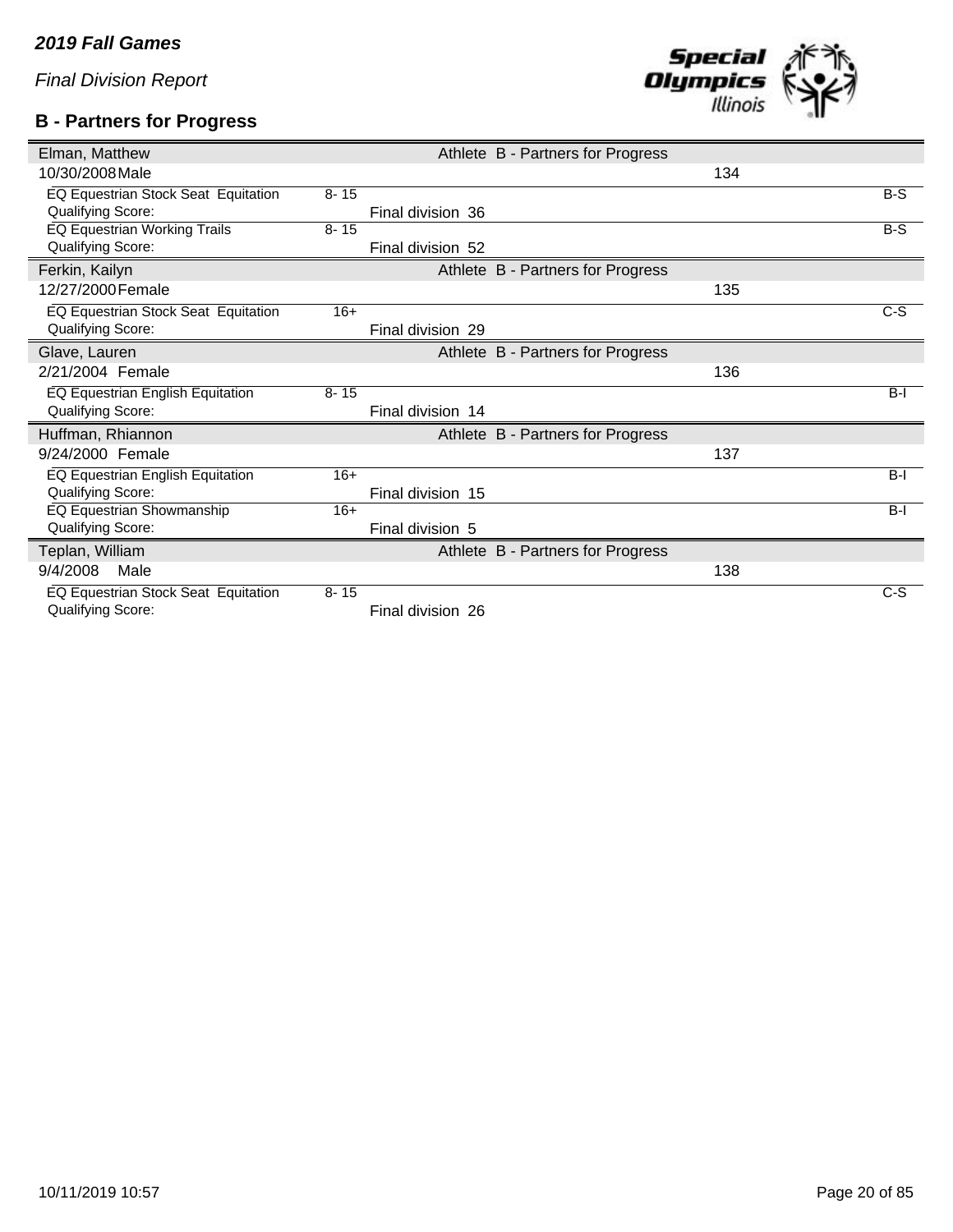### **B - Partners for Progress**



| Elman, Matthew                      |          |                   | Athlete B - Partners for Progress |     |       |
|-------------------------------------|----------|-------------------|-----------------------------------|-----|-------|
| 10/30/2008 Male                     |          |                   |                                   | 134 |       |
| EQ Equestrian Stock Seat Equitation | $8 - 15$ |                   |                                   |     | $B-S$ |
| Qualifying Score:                   |          | Final division 36 |                                   |     |       |
| <b>EQ Equestrian Working Trails</b> | $8 - 15$ |                   |                                   |     | $B-S$ |
| Qualifying Score:                   |          | Final division 52 |                                   |     |       |
| Ferkin, Kailyn                      |          |                   | Athlete B - Partners for Progress |     |       |
| 12/27/2000 Female                   |          |                   |                                   | 135 |       |
| EQ Equestrian Stock Seat Equitation | $16+$    |                   |                                   |     | $C-S$ |
| Qualifying Score:                   |          | Final division 29 |                                   |     |       |
| Glave, Lauren                       |          |                   | Athlete B - Partners for Progress |     |       |
| 2/21/2004 Female                    |          |                   |                                   | 136 |       |
| EQ Equestrian English Equitation    | $8 - 15$ |                   |                                   |     | $B-I$ |
| Qualifying Score:                   |          | Final division 14 |                                   |     |       |
| Huffman, Rhiannon                   |          |                   | Athlete B - Partners for Progress |     |       |
| 9/24/2000 Female                    |          |                   |                                   | 137 |       |
| EQ Equestrian English Equitation    | $16+$    |                   |                                   |     | $B-I$ |
| Qualifying Score:                   |          | Final division 15 |                                   |     |       |
| EQ Equestrian Showmanship           | $16+$    |                   |                                   |     | $B-I$ |
| Qualifying Score:                   |          | Final division 5  |                                   |     |       |
| Teplan, William                     |          |                   | Athlete B - Partners for Progress |     |       |
| 9/4/2008<br>Male                    |          |                   |                                   | 138 |       |
| EQ Equestrian Stock Seat Equitation | $8 - 15$ |                   |                                   |     | C-S   |
| Qualifying Score:                   |          | Final division 26 |                                   |     |       |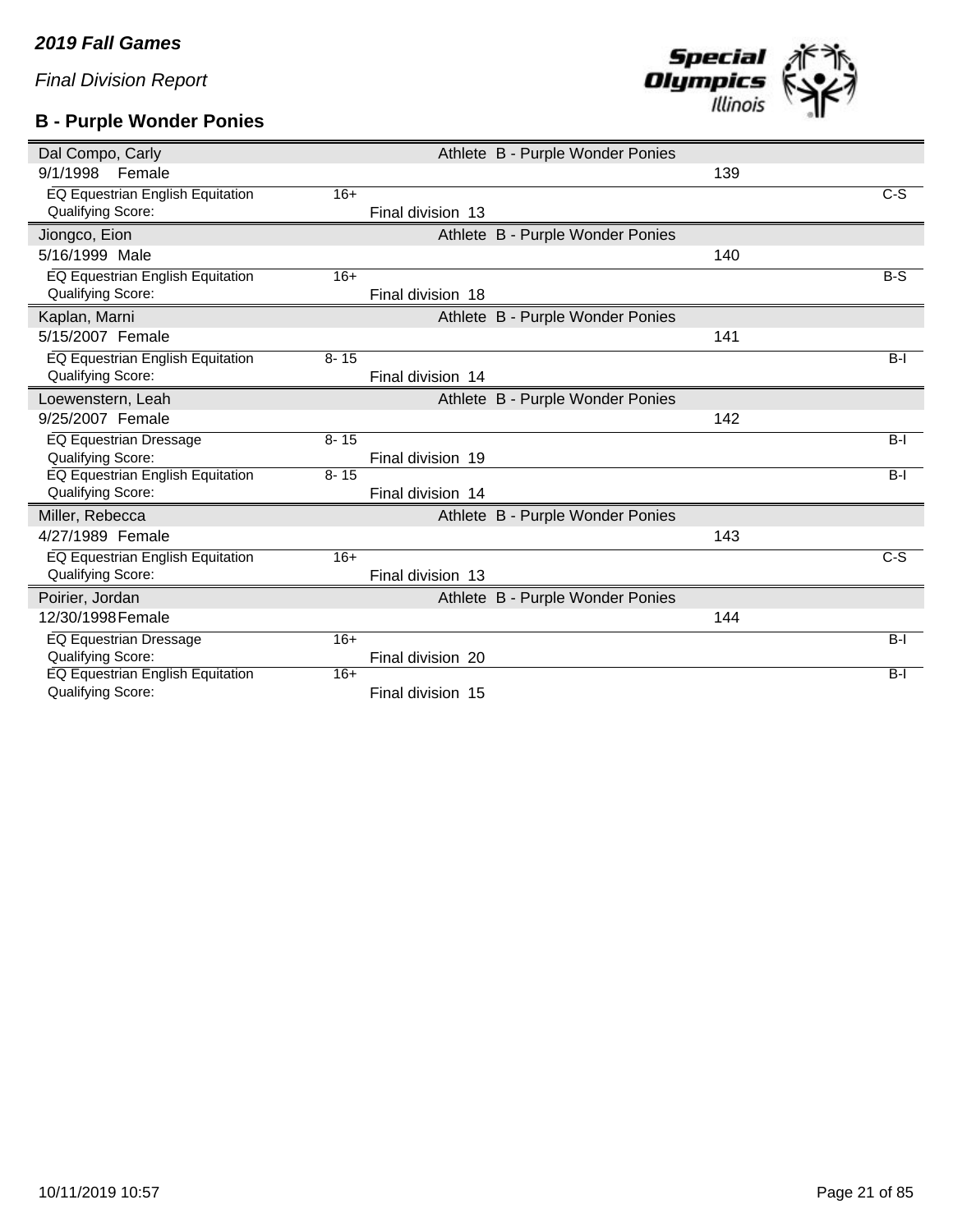### **B - Purple Wonder Ponies**

| Dal Compo, Carly                 |          |                   | Athlete B - Purple Wonder Ponies |     |       |
|----------------------------------|----------|-------------------|----------------------------------|-----|-------|
| 9/1/1998<br>Female               |          |                   |                                  | 139 |       |
| EQ Equestrian English Equitation | $16+$    |                   |                                  |     | $C-S$ |
| Qualifying Score:                |          | Final division 13 |                                  |     |       |
| Jiongco, Eion                    |          |                   | Athlete B - Purple Wonder Ponies |     |       |
| 5/16/1999 Male                   |          |                   |                                  | 140 |       |
| EQ Equestrian English Equitation | $16+$    |                   |                                  |     | $B-S$ |
| <b>Qualifying Score:</b>         |          | Final division 18 |                                  |     |       |
| Kaplan, Marni                    |          |                   | Athlete B - Purple Wonder Ponies |     |       |
| 5/15/2007 Female                 |          |                   |                                  | 141 |       |
| EQ Equestrian English Equitation | $8 - 15$ |                   |                                  |     | $B-I$ |
| Qualifying Score:                |          | Final division 14 |                                  |     |       |
| Loewenstern, Leah                |          |                   | Athlete B - Purple Wonder Ponies |     |       |
| 9/25/2007 Female                 |          |                   |                                  | 142 |       |
| EQ Equestrian Dressage           | $8 - 15$ |                   |                                  |     | $B-I$ |
| <b>Qualifying Score:</b>         |          | Final division 19 |                                  |     |       |
| EQ Equestrian English Equitation | $8 - 15$ |                   |                                  |     | $B-I$ |
| Qualifying Score:                |          | Final division 14 |                                  |     |       |
| Miller, Rebecca                  |          |                   | Athlete B - Purple Wonder Ponies |     |       |
| 4/27/1989 Female                 |          |                   |                                  | 143 |       |
| EQ Equestrian English Equitation | $16+$    |                   |                                  |     | $C-S$ |
| Qualifying Score:                |          | Final division 13 |                                  |     |       |
| Poirier, Jordan                  |          |                   | Athlete B - Purple Wonder Ponies |     |       |
| 12/30/1998 Female                |          |                   |                                  | 144 |       |
| <b>EQ Equestrian Dressage</b>    | $16+$    |                   |                                  |     | $B-I$ |
| Qualifying Score:                |          | Final division 20 |                                  |     |       |
| EQ Equestrian English Equitation | $16+$    |                   |                                  |     | $B-I$ |
| Qualifying Score:                |          | Final division 15 |                                  |     |       |

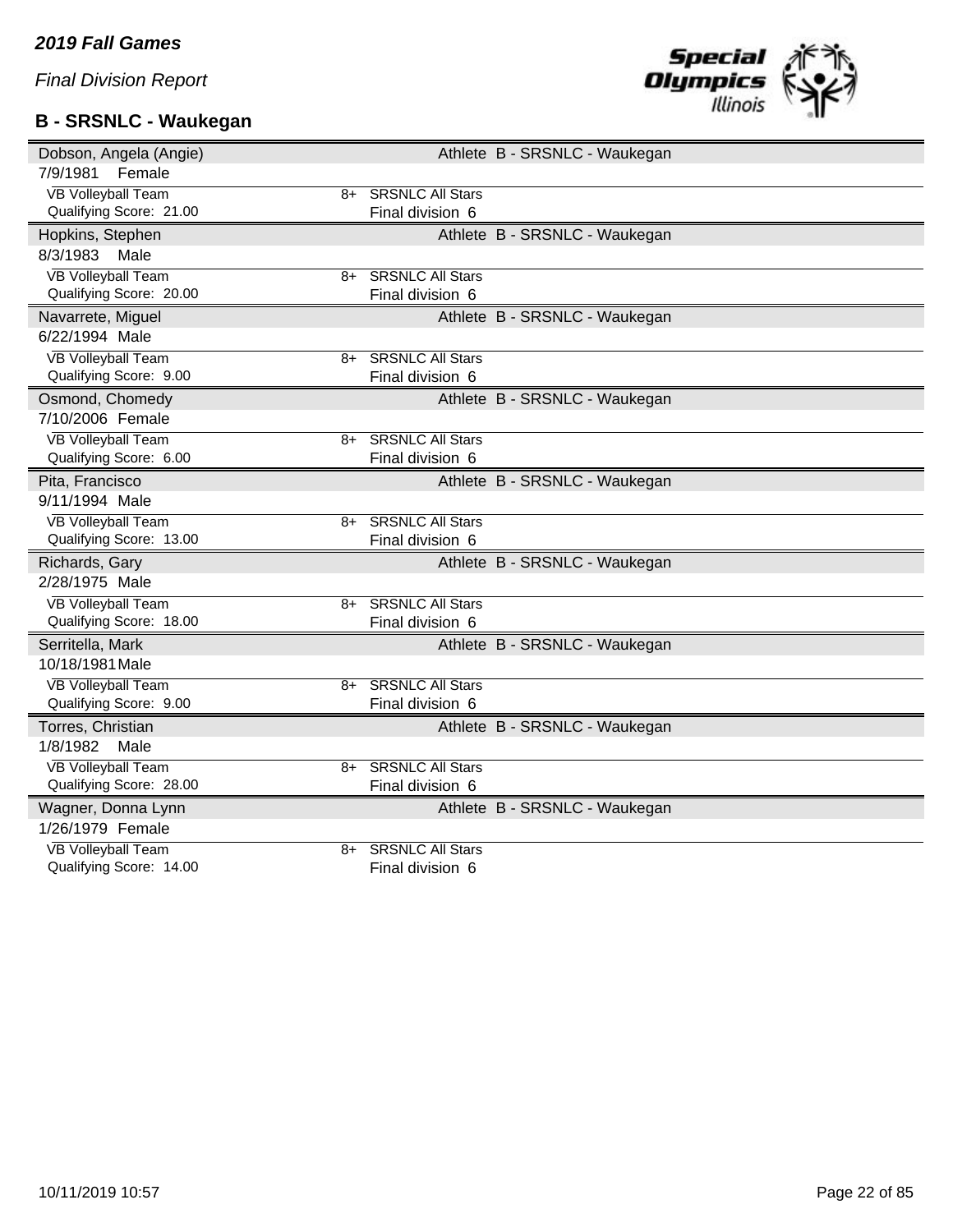### **B - SRSNLC - Waukegan**



| Dobson, Angela (Angie)            | Athlete B - SRSNLC - Waukegan |
|-----------------------------------|-------------------------------|
| 7/9/1981<br>Female                |                               |
| <b>VB Volleyball Team</b>         | 8+ SRSNLC All Stars           |
| Qualifying Score: 21.00           | Final division 6              |
| Hopkins, Stephen                  | Athlete B - SRSNLC - Waukegan |
| 8/3/1983 Male                     |                               |
| <b>VB Volleyball Team</b><br>8+   | <b>SRSNLC All Stars</b>       |
| Qualifying Score: 20.00           | Final division 6              |
| Navarrete, Miguel                 | Athlete B - SRSNLC - Waukegan |
| 6/22/1994 Male                    |                               |
| <b>VB Volleyball Team</b><br>$8+$ | <b>SRSNLC All Stars</b>       |
| Qualifying Score: 9.00            | Final division 6              |
| Osmond, Chomedy                   | Athlete B - SRSNLC - Waukegan |
| 7/10/2006 Female                  |                               |
| <b>VB Volleyball Team</b><br>8+   | <b>SRSNLC All Stars</b>       |
| Qualifying Score: 6.00            | Final division 6              |
| Pita, Francisco                   | Athlete B - SRSNLC - Waukegan |
| 9/11/1994 Male                    |                               |
| <b>VB Volleyball Team</b><br>8+   | <b>SRSNLC All Stars</b>       |
| Qualifying Score: 13.00           | Final division 6              |
| Richards, Gary                    | Athlete B - SRSNLC - Waukegan |
| 2/28/1975 Male                    |                               |
| <b>VB Volleyball Team</b><br>$8+$ | <b>SRSNLC All Stars</b>       |
| Qualifying Score: 18.00           | Final division 6              |
| Serritella, Mark                  | Athlete B - SRSNLC - Waukegan |
| 10/18/1981 Male                   |                               |
| <b>VB Volleyball Team</b><br>8+   | <b>SRSNLC All Stars</b>       |
| Qualifying Score: 9.00            | Final division 6              |
| Torres, Christian                 | Athlete B - SRSNLC - Waukegan |
| 1/8/1982<br>Male                  |                               |
| <b>VB Volleyball Team</b><br>$8+$ | <b>SRSNLC All Stars</b>       |
| Qualifying Score: 28.00           | Final division 6              |
| Wagner, Donna Lynn                | Athlete B - SRSNLC - Waukegan |
| 1/26/1979 Female                  |                               |
| <b>VB Volleyball Team</b><br>8+   | <b>SRSNLC All Stars</b>       |
| Qualifying Score: 14.00           | Final division 6              |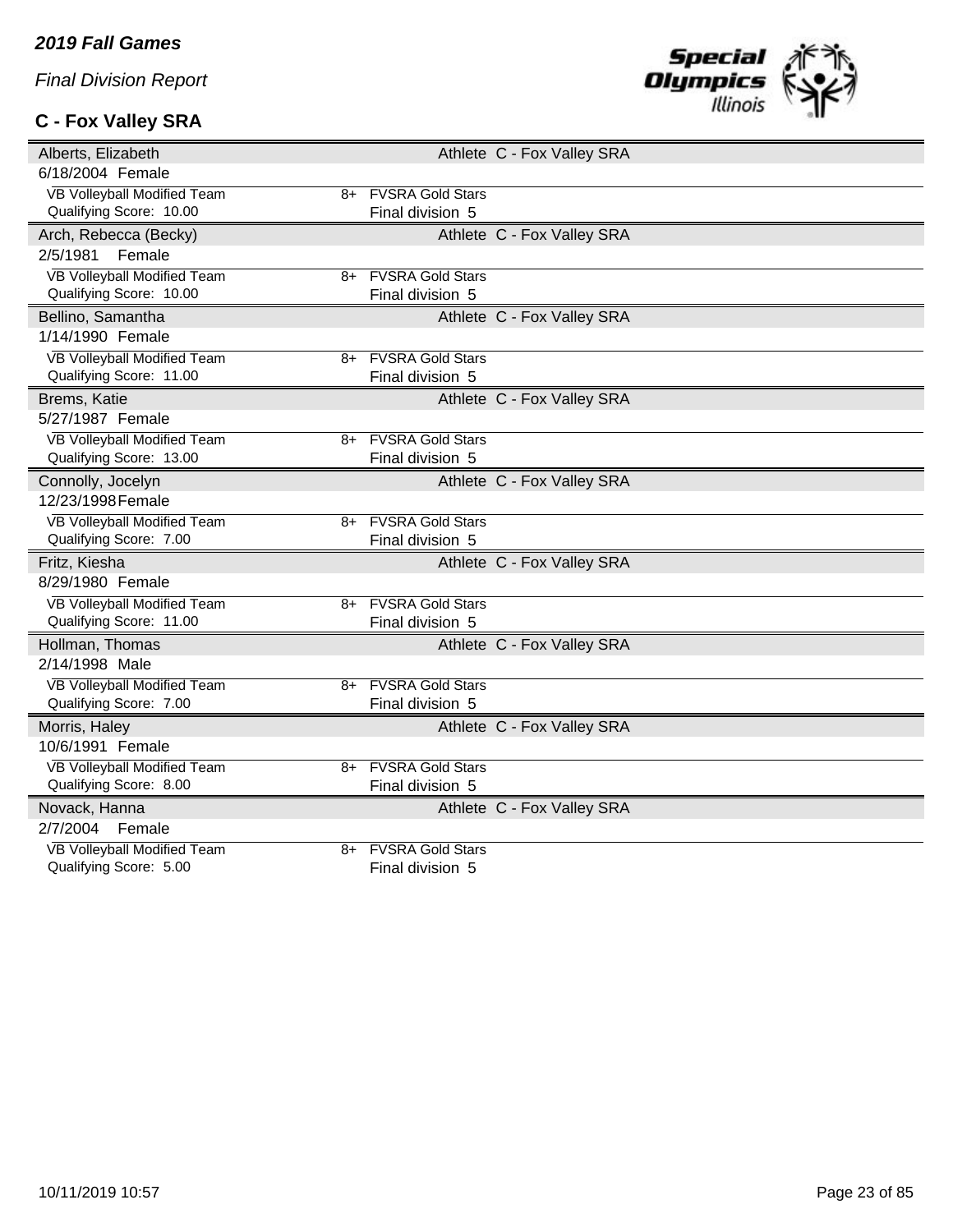# **C - Fox Valley SRA**



| Alberts, Elizabeth                       |                         | Athlete C - Fox Valley SRA |
|------------------------------------------|-------------------------|----------------------------|
| 6/18/2004 Female                         |                         |                            |
| VB Volleyball Modified Team<br>8+        | <b>FVSRA Gold Stars</b> |                            |
| Qualifying Score: 10.00                  | Final division 5        |                            |
| Arch, Rebecca (Becky)                    |                         | Athlete C - Fox Valley SRA |
| 2/5/1981<br>Female                       |                         |                            |
| VB Volleyball Modified Team<br>8+        | <b>FVSRA Gold Stars</b> |                            |
| Qualifying Score: 10.00                  | Final division 5        |                            |
| Bellino, Samantha                        |                         | Athlete C - Fox Valley SRA |
| 1/14/1990 Female                         |                         |                            |
| VB Volleyball Modified Team<br>8+        | <b>FVSRA Gold Stars</b> |                            |
| Qualifying Score: 11.00                  | Final division 5        |                            |
| Brems, Katie                             |                         | Athlete C - Fox Valley SRA |
| 5/27/1987 Female                         |                         |                            |
| <b>VB Volleyball Modified Team</b><br>8+ | <b>FVSRA Gold Stars</b> |                            |
| Qualifying Score: 13.00                  | Final division 5        |                            |
| Connolly, Jocelyn                        |                         | Athlete C - Fox Valley SRA |
| 12/23/1998 Female                        |                         |                            |
| VB Volleyball Modified Team<br>8+        | <b>FVSRA Gold Stars</b> |                            |
| Qualifying Score: 7.00                   | Final division 5        |                            |
| Fritz, Kiesha                            |                         | Athlete C - Fox Valley SRA |
| 8/29/1980 Female                         |                         |                            |
| VB Volleyball Modified Team<br>8+        | <b>FVSRA Gold Stars</b> |                            |
| Qualifying Score: 11.00                  | Final division 5        |                            |
| Hollman, Thomas                          |                         | Athlete C - Fox Valley SRA |
| 2/14/1998 Male                           |                         |                            |
| VB Volleyball Modified Team<br>8+        | <b>FVSRA Gold Stars</b> |                            |
| Qualifying Score: 7.00                   | Final division 5        |                            |
| Morris, Haley                            |                         | Athlete C - Fox Valley SRA |
| 10/6/1991 Female                         |                         |                            |
| VB Volleyball Modified Team<br>8+        | <b>FVSRA Gold Stars</b> |                            |
| Qualifying Score: 8.00                   | Final division 5        |                            |
| Novack, Hanna                            |                         | Athlete C - Fox Valley SRA |
| 2/7/2004<br>Female                       |                         |                            |
| <b>VB Volleyball Modified Team</b><br>8+ | <b>FVSRA Gold Stars</b> |                            |
| Qualifying Score: 5.00                   | Final division 5        |                            |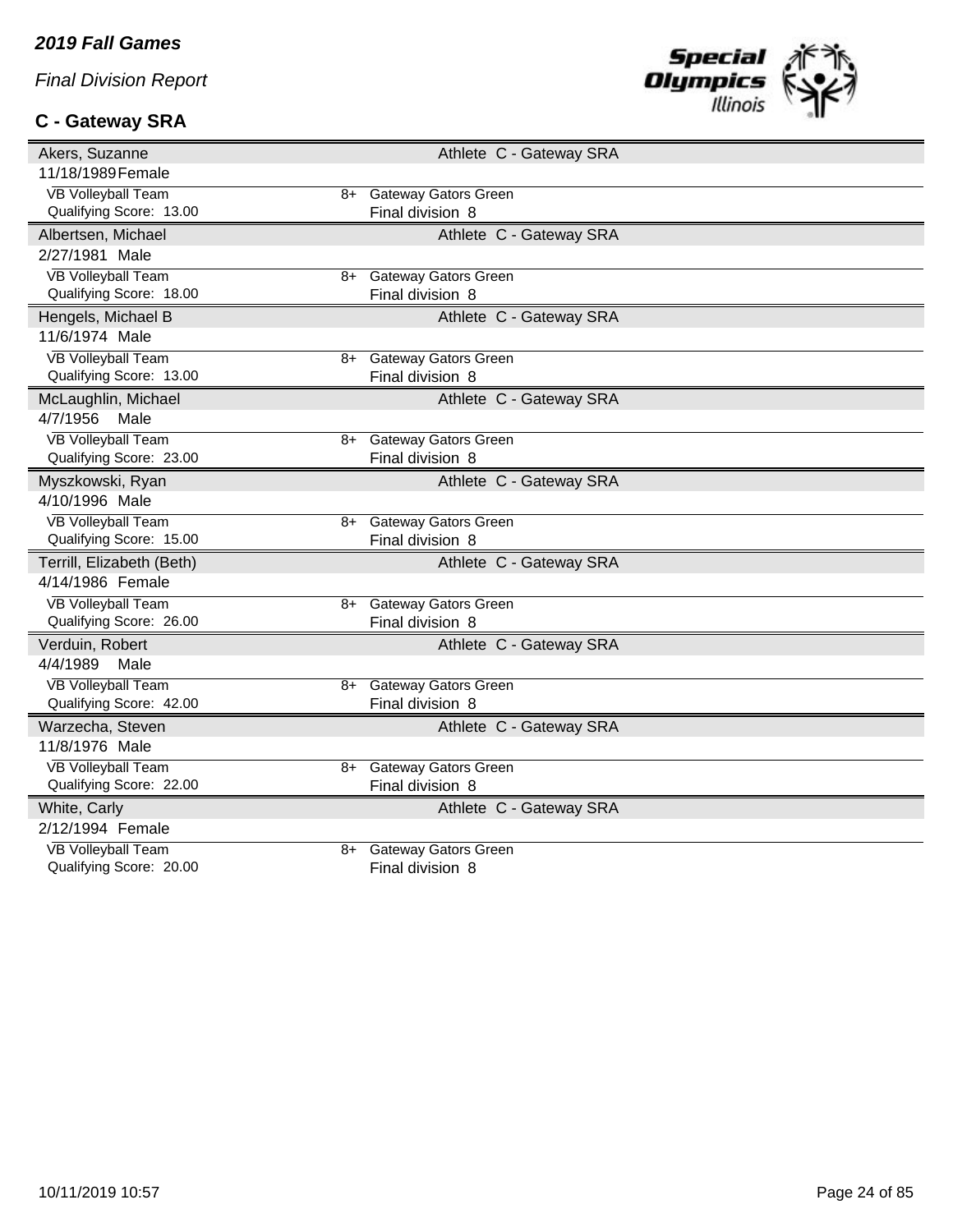# **C - Gateway SRA**



| Akers, Suzanne                    | Athlete C - Gateway SRA     |
|-----------------------------------|-----------------------------|
| 11/18/1989 Female                 |                             |
| VB Volleyball Team<br>8+          | <b>Gateway Gators Green</b> |
| Qualifying Score: 13.00           | Final division 8            |
| Albertsen, Michael                | Athlete C - Gateway SRA     |
| 2/27/1981 Male                    |                             |
| <b>VB Volleyball Team</b><br>8+   | <b>Gateway Gators Green</b> |
| Qualifying Score: 18.00           | Final division 8            |
| Hengels, Michael B                | Athlete C - Gateway SRA     |
| 11/6/1974 Male                    |                             |
| <b>VB Volleyball Team</b><br>8+   | <b>Gateway Gators Green</b> |
| Qualifying Score: 13.00           | Final division 8            |
| McLaughlin, Michael               | Athlete C - Gateway SRA     |
| 4/7/1956<br>Male                  |                             |
| <b>VB Volleyball Team</b><br>8+   | <b>Gateway Gators Green</b> |
| Qualifying Score: 23.00           | Final division 8            |
| Myszkowski, Ryan                  | Athlete C - Gateway SRA     |
| 4/10/1996 Male                    |                             |
| <b>VB Volleyball Team</b><br>$8+$ | <b>Gateway Gators Green</b> |
| Qualifying Score: 15.00           | Final division 8            |
| Terrill, Elizabeth (Beth)         | Athlete C - Gateway SRA     |
| 4/14/1986 Female                  |                             |
| <b>VB Volleyball Team</b><br>8+   | <b>Gateway Gators Green</b> |
| Qualifying Score: 26.00           | Final division 8            |
| Verduin, Robert                   | Athlete C - Gateway SRA     |
| 4/4/1989<br>Male                  |                             |
| <b>VB Volleyball Team</b><br>8+   | <b>Gateway Gators Green</b> |
| Qualifying Score: 42.00           | Final division 8            |
| Warzecha, Steven                  | Athlete C - Gateway SRA     |
| 11/8/1976 Male                    |                             |
| <b>VB Volleyball Team</b><br>8+   | <b>Gateway Gators Green</b> |
| Qualifying Score: 22.00           | Final division 8            |
| White, Carly                      | Athlete C - Gateway SRA     |
| 2/12/1994 Female                  |                             |
| <b>VB Volleyball Team</b><br>8+   | <b>Gateway Gators Green</b> |
| Qualifying Score: 20.00           | Final division 8            |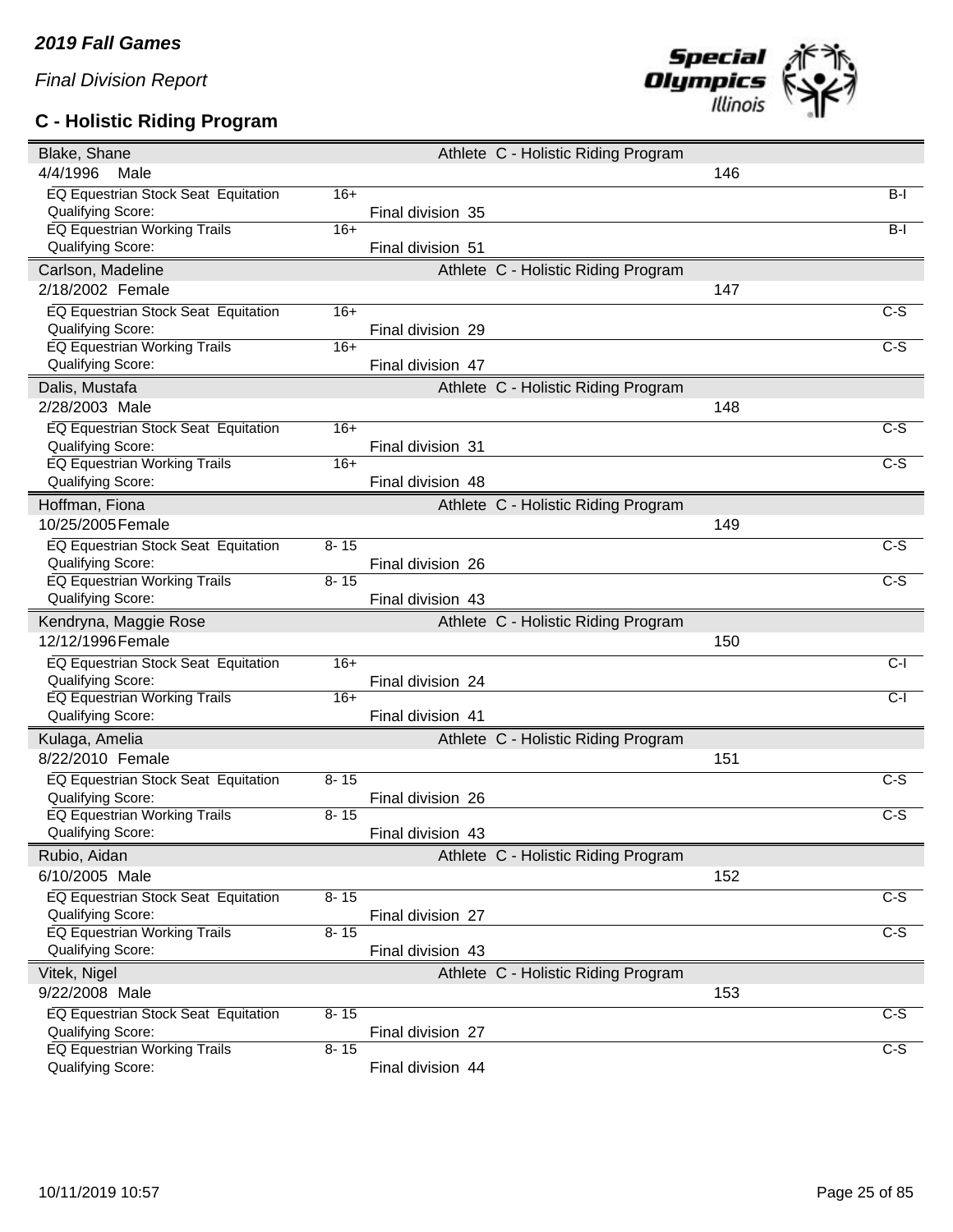### **C - Holistic Riding Program**



| Blake, Shane                                             |          |                   | Athlete C - Holistic Riding Program |     |                  |
|----------------------------------------------------------|----------|-------------------|-------------------------------------|-----|------------------|
| 4/4/1996<br>Male                                         |          |                   |                                     | 146 |                  |
| <b>EQ Equestrian Stock Seat Equitation</b>               | $16+$    |                   |                                     |     | $B-I$            |
| Qualifying Score:                                        |          | Final division 35 |                                     |     |                  |
| <b>EQ Equestrian Working Trails</b>                      | $16+$    |                   |                                     |     | $B-I$            |
| Qualifying Score:                                        |          | Final division 51 |                                     |     |                  |
| Carlson, Madeline                                        |          |                   | Athlete C - Holistic Riding Program |     |                  |
| 2/18/2002 Female                                         |          |                   |                                     | 147 |                  |
| EQ Equestrian Stock Seat Equitation                      | $16+$    |                   |                                     |     | $C-S$            |
| Qualifying Score:                                        |          | Final division 29 |                                     |     |                  |
| <b>EQ Equestrian Working Trails</b>                      | $16+$    |                   |                                     |     | $\overline{c-s}$ |
| Qualifying Score:                                        |          | Final division 47 |                                     |     |                  |
| Dalis, Mustafa                                           |          |                   | Athlete C - Holistic Riding Program |     |                  |
| 2/28/2003 Male                                           |          |                   |                                     | 148 |                  |
| EQ Equestrian Stock Seat Equitation                      | $16+$    |                   |                                     |     | $C-S$            |
| Qualifying Score:                                        |          | Final division 31 |                                     |     |                  |
| <b>EQ Equestrian Working Trails</b>                      | $16+$    |                   |                                     |     | $\overline{C-S}$ |
| Qualifying Score:                                        |          | Final division 48 |                                     |     |                  |
| Hoffman, Fiona                                           |          |                   | Athlete C - Holistic Riding Program |     |                  |
| 10/25/2005 Female                                        |          |                   |                                     | 149 |                  |
| <b>EQ Equestrian Stock Seat Equitation</b>               | $8 - 15$ |                   |                                     |     | $C-S$            |
| Qualifying Score:                                        |          | Final division 26 |                                     |     |                  |
| EQ Equestrian Working Trails                             | $8 - 15$ |                   |                                     |     | $\overline{C-S}$ |
| Qualifying Score:                                        |          | Final division 43 |                                     |     |                  |
|                                                          |          |                   |                                     |     |                  |
|                                                          |          |                   |                                     |     |                  |
| Kendryna, Maggie Rose                                    |          |                   | Athlete C - Holistic Riding Program |     |                  |
| 12/12/1996 Female                                        |          |                   |                                     | 150 |                  |
| EQ Equestrian Stock Seat Equitation                      | $16+$    |                   |                                     |     | $C-I$            |
| Qualifying Score:                                        |          | Final division 24 |                                     |     |                  |
| <b>EQ Equestrian Working Trails</b><br>Qualifying Score: | $16+$    | Final division 41 |                                     |     | $C-I$            |
|                                                          |          |                   |                                     |     |                  |
| Kulaga, Amelia                                           |          |                   | Athlete C - Holistic Riding Program |     |                  |
| 8/22/2010 Female                                         |          |                   |                                     | 151 |                  |
| EQ Equestrian Stock Seat Equitation                      | $8 - 15$ |                   |                                     |     | C-S              |
| Qualifying Score:                                        |          | Final division 26 |                                     |     |                  |
| <b>EQ Equestrian Working Trails</b>                      | $8 - 15$ | Final division 43 |                                     |     | $C-S$            |
| Qualifying Score:                                        |          |                   |                                     |     |                  |
| Rubio, Aidan                                             |          |                   | Athlete C - Holistic Riding Program |     |                  |
| 6/10/2005 Male                                           |          |                   |                                     | 152 |                  |
| EQ Equestrian Stock Seat Equitation                      | $8 - 15$ |                   |                                     |     | $\overline{c-s}$ |
| Qualifying Score:                                        |          | Final division 27 |                                     |     |                  |
| <b>EQ Equestrian Working Trails</b>                      | $8 - 15$ |                   |                                     |     | $C-S$            |
| Qualifying Score:                                        |          | Final division 43 |                                     |     |                  |
| Vitek, Nigel                                             |          |                   | Athlete C - Holistic Riding Program |     |                  |
| 9/22/2008 Male                                           |          |                   |                                     | 153 |                  |
| EQ Equestrian Stock Seat Equitation                      | $8 - 15$ |                   |                                     |     | C-S              |
| Qualifying Score:<br><b>EQ Equestrian Working Trails</b> | $8 - 15$ | Final division 27 |                                     |     | $\overline{C-S}$ |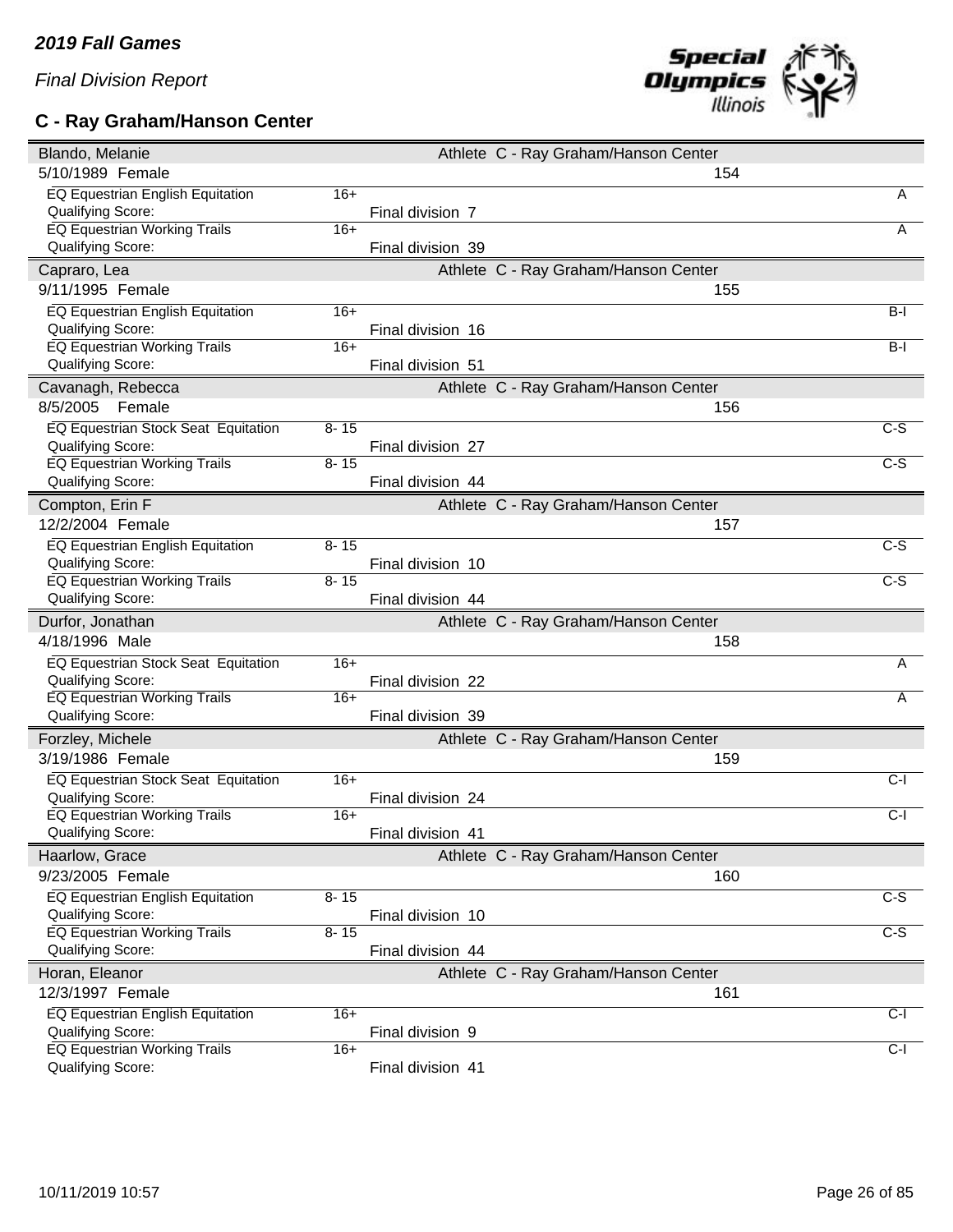# **C - Ray Graham/Hanson Center**



| Blando, Melanie                                          |          |                   | Athlete C - Ray Graham/Hanson Center |                  |
|----------------------------------------------------------|----------|-------------------|--------------------------------------|------------------|
| 5/10/1989 Female                                         |          |                   | 154                                  |                  |
| EQ Equestrian English Equitation                         | $16+$    |                   |                                      | A                |
| Qualifying Score:                                        |          | Final division 7  |                                      |                  |
| EQ Equestrian Working Trails                             | $16+$    |                   |                                      | A                |
| Qualifying Score:                                        |          | Final division 39 |                                      |                  |
| Capraro, Lea                                             |          |                   | Athlete C - Ray Graham/Hanson Center |                  |
| 9/11/1995 Female                                         |          |                   | 155                                  |                  |
| <b>EQ Equestrian English Equitation</b>                  | $16+$    |                   |                                      | $B-I$            |
| Qualifying Score:                                        |          | Final division 16 |                                      |                  |
| <b>EQ Equestrian Working Trails</b>                      | $16+$    |                   |                                      | $B-I$            |
| Qualifying Score:                                        |          | Final division 51 |                                      |                  |
| Cavanagh, Rebecca                                        |          |                   | Athlete C - Ray Graham/Hanson Center |                  |
| 8/5/2005<br>Female                                       |          |                   | 156                                  |                  |
| <b>EQ Equestrian Stock Seat Equitation</b>               | $8 - 15$ |                   |                                      | $C-S$            |
| Qualifying Score:                                        |          | Final division 27 |                                      |                  |
| EQ Equestrian Working Trails                             | $8 - 15$ |                   |                                      | C-S              |
| Qualifying Score:                                        |          | Final division 44 |                                      |                  |
| Compton, Erin F                                          |          |                   | Athlete C - Ray Graham/Hanson Center |                  |
| 12/2/2004 Female                                         |          |                   | 157                                  |                  |
| <b>EQ Equestrian English Equitation</b>                  | $8 - 15$ |                   |                                      | $C-S$            |
| Qualifying Score:                                        |          | Final division 10 |                                      |                  |
| <b>EQ Equestrian Working Trails</b>                      | $8 - 15$ |                   |                                      | $\overline{C-S}$ |
| Qualifying Score:                                        |          | Final division 44 |                                      |                  |
|                                                          |          |                   |                                      |                  |
|                                                          |          |                   |                                      |                  |
| Durfor, Jonathan                                         |          |                   | Athlete C - Ray Graham/Hanson Center |                  |
| 4/18/1996 Male                                           |          |                   | 158                                  |                  |
| EQ Equestrian Stock Seat Equitation                      | $16+$    |                   |                                      | A                |
| Qualifying Score:                                        |          | Final division 22 |                                      |                  |
| <b>EQ Equestrian Working Trails</b>                      | $16+$    |                   |                                      | Α                |
| Qualifying Score:                                        |          | Final division 39 |                                      |                  |
| Forzley, Michele                                         |          |                   | Athlete C - Ray Graham/Hanson Center |                  |
| 3/19/1986 Female                                         |          |                   | 159                                  |                  |
| EQ Equestrian Stock Seat Equitation                      | $16+$    |                   |                                      | $C-I$            |
| Qualifying Score:                                        |          | Final division 24 |                                      |                  |
| <b>EQ Equestrian Working Trails</b>                      | $16+$    |                   |                                      | $C-I$            |
| <b>Qualifying Score:</b>                                 |          | Final division 41 |                                      |                  |
| Haarlow, Grace                                           |          |                   | Athlete C - Ray Graham/Hanson Center |                  |
| 9/23/2005 Female                                         |          |                   | 160                                  |                  |
| EQ Equestrian English Equitation                         | $8 - 15$ |                   |                                      | $\overline{C-S}$ |
| Qualifying Score:                                        |          | Final division 10 |                                      |                  |
| <b>EQ Equestrian Working Trails</b>                      | $8 - 15$ |                   |                                      | $C-S$            |
| Qualifying Score:                                        |          | Final division 44 |                                      |                  |
| Horan, Eleanor                                           |          |                   | Athlete C - Ray Graham/Hanson Center |                  |
| 12/3/1997 Female                                         |          |                   | 161                                  |                  |
| EQ Equestrian English Equitation                         | $16+$    |                   |                                      | $C-I$            |
| Qualifying Score:                                        |          | Final division 9  |                                      |                  |
| <b>EQ Equestrian Working Trails</b><br>Qualifying Score: | $16+$    | Final division 41 |                                      | $C-I$            |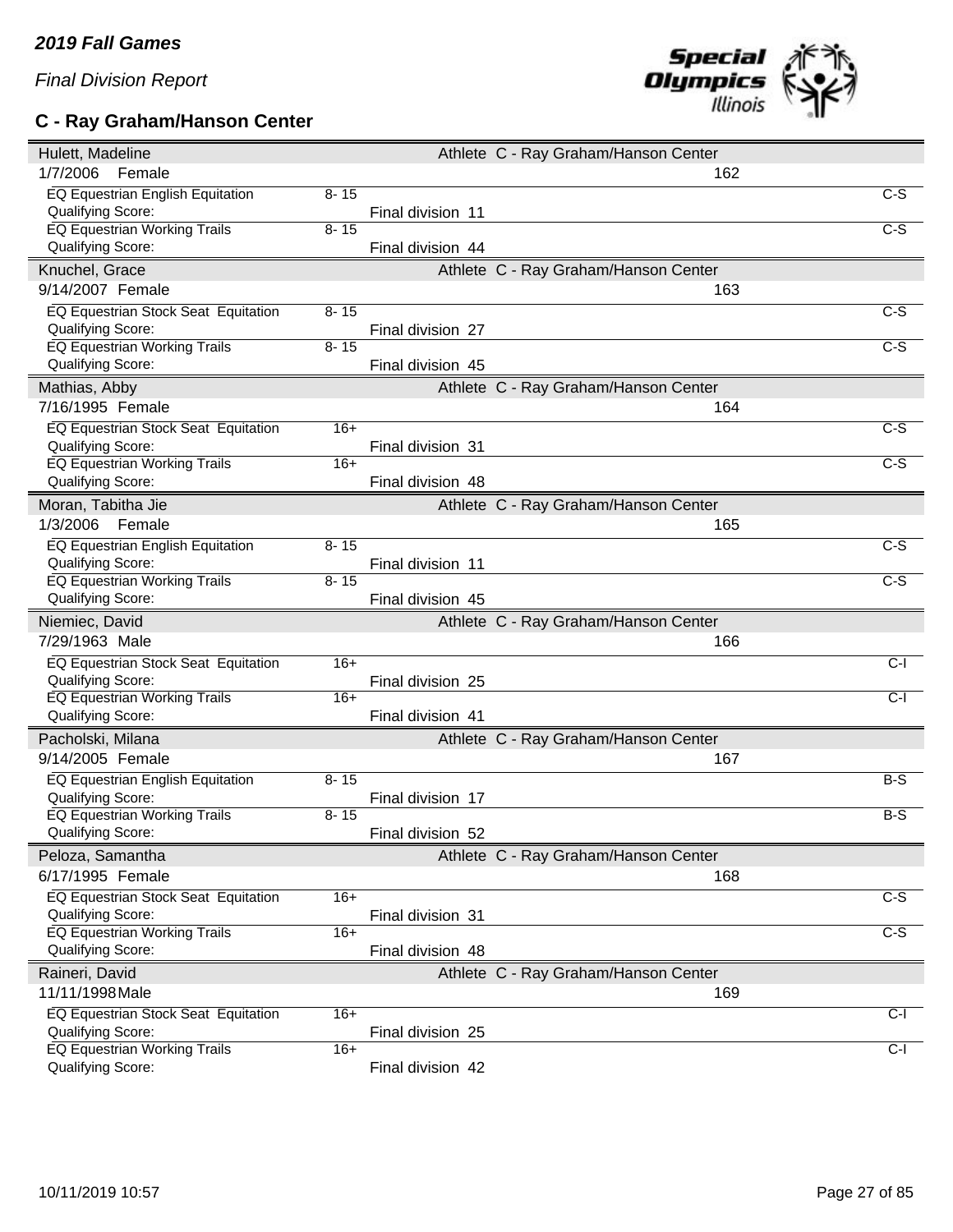# **C - Ray Graham/Hanson Center**



| Hulett, Madeline                                         |          |                   | Athlete C - Ray Graham/Hanson Center |                  |
|----------------------------------------------------------|----------|-------------------|--------------------------------------|------------------|
| 1/7/2006<br>Female                                       |          |                   | 162                                  |                  |
| EQ Equestrian English Equitation                         | $8 - 15$ |                   |                                      | $\overline{C-S}$ |
| Qualifying Score:                                        |          | Final division 11 |                                      |                  |
| EQ Equestrian Working Trails                             | $8 - 15$ |                   |                                      | $\overline{C-S}$ |
| <b>Qualifying Score:</b>                                 |          | Final division 44 |                                      |                  |
| Knuchel, Grace                                           |          |                   | Athlete C - Ray Graham/Hanson Center |                  |
| 9/14/2007 Female                                         |          |                   | 163                                  |                  |
| <b>EQ Equestrian Stock Seat Equitation</b>               | $8 - 15$ |                   |                                      | $\overline{C-S}$ |
| Qualifying Score:                                        |          | Final division 27 |                                      |                  |
| <b>EQ Equestrian Working Trails</b>                      | $8 - 15$ |                   |                                      | $C-S$            |
| Qualifying Score:                                        |          | Final division 45 |                                      |                  |
| Mathias, Abby                                            |          |                   | Athlete C - Ray Graham/Hanson Center |                  |
| 7/16/1995 Female                                         |          |                   | 164                                  |                  |
| EQ Equestrian Stock Seat Equitation                      | $16+$    |                   |                                      | C-S              |
| Qualifying Score:                                        |          | Final division 31 |                                      |                  |
| EQ Equestrian Working Trails                             | $16+$    |                   |                                      | $C-S$            |
| Qualifying Score:                                        |          | Final division 48 |                                      |                  |
| Moran, Tabitha Jie                                       |          |                   | Athlete C - Ray Graham/Hanson Center |                  |
| 1/3/2006<br>Female                                       |          |                   | 165                                  |                  |
| <b>EQ Equestrian English Equitation</b>                  | $8 - 15$ |                   |                                      | C-S              |
| <b>Qualifying Score:</b>                                 |          | Final division 11 |                                      |                  |
| <b>EQ Equestrian Working Trails</b>                      | $8 - 15$ |                   |                                      | $C-S$            |
| Qualifying Score:                                        |          | Final division 45 |                                      |                  |
|                                                          |          |                   |                                      |                  |
| Niemiec, David                                           |          |                   | Athlete C - Ray Graham/Hanson Center |                  |
| 7/29/1963 Male                                           |          |                   | 166                                  |                  |
|                                                          | $16+$    |                   |                                      | $C-I$            |
| EQ Equestrian Stock Seat Equitation<br>Qualifying Score: |          | Final division 25 |                                      |                  |
| <b>EQ Equestrian Working Trails</b>                      | $16+$    |                   |                                      | $C-I$            |
| Qualifying Score:                                        |          | Final division 41 |                                      |                  |
| Pacholski, Milana                                        |          |                   | Athlete C - Ray Graham/Hanson Center |                  |
| 9/14/2005 Female                                         |          |                   | 167                                  |                  |
|                                                          |          |                   |                                      |                  |
| EQ Equestrian English Equitation                         | $8 - 15$ |                   |                                      | $B-S$            |
| Qualifying Score:<br><b>EQ Equestrian Working Trails</b> | $8 - 15$ | Final division 17 |                                      | B-S              |
| Qualifying Score:                                        |          | Final division 52 |                                      |                  |
| Peloza, Samantha                                         |          |                   | Athlete C - Ray Graham/Hanson Center |                  |
| 6/17/1995 Female                                         |          |                   | 168                                  |                  |
|                                                          | $16+$    |                   |                                      |                  |
| EQ Equestrian Stock Seat Equitation<br>Qualifying Score: |          |                   |                                      | $\overline{C-S}$ |
| <b>EQ Equestrian Working Trails</b>                      | $16+$    | Final division 31 |                                      | C-S              |
| Qualifying Score:                                        |          | Final division 48 |                                      |                  |
| Raineri, David                                           |          |                   | Athlete C - Ray Graham/Hanson Center |                  |
| 11/11/1998 Male                                          |          |                   | 169                                  |                  |
|                                                          |          |                   |                                      |                  |
| EQ Equestrian Stock Seat Equitation<br>Qualifying Score: | $16+$    | Final division 25 |                                      | $C-I$            |
| <b>EQ Equestrian Working Trails</b>                      | $16+$    |                   |                                      | $C-I$            |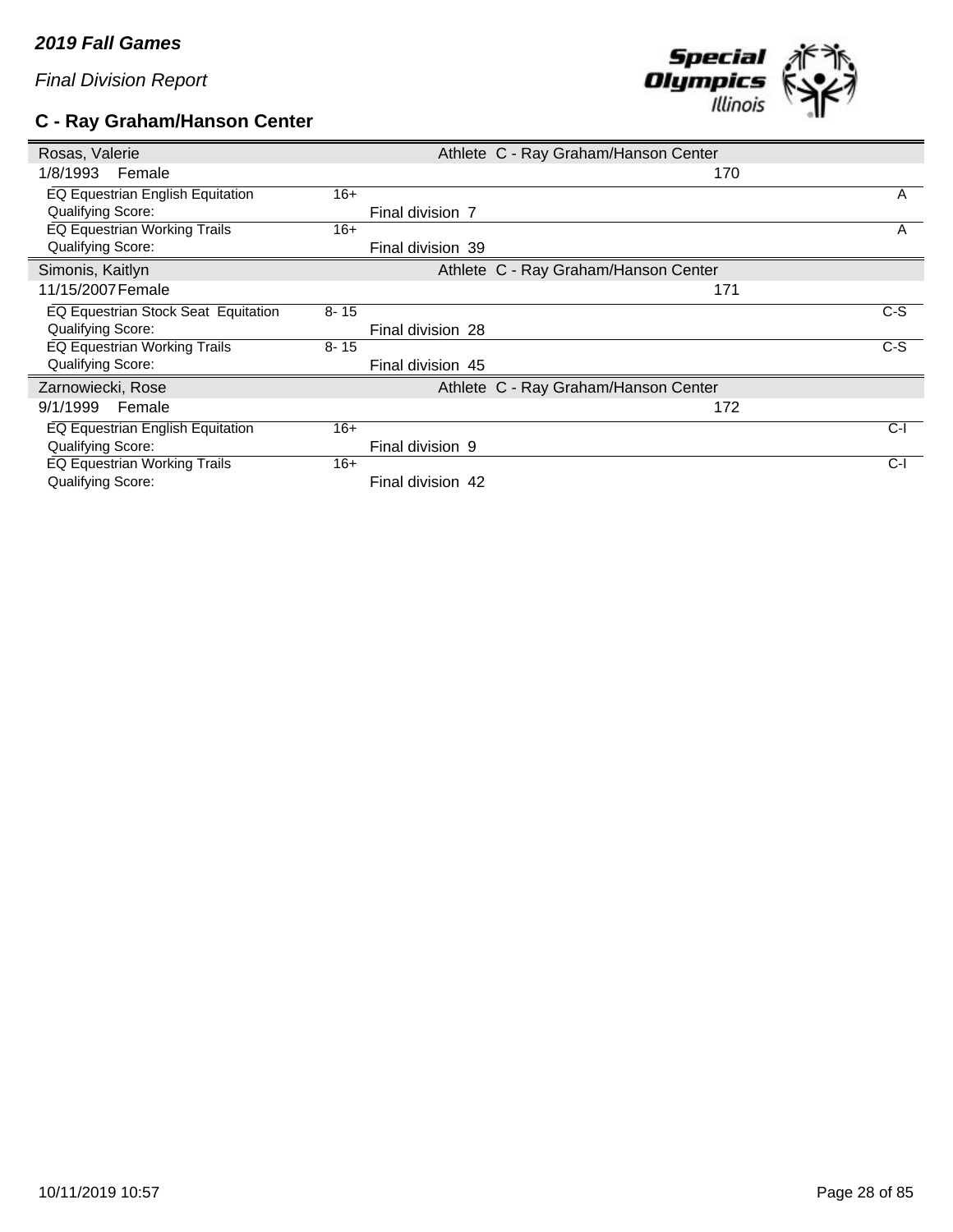# **C - Ray Graham/Hanson Center**



| Rosas, Valerie                      |          |                   | Athlete C - Ray Graham/Hanson Center |       |
|-------------------------------------|----------|-------------------|--------------------------------------|-------|
| 1/8/1993<br>Female                  |          |                   |                                      | 170   |
| EQ Equestrian English Equitation    | $16+$    |                   |                                      | A     |
| <b>Qualifying Score:</b>            |          | Final division 7  |                                      |       |
| EQ Equestrian Working Trails        | $16+$    |                   |                                      | A     |
| Qualifying Score:                   |          | Final division 39 |                                      |       |
| Simonis, Kaitlyn                    |          |                   | Athlete C - Ray Graham/Hanson Center |       |
| 11/15/2007 Female                   |          |                   |                                      | 171   |
| EQ Equestrian Stock Seat Equitation | $8 - 15$ |                   |                                      | $C-S$ |
| <b>Qualifying Score:</b>            |          | Final division 28 |                                      |       |
| <b>EQ Equestrian Working Trails</b> | $8 - 15$ |                   |                                      | $C-S$ |
| <b>Qualifying Score:</b>            |          | Final division 45 |                                      |       |
| Zarnowiecki, Rose                   |          |                   | Athlete C - Ray Graham/Hanson Center |       |
| 9/1/1999<br>Female                  |          |                   |                                      | 172   |
| EQ Equestrian English Equitation    | $16+$    |                   |                                      | C-l   |
| Qualifying Score:                   |          | Final division 9  |                                      |       |
| EQ Equestrian Working Trails        | $16+$    |                   |                                      | $C-I$ |
| Qualifying Score:                   |          | Final division 42 |                                      |       |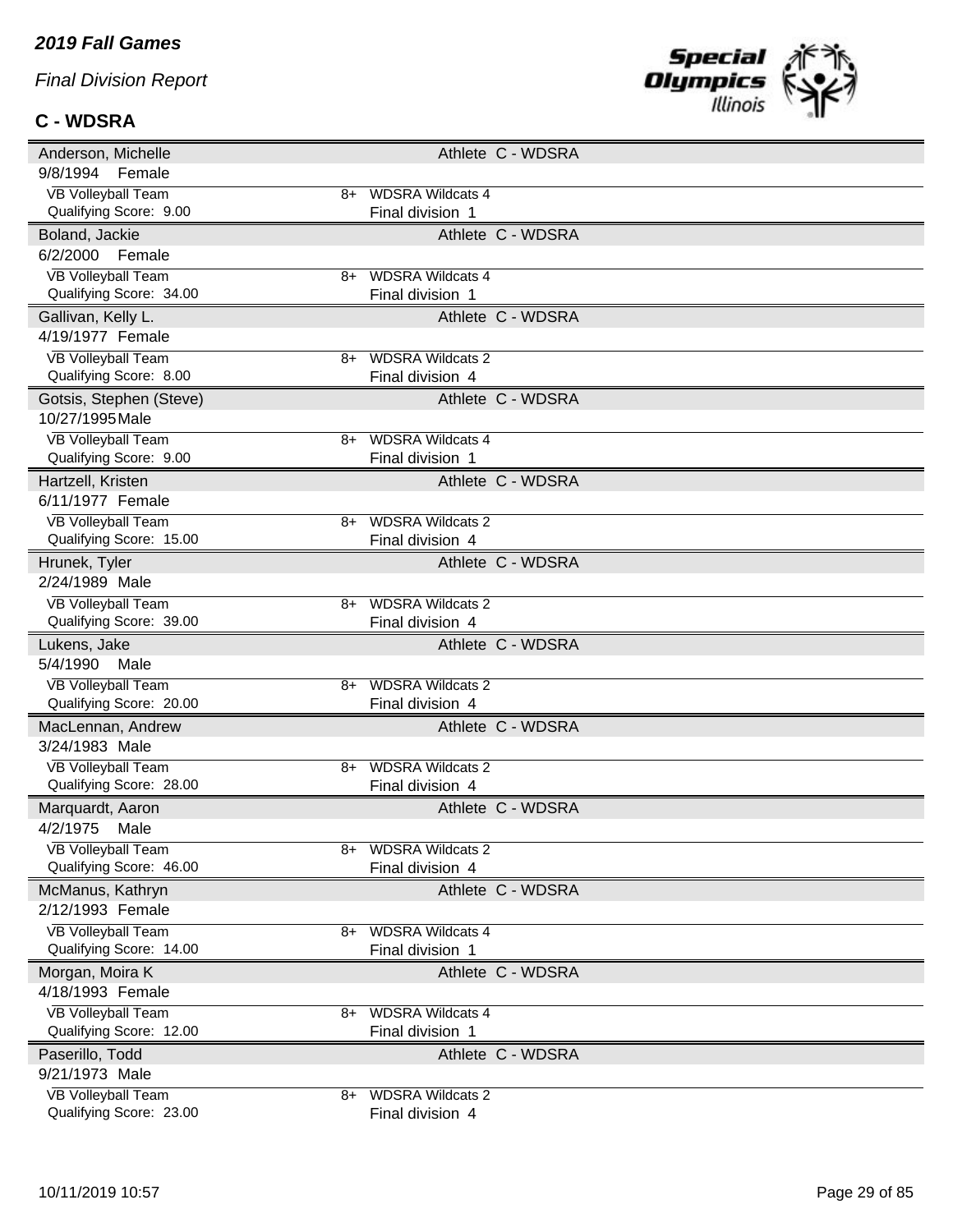#### **C - WDSRA**



| Anderson, Michelle                                   | Athlete C - WDSRA                                 |  |
|------------------------------------------------------|---------------------------------------------------|--|
| 9/8/1994<br>Female                                   |                                                   |  |
| <b>VB Volleyball Team</b>                            | <b>WDSRA Wildcats 4</b><br>8+                     |  |
| Qualifying Score: 9.00                               | Final division 1                                  |  |
| Boland, Jackie                                       | Athlete C - WDSRA                                 |  |
| 6/2/2000<br>Female                                   |                                                   |  |
| <b>VB Volleyball Team</b>                            | <b>WDSRA Wildcats 4</b><br>8+                     |  |
| Qualifying Score: 34.00                              | Final division 1                                  |  |
| Gallivan, Kelly L.                                   | Athlete C - WDSRA                                 |  |
| 4/19/1977 Female                                     |                                                   |  |
| <b>VB Volleyball Team</b>                            | <b>WDSRA Wildcats 2</b><br>8+                     |  |
| Qualifying Score: 8.00                               | Final division 4                                  |  |
| Gotsis, Stephen (Steve)                              | Athlete C - WDSRA                                 |  |
| 10/27/1995 Male                                      |                                                   |  |
| <b>VB Volleyball Team</b>                            | <b>WDSRA Wildcats 4</b><br>8+                     |  |
| Qualifying Score: 9.00                               | Final division 1                                  |  |
| Hartzell, Kristen                                    | Athlete C - WDSRA                                 |  |
| 6/11/1977 Female                                     |                                                   |  |
| <b>VB Volleyball Team</b>                            | <b>WDSRA Wildcats 2</b><br>8+                     |  |
| Qualifying Score: 15.00                              | Final division 4                                  |  |
| Hrunek, Tyler                                        | Athlete C - WDSRA                                 |  |
| 2/24/1989 Male                                       |                                                   |  |
| <b>VB Volleyball Team</b>                            | <b>WDSRA Wildcats 2</b><br>8+                     |  |
| Qualifying Score: 39.00                              | Final division 4                                  |  |
|                                                      |                                                   |  |
| Lukens, Jake                                         | Athlete C - WDSRA                                 |  |
| 5/4/1990<br>Male                                     |                                                   |  |
| <b>VB Volleyball Team</b>                            | <b>WDSRA Wildcats 2</b><br>8+                     |  |
| Qualifying Score: 20.00                              | Final division 4                                  |  |
| MacLennan, Andrew                                    | Athlete C - WDSRA                                 |  |
| 3/24/1983 Male                                       |                                                   |  |
| <b>VB Volleyball Team</b>                            | <b>WDSRA Wildcats 2</b><br>8+                     |  |
| Qualifying Score: 28.00                              | Final division 4                                  |  |
| Marquardt, Aaron                                     | Athlete C - WDSRA                                 |  |
| 4/2/1975<br>Male                                     |                                                   |  |
| <b>VB Volleyball Team</b>                            | <b>WDSRA Wildcats 2</b><br>8+                     |  |
| Qualifying Score: 46.00                              | Final division 4                                  |  |
| McManus, Kathryn                                     | Athlete C - WDSRA                                 |  |
| 2/12/1993 Female                                     |                                                   |  |
| <b>VB Volleyball Team</b>                            | <b>WDSRA Wildcats 4</b><br>8+                     |  |
| Qualifying Score: 14.00                              | Final division 1                                  |  |
| Morgan, Moira K                                      | Athlete C - WDSRA                                 |  |
| 4/18/1993 Female                                     |                                                   |  |
| <b>VB Volleyball Team</b>                            | <b>WDSRA Wildcats 4</b><br>8+                     |  |
| Qualifying Score: 12.00                              | Final division 1                                  |  |
| Paserillo, Todd                                      | Athlete C - WDSRA                                 |  |
| 9/21/1973 Male                                       |                                                   |  |
| <b>VB Volleyball Team</b><br>Qualifying Score: 23.00 | <b>WDSRA Wildcats 2</b><br>8+<br>Final division 4 |  |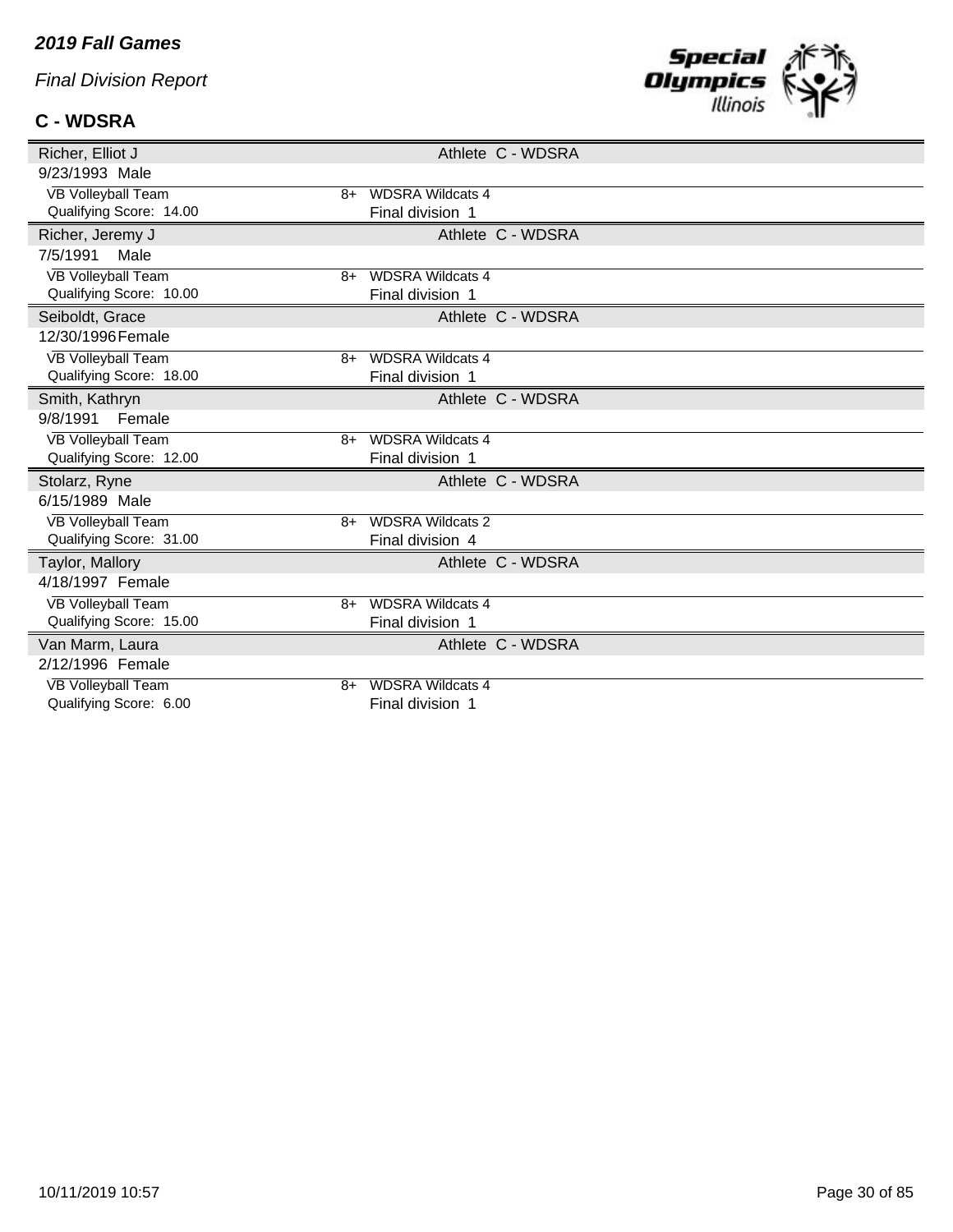#### *2019 Fall Games*

*Final Division Report*

### **C - WDSRA**



| Richer, Elliot J          | Athlete C - WDSRA               |
|---------------------------|---------------------------------|
| 9/23/1993 Male            |                                 |
| <b>VB Volleyball Team</b> | <b>WDSRA Wildcats 4</b><br>8+   |
| Qualifying Score: 14.00   | Final division 1                |
| Richer, Jeremy J          | Athlete C - WDSRA               |
| 7/5/1991<br>Male          |                                 |
| <b>VB Volleyball Team</b> | <b>WDSRA Wildcats 4</b><br>$8+$ |
| Qualifying Score: 10.00   | Final division 1                |
| Seiboldt, Grace           | Athlete C - WDSRA               |
| 12/30/1996 Female         |                                 |
| <b>VB Volleyball Team</b> | <b>WDSRA Wildcats 4</b><br>$8+$ |
| Qualifying Score: 18.00   | Final division 1                |
| Smith, Kathryn            | Athlete C - WDSRA               |
| 9/8/1991<br>Female        |                                 |
| VB Volleyball Team        | <b>WDSRA Wildcats 4</b><br>8+   |
| Qualifying Score: 12.00   | Final division 1                |
| Stolarz, Ryne             | Athlete C - WDSRA               |
| 6/15/1989 Male            |                                 |
| <b>VB Volleyball Team</b> | <b>WDSRA Wildcats 2</b><br>$8+$ |
| Qualifying Score: 31.00   | Final division 4                |
| Taylor, Mallory           | Athlete C - WDSRA               |
| 4/18/1997 Female          |                                 |
| <b>VB Volleyball Team</b> | <b>WDSRA Wildcats 4</b><br>$8+$ |
| Qualifying Score: 15.00   | Final division 1                |
| Van Marm, Laura           | Athlete C - WDSRA               |
| 2/12/1996 Female          |                                 |
| <b>VB Volleyball Team</b> | <b>WDSRA Wildcats 4</b><br>8+   |
| Qualifying Score: 6.00    | Final division 1                |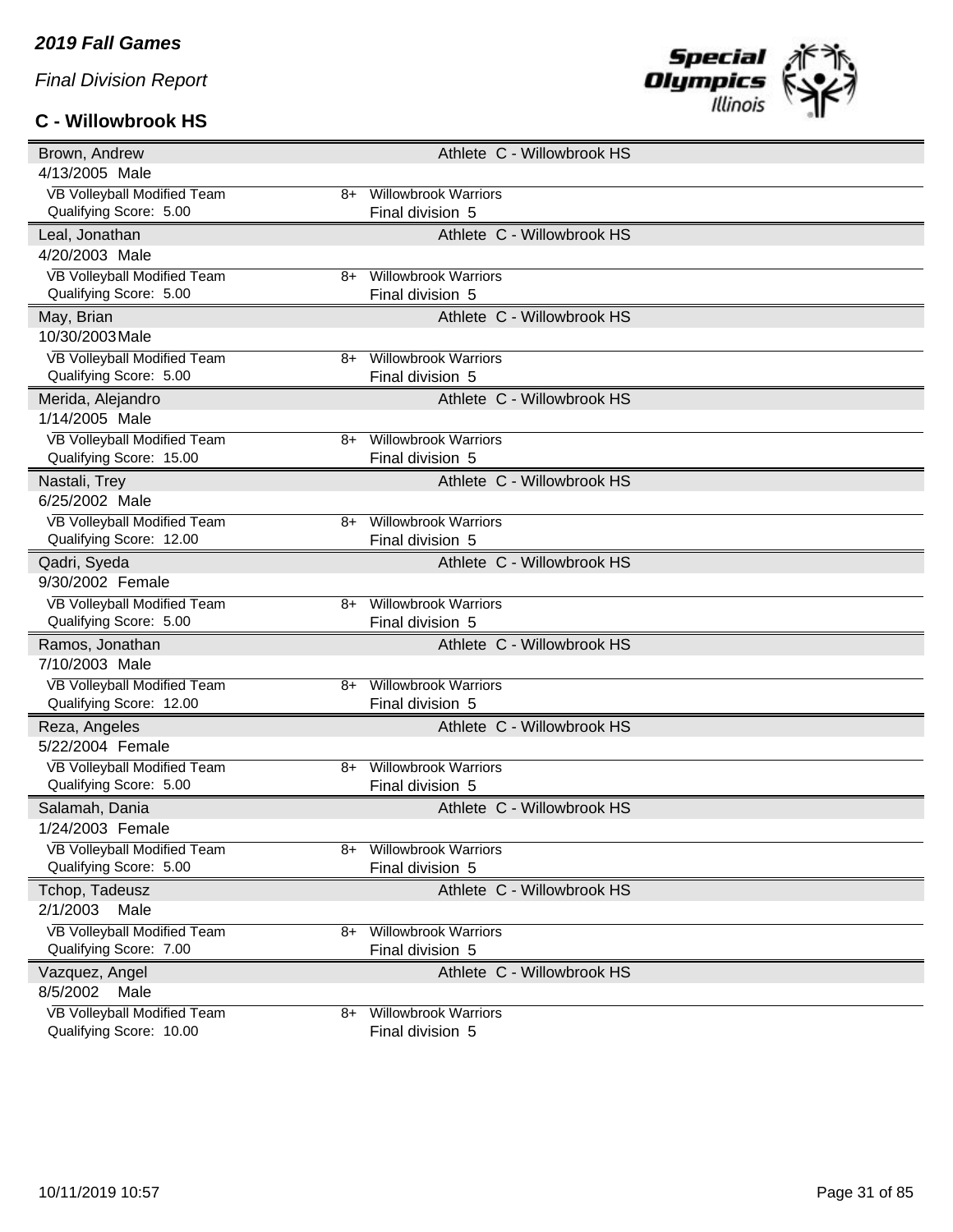# **C - Willowbrook HS**



| Brown, Andrew                                               | Athlete C - Willowbrook HS                      |
|-------------------------------------------------------------|-------------------------------------------------|
| 4/13/2005 Male                                              |                                                 |
| VB Volleyball Modified Team<br>8+                           | <b>Willowbrook Warriors</b>                     |
| Qualifying Score: 5.00                                      | Final division 5                                |
| Leal, Jonathan                                              | Athlete C - Willowbrook HS                      |
| 4/20/2003 Male                                              |                                                 |
| <b>VB Volleyball Modified Team</b><br>8+                    | <b>Willowbrook Warriors</b>                     |
| Qualifying Score: 5.00                                      | Final division 5                                |
| May, Brian                                                  | Athlete C - Willowbrook HS                      |
| 10/30/2003 Male                                             |                                                 |
| VB Volleyball Modified Team<br>8+                           | <b>Willowbrook Warriors</b>                     |
| Qualifying Score: 5.00                                      | Final division 5                                |
| Merida, Alejandro                                           | Athlete C - Willowbrook HS                      |
| 1/14/2005 Male                                              |                                                 |
| VB Volleyball Modified Team<br>8+                           | <b>Willowbrook Warriors</b>                     |
| Qualifying Score: 15.00                                     | Final division 5                                |
| Nastali, Trey                                               | Athlete C - Willowbrook HS                      |
| 6/25/2002 Male                                              |                                                 |
| VB Volleyball Modified Team<br>8+                           | <b>Willowbrook Warriors</b>                     |
| Qualifying Score: 12.00                                     | Final division 5                                |
| Qadri, Syeda                                                | Athlete C - Willowbrook HS                      |
| 9/30/2002 Female                                            |                                                 |
| VB Volleyball Modified Team<br>8+                           | <b>Willowbrook Warriors</b>                     |
| Qualifying Score: 5.00                                      | Final division 5                                |
| Ramos, Jonathan                                             | Athlete C - Willowbrook HS                      |
| 7/10/2003 Male                                              |                                                 |
| VB Volleyball Modified Team<br>8+                           | <b>Willowbrook Warriors</b>                     |
| Qualifying Score: 12.00                                     | Final division 5                                |
| Reza, Angeles                                               | Athlete C - Willowbrook HS                      |
| 5/22/2004 Female                                            |                                                 |
| VB Volleyball Modified Team<br>8+<br>Qualifying Score: 5.00 | <b>Willowbrook Warriors</b><br>Final division 5 |
|                                                             |                                                 |
| Salamah, Dania<br>1/24/2003 Female                          | Athlete C - Willowbrook HS                      |
| VB Volleyball Modified Team                                 |                                                 |
| 8+<br>Qualifying Score: 5.00                                | <b>Willowbrook Warriors</b><br>Final division 5 |
| Tchop, Tadeusz                                              | Athlete C - Willowbrook HS                      |
| 2/1/2003<br>Male                                            |                                                 |
| VB Volleyball Modified Team                                 | <b>Willowbrook Warriors</b>                     |
| $8+$<br>Qualifying Score: 7.00                              | Final division 5                                |
| Vazquez, Angel                                              | Athlete C - Willowbrook HS                      |
| 8/5/2002<br>Male                                            |                                                 |
| VB Volleyball Modified Team<br>8+                           |                                                 |
|                                                             | <b>Willowbrook Warriors</b>                     |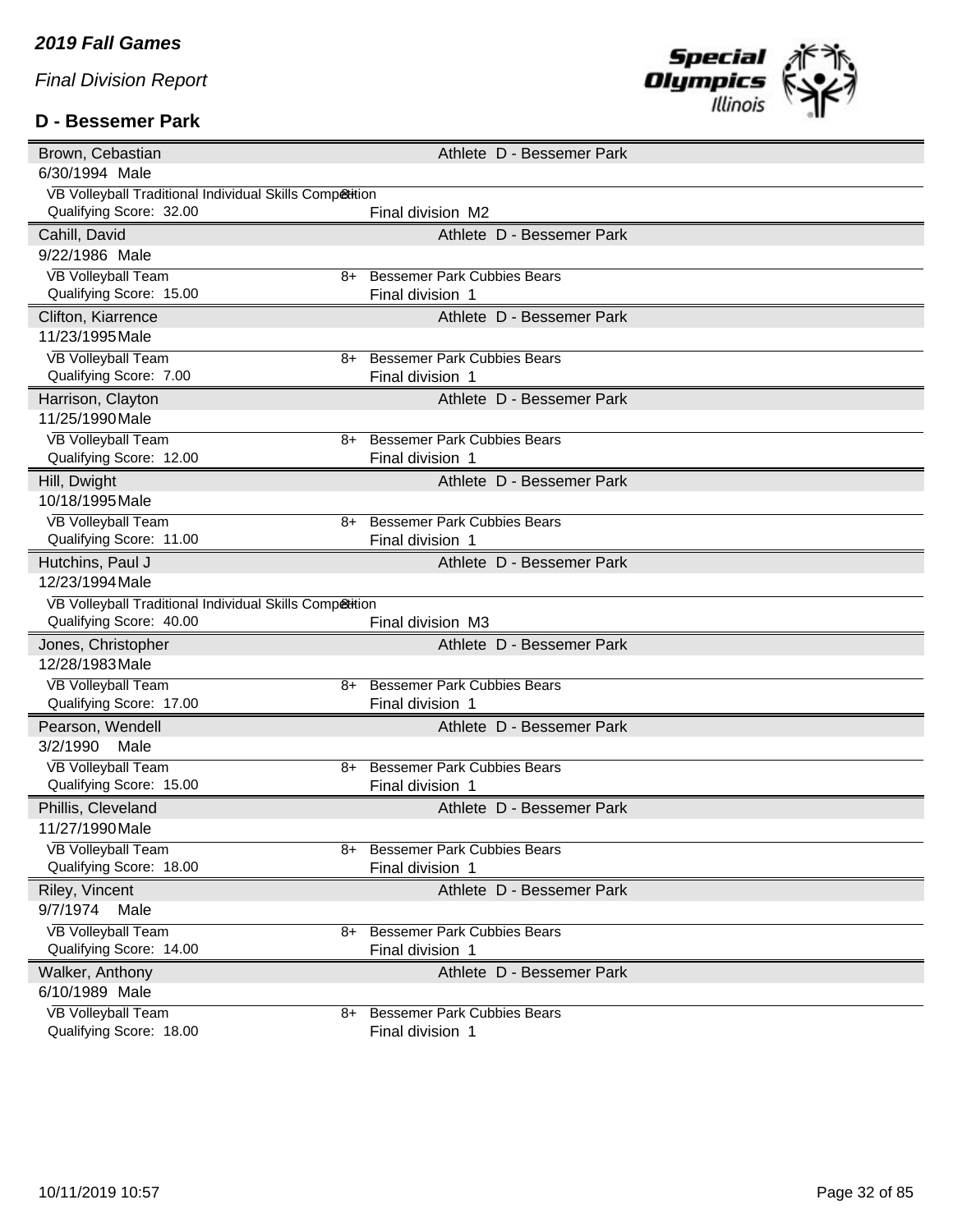#### **D - Bessemer Park**



| Brown, Cebastian                                        | Athlete D - Bessemer Park                                    |  |  |  |  |  |
|---------------------------------------------------------|--------------------------------------------------------------|--|--|--|--|--|
| 6/30/1994 Male                                          |                                                              |  |  |  |  |  |
| VB Volleyball Traditional Individual Skills Competition |                                                              |  |  |  |  |  |
| Qualifying Score: 32.00                                 | Final division M2                                            |  |  |  |  |  |
| Cahill, David                                           | Athlete D - Bessemer Park                                    |  |  |  |  |  |
| 9/22/1986 Male                                          |                                                              |  |  |  |  |  |
| <b>VB Volleyball Team</b>                               | <b>Bessemer Park Cubbies Bears</b><br>8+                     |  |  |  |  |  |
| Qualifying Score: 15.00                                 | Final division 1                                             |  |  |  |  |  |
| Clifton, Kiarrence                                      | Athlete D - Bessemer Park                                    |  |  |  |  |  |
| 11/23/1995 Male                                         |                                                              |  |  |  |  |  |
| <b>VB Volleyball Team</b>                               | <b>Bessemer Park Cubbies Bears</b><br>8+                     |  |  |  |  |  |
| Qualifying Score: 7.00                                  | Final division 1                                             |  |  |  |  |  |
| Harrison, Clayton                                       | Athlete D - Bessemer Park                                    |  |  |  |  |  |
| 11/25/1990 Male                                         |                                                              |  |  |  |  |  |
| <b>VB Volleyball Team</b>                               | <b>Bessemer Park Cubbies Bears</b><br>$8+$                   |  |  |  |  |  |
| Qualifying Score: 12.00                                 | Final division 1                                             |  |  |  |  |  |
| Hill, Dwight                                            | Athlete D - Bessemer Park                                    |  |  |  |  |  |
| 10/18/1995 Male                                         |                                                              |  |  |  |  |  |
| <b>VB Volleyball Team</b>                               | <b>Bessemer Park Cubbies Bears</b><br>8+                     |  |  |  |  |  |
| Qualifying Score: 11.00                                 | Final division 1                                             |  |  |  |  |  |
| Hutchins, Paul J                                        | Athlete D - Bessemer Park                                    |  |  |  |  |  |
| 12/23/1994 Male                                         |                                                              |  |  |  |  |  |
| VB Volleyball Traditional Individual Skills Competition |                                                              |  |  |  |  |  |
| Qualifying Score: 40.00                                 | Final division M3                                            |  |  |  |  |  |
| Jones, Christopher                                      | Athlete D - Bessemer Park                                    |  |  |  |  |  |
| 12/28/1983 Male                                         |                                                              |  |  |  |  |  |
| <b>VB Volleyball Team</b>                               | <b>Bessemer Park Cubbies Bears</b><br>8+                     |  |  |  |  |  |
| Qualifying Score: 17.00                                 |                                                              |  |  |  |  |  |
|                                                         | Final division 1                                             |  |  |  |  |  |
| Pearson, Wendell                                        | Athlete D - Bessemer Park                                    |  |  |  |  |  |
| 3/2/1990<br>Male                                        |                                                              |  |  |  |  |  |
| <b>VB Volleyball Team</b>                               | <b>Bessemer Park Cubbies Bears</b><br>8+                     |  |  |  |  |  |
| Qualifying Score: 15.00                                 | Final division 1                                             |  |  |  |  |  |
| Phillis, Cleveland                                      | Athlete D - Bessemer Park                                    |  |  |  |  |  |
| 11/27/1990 Male                                         |                                                              |  |  |  |  |  |
| <b>VB Volleyball Team</b>                               | <b>Bessemer Park Cubbies Bears</b><br>8+                     |  |  |  |  |  |
| Qualifying Score: 18.00                                 | Final division 1                                             |  |  |  |  |  |
| Riley, Vincent                                          | Athlete D - Bessemer Park                                    |  |  |  |  |  |
| 9/7/1974<br>Male                                        |                                                              |  |  |  |  |  |
| <b>VB Volleyball Team</b>                               | <b>Bessemer Park Cubbies Bears</b><br>8+                     |  |  |  |  |  |
| Qualifying Score: 14.00                                 | Final division 1                                             |  |  |  |  |  |
| Walker, Anthony                                         | Athlete D - Bessemer Park                                    |  |  |  |  |  |
| 6/10/1989 Male                                          |                                                              |  |  |  |  |  |
| <b>VB Volleyball Team</b><br>Qualifying Score: 18.00    | <b>Bessemer Park Cubbies Bears</b><br>8+<br>Final division 1 |  |  |  |  |  |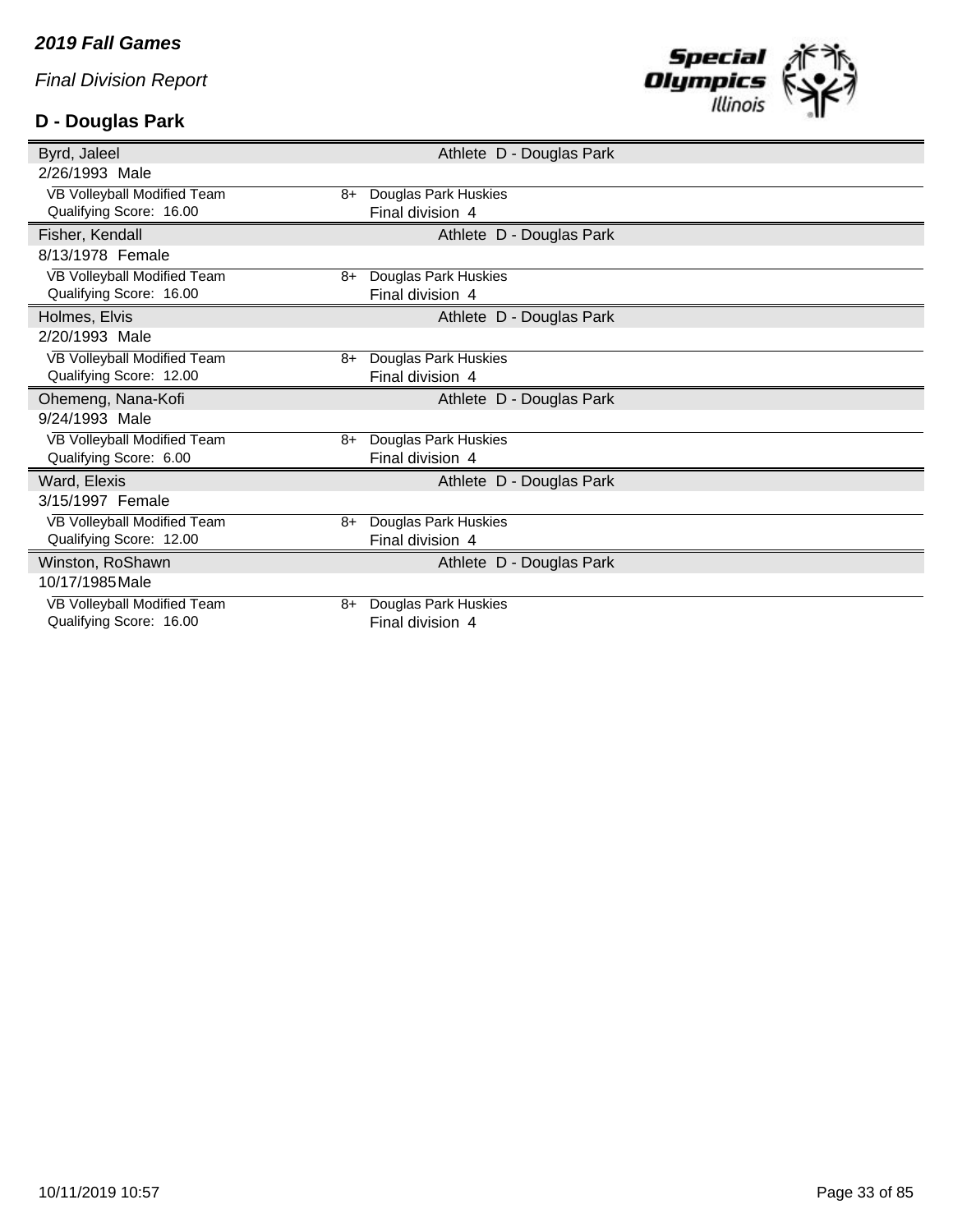# **D - Douglas Park**



| Byrd, Jaleel                                           |      |                                          | Athlete D - Douglas Park |
|--------------------------------------------------------|------|------------------------------------------|--------------------------|
| 2/26/1993 Male                                         |      |                                          |                          |
| VB Volleyball Modified Team                            | 8+   | Douglas Park Huskies                     |                          |
| Qualifying Score: 16.00                                |      | Final division 4                         |                          |
| Fisher, Kendall                                        |      |                                          | Athlete D - Douglas Park |
| 8/13/1978 Female                                       |      |                                          |                          |
| VB Volleyball Modified Team                            | $8+$ | Douglas Park Huskies                     |                          |
| Qualifying Score: 16.00                                |      | Final division 4                         |                          |
| Holmes, Elvis                                          |      |                                          | Athlete D - Douglas Park |
| 2/20/1993 Male                                         |      |                                          |                          |
| VB Volleyball Modified Team                            | 8+   | Douglas Park Huskies                     |                          |
| Qualifying Score: 12.00                                |      | Final division 4                         |                          |
|                                                        |      |                                          |                          |
| Ohemeng, Nana-Kofi                                     |      |                                          | Athlete D - Douglas Park |
| 9/24/1993 Male                                         |      |                                          |                          |
| VB Volleyball Modified Team                            | 8+   | Douglas Park Huskies                     |                          |
| Qualifying Score: 6.00                                 |      | Final division 4                         |                          |
| Ward, Elexis                                           |      |                                          | Athlete D - Douglas Park |
| 3/15/1997 Female                                       |      |                                          |                          |
| VB Volleyball Modified Team                            | 8+   | <b>Douglas Park Huskies</b>              |                          |
| Qualifying Score: 12.00                                |      | Final division 4                         |                          |
| Winston, RoShawn                                       |      |                                          | Athlete D - Douglas Park |
| 10/17/1985 Male                                        |      |                                          |                          |
| VB Volleyball Modified Team<br>Qualifying Score: 16.00 | 8+   | Douglas Park Huskies<br>Final division 4 |                          |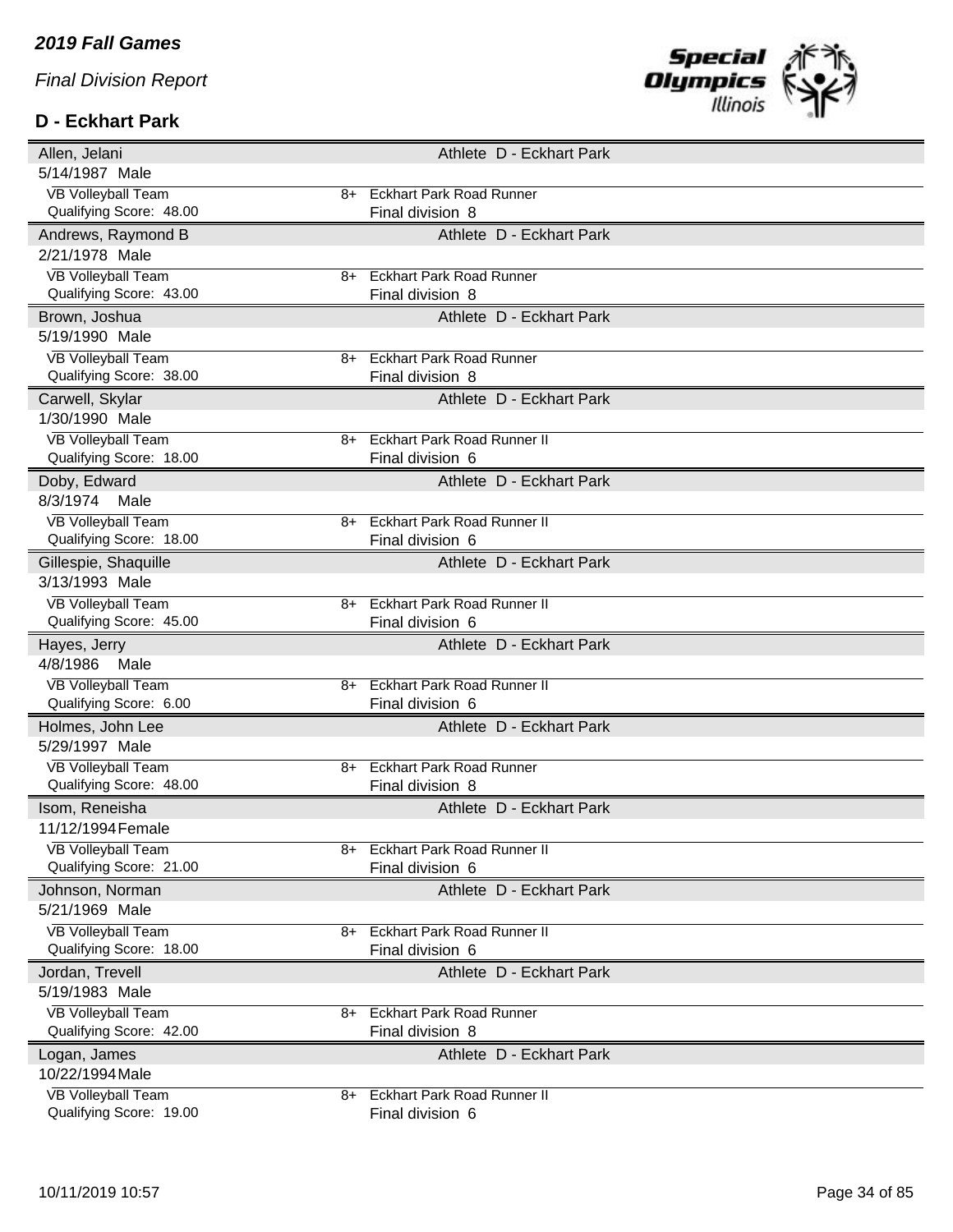### **D - Eckhart Park**



| Allen, Jelani                                        |      | Athlete D - Eckhart Park                               |
|------------------------------------------------------|------|--------------------------------------------------------|
| 5/14/1987 Male                                       |      |                                                        |
| <b>VB Volleyball Team</b>                            | 8+   | <b>Eckhart Park Road Runner</b>                        |
| Qualifying Score: 48.00                              |      | Final division 8                                       |
| Andrews, Raymond B                                   |      | Athlete D - Eckhart Park                               |
| 2/21/1978 Male                                       |      |                                                        |
| <b>VB Volleyball Team</b>                            | 8+   | <b>Eckhart Park Road Runner</b>                        |
| Qualifying Score: 43.00                              |      | Final division 8                                       |
| Brown, Joshua                                        |      | Athlete D - Eckhart Park                               |
| 5/19/1990 Male                                       |      |                                                        |
| <b>VB Volleyball Team</b>                            | 8+   | <b>Eckhart Park Road Runner</b>                        |
| Qualifying Score: 38.00                              |      | Final division 8                                       |
| Carwell, Skylar                                      |      | Athlete D - Eckhart Park                               |
| 1/30/1990 Male                                       |      |                                                        |
| <b>VB Volleyball Team</b>                            | $8+$ | <b>Eckhart Park Road Runner II</b>                     |
| Qualifying Score: 18.00                              |      | Final division 6                                       |
| Doby, Edward                                         |      | Athlete D - Eckhart Park                               |
| 8/3/1974<br>Male                                     |      |                                                        |
| <b>VB Volleyball Team</b>                            | 8+   | <b>Eckhart Park Road Runner II</b>                     |
| Qualifying Score: 18.00                              |      | Final division 6                                       |
| Gillespie, Shaquille                                 |      | Athlete D - Eckhart Park                               |
| 3/13/1993 Male                                       |      |                                                        |
| <b>VB Volleyball Team</b>                            | 8+   | <b>Eckhart Park Road Runner II</b>                     |
| Qualifying Score: 45.00                              |      | Final division 6                                       |
|                                                      |      |                                                        |
| Hayes, Jerry                                         |      | Athlete D - Eckhart Park                               |
| 4/8/1986<br>Male                                     |      |                                                        |
| VB Volleyball Team                                   | 8+   | <b>Eckhart Park Road Runner II</b>                     |
| Qualifying Score: 6.00                               |      | Final division 6                                       |
| Holmes, John Lee                                     |      | Athlete D - Eckhart Park                               |
| 5/29/1997 Male                                       |      |                                                        |
| <b>VB Volleyball Team</b>                            | 8+   | <b>Eckhart Park Road Runner</b>                        |
| Qualifying Score: 48.00                              |      | Final division 8                                       |
| Isom, Reneisha                                       |      | Athlete D - Eckhart Park                               |
| 11/12/1994 Female                                    |      |                                                        |
| <b>VB Volleyball Team</b>                            | 8+   | <b>Eckhart Park Road Runner II</b>                     |
| Qualifying Score: 21.00                              |      | Final division 6                                       |
| Johnson, Norman                                      |      | Athlete D - Eckhart Park                               |
| 5/21/1969 Male                                       |      |                                                        |
| <b>VB Volleyball Team</b>                            | 8+   | <b>Eckhart Park Road Runner II</b>                     |
| Qualifying Score: 18.00                              |      | Final division 6                                       |
| Jordan, Trevell                                      |      | Athlete D - Eckhart Park                               |
| 5/19/1983 Male                                       |      |                                                        |
| <b>VB Volleyball Team</b>                            | 8+   | <b>Eckhart Park Road Runner</b>                        |
| Qualifying Score: 42.00                              |      | Final division 8                                       |
| Logan, James                                         |      | Athlete D - Eckhart Park                               |
| 10/22/1994 Male                                      |      |                                                        |
| <b>VB Volleyball Team</b><br>Qualifying Score: 19.00 | 8+   | <b>Eckhart Park Road Runner II</b><br>Final division 6 |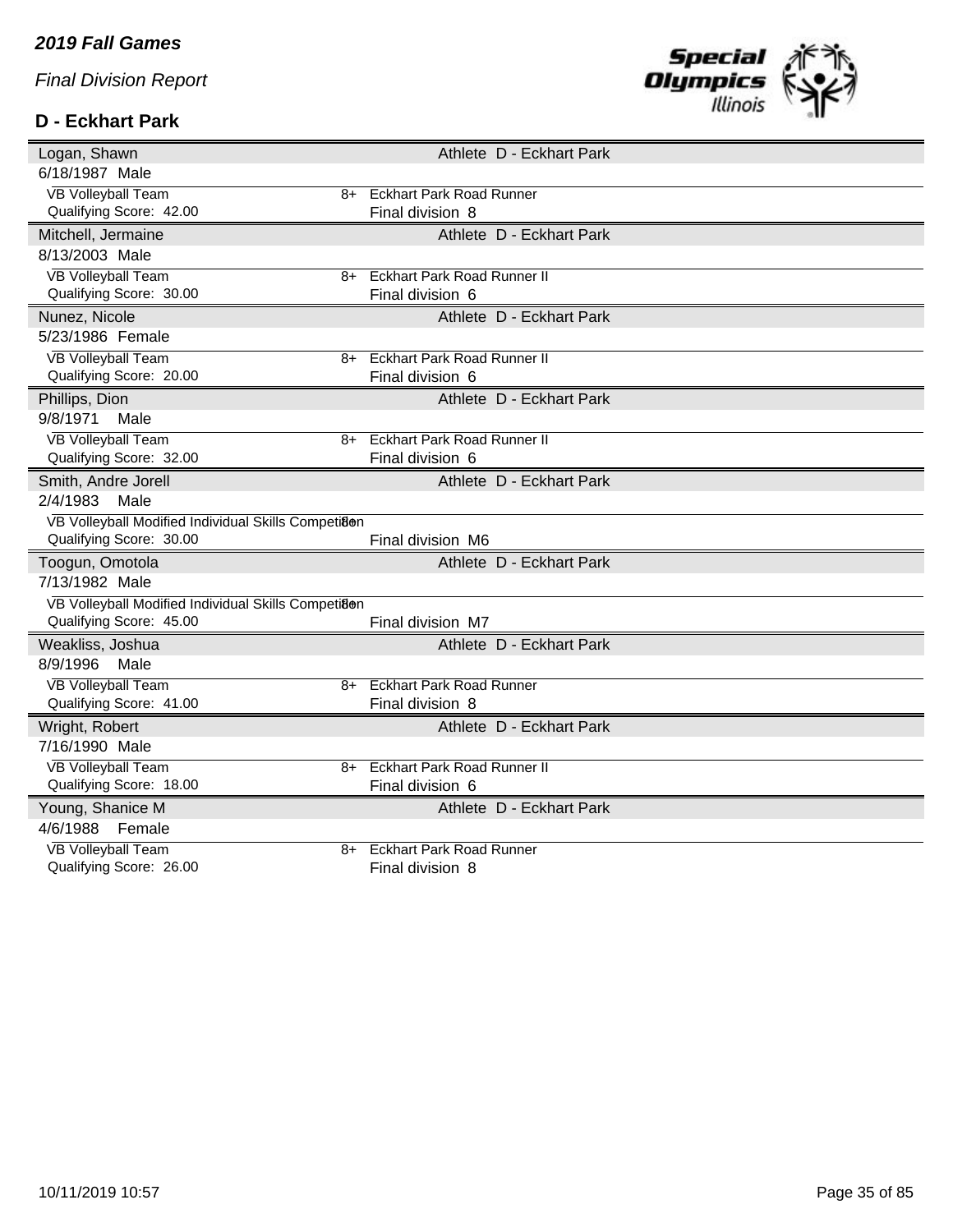## **D - Eckhart Park**



| Logan, Shawn                                        |      | Athlete D - Eckhart Park           |  |
|-----------------------------------------------------|------|------------------------------------|--|
| 6/18/1987 Male                                      |      |                                    |  |
| <b>VB Volleyball Team</b>                           | 8+   | <b>Eckhart Park Road Runner</b>    |  |
| Qualifying Score: 42.00                             |      | Final division 8                   |  |
| Mitchell, Jermaine                                  |      | Athlete D - Eckhart Park           |  |
| 8/13/2003 Male                                      |      |                                    |  |
| <b>VB Volleyball Team</b>                           | $8+$ | <b>Eckhart Park Road Runner II</b> |  |
| Qualifying Score: 30.00                             |      | Final division 6                   |  |
| Nunez, Nicole                                       |      | Athlete D - Eckhart Park           |  |
| 5/23/1986 Female                                    |      |                                    |  |
| <b>VB Volleyball Team</b>                           | 8+   | <b>Eckhart Park Road Runner II</b> |  |
| Qualifying Score: 20.00                             |      | Final division 6                   |  |
| Phillips, Dion                                      |      | Athlete D - Eckhart Park           |  |
| 9/8/1971<br>Male                                    |      |                                    |  |
| <b>VB Volleyball Team</b>                           | $8+$ | <b>Eckhart Park Road Runner II</b> |  |
| Qualifying Score: 32.00                             |      | Final division 6                   |  |
| Smith, Andre Jorell                                 |      | Athlete D - Eckhart Park           |  |
| 2/4/1983<br>Male                                    |      |                                    |  |
|                                                     |      |                                    |  |
| VB Volleyball Modified Individual Skills Competi8en |      |                                    |  |
| Qualifying Score: 30.00                             |      | Final division M6                  |  |
| Toogun, Omotola                                     |      | Athlete D - Eckhart Park           |  |
| 7/13/1982 Male                                      |      |                                    |  |
| VB Volleyball Modified Individual Skills Competiaen |      |                                    |  |
| Qualifying Score: 45.00                             |      | Final division M7                  |  |
| Weakliss, Joshua                                    |      | Athlete D - Eckhart Park           |  |
| 8/9/1996<br>Male                                    |      |                                    |  |
| <b>VB Volleyball Team</b>                           | 8+   | <b>Eckhart Park Road Runner</b>    |  |
| Qualifying Score: 41.00                             |      | Final division 8                   |  |
| Wright, Robert                                      |      | Athlete D - Eckhart Park           |  |
| 7/16/1990 Male                                      |      |                                    |  |
| <b>VB Volleyball Team</b>                           | $8+$ | <b>Eckhart Park Road Runner II</b> |  |
| Qualifying Score: 18.00                             |      | Final division 6                   |  |
| Young, Shanice M                                    |      | Athlete D - Eckhart Park           |  |
| 4/6/1988<br>Female                                  |      |                                    |  |
| <b>VB Volleyball Team</b>                           | $8+$ | <b>Eckhart Park Road Runner</b>    |  |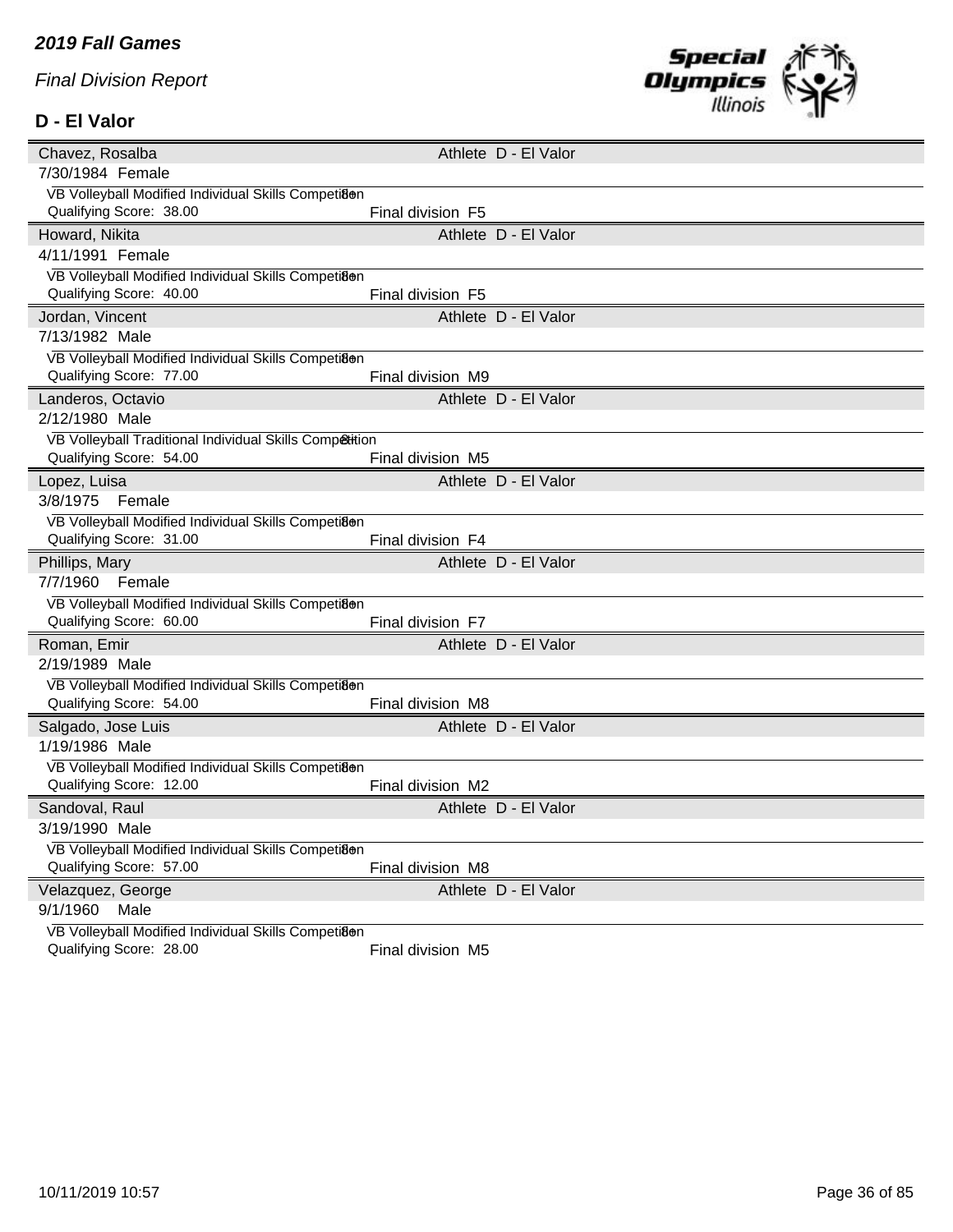#### **D - El Valor**



| Chavez, Rosalba                                         |                   | Athlete D - El Valor |  |
|---------------------------------------------------------|-------------------|----------------------|--|
| 7/30/1984 Female                                        |                   |                      |  |
| VB Volleyball Modified Individual Skills Competiaen     |                   |                      |  |
| Qualifying Score: 38.00                                 | Final division F5 |                      |  |
| Howard, Nikita                                          |                   | Athlete D - El Valor |  |
| 4/11/1991 Female                                        |                   |                      |  |
| VB Volleyball Modified Individual Skills Competiaen     |                   |                      |  |
| Qualifying Score: 40.00                                 | Final division F5 |                      |  |
| Jordan, Vincent                                         |                   | Athlete D - El Valor |  |
| 7/13/1982 Male                                          |                   |                      |  |
| VB Volleyball Modified Individual Skills Competi8@n     |                   |                      |  |
| Qualifying Score: 77.00                                 | Final division M9 |                      |  |
| Landeros, Octavio                                       |                   | Athlete D - El Valor |  |
| 2/12/1980 Male                                          |                   |                      |  |
| VB Volleyball Traditional Individual Skills Competition |                   |                      |  |
| Qualifying Score: 54.00                                 | Final division M5 |                      |  |
| Lopez, Luisa                                            |                   | Athlete D - El Valor |  |
| 3/8/1975 Female                                         |                   |                      |  |
| VB Volleyball Modified Individual Skills Competiaen     |                   |                      |  |
| Qualifying Score: 31.00                                 | Final division F4 |                      |  |
| Phillips, Mary                                          |                   | Athlete D - El Valor |  |
| 7/7/1960 Female                                         |                   |                      |  |
| VB Volleyball Modified Individual Skills Competiaen     |                   |                      |  |
| Qualifying Score: 60.00                                 | Final division F7 |                      |  |
| Roman, Emir                                             |                   | Athlete D - El Valor |  |
| 2/19/1989 Male                                          |                   |                      |  |
| VB Volleyball Modified Individual Skills Competi8en     |                   |                      |  |
| Qualifying Score: 54.00                                 | Final division M8 |                      |  |
| Salgado, Jose Luis                                      |                   | Athlete D - El Valor |  |
| 1/19/1986 Male                                          |                   |                      |  |
| VB Volleyball Modified Individual Skills Competi8en     |                   |                      |  |
| Qualifying Score: 12.00                                 | Final division M2 |                      |  |
| Sandoval, Raul                                          |                   | Athlete D - El Valor |  |
| 3/19/1990 Male                                          |                   |                      |  |
| VB Volleyball Modified Individual Skills Competi8en     |                   |                      |  |
| Qualifying Score: 57.00                                 | Final division M8 |                      |  |
| Velazquez, George                                       |                   | Athlete D - El Valor |  |
| 9/1/1960<br>Male                                        |                   |                      |  |
| VB Volleyball Modified Individual Skills Competiaen     |                   |                      |  |
| Qualifying Score: 28.00                                 | Final division M5 |                      |  |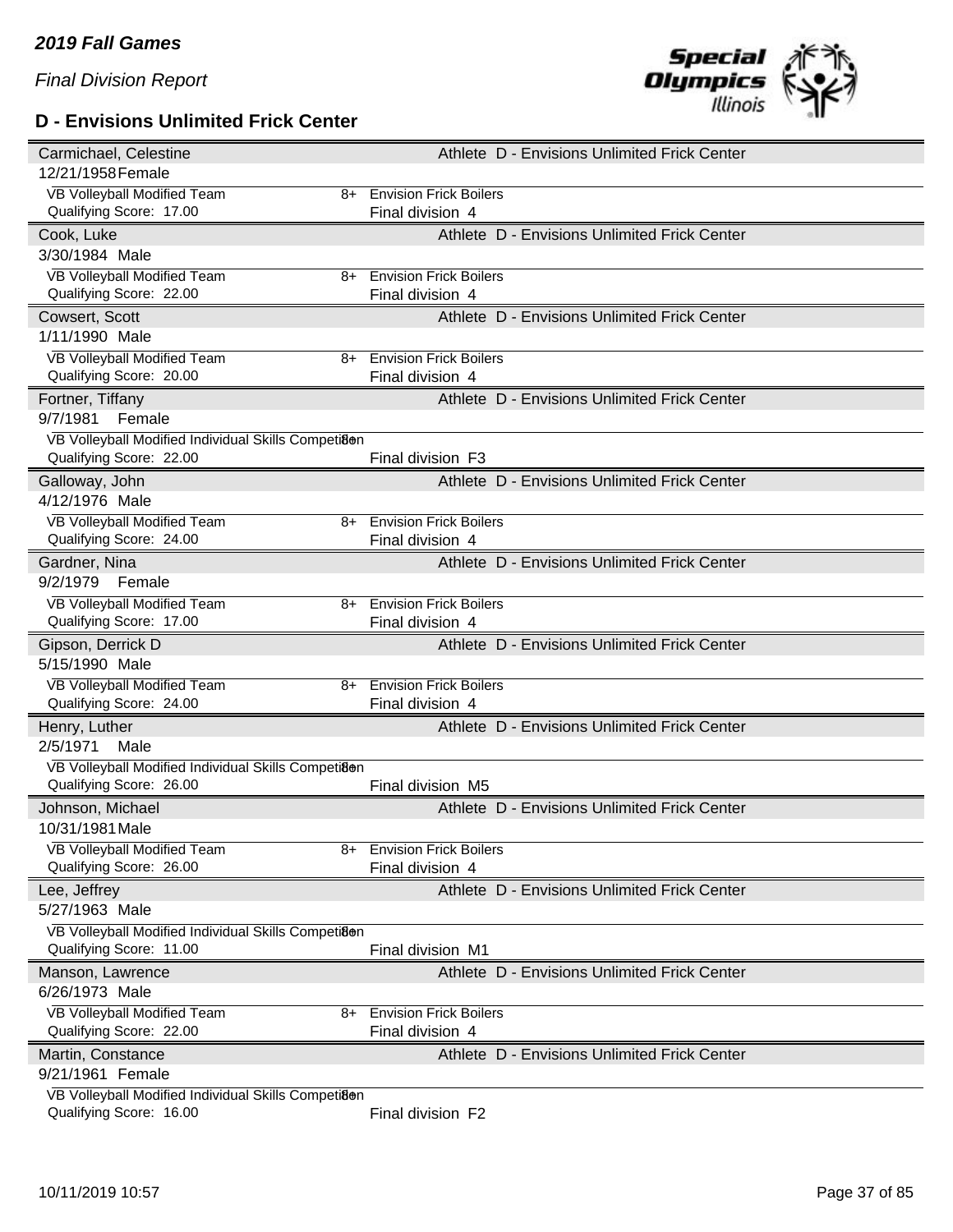# **D - Envisions Unlimited Frick Center**



| Carmichael, Celestine                                                          |    | Athlete D - Envisions Unlimited Frick Center |  |
|--------------------------------------------------------------------------------|----|----------------------------------------------|--|
| 12/21/1958 Female                                                              |    |                                              |  |
| VB Volleyball Modified Team                                                    | 8+ | <b>Envision Frick Boilers</b>                |  |
| Qualifying Score: 17.00                                                        |    | Final division 4                             |  |
| Cook, Luke                                                                     |    | Athlete D - Envisions Unlimited Frick Center |  |
| 3/30/1984 Male                                                                 |    |                                              |  |
| VB Volleyball Modified Team                                                    | 8+ | <b>Envision Frick Boilers</b>                |  |
| Qualifying Score: 22.00                                                        |    | Final division 4                             |  |
| Cowsert, Scott                                                                 |    | Athlete D - Envisions Unlimited Frick Center |  |
| 1/11/1990 Male                                                                 |    |                                              |  |
| VB Volleyball Modified Team                                                    | 8+ | <b>Envision Frick Boilers</b>                |  |
| Qualifying Score: 20.00                                                        |    | Final division 4                             |  |
| Fortner, Tiffany                                                               |    | Athlete D - Envisions Unlimited Frick Center |  |
| 9/7/1981<br>Female                                                             |    |                                              |  |
| VB Volleyball Modified Individual Skills Competiaen                            |    |                                              |  |
| Qualifying Score: 22.00                                                        |    | Final division F3                            |  |
| Galloway, John                                                                 |    | Athlete D - Envisions Unlimited Frick Center |  |
| 4/12/1976 Male                                                                 |    |                                              |  |
| <b>VB Volleyball Modified Team</b>                                             | 8+ | <b>Envision Frick Boilers</b>                |  |
| Qualifying Score: 24.00                                                        |    | Final division 4                             |  |
| Gardner, Nina                                                                  |    | Athlete D - Envisions Unlimited Frick Center |  |
| 9/2/1979<br>Female                                                             |    |                                              |  |
| VB Volleyball Modified Team                                                    | 8+ | <b>Envision Frick Boilers</b>                |  |
| Qualifying Score: 17.00                                                        |    | Final division 4                             |  |
|                                                                                |    |                                              |  |
| Gipson, Derrick D                                                              |    | Athlete D - Envisions Unlimited Frick Center |  |
| 5/15/1990 Male                                                                 |    |                                              |  |
| VB Volleyball Modified Team                                                    | 8+ | <b>Envision Frick Boilers</b>                |  |
| Qualifying Score: 24.00                                                        |    | Final division 4                             |  |
| Henry, Luther                                                                  |    | Athlete D - Envisions Unlimited Frick Center |  |
| 2/5/1971<br>Male                                                               |    |                                              |  |
| VB Volleyball Modified Individual Skills Competiaen                            |    |                                              |  |
| Qualifying Score: 26.00                                                        |    | Final division M5                            |  |
| Johnson, Michael                                                               |    | Athlete D - Envisions Unlimited Frick Center |  |
| 10/31/1981 Male                                                                |    |                                              |  |
| VB Volleyball Modified Team                                                    | 8+ | <b>Envision Frick Boilers</b>                |  |
| Qualifying Score: 26.00                                                        |    | Final division 4                             |  |
| Lee, Jeffrey                                                                   |    | Athlete D - Envisions Unlimited Frick Center |  |
| 5/27/1963 Male                                                                 |    |                                              |  |
| VB Volleyball Modified Individual Skills Competi8en                            |    |                                              |  |
| Qualifying Score: 11.00                                                        |    | Final division M1                            |  |
| Manson, Lawrence                                                               |    | Athlete D - Envisions Unlimited Frick Center |  |
| 6/26/1973 Male                                                                 |    |                                              |  |
| <b>VB Volleyball Modified Team</b>                                             | 8+ | <b>Envision Frick Boilers</b>                |  |
| Qualifying Score: 22.00                                                        |    | Final division 4                             |  |
| Martin, Constance                                                              |    | Athlete D - Envisions Unlimited Frick Center |  |
| 9/21/1961 Female                                                               |    |                                              |  |
| VB Volleyball Modified Individual Skills Competiaen<br>Qualifying Score: 16.00 |    | Final division F2                            |  |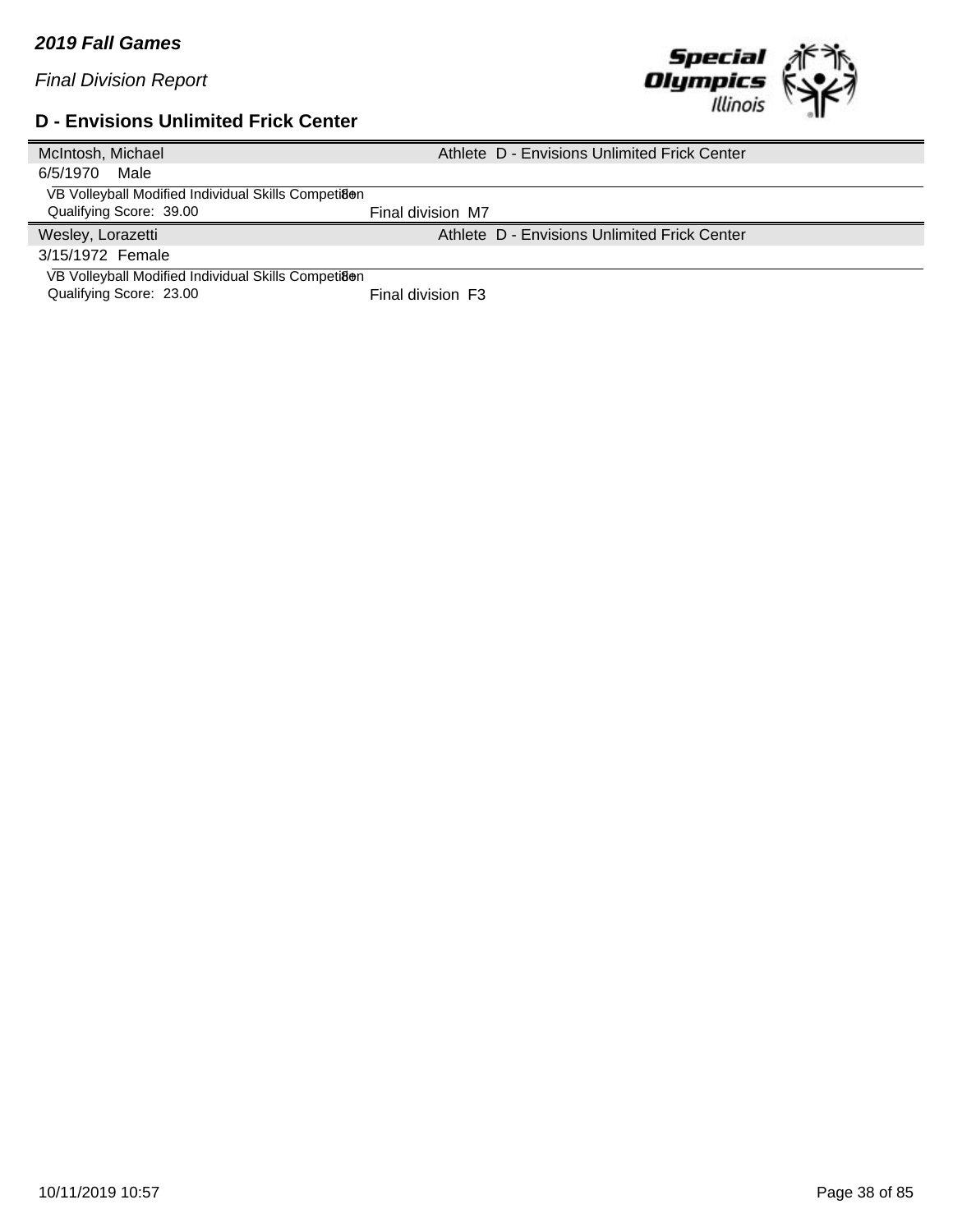

# **D - Envisions Unlimited Frick Center**

| McIntosh, Michael                                   | Athlete D - Envisions Unlimited Frick Center |
|-----------------------------------------------------|----------------------------------------------|
| 6/5/1970<br>Male                                    |                                              |
| VB Volleyball Modified Individual Skills Competiaen |                                              |
| Qualifying Score: 39.00                             | Final division M7                            |
| Wesley, Lorazetti                                   | Athlete D - Envisions Unlimited Frick Center |
| 3/15/1972 Female                                    |                                              |
| VB Volleyball Modified Individual Skills Competiaen |                                              |
| Qualifying Score: 23.00                             | Final division F3                            |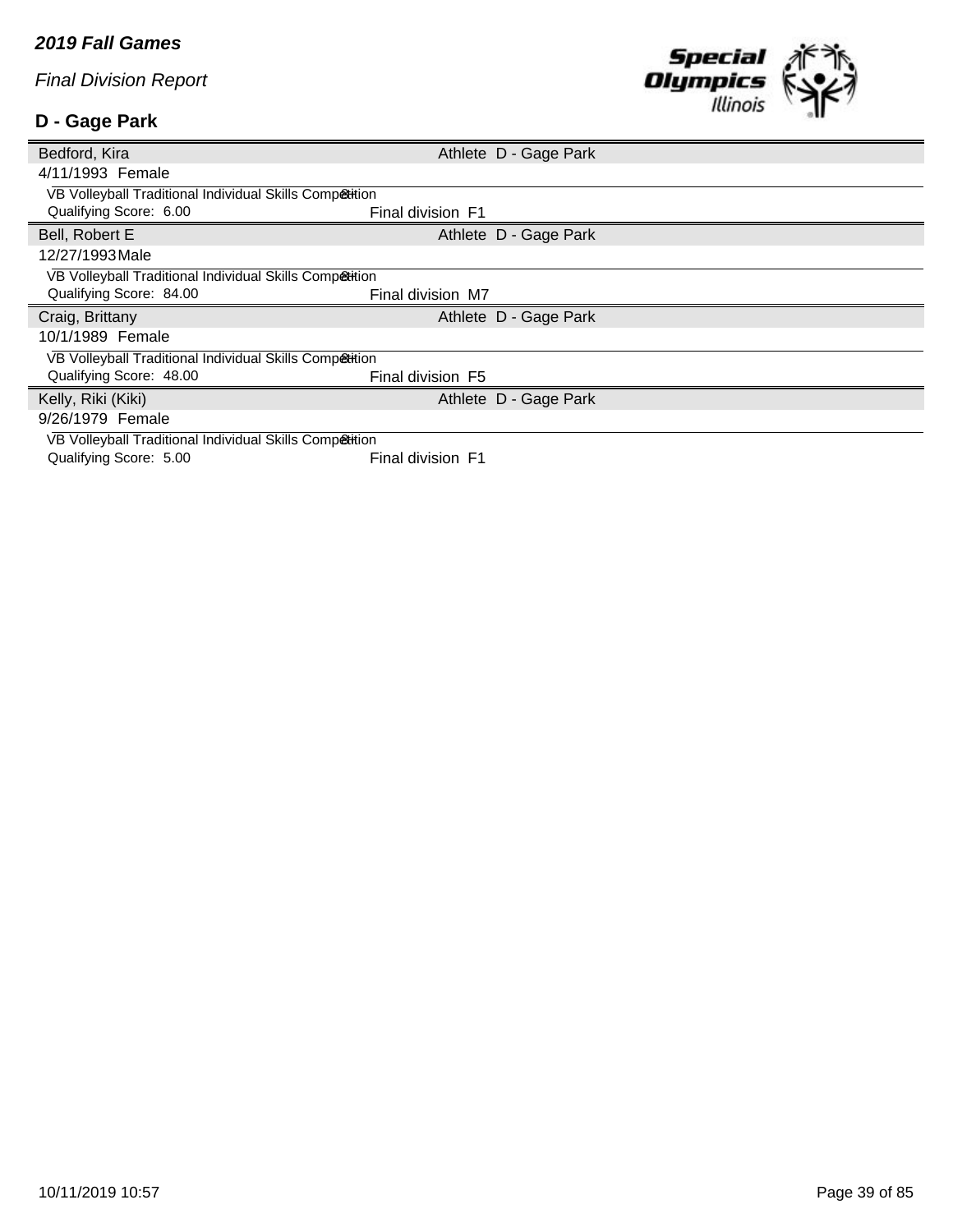## **D - Gage Park**



| Bedford, Kira                                           |                   | Athlete D - Gage Park |  |
|---------------------------------------------------------|-------------------|-----------------------|--|
| 4/11/1993 Female                                        |                   |                       |  |
| VB Volleyball Traditional Individual Skills Competition |                   |                       |  |
| Qualifying Score: 6.00                                  | Final division F1 |                       |  |
| Bell, Robert E                                          |                   | Athlete D - Gage Park |  |
| 12/27/1993 Male                                         |                   |                       |  |
| VB Volleyball Traditional Individual Skills Competition |                   |                       |  |
| Qualifying Score: 84.00                                 | Final division M7 |                       |  |
|                                                         |                   |                       |  |
| Craig, Brittany                                         |                   | Athlete D - Gage Park |  |
| 10/1/1989 Female                                        |                   |                       |  |
| VB Volleyball Traditional Individual Skills Competition |                   |                       |  |
| Qualifying Score: 48.00                                 | Final division F5 |                       |  |
| Kelly, Riki (Kiki)                                      |                   | Athlete D - Gage Park |  |
| 9/26/1979 Female                                        |                   |                       |  |
| VB Volleyball Traditional Individual Skills Competition |                   |                       |  |

10/11/2019 10:57 Page 39 of 85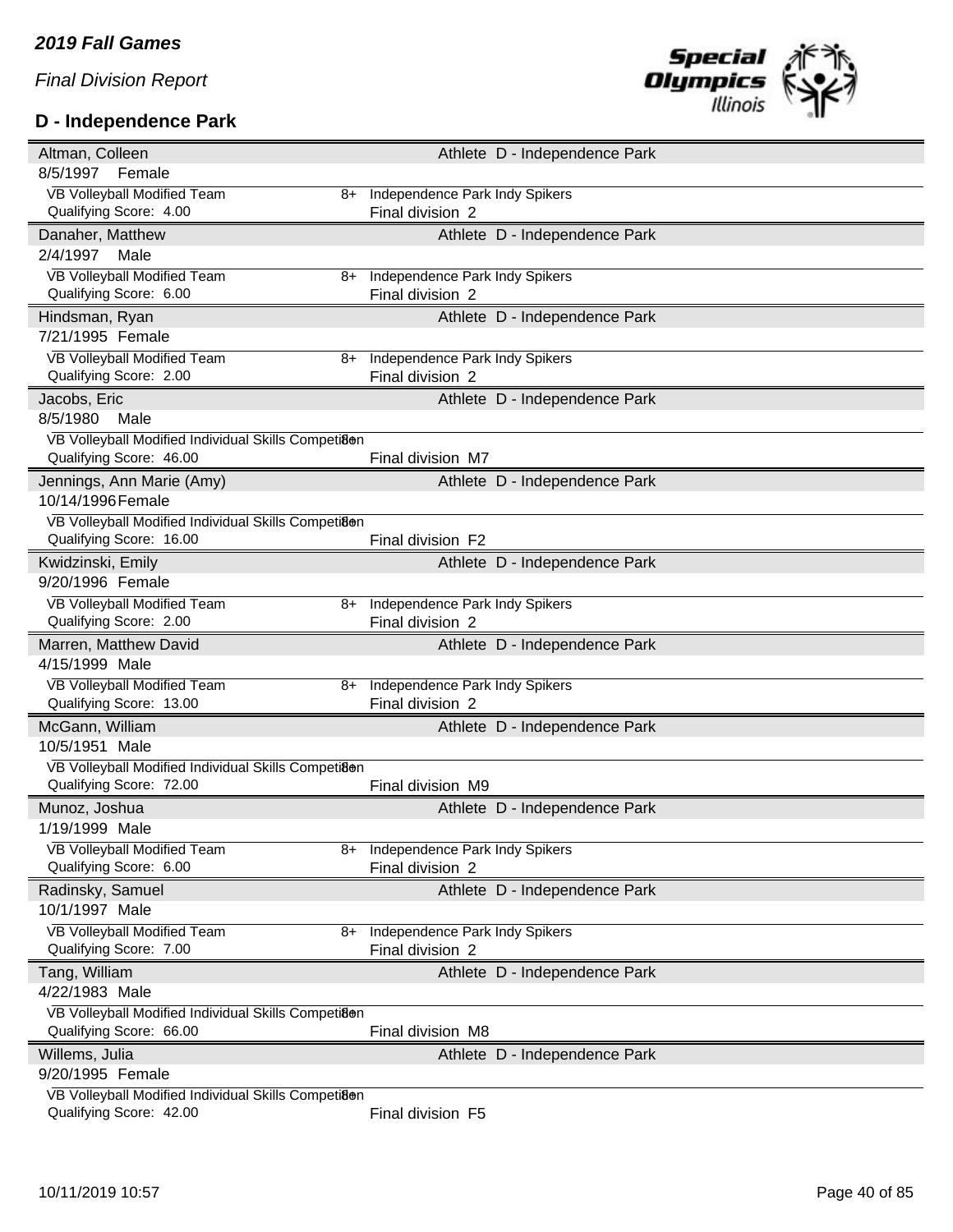## **D - Independence Park**



| Altman, Colleen                                     |      |                                       | Athlete D - Independence Park |  |
|-----------------------------------------------------|------|---------------------------------------|-------------------------------|--|
| 8/5/1997<br>Female                                  |      |                                       |                               |  |
| VB Volleyball Modified Team                         | $8+$ | Independence Park Indy Spikers        |                               |  |
| Qualifying Score: 4.00                              |      | Final division 2                      |                               |  |
| Danaher, Matthew                                    |      |                                       | Athlete D - Independence Park |  |
| 2/4/1997<br>Male                                    |      |                                       |                               |  |
| VB Volleyball Modified Team                         | 8+   | Independence Park Indy Spikers        |                               |  |
| Qualifying Score: 6.00                              |      | Final division 2                      |                               |  |
| Hindsman, Ryan                                      |      |                                       | Athlete D - Independence Park |  |
| 7/21/1995 Female                                    |      |                                       |                               |  |
| VB Volleyball Modified Team                         | 8+   | Independence Park Indy Spikers        |                               |  |
| Qualifying Score: 2.00                              |      | Final division 2                      |                               |  |
| Jacobs, Eric                                        |      |                                       | Athlete D - Independence Park |  |
| 8/5/1980<br>Male                                    |      |                                       |                               |  |
| VB Volleyball Modified Individual Skills Competiaen |      |                                       |                               |  |
| Qualifying Score: 46.00                             |      | Final division M7                     |                               |  |
| Jennings, Ann Marie (Amy)                           |      |                                       | Athlete D - Independence Park |  |
| 10/14/1996 Female                                   |      |                                       |                               |  |
| VB Volleyball Modified Individual Skills Competi8@n |      |                                       |                               |  |
| Qualifying Score: 16.00                             |      | Final division F2                     |                               |  |
| Kwidzinski, Emily                                   |      |                                       | Athlete D - Independence Park |  |
| 9/20/1996 Female                                    |      |                                       |                               |  |
| VB Volleyball Modified Team                         | 8+   | <b>Independence Park Indy Spikers</b> |                               |  |
| Qualifying Score: 2.00                              |      | Final division 2                      |                               |  |
|                                                     |      |                                       |                               |  |
| Marren, Matthew David                               |      |                                       | Athlete D - Independence Park |  |
| 4/15/1999 Male                                      |      |                                       |                               |  |
| VB Volleyball Modified Team                         | 8+   | Independence Park Indy Spikers        |                               |  |
| Qualifying Score: 13.00                             |      | Final division 2                      |                               |  |
| McGann, William                                     |      |                                       | Athlete D - Independence Park |  |
| 10/5/1951 Male                                      |      |                                       |                               |  |
| VB Volleyball Modified Individual Skills Competiaen |      |                                       |                               |  |
| Qualifying Score: 72.00                             |      | Final division M9                     |                               |  |
| Munoz, Joshua                                       |      |                                       | Athlete D - Independence Park |  |
| 1/19/1999 Male                                      |      |                                       |                               |  |
| VB Volleyball Modified Team                         |      | 8+ Independence Park Indy Spikers     |                               |  |
| Qualifying Score: 6.00                              |      | Final division 2                      |                               |  |
| Radinsky, Samuel                                    |      |                                       | Athlete D - Independence Park |  |
| 10/1/1997 Male                                      |      |                                       |                               |  |
| VB Volleyball Modified Team                         | 8+   | Independence Park Indy Spikers        |                               |  |
| Qualifying Score: 7.00                              |      | Final division 2                      |                               |  |
| Tang, William                                       |      |                                       | Athlete D - Independence Park |  |
| 4/22/1983 Male                                      |      |                                       |                               |  |
| VB Volleyball Modified Individual Skills Competiaen |      |                                       |                               |  |
| Qualifying Score: 66.00                             |      | Final division M8                     |                               |  |
| Willems, Julia                                      |      |                                       | Athlete D - Independence Park |  |
| 9/20/1995 Female                                    |      |                                       |                               |  |
| VB Volleyball Modified Individual Skills Competiaen |      |                                       |                               |  |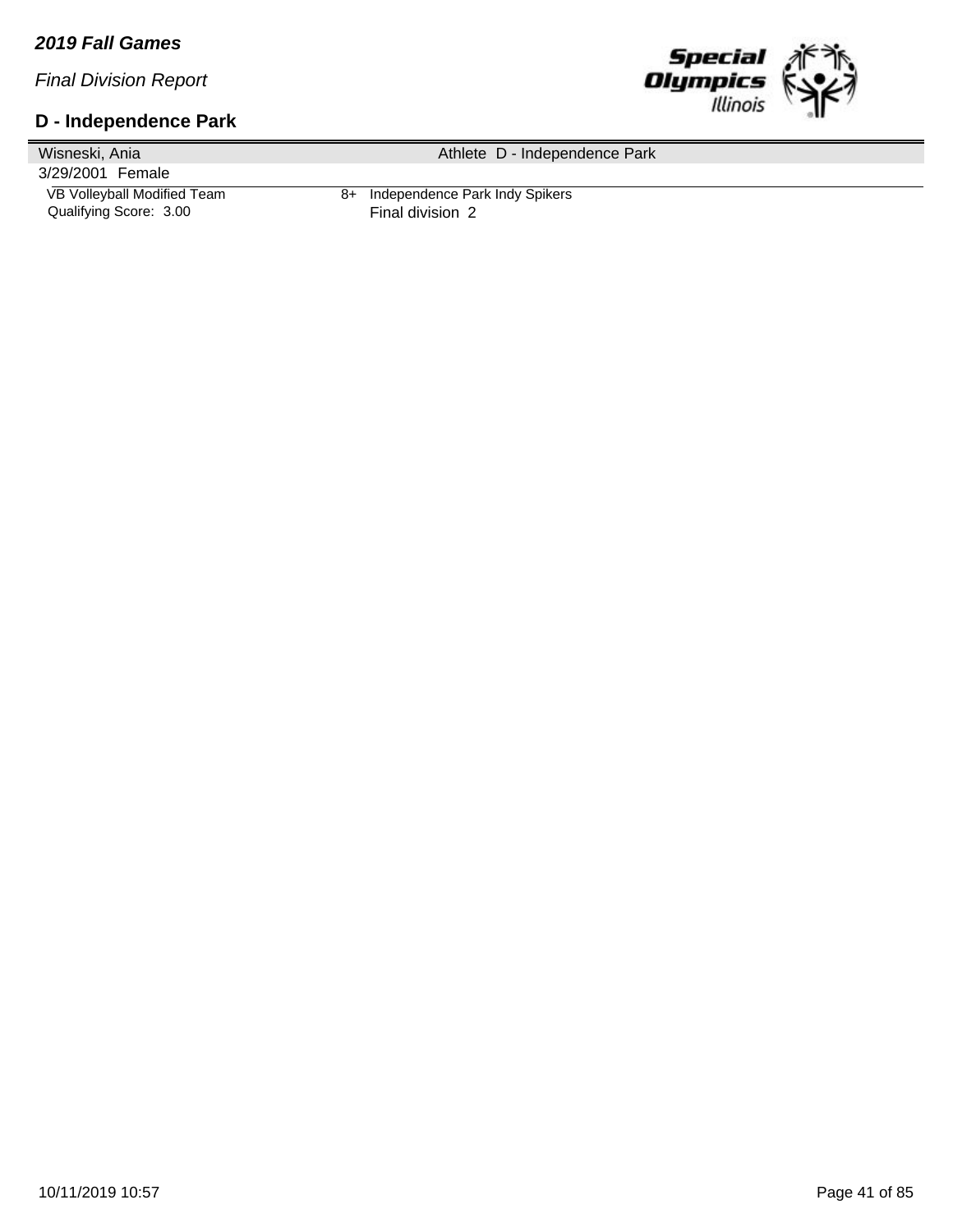#### *2019 Fall Games*

*Final Division Report*

#### **D - Independence Park**



Wisneski, Ania 3/29/2001 Female Athlete D - Independence Park VB Volleyball Modified Team 8+ Independence Park Indy Spikers<br>Qualifying Score: 3.00 Final division 2 Qualifying Score: 3.00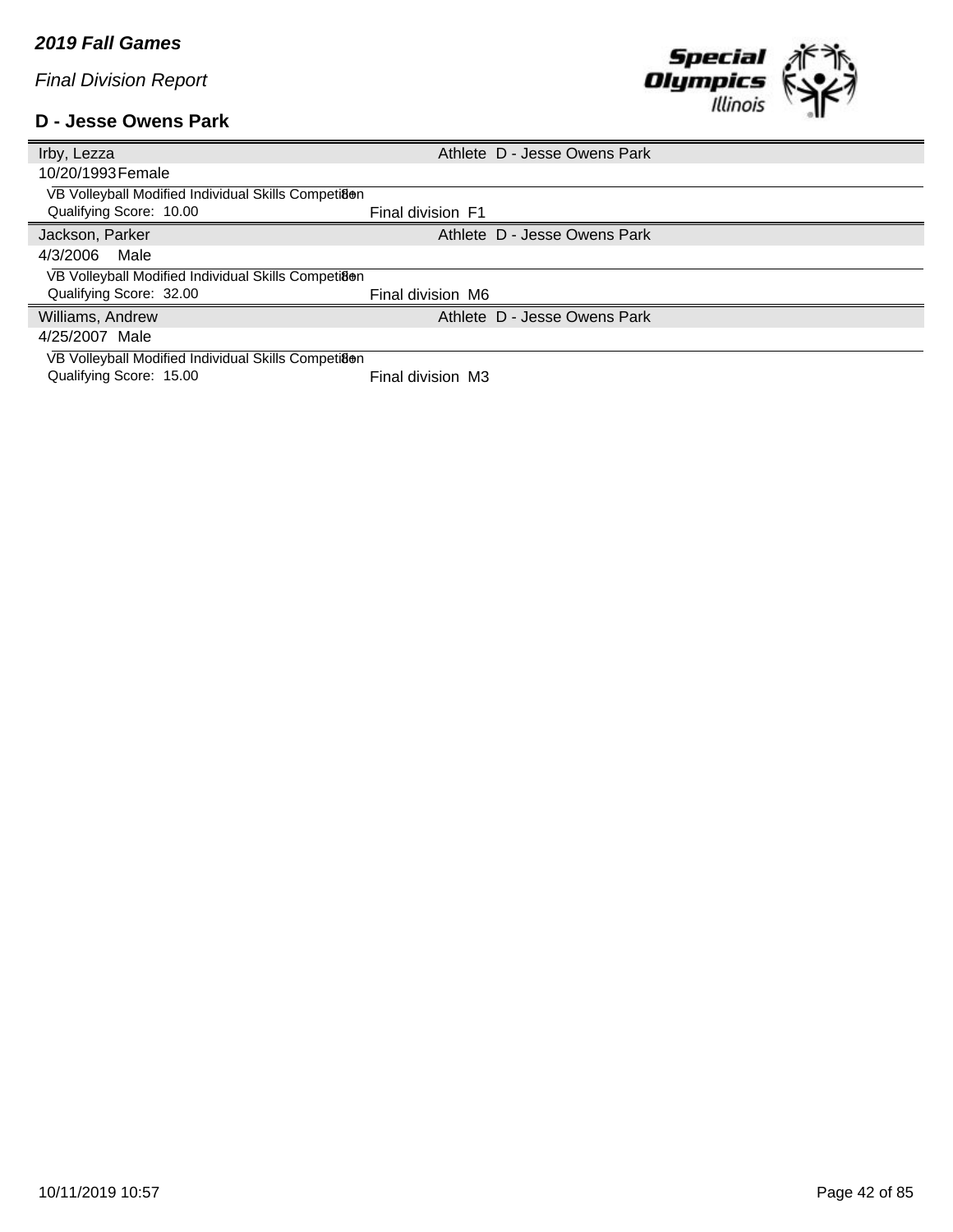#### **D - Jesse Owens Park**



| Irby, Lezza                                         | Athlete D - Jesse Owens Park |
|-----------------------------------------------------|------------------------------|
| 10/20/1993 Female                                   |                              |
| VB Volleyball Modified Individual Skills Competiaen |                              |
| Qualifying Score: 10.00                             | Final division F1            |
| Jackson, Parker                                     | Athlete D - Jesse Owens Park |
| 4/3/2006<br>Male                                    |                              |
| VB Volleyball Modified Individual Skills Competian  |                              |
| Qualifying Score: 32.00                             | Final division M6            |
| Williams, Andrew                                    | Athlete D - Jesse Owens Park |
| 4/25/2007 Male                                      |                              |
| VB Volleyball Modified Individual Skills Competiaen |                              |

Qualifying Score: 15.00 Final division M3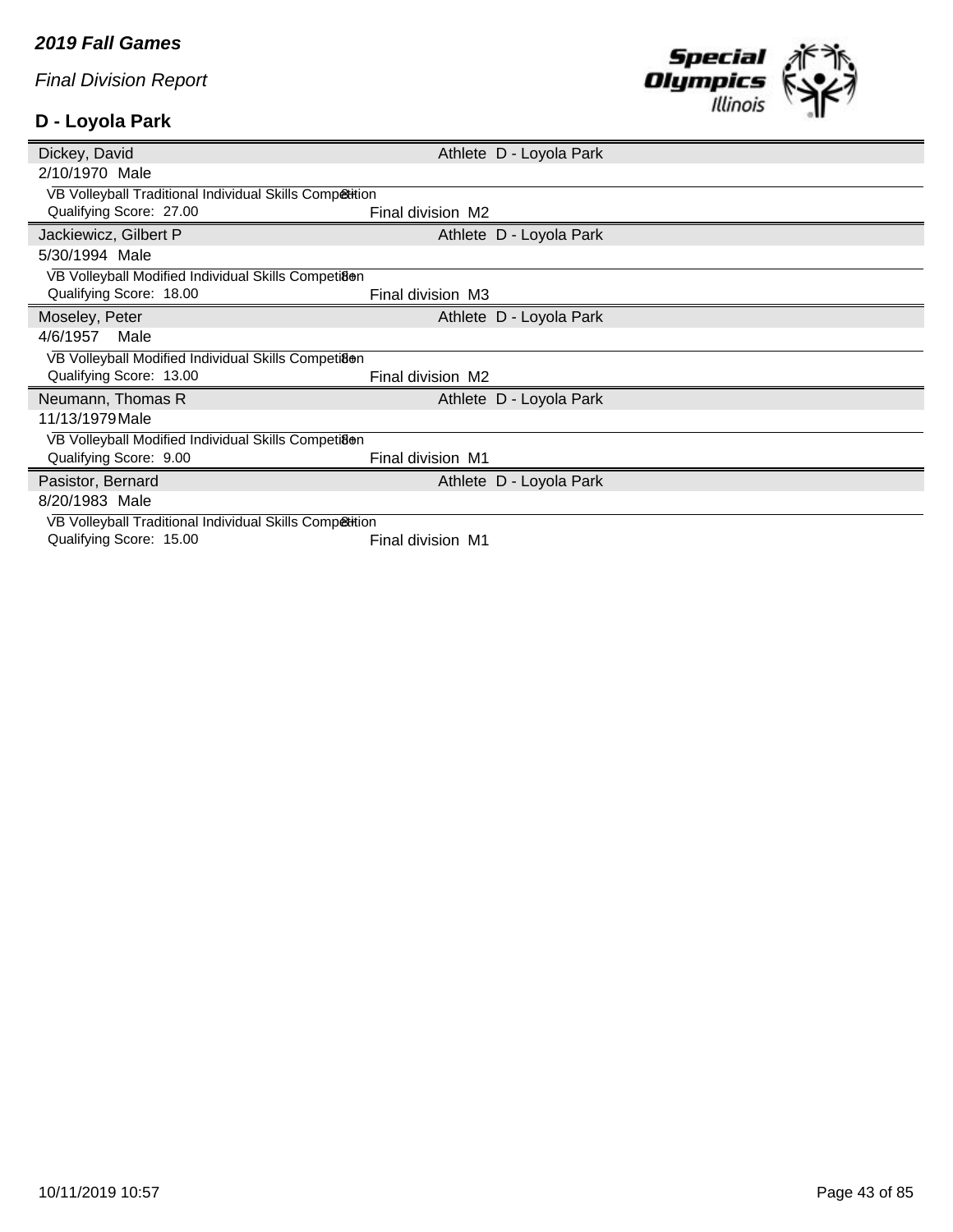## **D - Loyola Park**



| Dickey, David                                           | Athlete D - Loyola Park |
|---------------------------------------------------------|-------------------------|
| 2/10/1970 Male                                          |                         |
| VB Volleyball Traditional Individual Skills Competition |                         |
| Qualifying Score: 27.00                                 | Final division M2       |
| Jackiewicz, Gilbert P                                   | Athlete D - Loyola Park |
| 5/30/1994 Male                                          |                         |
| VB Volleyball Modified Individual Skills Competiaen     |                         |
| Qualifying Score: 18.00                                 | Final division M3       |
| Moseley, Peter                                          | Athlete D - Loyola Park |
| Male<br>4/6/1957                                        |                         |
| VB Volleyball Modified Individual Skills Competiaen     |                         |
| Qualifying Score: 13.00                                 | Final division M2       |
| Neumann, Thomas R                                       | Athlete D - Loyola Park |
| 11/13/1979 Male                                         |                         |
| VB Volleyball Modified Individual Skills Competiaen     |                         |
| Qualifying Score: 9.00                                  | Final division M1       |
| Pasistor, Bernard                                       | Athlete D - Loyola Park |
| 8/20/1983 Male                                          |                         |
| VB Volleyball Traditional Individual Skills Competition |                         |
| Qualifying Score: 15.00                                 | Final division M1       |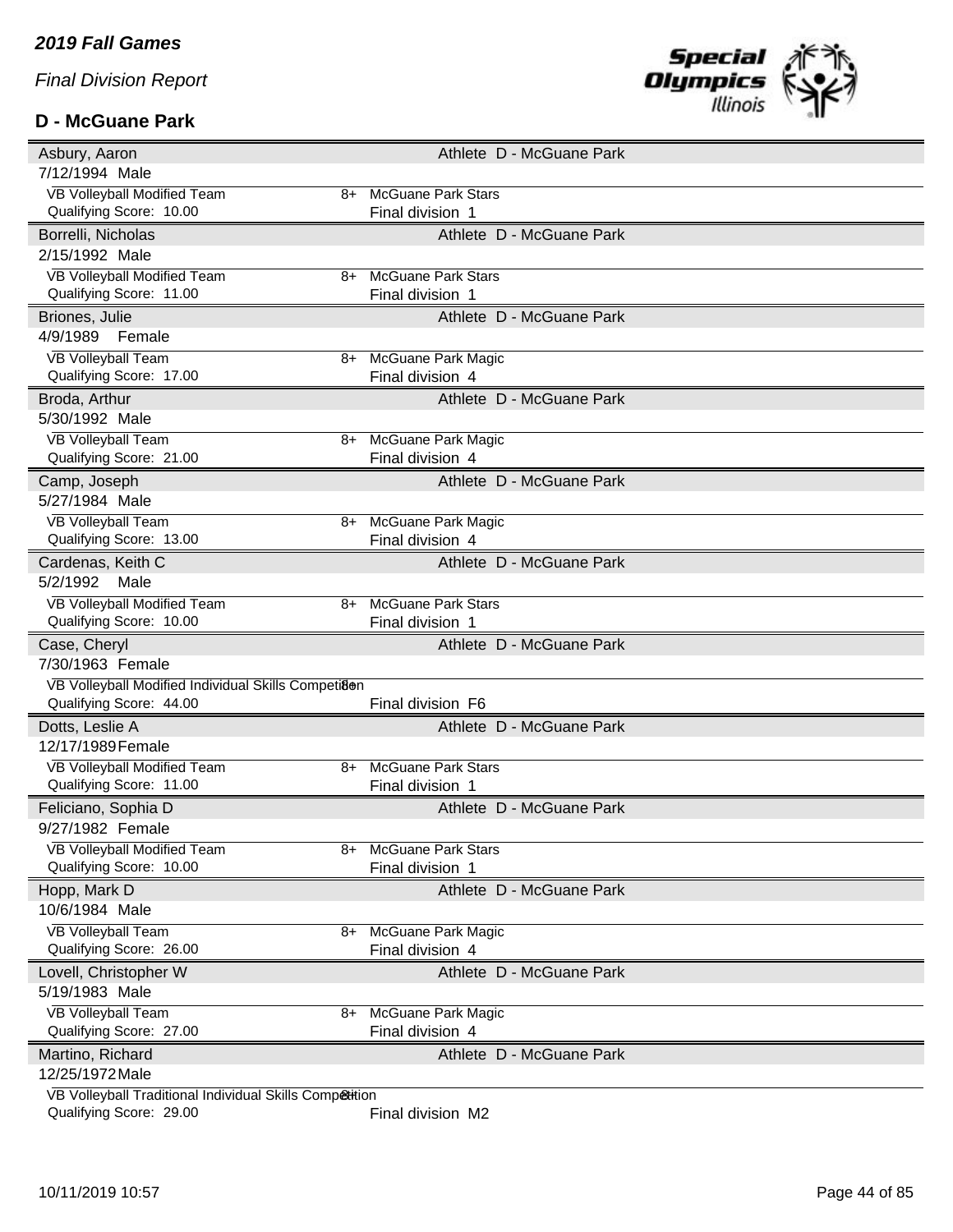#### **D - McGuane Park**



| Asbury, Aaron                                                                      |    | Athlete D - McGuane Park  |
|------------------------------------------------------------------------------------|----|---------------------------|
| 7/12/1994 Male                                                                     |    |                           |
| VB Volleyball Modified Team                                                        | 8+ | <b>McGuane Park Stars</b> |
| Qualifying Score: 10.00                                                            |    | Final division 1          |
| Borrelli, Nicholas                                                                 |    | Athlete D - McGuane Park  |
| 2/15/1992 Male                                                                     |    |                           |
| VB Volleyball Modified Team                                                        | 8+ | <b>McGuane Park Stars</b> |
| Qualifying Score: 11.00                                                            |    | Final division 1          |
| Briones, Julie                                                                     |    | Athlete D - McGuane Park  |
| 4/9/1989<br>Female                                                                 |    |                           |
| <b>VB Volleyball Team</b>                                                          | 8+ | McGuane Park Magic        |
| Qualifying Score: 17.00                                                            |    | Final division 4          |
| Broda, Arthur                                                                      |    | Athlete D - McGuane Park  |
| 5/30/1992 Male                                                                     |    |                           |
| <b>VB Volleyball Team</b>                                                          | 8+ | McGuane Park Magic        |
| Qualifying Score: 21.00                                                            |    | Final division 4          |
| Camp, Joseph                                                                       |    | Athlete D - McGuane Park  |
| 5/27/1984 Male                                                                     |    |                           |
| <b>VB Volleyball Team</b>                                                          | 8+ | <b>McGuane Park Magic</b> |
| Qualifying Score: 13.00                                                            |    | Final division 4          |
| Cardenas, Keith C                                                                  |    | Athlete D - McGuane Park  |
| 5/2/1992<br>Male                                                                   |    |                           |
| VB Volleyball Modified Team                                                        | 8+ | <b>McGuane Park Stars</b> |
| Qualifying Score: 10.00                                                            |    | Final division 1          |
|                                                                                    |    |                           |
| Case, Cheryl                                                                       |    | Athlete D - McGuane Park  |
| 7/30/1963 Female                                                                   |    |                           |
| VB Volleyball Modified Individual Skills Competiaen                                |    |                           |
| Qualifying Score: 44.00                                                            |    | Final division F6         |
| Dotts, Leslie A                                                                    |    | Athlete D - McGuane Park  |
| 12/17/1989 Female                                                                  |    |                           |
| <b>VB Volleyball Modified Team</b>                                                 | 8+ | <b>McGuane Park Stars</b> |
| Qualifying Score: 11.00                                                            |    | Final division 1          |
| Feliciano, Sophia D                                                                |    | Athlete D - McGuane Park  |
| 9/27/1982 Female                                                                   |    |                           |
| VB Volleyball Modified Team                                                        | 8+ | <b>McGuane Park Stars</b> |
| Qualifying Score: 10.00                                                            |    | Final division 1          |
| Hopp, Mark D                                                                       |    | Athlete D - McGuane Park  |
| 10/6/1984 Male                                                                     |    |                           |
| <b>VB Volleyball Team</b>                                                          | 8+ | McGuane Park Magic        |
| Qualifying Score: 26.00                                                            |    | Final division 4          |
| Lovell, Christopher W                                                              |    | Athlete D - McGuane Park  |
| 5/19/1983 Male                                                                     |    |                           |
| <b>VB Volleyball Team</b>                                                          | 8+ | McGuane Park Magic        |
| Qualifying Score: 27.00                                                            |    | Final division 4          |
| Martino, Richard                                                                   |    | Athlete D - McGuane Park  |
| 12/25/1972 Male                                                                    |    |                           |
| VB Volleyball Traditional Individual Skills Competition<br>Qualifying Score: 29.00 |    | Final division M2         |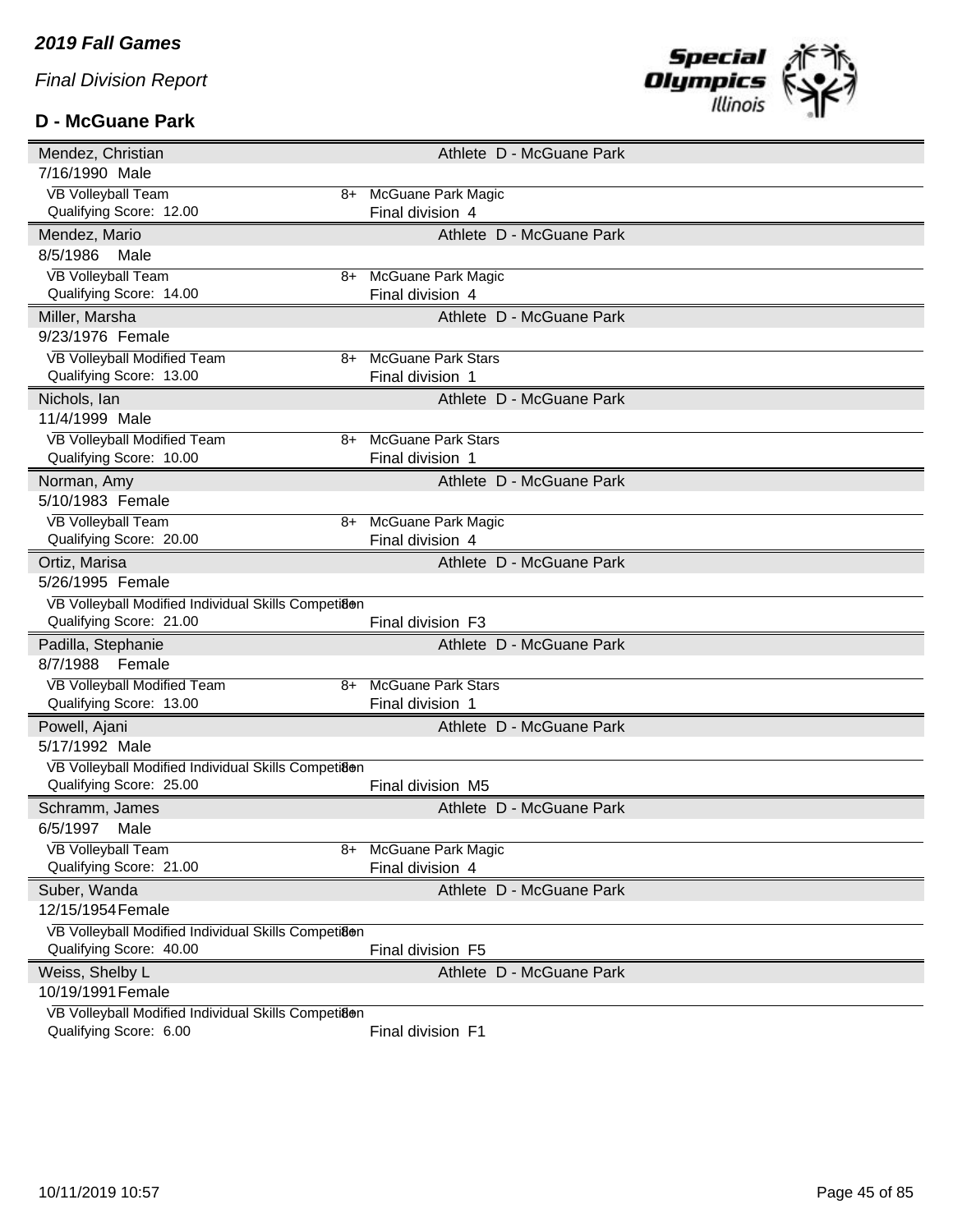#### **D - McGuane Park**



| Mendez, Christian                                                              |    |                                               | Athlete D - McGuane Park |  |  |
|--------------------------------------------------------------------------------|----|-----------------------------------------------|--------------------------|--|--|
| 7/16/1990 Male                                                                 |    |                                               |                          |  |  |
| <b>VB Volleyball Team</b>                                                      | 8+ | <b>McGuane Park Magic</b>                     |                          |  |  |
| Qualifying Score: 12.00                                                        |    | Final division 4                              |                          |  |  |
| Mendez, Mario                                                                  |    |                                               | Athlete D - McGuane Park |  |  |
| 8/5/1986<br>Male                                                               |    |                                               |                          |  |  |
| <b>VB Volleyball Team</b>                                                      | 8+ | <b>McGuane Park Magic</b>                     |                          |  |  |
| Qualifying Score: 14.00                                                        |    | Final division 4                              |                          |  |  |
| Miller, Marsha                                                                 |    |                                               | Athlete D - McGuane Park |  |  |
| 9/23/1976 Female                                                               |    |                                               |                          |  |  |
| VB Volleyball Modified Team                                                    | 8+ | <b>McGuane Park Stars</b>                     |                          |  |  |
| Qualifying Score: 13.00                                                        |    | Final division 1                              |                          |  |  |
| Nichols, Ian                                                                   |    |                                               | Athlete D - McGuane Park |  |  |
| 11/4/1999 Male                                                                 |    |                                               |                          |  |  |
| VB Volleyball Modified Team<br>Qualifying Score: 10.00                         | 8+ | <b>McGuane Park Stars</b><br>Final division 1 |                          |  |  |
|                                                                                |    |                                               | Athlete D - McGuane Park |  |  |
| Norman, Amy<br>5/10/1983 Female                                                |    |                                               |                          |  |  |
| <b>VB Volleyball Team</b>                                                      | 8+ | McGuane Park Magic                            |                          |  |  |
| Qualifying Score: 20.00                                                        |    | Final division 4                              |                          |  |  |
| Ortiz, Marisa                                                                  |    |                                               | Athlete D - McGuane Park |  |  |
| 5/26/1995 Female                                                               |    |                                               |                          |  |  |
|                                                                                |    |                                               |                          |  |  |
|                                                                                |    |                                               |                          |  |  |
| VB Volleyball Modified Individual Skills Competiaen<br>Qualifying Score: 21.00 |    | Final division F3                             |                          |  |  |
|                                                                                |    |                                               | Athlete D - McGuane Park |  |  |
| Padilla, Stephanie<br>8/7/1988<br>Female                                       |    |                                               |                          |  |  |
| VB Volleyball Modified Team                                                    | 8+ | <b>McGuane Park Stars</b>                     |                          |  |  |
| Qualifying Score: 13.00                                                        |    | Final division 1                              |                          |  |  |
| Powell, Ajani                                                                  |    |                                               | Athlete D - McGuane Park |  |  |
| 5/17/1992 Male                                                                 |    |                                               |                          |  |  |
| VB Volleyball Modified Individual Skills Competiaen                            |    |                                               |                          |  |  |
| Qualifying Score: 25.00                                                        |    | Final division M5                             |                          |  |  |
| Schramm, James                                                                 |    |                                               | Athlete D - McGuane Park |  |  |
| 6/5/1997<br>Male                                                               |    |                                               |                          |  |  |
| <b>VB Volleyball Team</b>                                                      | 8+ | McGuane Park Magic                            |                          |  |  |
| Qualifying Score: 21.00                                                        |    | Final division 4                              |                          |  |  |
| Suber, Wanda                                                                   |    |                                               | Athlete D - McGuane Park |  |  |
| 12/15/1954 Female                                                              |    |                                               |                          |  |  |
| VB Volleyball Modified Individual Skills Competiaen                            |    |                                               |                          |  |  |
| Qualifying Score: 40.00                                                        |    | Final division F5                             |                          |  |  |
| Weiss, Shelby L                                                                |    |                                               | Athlete D - McGuane Park |  |  |
| 10/19/1991 Female                                                              |    |                                               |                          |  |  |
| VB Volleyball Modified Individual Skills Competiaen<br>Qualifying Score: 6.00  |    | Final division F1                             |                          |  |  |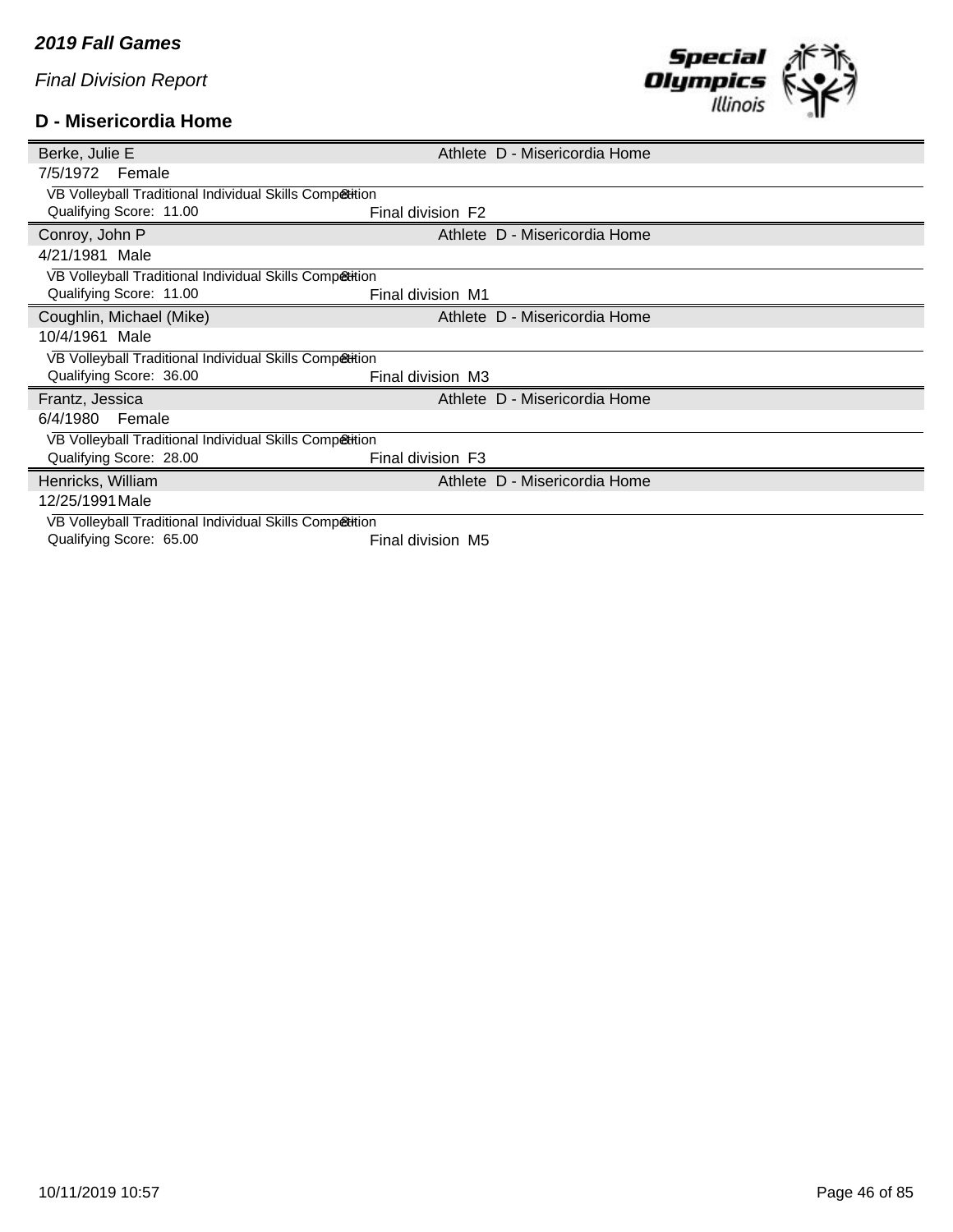#### **D - Misericordia Home**



| Berke, Julie E                                          |                   | Athlete D - Misericordia Home |
|---------------------------------------------------------|-------------------|-------------------------------|
| 7/5/1972 Female                                         |                   |                               |
| VB Volleyball Traditional Individual Skills Competition |                   |                               |
| Qualifying Score: 11.00                                 | Final division F2 |                               |
| Conroy, John P                                          |                   | Athlete D - Misericordia Home |
| 4/21/1981 Male                                          |                   |                               |
| VB Volleyball Traditional Individual Skills Competition |                   |                               |
| Qualifying Score: 11.00                                 | Final division M1 |                               |
| Coughlin, Michael (Mike)                                |                   | Athlete D - Misericordia Home |
| 10/4/1961 Male                                          |                   |                               |
| VB Volleyball Traditional Individual Skills Competition |                   |                               |
|                                                         |                   |                               |
| Qualifying Score: 36.00                                 | Final division M3 |                               |
| Frantz, Jessica                                         |                   | Athlete D - Misericordia Home |
| 6/4/1980<br>Female                                      |                   |                               |
| VB Volleyball Traditional Individual Skills Competition |                   |                               |
| Qualifying Score: 28.00                                 | Final division F3 |                               |
| Henricks, William                                       |                   | Athlete D - Misericordia Home |
| 12/25/1991 Male                                         |                   |                               |
| VB Volleyball Traditional Individual Skills Competition |                   |                               |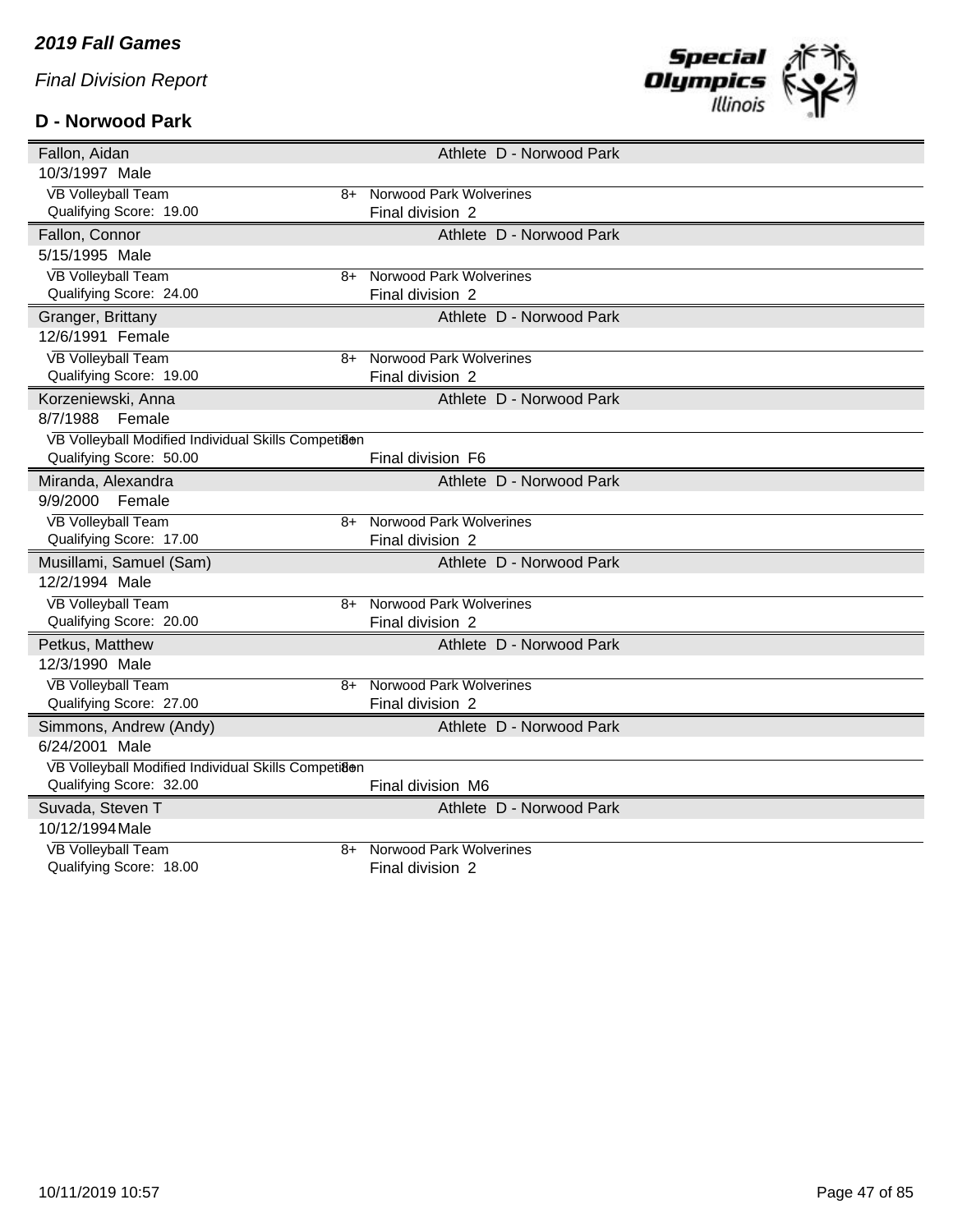# **D - Norwood Park**



| Fallon, Aidan                                       | Athlete D - Norwood Park       |
|-----------------------------------------------------|--------------------------------|
| 10/3/1997 Male                                      |                                |
| <b>VB Volleyball Team</b><br>$8+$                   | Norwood Park Wolverines        |
| Qualifying Score: 19.00                             | Final division 2               |
| Fallon, Connor                                      | Athlete D - Norwood Park       |
| 5/15/1995 Male                                      |                                |
| <b>VB Volleyball Team</b><br>8+                     | <b>Norwood Park Wolverines</b> |
| Qualifying Score: 24.00                             | Final division 2               |
| Granger, Brittany                                   | Athlete D - Norwood Park       |
| 12/6/1991 Female                                    |                                |
| <b>VB Volleyball Team</b><br>8+                     | <b>Norwood Park Wolverines</b> |
| Qualifying Score: 19.00                             | Final division 2               |
| Korzeniewski, Anna                                  | Athlete D - Norwood Park       |
| 8/7/1988<br>Female                                  |                                |
| VB Volleyball Modified Individual Skills Competiaen |                                |
| Qualifying Score: 50.00                             | Final division F6              |
| Miranda, Alexandra                                  | Athlete D - Norwood Park       |
| 9/9/2000<br>Female                                  |                                |
| <b>VB Volleyball Team</b><br>$8+$                   | <b>Norwood Park Wolverines</b> |
| Qualifying Score: 17.00                             | Final division 2               |
| Musillami, Samuel (Sam)                             | Athlete D - Norwood Park       |
| 12/2/1994 Male                                      |                                |
| <b>VB Volleyball Team</b><br>8+                     | Norwood Park Wolverines        |
| Qualifying Score: 20.00                             | Final division 2               |
| Petkus, Matthew                                     | Athlete D - Norwood Park       |
| 12/3/1990 Male                                      |                                |
| <b>VB Volleyball Team</b><br>8+                     | <b>Norwood Park Wolverines</b> |
| Qualifying Score: 27.00                             | Final division 2               |
| Simmons, Andrew (Andy)                              | Athlete D - Norwood Park       |
| 6/24/2001 Male                                      |                                |
| VB Volleyball Modified Individual Skills Competi8en |                                |
| Qualifying Score: 32.00                             | Final division M6              |
| Suvada, Steven T                                    | Athlete D - Norwood Park       |
| 10/12/1994 Male                                     |                                |
| <b>VB Volleyball Team</b><br>8+                     | <b>Norwood Park Wolverines</b> |
| Qualifying Score: 18.00                             | Final division 2               |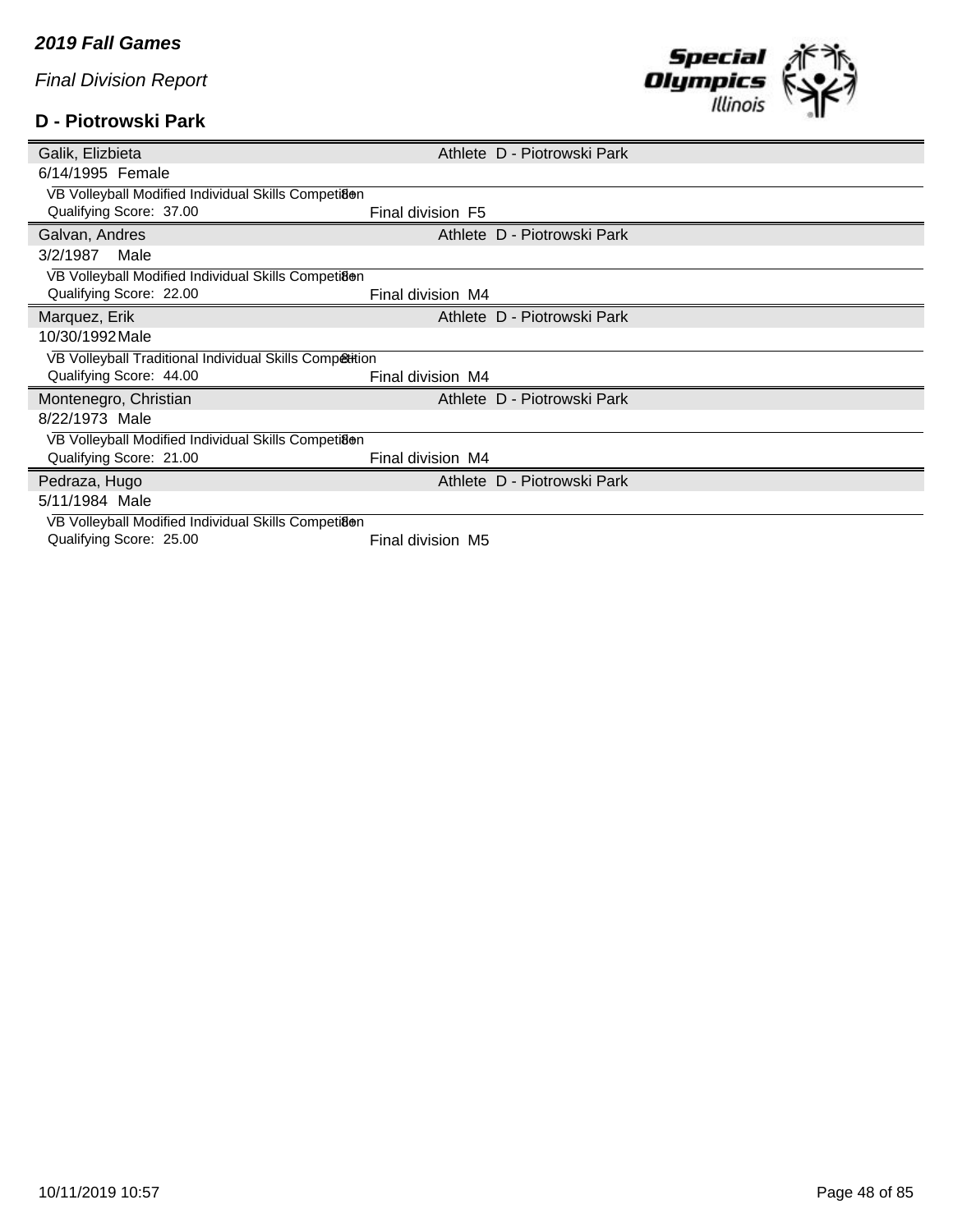#### **D - Piotrowski Park**



| Galik, Elizbieta                                        |                   | Athlete D - Piotrowski Park |
|---------------------------------------------------------|-------------------|-----------------------------|
| 6/14/1995 Female                                        |                   |                             |
| VB Volleyball Modified Individual Skills Competiaen     |                   |                             |
| Qualifying Score: 37.00                                 | Final division F5 |                             |
| Galvan, Andres                                          |                   | Athlete D - Piotrowski Park |
| 3/2/1987<br>Male                                        |                   |                             |
| VB Volleyball Modified Individual Skills Competiaen     |                   |                             |
| Qualifying Score: 22.00                                 | Final division M4 |                             |
| Marquez, Erik                                           |                   | Athlete D - Piotrowski Park |
| 10/30/1992 Male                                         |                   |                             |
| VB Volleyball Traditional Individual Skills Competition |                   |                             |
| Qualifying Score: 44.00                                 | Final division M4 |                             |
| Montenegro, Christian                                   |                   | Athlete D - Piotrowski Park |
| 8/22/1973 Male                                          |                   |                             |
| VB Volleyball Modified Individual Skills Competiaen     |                   |                             |
| Qualifying Score: 21.00                                 | Final division M4 |                             |
| Pedraza, Hugo                                           |                   | Athlete D - Piotrowski Park |
| 5/11/1984 Male                                          |                   |                             |
| VB Volleyball Modified Individual Skills Competiaen     |                   |                             |
| Qualifying Score: 25.00                                 | Final division M5 |                             |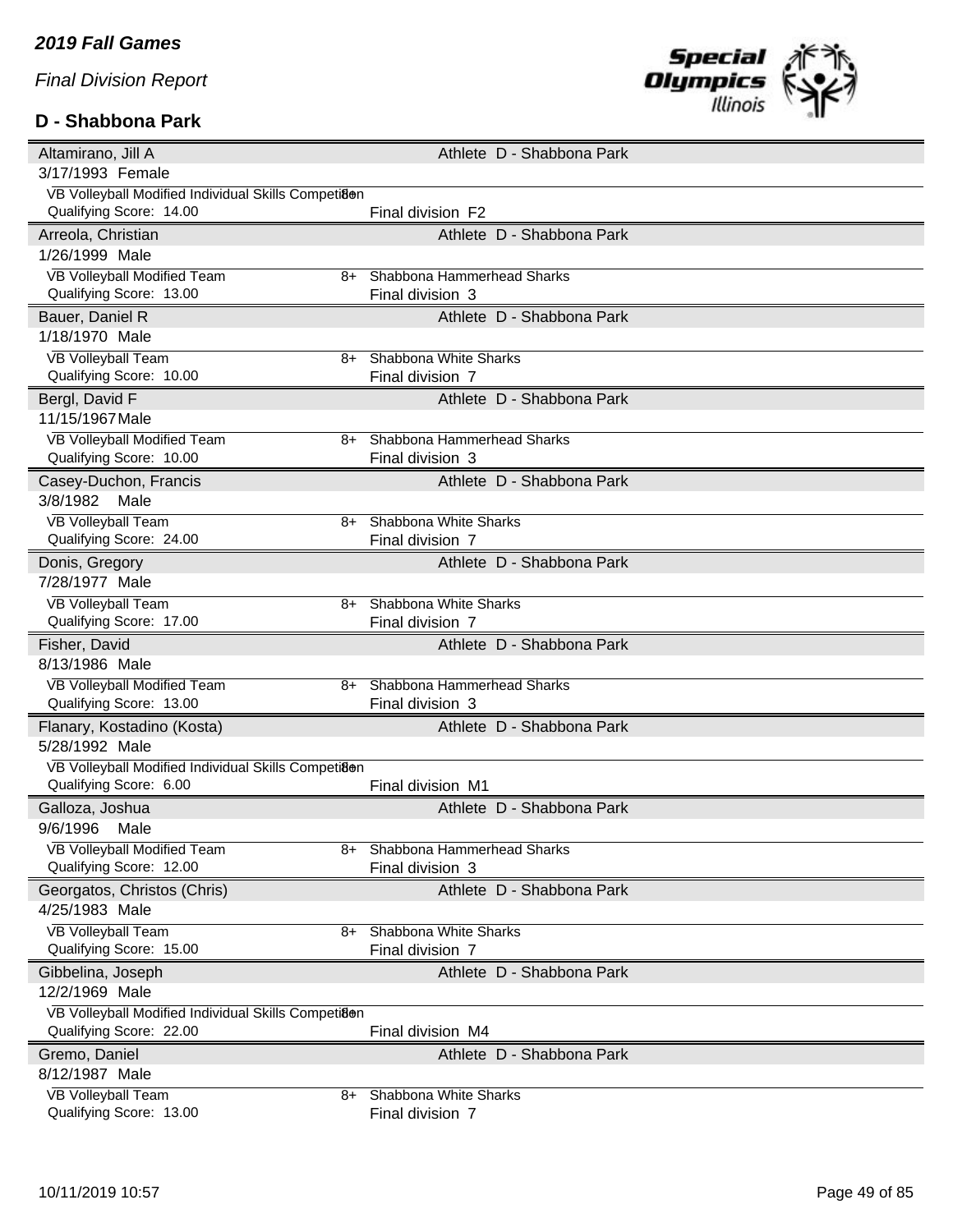## **D - Shabbona Park**



|                                                     |    | Athlete D - Shabbona Park  |
|-----------------------------------------------------|----|----------------------------|
| 3/17/1993 Female                                    |    |                            |
| VB Volleyball Modified Individual Skills Competi8en |    |                            |
| Qualifying Score: 14.00                             |    | Final division F2          |
| Arreola, Christian                                  |    | Athlete D - Shabbona Park  |
| 1/26/1999 Male                                      |    |                            |
| <b>VB Volleyball Modified Team</b>                  | 8+ | Shabbona Hammerhead Sharks |
| Qualifying Score: 13.00                             |    | Final division 3           |
| Bauer, Daniel R                                     |    | Athlete D - Shabbona Park  |
| 1/18/1970 Male                                      |    |                            |
| <b>VB Volleyball Team</b>                           | 8+ | Shabbona White Sharks      |
| Qualifying Score: 10.00                             |    | Final division 7           |
| Bergl, David F                                      |    | Athlete D - Shabbona Park  |
| 11/15/1967 Male                                     |    |                            |
| VB Volleyball Modified Team                         | 8+ | Shabbona Hammerhead Sharks |
| Qualifying Score: 10.00                             |    | Final division 3           |
| Casey-Duchon, Francis                               |    | Athlete D - Shabbona Park  |
| 3/8/1982<br>Male                                    |    |                            |
| <b>VB Volleyball Team</b>                           | 8+ | Shabbona White Sharks      |
| Qualifying Score: 24.00                             |    | Final division 7           |
| Donis, Gregory                                      |    | Athlete D - Shabbona Park  |
| 7/28/1977 Male                                      |    |                            |
| <b>VB Volleyball Team</b>                           | 8+ | Shabbona White Sharks      |
| Qualifying Score: 17.00                             |    | Final division 7           |
| Fisher, David                                       |    | Athlete D - Shabbona Park  |
| 8/13/1986 Male                                      |    |                            |
|                                                     |    |                            |
| VB Volleyball Modified Team                         | 8+ | Shabbona Hammerhead Sharks |
| Qualifying Score: 13.00                             |    | Final division 3           |
| Flanary, Kostadino (Kosta)                          |    | Athlete D - Shabbona Park  |
| 5/28/1992 Male                                      |    |                            |
| VB Volleyball Modified Individual Skills Competiaen |    |                            |
| Qualifying Score: 6.00                              |    | Final division M1          |
| Galloza, Joshua                                     |    | Athlete D - Shabbona Park  |
| 9/6/1996<br>Male                                    |    |                            |
| VB Volleyball Modified Team                         | 8+ | Shabbona Hammerhead Sharks |
| Qualifying Score: 12.00                             |    | Final division 3           |
|                                                     |    | Athlete D - Shabbona Park  |
| Georgatos, Christos (Chris)<br>4/25/1983 Male       |    |                            |
| <b>VB Volleyball Team</b>                           | 8+ | Shabbona White Sharks      |
| Qualifying Score: 15.00                             |    | Final division 7           |
| Gibbelina, Joseph                                   |    | Athlete D - Shabbona Park  |
| 12/2/1969 Male                                      |    |                            |
| VB Volleyball Modified Individual Skills Competiaen |    |                            |
| Qualifying Score: 22.00                             |    | Final division M4          |
| Gremo, Daniel                                       |    | Athlete D - Shabbona Park  |
| 8/12/1987 Male                                      |    |                            |
| <b>VB Volleyball Team</b>                           | 8+ | Shabbona White Sharks      |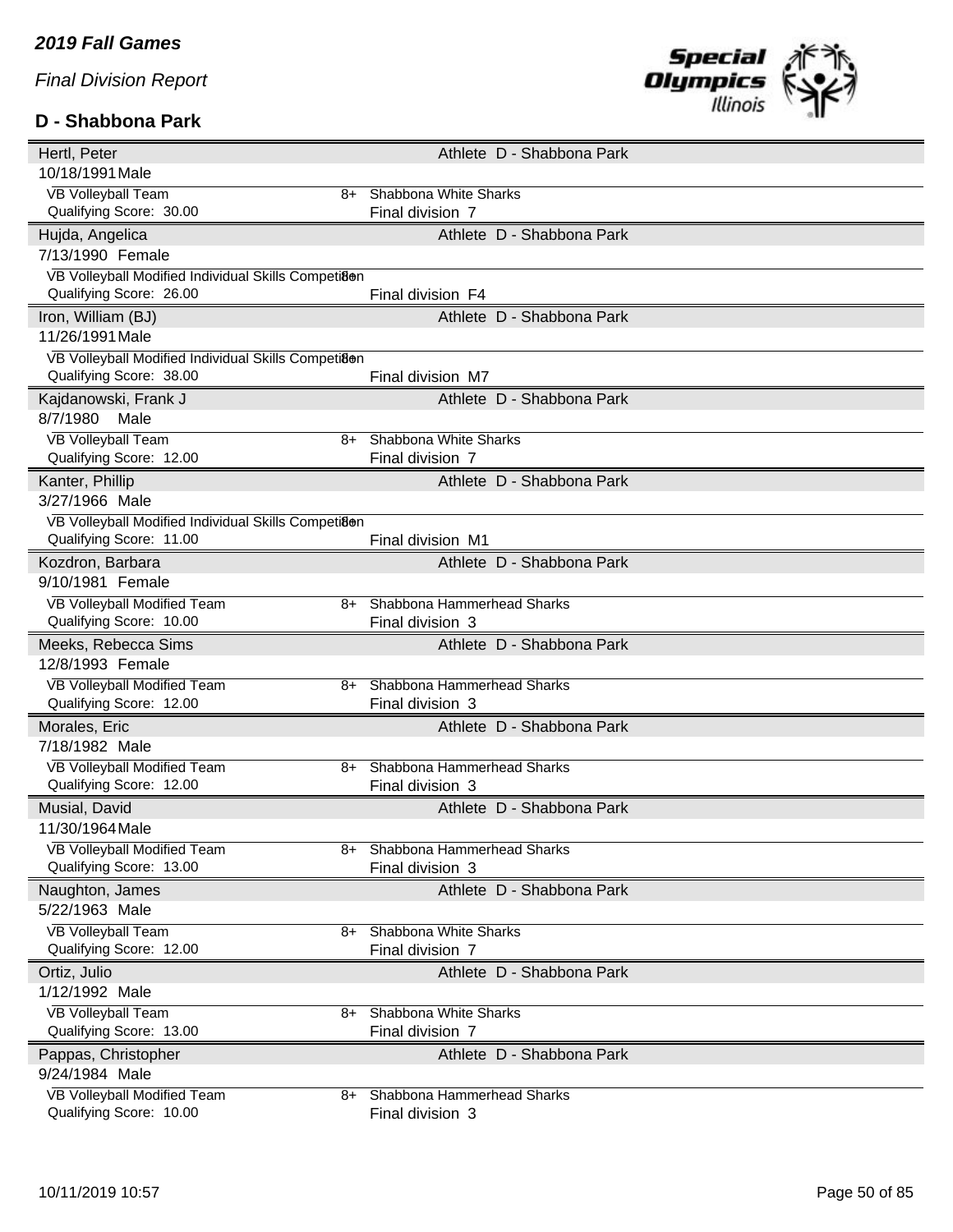# **D - Shabbona Park**



| Hertl, Peter                                        |    | Athlete D - Shabbona Park    |
|-----------------------------------------------------|----|------------------------------|
| 10/18/1991 Male                                     |    |                              |
| <b>VB Volleyball Team</b>                           | 8+ | Shabbona White Sharks        |
| Qualifying Score: 30.00                             |    | Final division 7             |
| Hujda, Angelica                                     |    | Athlete D - Shabbona Park    |
| 7/13/1990 Female                                    |    |                              |
| VB Volleyball Modified Individual Skills Competiaen |    |                              |
| Qualifying Score: 26.00                             |    | Final division F4            |
| Iron, William (BJ)                                  |    | Athlete D - Shabbona Park    |
| 11/26/1991 Male                                     |    |                              |
| VB Volleyball Modified Individual Skills Competiaen |    |                              |
| Qualifying Score: 38.00                             |    | Final division M7            |
| Kajdanowski, Frank J                                |    | Athlete D - Shabbona Park    |
| 8/7/1980<br>Male                                    |    |                              |
| <b>VB Volleyball Team</b>                           | 8+ | Shabbona White Sharks        |
| Qualifying Score: 12.00                             |    | Final division 7             |
| Kanter, Phillip                                     |    | Athlete D - Shabbona Park    |
| 3/27/1966 Male                                      |    |                              |
| VB Volleyball Modified Individual Skills Competiaen |    |                              |
| Qualifying Score: 11.00                             |    | Final division M1            |
| Kozdron, Barbara                                    |    | Athlete D - Shabbona Park    |
| 9/10/1981 Female                                    |    |                              |
| VB Volleyball Modified Team                         | 8+ | Shabbona Hammerhead Sharks   |
| Qualifying Score: 10.00                             |    | Final division 3             |
| Meeks, Rebecca Sims                                 |    | Athlete D - Shabbona Park    |
| 12/8/1993 Female                                    |    |                              |
| VB Volleyball Modified Team                         | 8+ | Shabbona Hammerhead Sharks   |
| Qualifying Score: 12.00                             |    | Final division 3             |
| Morales, Eric                                       |    | Athlete D - Shabbona Park    |
| 7/18/1982 Male                                      |    |                              |
| VB Volleyball Modified Team                         | 8+ | Shabbona Hammerhead Sharks   |
| Qualifying Score: 12.00                             |    | Final division 3             |
| Musial, David                                       |    | Athlete D - Shabbona Park    |
| 11/30/1964 Male                                     |    |                              |
| VB Volleyball Modified Team                         | 8+ | Shabbona Hammerhead Sharks   |
| Qualifying Score: 13.00                             |    | Final division 3             |
| Naughton, James                                     |    | Athlete D - Shabbona Park    |
| 5/22/1963 Male                                      |    |                              |
| <b>VB Volleyball Team</b>                           | 8+ | Shabbona White Sharks        |
| Qualifying Score: 12.00                             |    | Final division 7             |
| Ortiz, Julio                                        |    | Athlete D - Shabbona Park    |
| 1/12/1992 Male                                      |    |                              |
| <b>VB Volleyball Team</b>                           | 8+ | <b>Shabbona White Sharks</b> |
| Qualifying Score: 13.00                             |    | Final division 7             |
| Pappas, Christopher                                 |    | Athlete D - Shabbona Park    |
| 9/24/1984 Male                                      |    |                              |
| VB Volleyball Modified Team                         | 8+ | Shabbona Hammerhead Sharks   |
| Qualifying Score: 10.00                             |    | Final division 3             |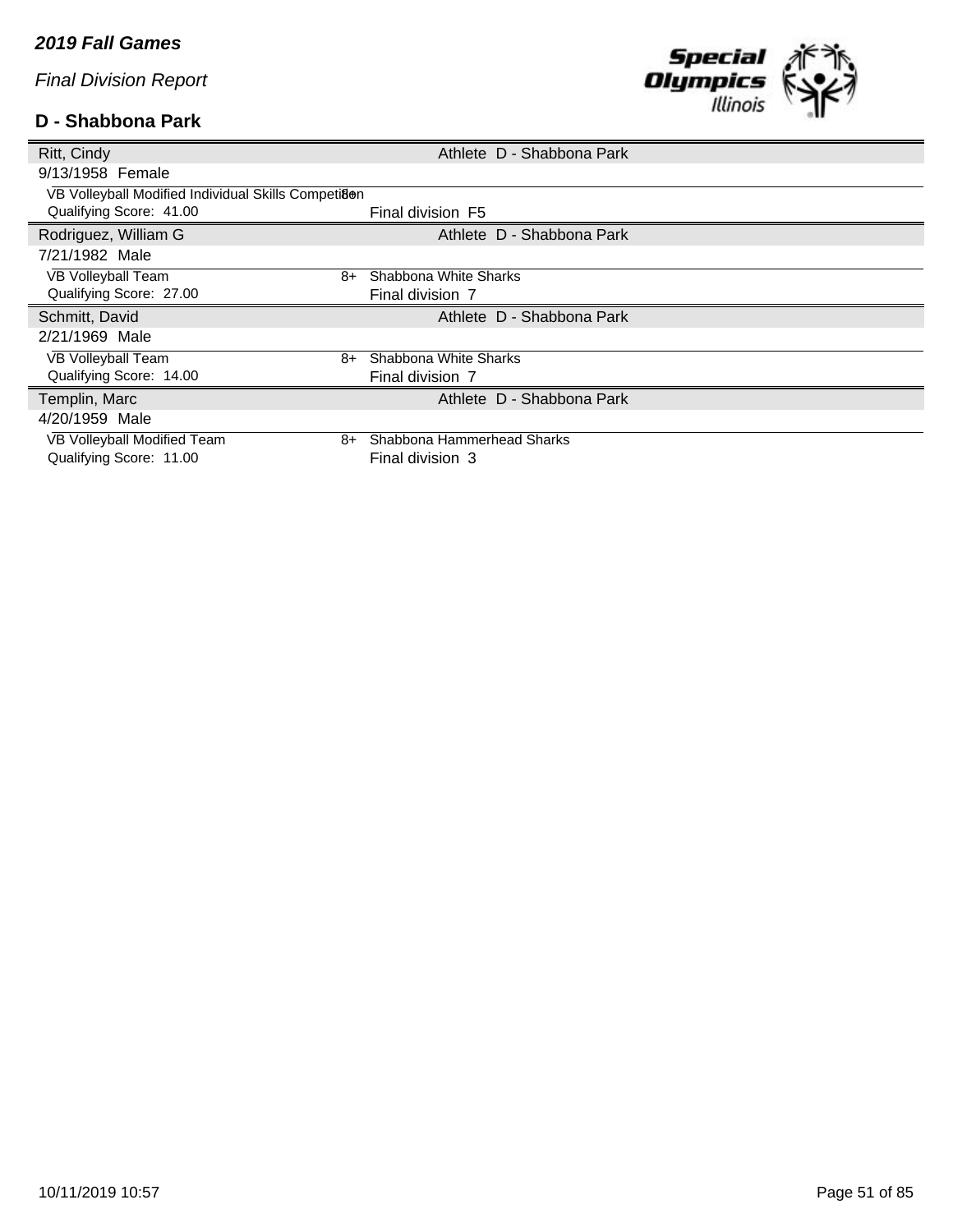# **D - Shabbona Park**



| Ritt, Cindy                                         |      | Athlete D - Shabbona Park  |
|-----------------------------------------------------|------|----------------------------|
| 9/13/1958 Female                                    |      |                            |
| VB Volleyball Modified Individual Skills Competiaen |      |                            |
| Qualifying Score: 41.00                             |      | Final division F5          |
| Rodriguez, William G                                |      | Athlete D - Shabbona Park  |
| 7/21/1982 Male                                      |      |                            |
| VB Volleyball Team                                  | 8+   | Shabbona White Sharks      |
| Qualifying Score: 27.00                             |      | Final division 7           |
|                                                     |      |                            |
| Schmitt, David                                      |      | Athlete D - Shabbona Park  |
| 2/21/1969 Male                                      |      |                            |
| VB Volleyball Team                                  | 8+   | Shabbona White Sharks      |
| Qualifying Score: 14.00                             |      | Final division 7           |
| Templin, Marc                                       |      | Athlete D - Shabbona Park  |
| 4/20/1959 Male                                      |      |                            |
| VB Volleyball Modified Team                         | $8+$ | Shabbona Hammerhead Sharks |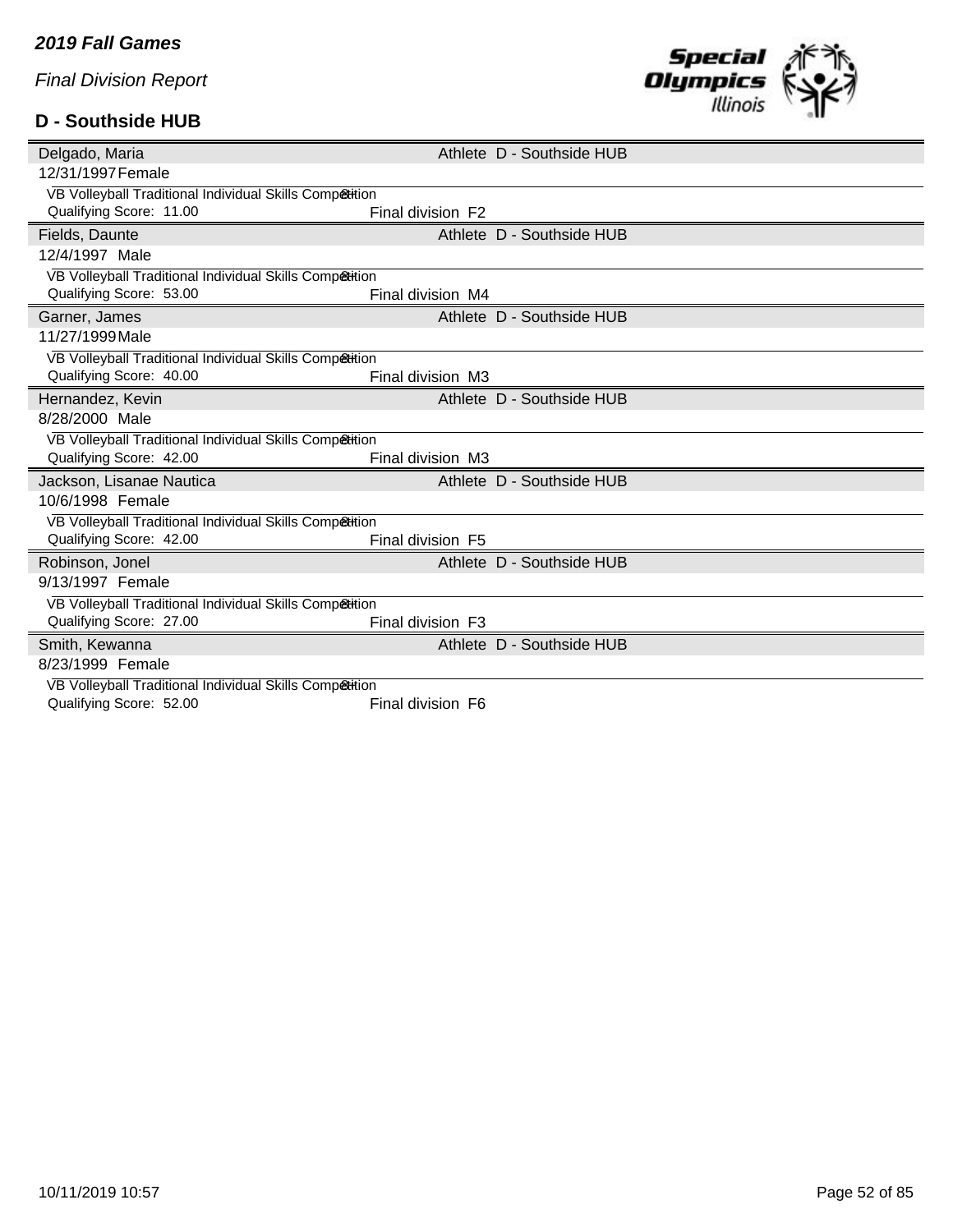## **D - Southside HUB**



| Delgado, Maria                                          |                   | Athlete D - Southside HUB |
|---------------------------------------------------------|-------------------|---------------------------|
| 12/31/1997 Female                                       |                   |                           |
| VB Volleyball Traditional Individual Skills Competition |                   |                           |
| Qualifying Score: 11.00                                 | Final division F2 |                           |
| Fields, Daunte                                          |                   | Athlete D - Southside HUB |
| 12/4/1997 Male                                          |                   |                           |
| VB Volleyball Traditional Individual Skills Competition |                   |                           |
| Qualifying Score: 53.00                                 | Final division M4 |                           |
| Garner, James                                           |                   | Athlete D - Southside HUB |
| 11/27/1999 Male                                         |                   |                           |
| VB Volleyball Traditional Individual Skills Competition |                   |                           |
| Qualifying Score: 40.00                                 | Final division M3 |                           |
| Hernandez, Kevin                                        |                   | Athlete D - Southside HUB |
| 8/28/2000 Male                                          |                   |                           |
| VB Volleyball Traditional Individual Skills Competition |                   |                           |
| Qualifying Score: 42.00                                 | Final division M3 |                           |
| Jackson, Lisanae Nautica                                |                   | Athlete D - Southside HUB |
| 10/6/1998 Female                                        |                   |                           |
| VB Volleyball Traditional Individual Skills Competition |                   |                           |
| Qualifying Score: 42.00                                 | Final division F5 |                           |
| Robinson, Jonel                                         |                   | Athlete D - Southside HUB |
| 9/13/1997 Female                                        |                   |                           |
| VB Volleyball Traditional Individual Skills Comp&tition |                   |                           |
| Qualifying Score: 27.00                                 | Final division F3 |                           |
| Smith, Kewanna                                          |                   | Athlete D - Southside HUB |
| 8/23/1999 Female                                        |                   |                           |
| VB Volleyball Traditional Individual Skills Competition |                   |                           |
| Qualifying Score: 52.00                                 | Final division F6 |                           |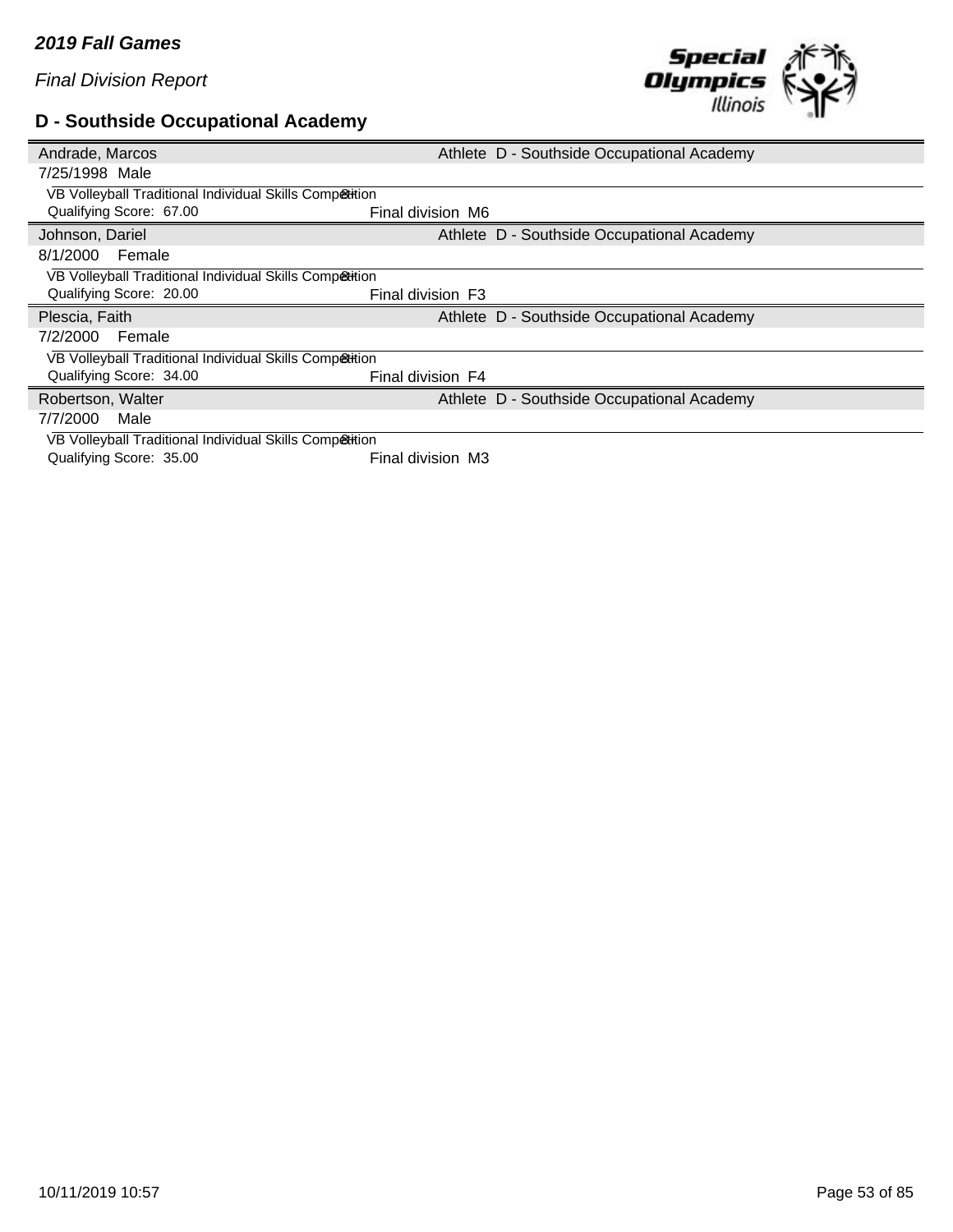## **D - Southside Occupational Academy**



| Andrade, Marcos                                         | Athlete D - Southside Occupational Academy |
|---------------------------------------------------------|--------------------------------------------|
| 7/25/1998 Male                                          |                                            |
| VB Volleyball Traditional Individual Skills Competition |                                            |
| Qualifying Score: 67.00                                 | Final division M6                          |
| Johnson, Dariel                                         | Athlete D - Southside Occupational Academy |
| 8/1/2000<br>Female                                      |                                            |
| VB Volleyball Traditional Individual Skills Competition |                                            |
| Qualifying Score: 20.00                                 | Final division F3                          |
|                                                         |                                            |
| Plescia, Faith                                          | Athlete D - Southside Occupational Academy |
| 7/2/2000<br>Female                                      |                                            |
| VB Volleyball Traditional Individual Skills Competition |                                            |
| Qualifying Score: 34.00                                 | Final division F4                          |
| Robertson, Walter                                       | Athlete D - Southside Occupational Academy |
| 7/7/2000<br>Male                                        |                                            |
| VB Volleyball Traditional Individual Skills Competition |                                            |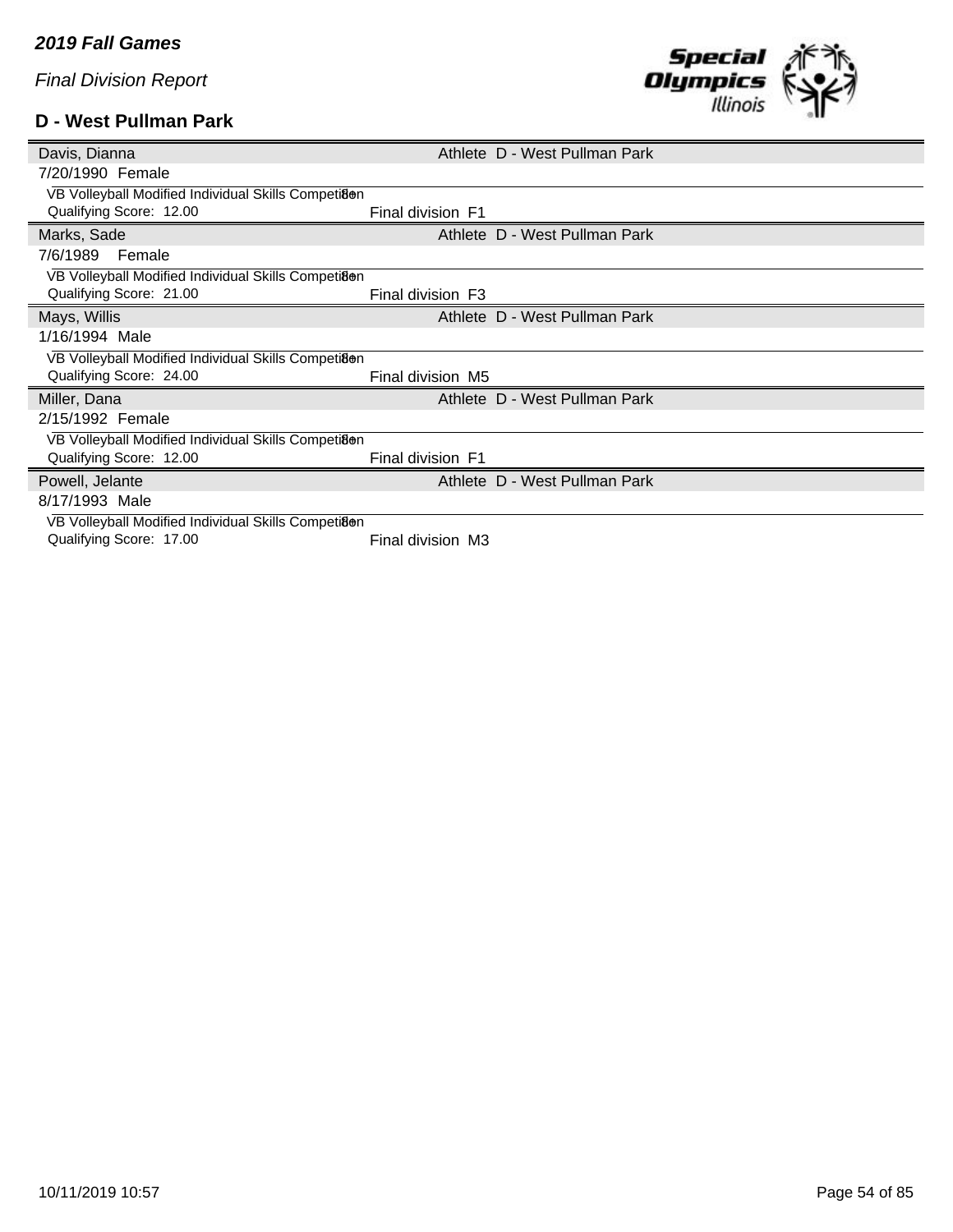## **D - West Pullman Park**



| Davis, Dianna                                       |                   | Athlete D - West Pullman Park |
|-----------------------------------------------------|-------------------|-------------------------------|
| 7/20/1990 Female                                    |                   |                               |
| VB Volleyball Modified Individual Skills Competiaen |                   |                               |
| Qualifying Score: 12.00                             | Final division F1 |                               |
| Marks, Sade                                         |                   | Athlete D - West Pullman Park |
| 7/6/1989<br>Female                                  |                   |                               |
| VB Volleyball Modified Individual Skills Competiaen |                   |                               |
| Qualifying Score: 21.00                             | Final division F3 |                               |
| Mays, Willis                                        |                   | Athlete D - West Pullman Park |
| 1/16/1994 Male                                      |                   |                               |
| VB Volleyball Modified Individual Skills Competiaen |                   |                               |
| Qualifying Score: 24.00                             | Final division M5 |                               |
| Miller, Dana                                        |                   | Athlete D - West Pullman Park |
| 2/15/1992 Female                                    |                   |                               |
| VB Volleyball Modified Individual Skills Competiaen |                   |                               |
| Qualifying Score: 12.00                             | Final division F1 |                               |
| Powell, Jelante                                     |                   | Athlete D - West Pullman Park |
| 8/17/1993 Male                                      |                   |                               |
| VB Volleyball Modified Individual Skills Competiaen |                   |                               |
| Qualifying Score: 17.00                             | Final division M3 |                               |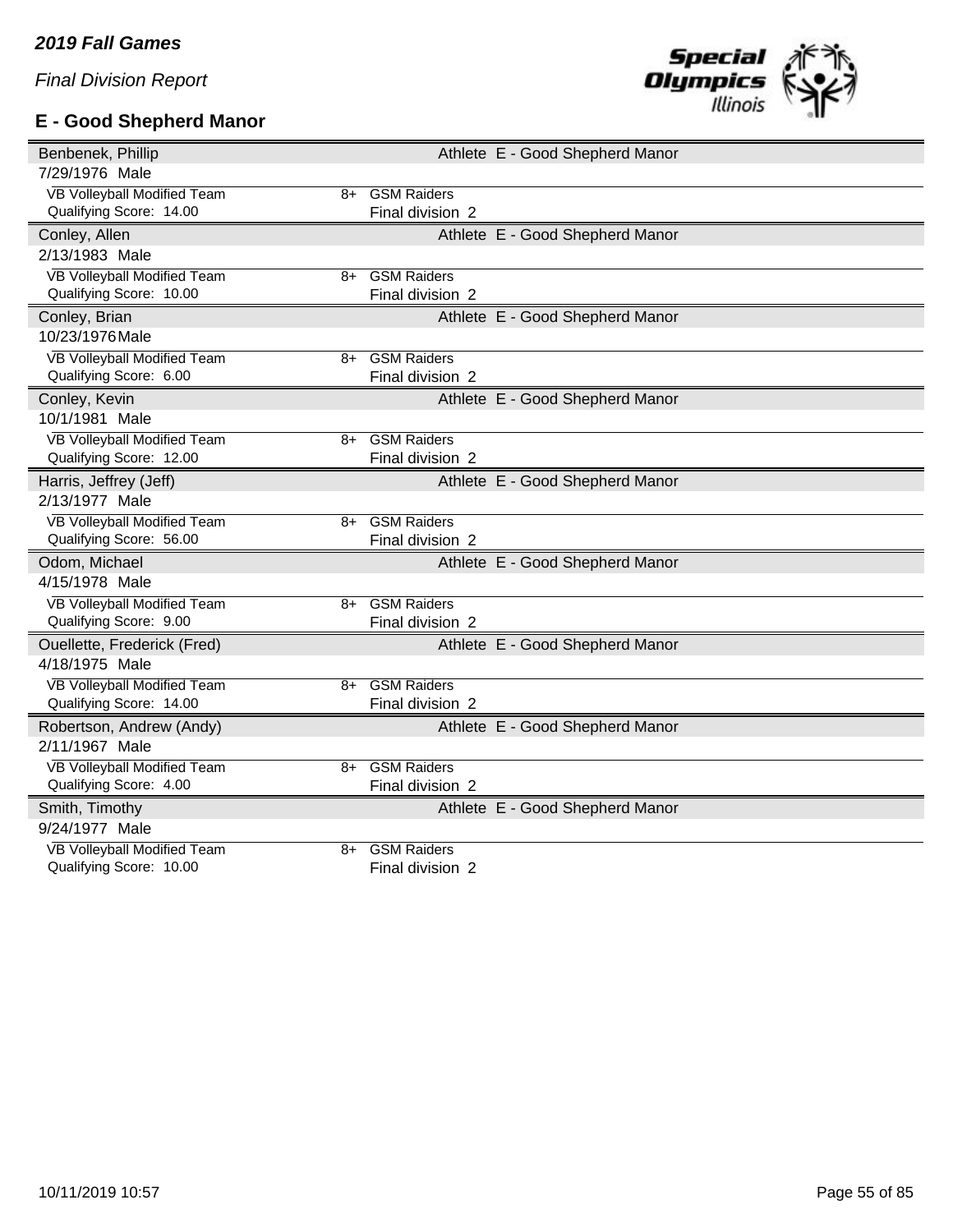# **E - Good Shepherd Manor**



| Benbenek, Phillip                          | Athlete E - Good Shepherd Manor |
|--------------------------------------------|---------------------------------|
| 7/29/1976 Male                             |                                 |
| VB Volleyball Modified Team                | 8+ GSM Raiders                  |
| Qualifying Score: 14.00                    | Final division 2                |
| Conley, Allen                              | Athlete E - Good Shepherd Manor |
| 2/13/1983 Male                             |                                 |
| VB Volleyball Modified Team<br>$8+$        | <b>GSM Raiders</b>              |
| Qualifying Score: 10.00                    | Final division 2                |
| Conley, Brian                              | Athlete E - Good Shepherd Manor |
| 10/23/1976 Male                            |                                 |
| VB Volleyball Modified Team<br>8+          | <b>GSM Raiders</b>              |
| Qualifying Score: 6.00                     | Final division 2                |
| Conley, Kevin                              | Athlete E - Good Shepherd Manor |
| 10/1/1981 Male                             |                                 |
| VB Volleyball Modified Team<br>$8+$        | <b>GSM Raiders</b>              |
| Qualifying Score: 12.00                    | Final division 2                |
| Harris, Jeffrey (Jeff)                     | Athlete E - Good Shepherd Manor |
| 2/13/1977 Male                             |                                 |
| VB Volleyball Modified Team<br>$8+$        | <b>GSM Raiders</b>              |
| Qualifying Score: 56.00                    | Final division 2                |
| Odom, Michael                              | Athlete E - Good Shepherd Manor |
| 4/15/1978 Male                             |                                 |
| VB Volleyball Modified Team<br>$8+$        | <b>GSM Raiders</b>              |
| Qualifying Score: 9.00                     | Final division 2                |
| Ouellette, Frederick (Fred)                | Athlete E - Good Shepherd Manor |
| 4/18/1975 Male                             |                                 |
| VB Volleyball Modified Team                | 8+ GSM Raiders                  |
| Qualifying Score: 14.00                    | Final division 2                |
| Robertson, Andrew (Andy)                   | Athlete E - Good Shepherd Manor |
| 2/11/1967 Male                             |                                 |
| VB Volleyball Modified Team<br>8+          | <b>GSM Raiders</b>              |
| Qualifying Score: 4.00                     | Final division 2                |
| Smith, Timothy                             | Athlete E - Good Shepherd Manor |
| 9/24/1977 Male                             |                                 |
| <b>VB Volleyball Modified Team</b><br>$8+$ | <b>GSM Raiders</b>              |
| Qualifying Score: 10.00                    | Final division 2                |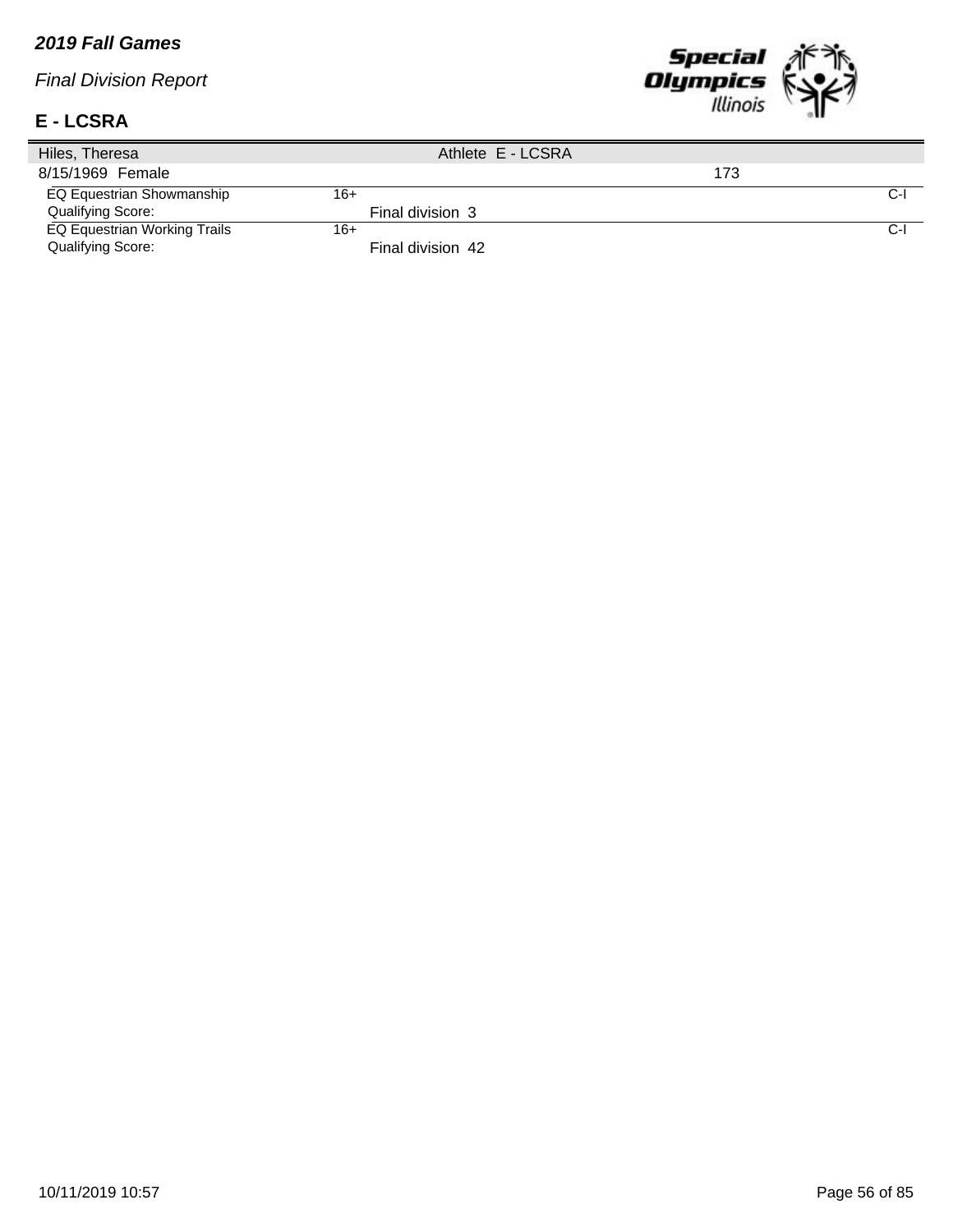#### *2019 Fall Games*

*Final Division Report*

#### **E - LCSRA**



| Hiles, Theresa                      | Athlete E - LCSRA |     |     |
|-------------------------------------|-------------------|-----|-----|
| 8/15/1969 Female                    |                   | 173 |     |
| EQ Equestrian Showmanship           | 16+               |     | C-l |
| Qualifying Score:                   | Final division 3  |     |     |
| <b>EQ Equestrian Working Trails</b> | $16+$             |     | C-I |
| Qualifying Score:                   | Final division 42 |     |     |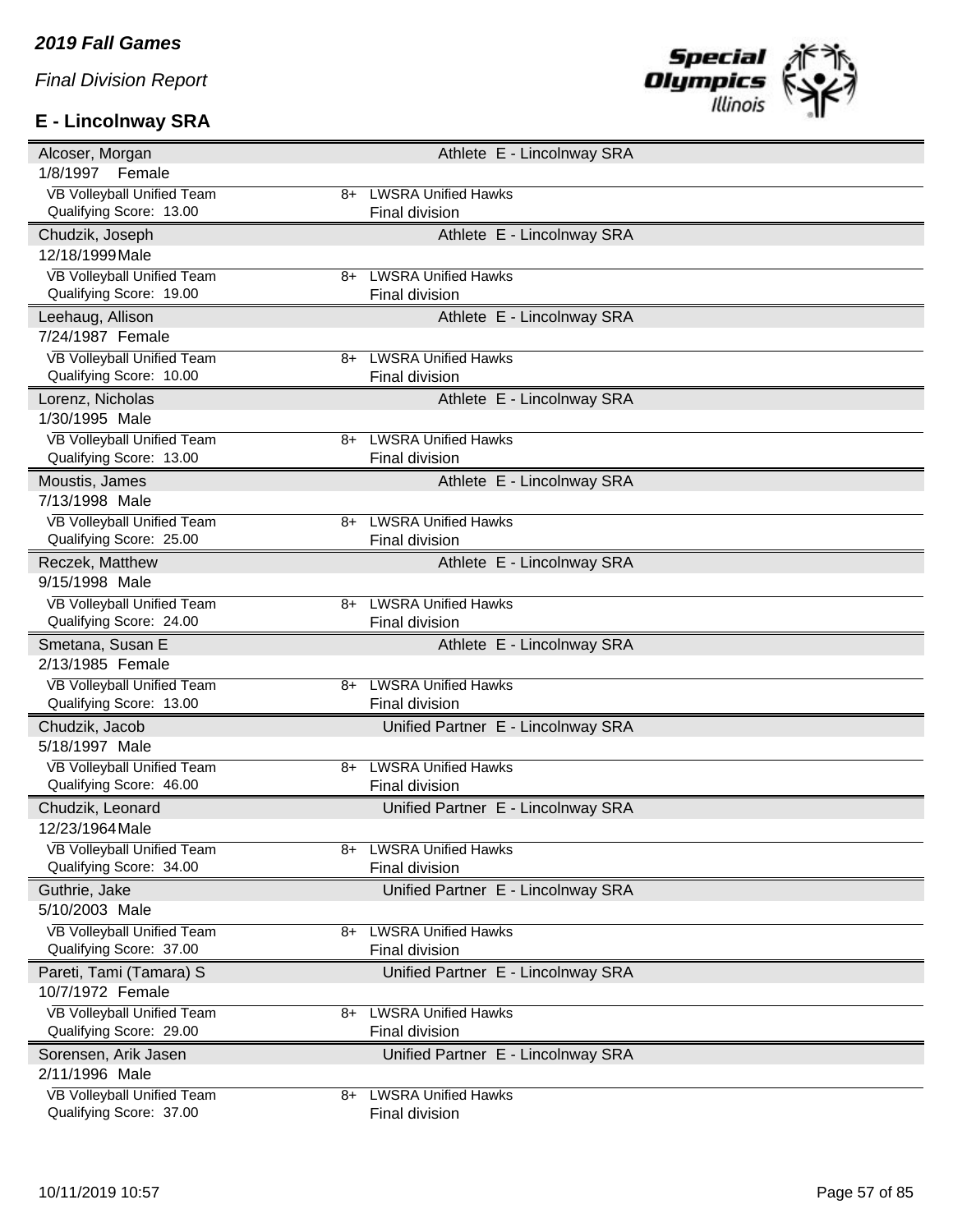# **E - Lincolnway SRA**



| Alcoser, Morgan                                       |    | Athlete E - Lincolnway SRA         |
|-------------------------------------------------------|----|------------------------------------|
| 1/8/1997<br>Female                                    |    |                                    |
| VB Volleyball Unified Team                            | 8+ | <b>LWSRA Unified Hawks</b>         |
| Qualifying Score: 13.00                               |    | Final division                     |
| Chudzik, Joseph                                       |    | Athlete E - Lincolnway SRA         |
| 12/18/1999 Male                                       |    |                                    |
| VB Volleyball Unified Team                            | 8+ | <b>LWSRA Unified Hawks</b>         |
| Qualifying Score: 19.00                               |    | Final division                     |
| Leehaug, Allison                                      |    | Athlete E - Lincolnway SRA         |
| 7/24/1987 Female                                      |    |                                    |
| <b>VB Volleyball Unified Team</b>                     | 8+ | <b>LWSRA Unified Hawks</b>         |
| Qualifying Score: 10.00                               |    | Final division                     |
| Lorenz, Nicholas                                      |    | Athlete E - Lincolnway SRA         |
| 1/30/1995 Male                                        |    |                                    |
| VB Volleyball Unified Team                            | 8+ | <b>LWSRA Unified Hawks</b>         |
| Qualifying Score: 13.00                               |    | Final division                     |
| Moustis, James                                        |    | Athlete E - Lincolnway SRA         |
| 7/13/1998 Male                                        |    |                                    |
| VB Volleyball Unified Team                            | 8+ | <b>LWSRA Unified Hawks</b>         |
| Qualifying Score: 25.00                               |    | Final division                     |
| Reczek, Matthew                                       |    | Athlete E - Lincolnway SRA         |
| 9/15/1998 Male                                        |    |                                    |
| VB Volleyball Unified Team                            | 8+ | <b>LWSRA Unified Hawks</b>         |
| Qualifying Score: 24.00                               |    | Final division                     |
|                                                       |    |                                    |
| Smetana, Susan E                                      |    | Athlete E - Lincolnway SRA         |
| 2/13/1985 Female                                      |    |                                    |
| VB Volleyball Unified Team                            | 8+ | <b>LWSRA Unified Hawks</b>         |
| Qualifying Score: 13.00                               |    | Final division                     |
| Chudzik, Jacob                                        |    | Unified Partner E - Lincolnway SRA |
| 5/18/1997 Male                                        |    |                                    |
| VB Volleyball Unified Team                            | 8+ | <b>LWSRA Unified Hawks</b>         |
| Qualifying Score: 46.00                               |    | Final division                     |
| Chudzik, Leonard                                      |    | Unified Partner E - Lincolnway SRA |
| 12/23/1964 Male                                       |    |                                    |
| VB Volleyball Unified Team                            |    | 8+ LWSRA Unified Hawks             |
| Qualifying Score: 34.00                               |    | Final division                     |
| Guthrie, Jake                                         |    | Unified Partner E - Lincolnway SRA |
| 5/10/2003 Male                                        |    |                                    |
| VB Volleyball Unified Team                            | 8+ | <b>LWSRA Unified Hawks</b>         |
| Qualifying Score: 37.00                               |    | Final division                     |
| Pareti, Tami (Tamara) S                               |    | Unified Partner E - Lincolnway SRA |
| 10/7/1972 Female                                      |    |                                    |
| VB Volleyball Unified Team                            | 8+ | <b>LWSRA Unified Hawks</b>         |
| Qualifying Score: 29.00                               |    | Final division                     |
| Sorensen, Arik Jasen                                  |    | Unified Partner E - Lincolnway SRA |
| 2/11/1996 Male                                        |    |                                    |
| VB Volleyball Unified Team<br>Qualifying Score: 37.00 | 8+ | <b>LWSRA Unified Hawks</b>         |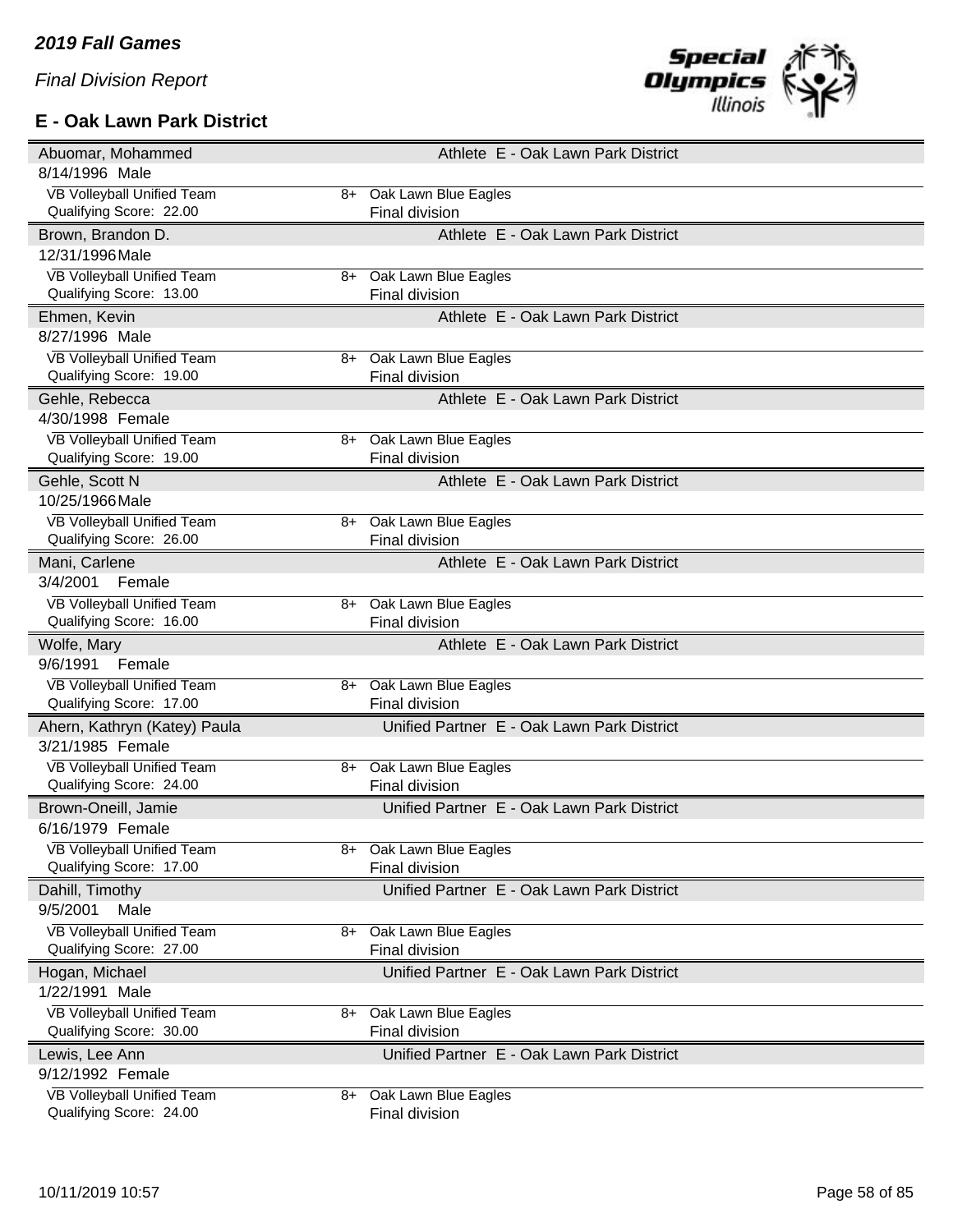## **E - Oak Lawn Park District**



| Abuomar, Mohammed                 |      | Athlete E - Oak Lawn Park District         |
|-----------------------------------|------|--------------------------------------------|
| 8/14/1996 Male                    |      |                                            |
| VB Volleyball Unified Team        | $8+$ | Oak Lawn Blue Eagles                       |
| Qualifying Score: 22.00           |      | Final division                             |
| Brown, Brandon D.                 |      | Athlete E - Oak Lawn Park District         |
| 12/31/1996 Male                   |      |                                            |
| <b>VB Volleyball Unified Team</b> |      | 8+ Oak Lawn Blue Eagles                    |
| Qualifying Score: 13.00           |      | Final division                             |
| Ehmen, Kevin                      |      | Athlete E - Oak Lawn Park District         |
| 8/27/1996 Male                    |      |                                            |
| VB Volleyball Unified Team        | 8+   | Oak Lawn Blue Eagles                       |
| Qualifying Score: 19.00           |      | Final division                             |
| Gehle, Rebecca                    |      | Athlete E - Oak Lawn Park District         |
| 4/30/1998 Female                  |      |                                            |
| <b>VB Volleyball Unified Team</b> | 8+   | Oak Lawn Blue Eagles                       |
| Qualifying Score: 19.00           |      | Final division                             |
| Gehle, Scott N                    |      | Athlete E - Oak Lawn Park District         |
| 10/25/1966 Male                   |      |                                            |
| VB Volleyball Unified Team        | 8+   | Oak Lawn Blue Eagles                       |
| Qualifying Score: 26.00           |      | Final division                             |
| Mani, Carlene                     |      | Athlete E - Oak Lawn Park District         |
| 3/4/2001<br>Female                |      |                                            |
| <b>VB Volleyball Unified Team</b> | 8+   | Oak Lawn Blue Eagles                       |
| Qualifying Score: 16.00           |      | Final division                             |
|                                   |      |                                            |
| Wolfe, Mary                       |      | Athlete E - Oak Lawn Park District         |
| 9/6/1991<br>Female                |      |                                            |
| VB Volleyball Unified Team        |      | 8+ Oak Lawn Blue Eagles                    |
| Qualifying Score: 17.00           |      | Final division                             |
| Ahern, Kathryn (Katey) Paula      |      | Unified Partner E - Oak Lawn Park District |
| 3/21/1985 Female                  |      |                                            |
| <b>VB Volleyball Unified Team</b> | $8+$ | Oak Lawn Blue Eagles                       |
| Qualifying Score: 24.00           |      | Final division                             |
| Brown-Oneill, Jamie               |      | Unified Partner E - Oak Lawn Park District |
| 6/16/1979 Female                  |      |                                            |
| <b>VB Volleyball Unified Team</b> |      | 8+ Oak Lawn Blue Eagles                    |
| Qualifying Score: 17.00           |      | Final division                             |
| Dahill, Timothy                   |      | Unified Partner E - Oak Lawn Park District |
| 9/5/2001<br>Male                  |      |                                            |
| VB Volleyball Unified Team        | 8+   | Oak Lawn Blue Eagles                       |
| Qualifying Score: 27.00           |      | Final division                             |
| Hogan, Michael                    |      | Unified Partner E - Oak Lawn Park District |
| 1/22/1991 Male                    |      |                                            |
| VB Volleyball Unified Team        | 8+   | Oak Lawn Blue Eagles                       |
| Qualifying Score: 30.00           |      | Final division                             |
| Lewis, Lee Ann                    |      | Unified Partner E - Oak Lawn Park District |
| 9/12/1992 Female                  |      |                                            |
| VB Volleyball Unified Team        | 8+   | Oak Lawn Blue Eagles                       |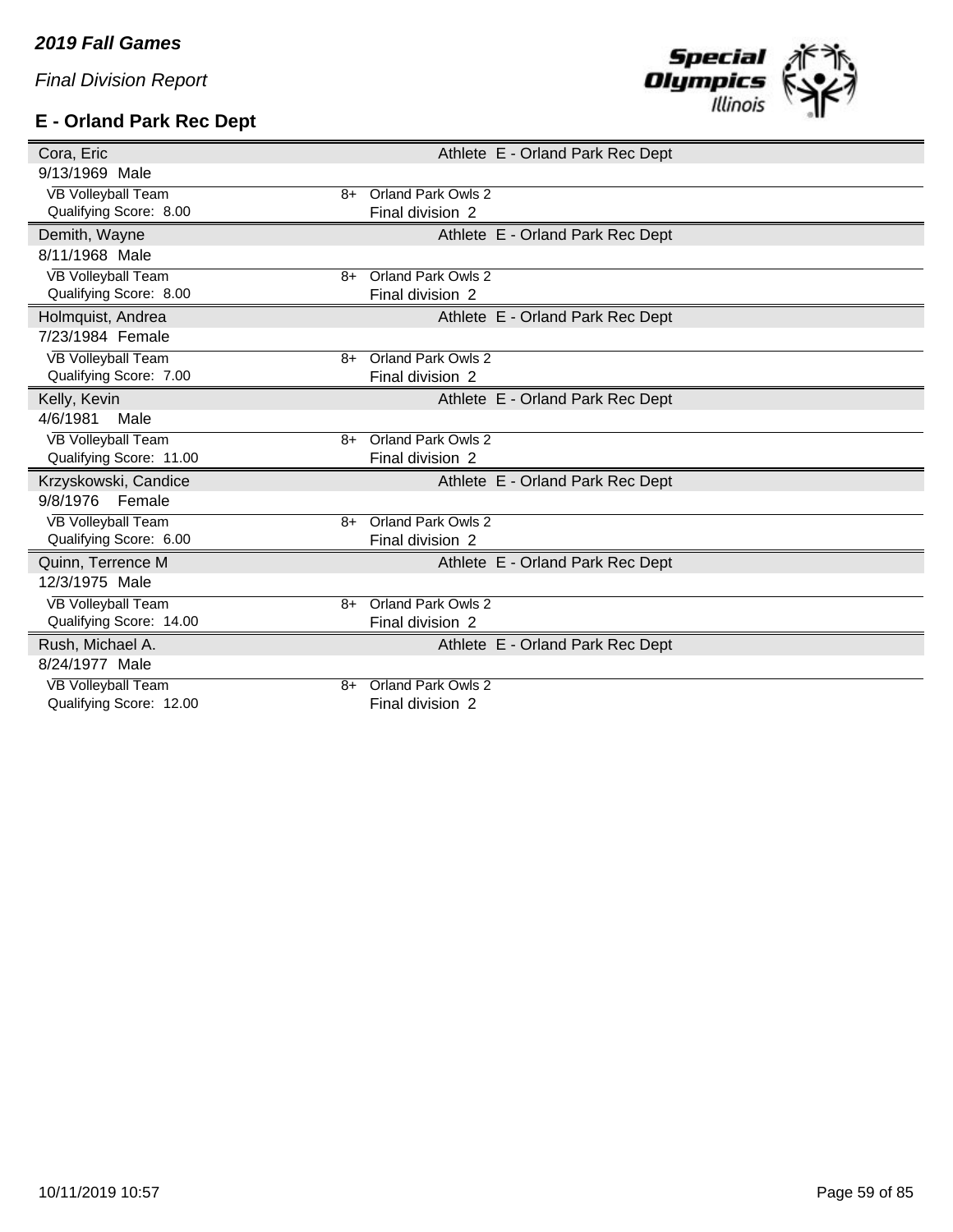## **E - Orland Park Rec Dept**



| Cora, Eric                        | Athlete E - Orland Park Rec Dept |
|-----------------------------------|----------------------------------|
| 9/13/1969 Male                    |                                  |
| <b>VB Volleyball Team</b><br>8+   | Orland Park Owls 2               |
| Qualifying Score: 8.00            | Final division 2                 |
| Demith, Wayne                     | Athlete E - Orland Park Rec Dept |
| 8/11/1968 Male                    |                                  |
| <b>VB Volleyball Team</b><br>8+   | Orland Park Owls 2               |
| Qualifying Score: 8.00            | Final division 2                 |
| Holmquist, Andrea                 | Athlete E - Orland Park Rec Dept |
| 7/23/1984 Female                  |                                  |
| <b>VB Volleyball Team</b><br>$8+$ | Orland Park Owls 2               |
| Qualifying Score: 7.00            | Final division 2                 |
| Kelly, Kevin                      | Athlete E - Orland Park Rec Dept |
| 4/6/1981<br>Male                  |                                  |
| <b>VB Volleyball Team</b><br>$8+$ | Orland Park Owls 2               |
| Qualifying Score: 11.00           | Final division 2                 |
| Krzyskowski, Candice              | Athlete E - Orland Park Rec Dept |
| 9/8/1976<br>Female                |                                  |
| <b>VB Volleyball Team</b><br>$8+$ | <b>Orland Park Owls 2</b>        |
| Qualifying Score: 6.00            | Final division 2                 |
| Quinn, Terrence M                 | Athlete E - Orland Park Rec Dept |
| 12/3/1975 Male                    |                                  |
| VB Volleyball Team<br>$8+$        | <b>Orland Park Owls 2</b>        |
| Qualifying Score: 14.00           | Final division 2                 |
| Rush, Michael A.                  | Athlete E - Orland Park Rec Dept |
| 8/24/1977 Male                    |                                  |
| <b>VB Volleyball Team</b><br>$8+$ | Orland Park Owls 2               |
| Qualifying Score: 12.00           | Final division 2                 |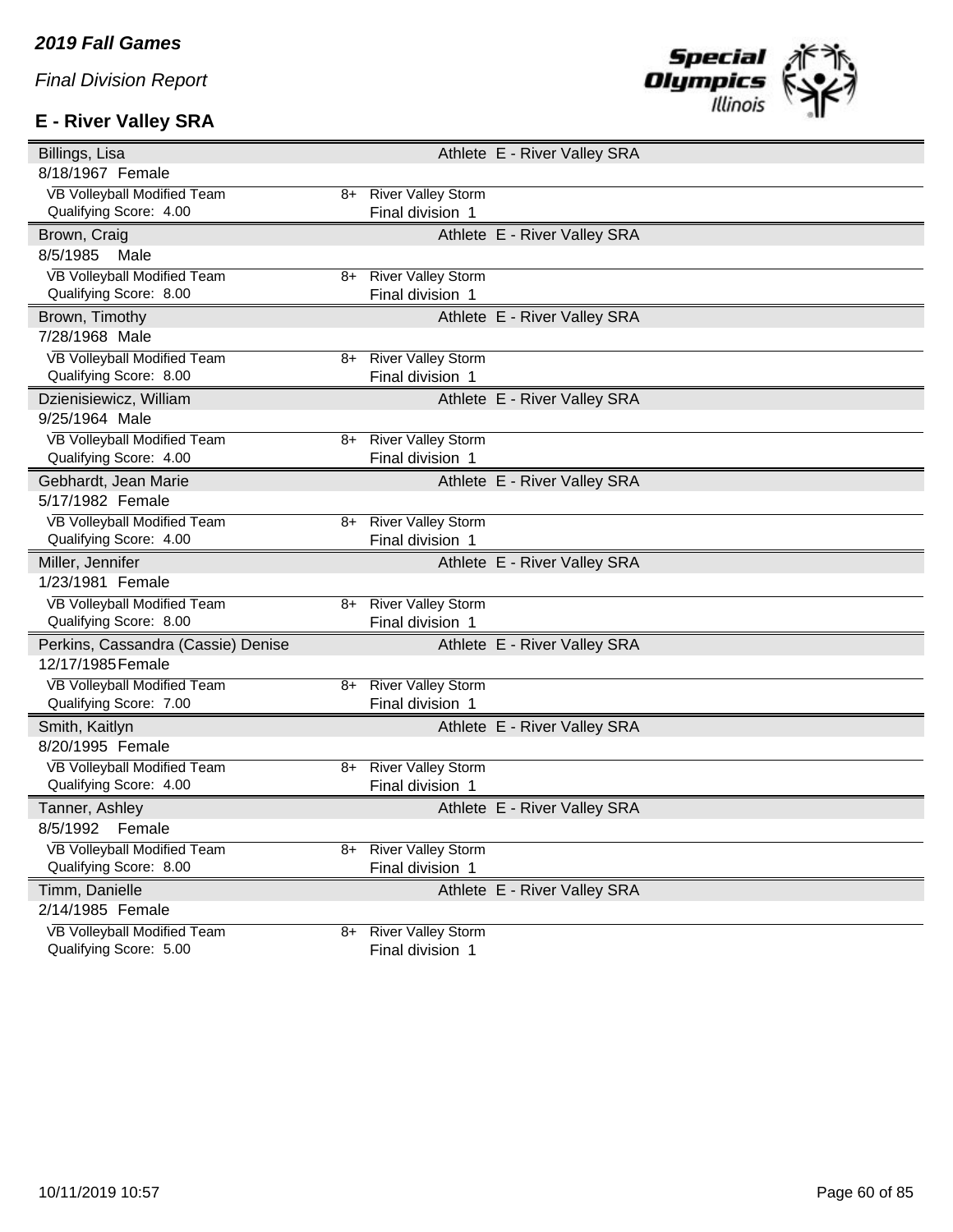# **E - River Valley SRA**



| Billings, Lisa                                        |    |                                               | Athlete E - River Valley SRA |  |
|-------------------------------------------------------|----|-----------------------------------------------|------------------------------|--|
| 8/18/1967 Female                                      |    |                                               |                              |  |
| VB Volleyball Modified Team                           | 8+ | <b>River Valley Storm</b>                     |                              |  |
| Qualifying Score: 4.00                                |    | Final division 1                              |                              |  |
| Brown, Craig                                          |    |                                               | Athlete E - River Valley SRA |  |
| 8/5/1985<br>Male                                      |    |                                               |                              |  |
| <b>VB Volleyball Modified Team</b>                    | 8+ | <b>River Valley Storm</b>                     |                              |  |
| Qualifying Score: 8.00                                |    | Final division 1                              |                              |  |
| Brown, Timothy                                        |    |                                               | Athlete E - River Valley SRA |  |
| 7/28/1968 Male                                        |    |                                               |                              |  |
| VB Volleyball Modified Team                           | 8+ | <b>River Valley Storm</b>                     |                              |  |
| Qualifying Score: 8.00                                |    | Final division 1                              |                              |  |
| Dzienisiewicz, William                                |    |                                               | Athlete E - River Valley SRA |  |
| 9/25/1964 Male                                        |    |                                               |                              |  |
| VB Volleyball Modified Team                           | 8+ | <b>River Valley Storm</b>                     |                              |  |
| Qualifying Score: 4.00                                |    | Final division 1                              |                              |  |
| Gebhardt, Jean Marie                                  |    |                                               | Athlete E - River Valley SRA |  |
| 5/17/1982 Female                                      |    |                                               |                              |  |
| VB Volleyball Modified Team                           | 8+ | <b>River Valley Storm</b>                     |                              |  |
| Qualifying Score: 4.00                                |    | Final division 1                              |                              |  |
|                                                       |    |                                               |                              |  |
| Miller, Jennifer                                      |    |                                               | Athlete E - River Valley SRA |  |
| 1/23/1981 Female                                      |    |                                               |                              |  |
| VB Volleyball Modified Team                           | 8+ | <b>River Valley Storm</b>                     |                              |  |
| Qualifying Score: 8.00                                |    | Final division 1                              |                              |  |
| Perkins, Cassandra (Cassie) Denise                    |    |                                               | Athlete E - River Valley SRA |  |
| 12/17/1985 Female                                     |    |                                               |                              |  |
| VB Volleyball Modified Team                           | 8+ | <b>River Valley Storm</b>                     |                              |  |
| Qualifying Score: 7.00                                |    | Final division 1                              |                              |  |
| Smith, Kaitlyn                                        |    |                                               | Athlete E - River Valley SRA |  |
| 8/20/1995 Female                                      |    |                                               |                              |  |
| VB Volleyball Modified Team                           | 8+ | <b>River Valley Storm</b>                     |                              |  |
| Qualifying Score: 4.00                                |    | Final division 1                              |                              |  |
| Tanner, Ashley                                        |    |                                               | Athlete E - River Valley SRA |  |
| 8/5/1992 Female                                       |    |                                               |                              |  |
| VB Volleyball Modified Team                           | 8+ | <b>River Valley Storm</b>                     |                              |  |
| Qualifying Score: 8.00                                |    | Final division 1                              |                              |  |
| Timm, Danielle                                        |    |                                               | Athlete E - River Valley SRA |  |
| 2/14/1985 Female                                      |    |                                               |                              |  |
| VB Volleyball Modified Team<br>Qualifying Score: 5.00 | 8+ | <b>River Valley Storm</b><br>Final division 1 |                              |  |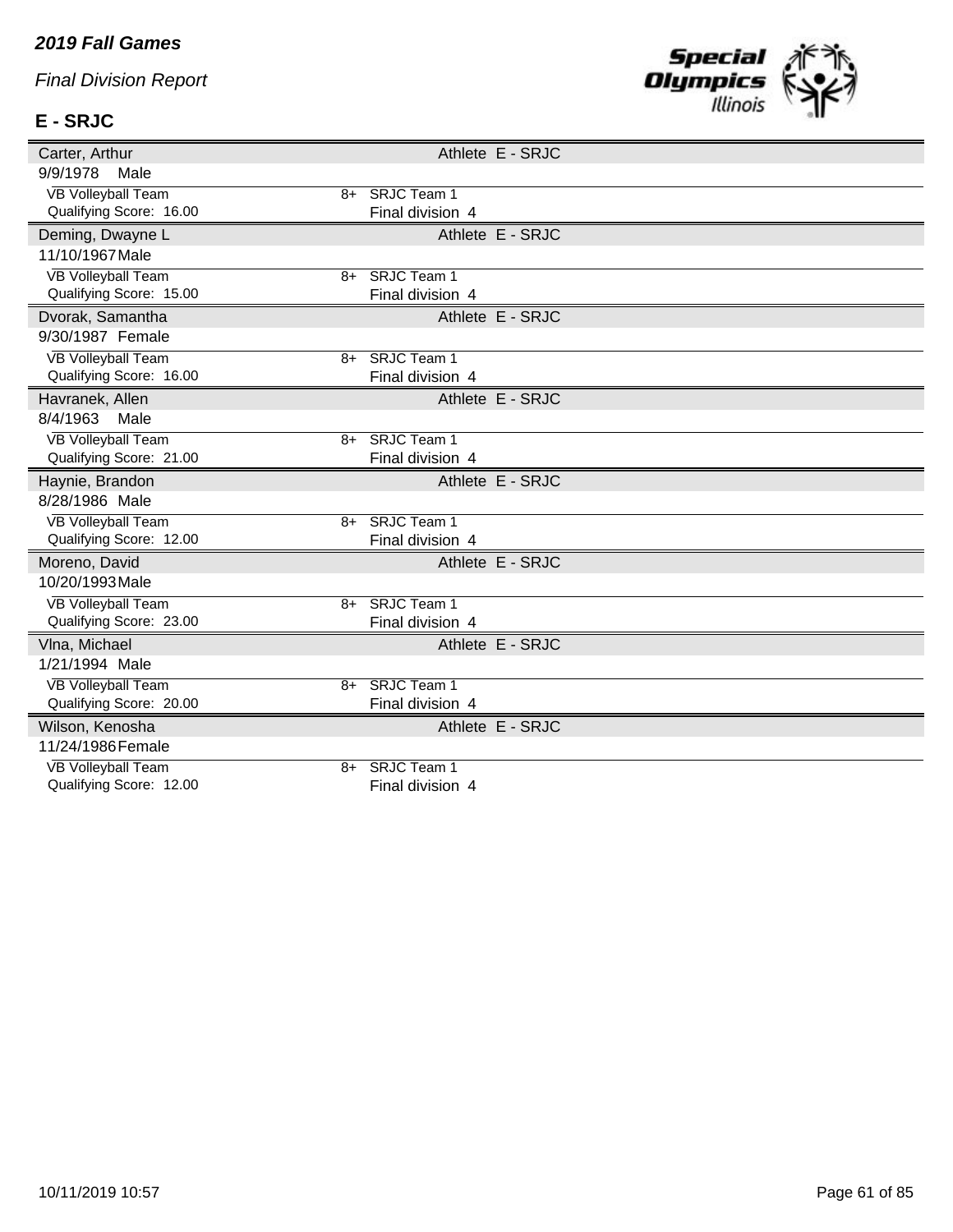### *2019 Fall Games*

*Final Division Report*

# **E - SRJC**



| Carter, Arthur                                       |      |                                    | Athlete E - SRJC |  |
|------------------------------------------------------|------|------------------------------------|------------------|--|
| 9/9/1978<br>Male                                     |      |                                    |                  |  |
| <b>VB Volleyball Team</b>                            |      | 8+ SRJC Team 1                     |                  |  |
| Qualifying Score: 16.00                              |      | Final division 4                   |                  |  |
| Deming, Dwayne L                                     |      |                                    | Athlete E - SRJC |  |
| 11/10/1967 Male                                      |      |                                    |                  |  |
| <b>VB Volleyball Team</b>                            | 8+   | <b>SRJC Team 1</b>                 |                  |  |
| Qualifying Score: 15.00                              |      | Final division 4                   |                  |  |
| Dvorak, Samantha                                     |      |                                    | Athlete E - SRJC |  |
| 9/30/1987 Female                                     |      |                                    |                  |  |
| <b>VB Volleyball Team</b>                            | $8+$ | <b>SRJC Team 1</b>                 |                  |  |
| Qualifying Score: 16.00                              |      | Final division 4                   |                  |  |
| Havranek, Allen                                      |      |                                    | Athlete E - SRJC |  |
| 8/4/1963<br>Male                                     |      |                                    |                  |  |
| <b>VB Volleyball Team</b>                            | 8+   | <b>SRJC Team 1</b>                 |                  |  |
| Qualifying Score: 21.00                              |      | Final division 4                   |                  |  |
|                                                      |      |                                    |                  |  |
| Haynie, Brandon                                      |      |                                    | Athlete E - SRJC |  |
| 8/28/1986 Male                                       |      |                                    |                  |  |
| <b>VB Volleyball Team</b>                            | $8+$ | SRJC Team 1                        |                  |  |
| Qualifying Score: 12.00                              |      | Final division 4                   |                  |  |
| Moreno, David                                        |      |                                    | Athlete E - SRJC |  |
| 10/20/1993 Male                                      |      |                                    |                  |  |
| <b>VB Volleyball Team</b>                            | $8+$ | <b>SRJC Team 1</b>                 |                  |  |
| Qualifying Score: 23.00                              |      | Final division 4                   |                  |  |
| VIna, Michael                                        |      |                                    | Athlete E - SRJC |  |
| 1/21/1994 Male                                       |      |                                    |                  |  |
| <b>VB Volleyball Team</b>                            |      | 8+ SRJC Team 1                     |                  |  |
| Qualifying Score: 20.00                              |      | Final division 4                   |                  |  |
| Wilson, Kenosha                                      |      |                                    | Athlete E - SRJC |  |
| 11/24/1986 Female                                    |      |                                    |                  |  |
| <b>VB Volleyball Team</b><br>Qualifying Score: 12.00 |      | 8+ SRJC Team 1<br>Final division 4 |                  |  |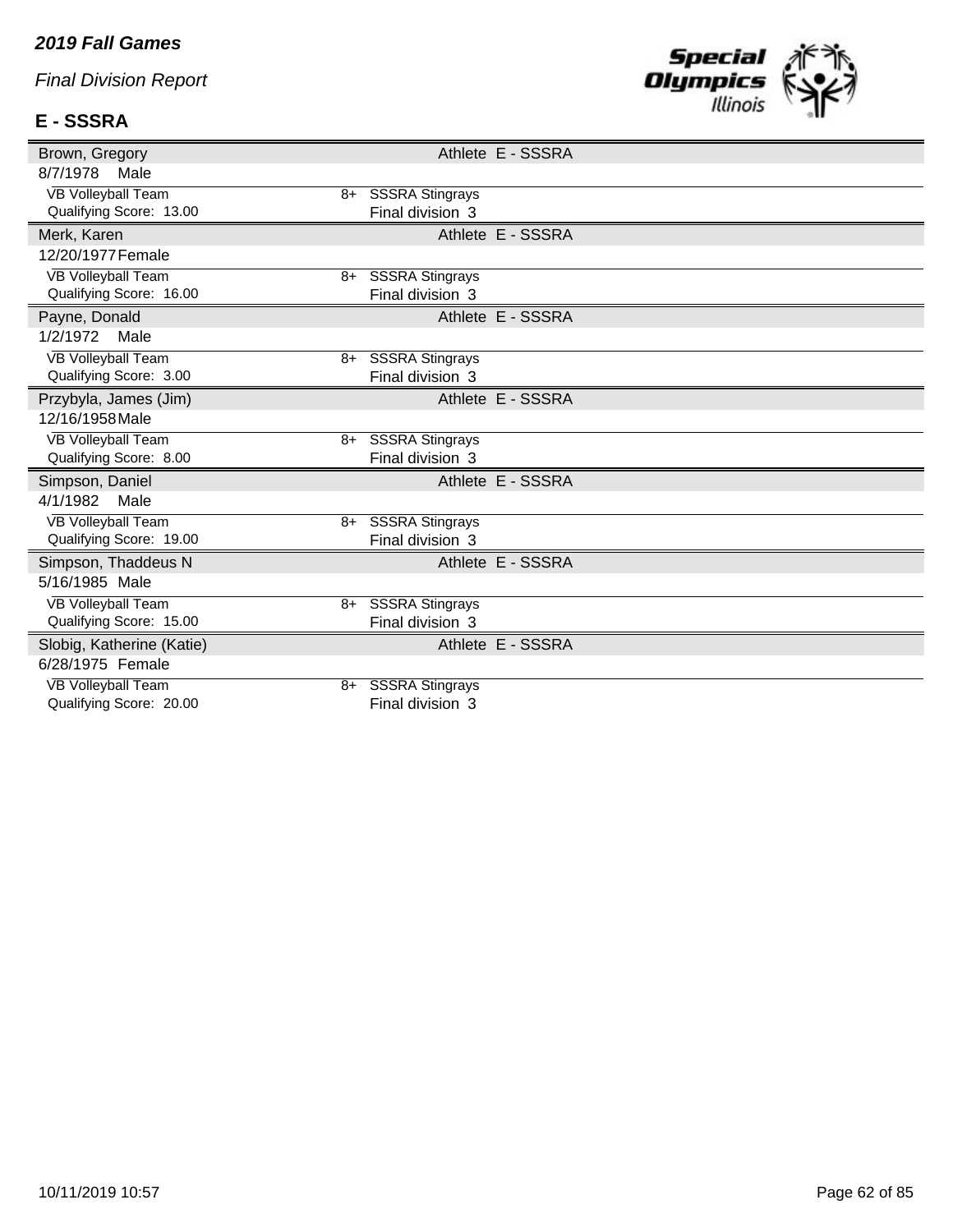#### *2019 Fall Games*

*Final Division Report*

# **E - SSSRA**



| Brown, Gregory            |    |                        | Athlete E - SSSRA |
|---------------------------|----|------------------------|-------------------|
| 8/7/1978<br>Male          |    |                        |                   |
| <b>VB Volleyball Team</b> |    | 8+ SSSRA Stingrays     |                   |
| Qualifying Score: 13.00   |    | Final division 3       |                   |
| Merk, Karen               |    |                        | Athlete E - SSSRA |
| 12/20/1977 Female         |    |                        |                   |
| <b>VB Volleyball Team</b> | 8+ | <b>SSSRA Stingrays</b> |                   |
| Qualifying Score: 16.00   |    | Final division 3       |                   |
| Payne, Donald             |    |                        | Athlete E - SSSRA |
| 1/2/1972<br>Male          |    |                        |                   |
| <b>VB Volleyball Team</b> |    | 8+ SSSRA Stingrays     |                   |
| Qualifying Score: 3.00    |    | Final division 3       |                   |
| Przybyla, James (Jim)     |    |                        | Athlete E - SSSRA |
| 12/16/1958 Male           |    |                        |                   |
| <b>VB Volleyball Team</b> | 8+ | <b>SSSRA Stingrays</b> |                   |
| Qualifying Score: 8.00    |    | Final division 3       |                   |
| Simpson, Daniel           |    |                        | Athlete E - SSSRA |
| 4/1/1982<br>Male          |    |                        |                   |
| <b>VB Volleyball Team</b> | 8+ | <b>SSSRA Stingrays</b> |                   |
| Qualifying Score: 19.00   |    | Final division 3       |                   |
| Simpson, Thaddeus N       |    |                        | Athlete E - SSSRA |
| 5/16/1985 Male            |    |                        |                   |
| <b>VB Volleyball Team</b> |    | 8+ SSSRA Stingrays     |                   |
| Qualifying Score: 15.00   |    | Final division 3       |                   |
| Slobig, Katherine (Katie) |    |                        | Athlete E - SSSRA |
| 6/28/1975 Female          |    |                        |                   |
| <b>VB Volleyball Team</b> | 8+ | <b>SSSRA Stingrays</b> |                   |
| Qualifying Score: 20.00   |    | Final division 3       |                   |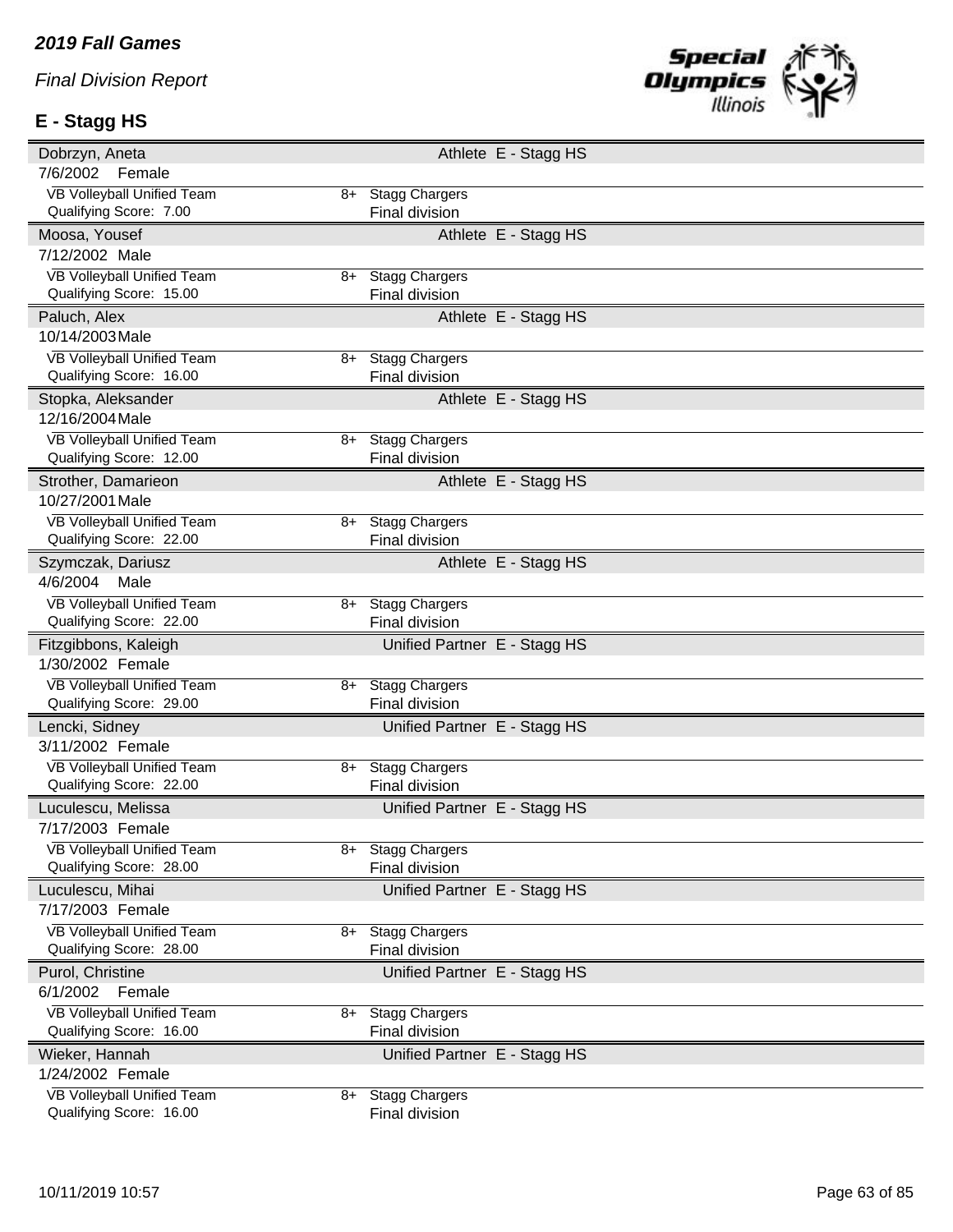# **E - Stagg HS**



| Dobrzyn, Aneta                                        |    |                                         | Athlete E - Stagg HS |  |
|-------------------------------------------------------|----|-----------------------------------------|----------------------|--|
| 7/6/2002<br>Female                                    |    |                                         |                      |  |
| VB Volleyball Unified Team                            | 8+ | <b>Stagg Chargers</b>                   |                      |  |
| Qualifying Score: 7.00                                |    | Final division                          |                      |  |
| Moosa, Yousef                                         |    |                                         | Athlete E - Stagg HS |  |
| 7/12/2002 Male                                        |    |                                         |                      |  |
| <b>VB Volleyball Unified Team</b>                     | 8+ | <b>Stagg Chargers</b>                   |                      |  |
| Qualifying Score: 15.00                               |    | Final division                          |                      |  |
| Paluch, Alex                                          |    |                                         | Athlete E - Stagg HS |  |
| 10/14/2003 Male                                       |    |                                         |                      |  |
| VB Volleyball Unified Team                            | 8+ | <b>Stagg Chargers</b>                   |                      |  |
| Qualifying Score: 16.00                               |    | <b>Final division</b>                   |                      |  |
| Stopka, Aleksander                                    |    |                                         | Athlete E - Stagg HS |  |
| 12/16/2004 Male                                       |    |                                         |                      |  |
| VB Volleyball Unified Team                            | 8+ | <b>Stagg Chargers</b>                   |                      |  |
| Qualifying Score: 12.00                               |    | Final division                          |                      |  |
| Strother, Damarieon                                   |    |                                         | Athlete E - Stagg HS |  |
| 10/27/2001 Male                                       |    |                                         |                      |  |
| VB Volleyball Unified Team                            | 8+ | <b>Stagg Chargers</b>                   |                      |  |
| Qualifying Score: 22.00                               |    | <b>Final division</b>                   |                      |  |
| Szymczak, Dariusz                                     |    |                                         | Athlete E - Stagg HS |  |
| 4/6/2004<br>Male                                      |    |                                         |                      |  |
| VB Volleyball Unified Team                            | 8+ | <b>Stagg Chargers</b>                   |                      |  |
| Qualifying Score: 22.00                               |    | Final division                          |                      |  |
|                                                       |    |                                         |                      |  |
| Fitzgibbons, Kaleigh                                  |    | Unified Partner E - Stagg HS            |                      |  |
| 1/30/2002 Female                                      |    |                                         |                      |  |
| <b>VB Volleyball Unified Team</b>                     |    | 8+ Stagg Chargers                       |                      |  |
| Qualifying Score: 29.00                               |    | Final division                          |                      |  |
| Lencki, Sidney                                        |    | Unified Partner E - Stagg HS            |                      |  |
| 3/11/2002 Female                                      |    |                                         |                      |  |
| VB Volleyball Unified Team                            | 8+ | <b>Stagg Chargers</b>                   |                      |  |
| Qualifying Score: 22.00                               |    | Final division                          |                      |  |
| Luculescu, Melissa                                    |    | Unified Partner E - Stagg HS            |                      |  |
| 7/17/2003 Female                                      |    |                                         |                      |  |
| VB Volleyball Unified Team                            | 8+ | <b>Stagg Chargers</b>                   |                      |  |
| Qualifying Score: 28.00                               |    | Final division                          |                      |  |
| Luculescu, Mihai                                      |    | Unified Partner E - Stagg HS            |                      |  |
| 7/17/2003 Female                                      |    |                                         |                      |  |
| VB Volleyball Unified Team                            | 8+ | <b>Stagg Chargers</b>                   |                      |  |
| Qualifying Score: 28.00                               |    | Final division                          |                      |  |
| Purol, Christine                                      |    | Unified Partner E - Stagg HS            |                      |  |
| 6/1/2002<br>Female                                    |    |                                         |                      |  |
| <b>VB Volleyball Unified Team</b>                     | 8+ | Stagg Chargers                          |                      |  |
| Qualifying Score: 16.00                               |    | Final division                          |                      |  |
| Wieker, Hannah                                        |    | Unified Partner E - Stagg HS            |                      |  |
| 1/24/2002 Female                                      |    |                                         |                      |  |
| VB Volleyball Unified Team<br>Qualifying Score: 16.00 | 8+ | <b>Stagg Chargers</b><br>Final division |                      |  |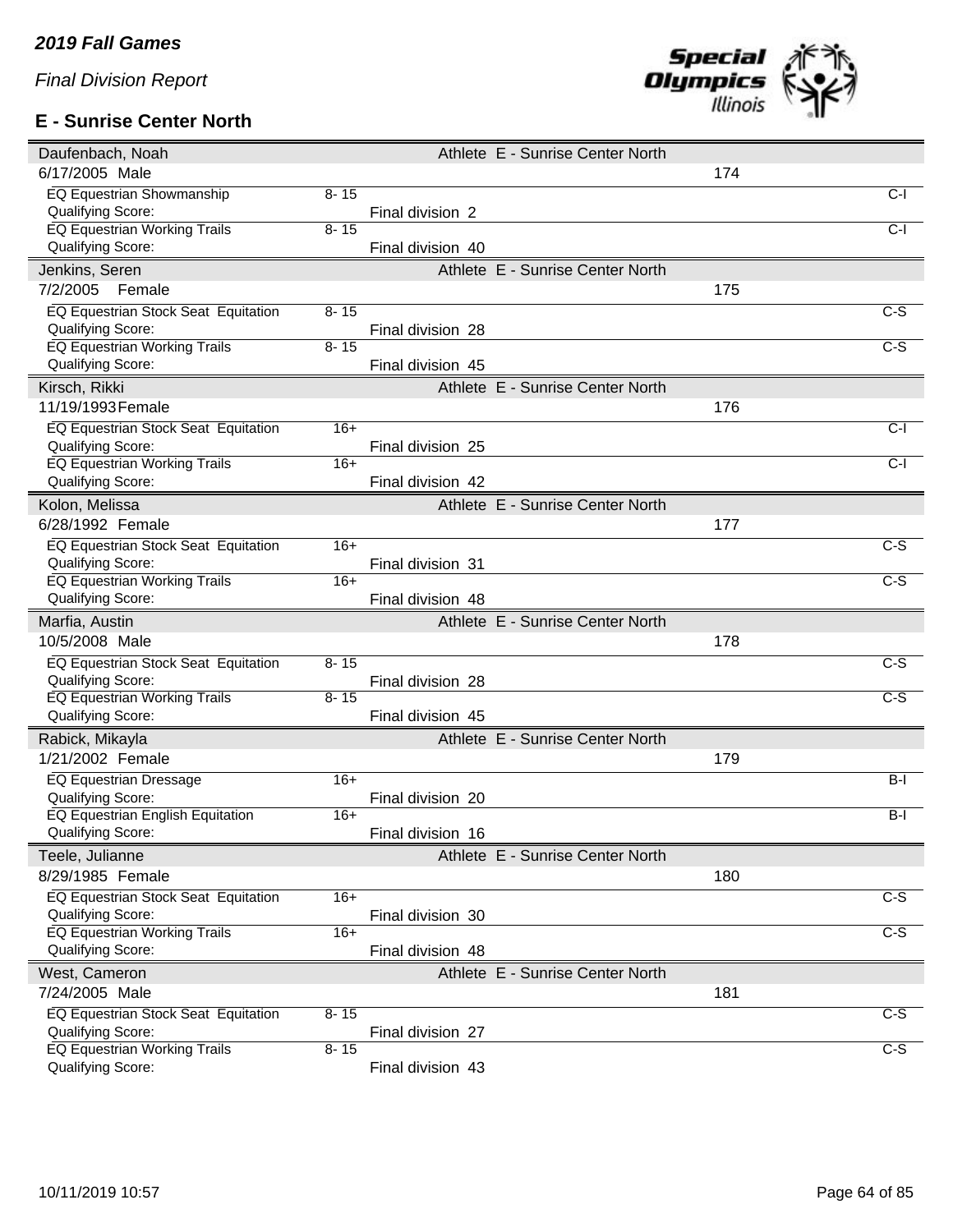## **E - Sunrise Center North**



| Daufenbach, Noah                                         |          |                   | Athlete E - Sunrise Center North |     |                  |
|----------------------------------------------------------|----------|-------------------|----------------------------------|-----|------------------|
| 6/17/2005 Male                                           |          |                   |                                  | 174 |                  |
| <b>EQ Equestrian Showmanship</b>                         | $8 - 15$ |                   |                                  |     | $C-I$            |
| Qualifying Score:                                        |          | Final division 2  |                                  |     |                  |
| <b>EQ Equestrian Working Trails</b>                      | $8 - 15$ |                   |                                  |     | $C-I$            |
| Qualifying Score:                                        |          | Final division 40 |                                  |     |                  |
| Jenkins, Seren                                           |          |                   | Athlete E - Sunrise Center North |     |                  |
| 7/2/2005<br>Female                                       |          |                   |                                  | 175 |                  |
| EQ Equestrian Stock Seat Equitation                      | $8 - 15$ |                   |                                  |     | $\overline{C-S}$ |
| Qualifying Score:                                        |          | Final division 28 |                                  |     |                  |
| <b>EQ Equestrian Working Trails</b>                      | $8 - 15$ |                   |                                  |     | $\overline{c-s}$ |
| Qualifying Score:                                        |          | Final division 45 |                                  |     |                  |
| Kirsch, Rikki                                            |          |                   | Athlete E - Sunrise Center North |     |                  |
| 11/19/1993 Female                                        |          |                   |                                  | 176 |                  |
|                                                          |          |                   |                                  |     |                  |
| EQ Equestrian Stock Seat Equitation                      | $16+$    |                   |                                  |     | $C-I$            |
| Qualifying Score:                                        | $16+$    | Final division 25 |                                  |     | $C-I$            |
| EQ Equestrian Working Trails<br><b>Qualifying Score:</b> |          | Final division 42 |                                  |     |                  |
|                                                          |          |                   |                                  |     |                  |
| Kolon, Melissa                                           |          |                   | Athlete E - Sunrise Center North |     |                  |
| 6/28/1992 Female                                         |          |                   |                                  | 177 |                  |
| EQ Equestrian Stock Seat Equitation                      | $16+$    |                   |                                  |     | $C-S$            |
| Qualifying Score:                                        |          | Final division 31 |                                  |     |                  |
| <b>EQ Equestrian Working Trails</b>                      | $16+$    |                   |                                  |     | $C-S$            |
|                                                          |          |                   |                                  |     |                  |
| Qualifying Score:                                        |          | Final division 48 |                                  |     |                  |
| Marfia, Austin                                           |          |                   | Athlete E - Sunrise Center North |     |                  |
| 10/5/2008 Male                                           |          |                   |                                  | 178 |                  |
| EQ Equestrian Stock Seat Equitation                      | $8 - 15$ |                   |                                  |     | $\overline{C-S}$ |
| Qualifying Score:                                        |          | Final division 28 |                                  |     |                  |
| <b>EQ Equestrian Working Trails</b>                      | $8 - 15$ |                   |                                  |     | $C-S$            |
| Qualifying Score:                                        |          | Final division 45 |                                  |     |                  |
|                                                          |          |                   |                                  |     |                  |
| Rabick, Mikayla                                          |          |                   | Athlete E - Sunrise Center North |     |                  |
| 1/21/2002 Female                                         |          |                   |                                  | 179 |                  |
| <b>EQ Equestrian Dressage</b>                            | $16+$    |                   |                                  |     | $B-I$            |
| Qualifying Score:                                        |          | Final division 20 |                                  |     |                  |
| <b>EQ Equestrian English Equitation</b>                  | $16+$    |                   |                                  |     | $B-I$            |
| Qualifying Score:                                        |          | Final division 16 |                                  |     |                  |
| Teele, Julianne                                          |          |                   | Athlete E - Sunrise Center North |     |                  |
| 8/29/1985 Female                                         |          |                   |                                  | 180 |                  |
| EQ Equestrian Stock Seat Equitation                      | $16+$    |                   |                                  |     | $\overline{c-s}$ |
| Qualifying Score:                                        |          | Final division 30 |                                  |     |                  |
| <b>EQ Equestrian Working Trails</b>                      | $16+$    |                   |                                  |     | $\overline{C-S}$ |
| Qualifying Score:                                        |          | Final division 48 |                                  |     |                  |
| West, Cameron                                            |          |                   | Athlete E - Sunrise Center North |     |                  |
| 7/24/2005 Male                                           |          |                   |                                  | 181 |                  |
| EQ Equestrian Stock Seat Equitation                      | $8 - 15$ |                   |                                  |     | $C-S$            |
| Qualifying Score:                                        |          | Final division 27 |                                  |     |                  |
| <b>EQ Equestrian Working Trails</b><br>Qualifying Score: | $8 - 15$ | Final division 43 |                                  |     | C-S              |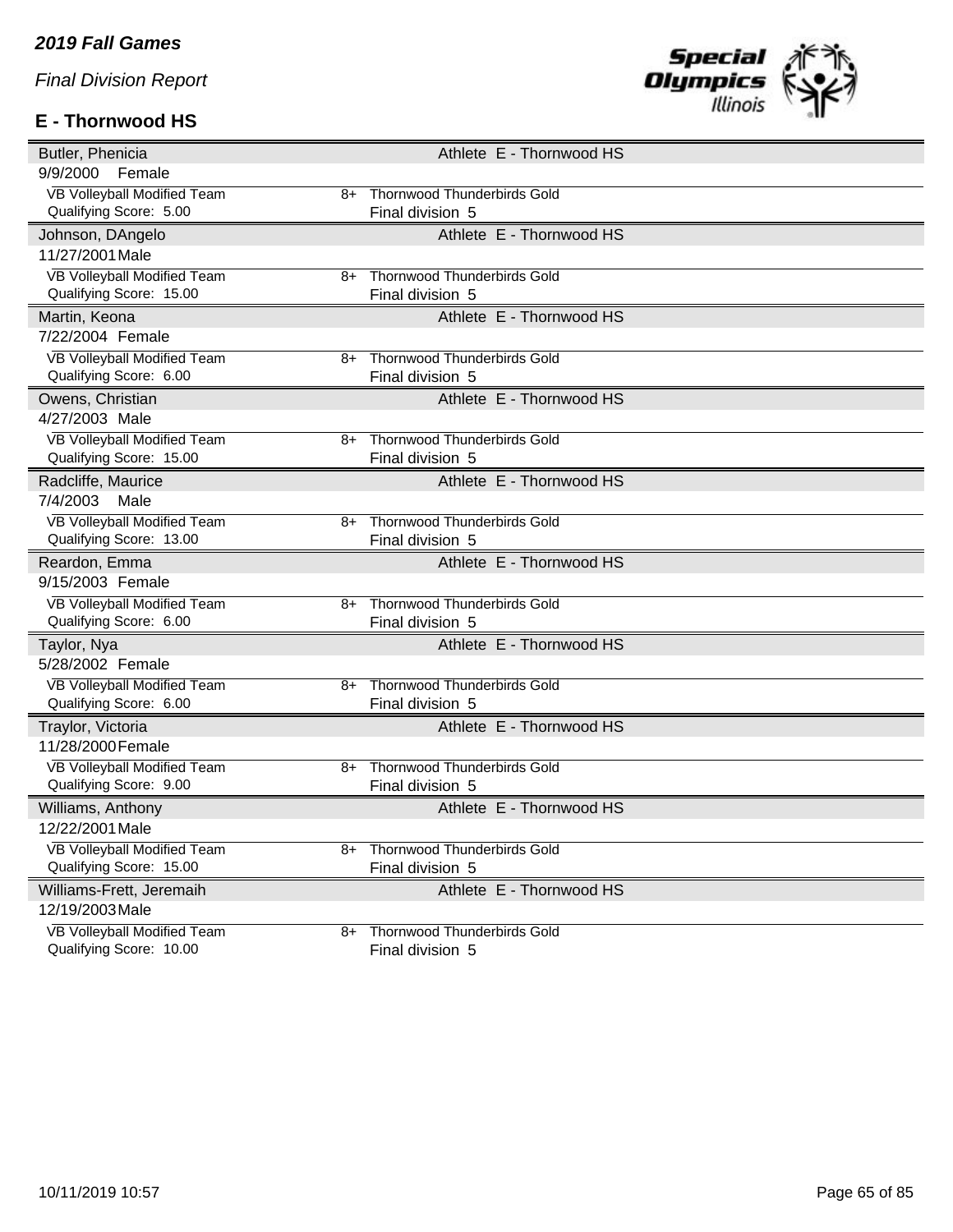# **E - Thornwood HS**



| Butler, Phenicia                                       |    | Athlete E - Thornwood HS                               |
|--------------------------------------------------------|----|--------------------------------------------------------|
| 9/9/2000<br>Female                                     |    |                                                        |
| VB Volleyball Modified Team                            | 8+ | <b>Thornwood Thunderbirds Gold</b>                     |
| Qualifying Score: 5.00                                 |    | Final division 5                                       |
| Johnson, DAngelo                                       |    | Athlete E - Thornwood HS                               |
| 11/27/2001 Male                                        |    |                                                        |
| <b>VB Volleyball Modified Team</b>                     | 8+ | <b>Thornwood Thunderbirds Gold</b>                     |
| Qualifying Score: 15.00                                |    | Final division 5                                       |
| Martin, Keona                                          |    | Athlete E - Thornwood HS                               |
| 7/22/2004 Female                                       |    |                                                        |
| VB Volleyball Modified Team                            | 8+ | <b>Thornwood Thunderbirds Gold</b>                     |
| Qualifying Score: 6.00                                 |    | Final division 5                                       |
| Owens, Christian                                       |    | Athlete E - Thornwood HS                               |
| 4/27/2003 Male                                         |    |                                                        |
| VB Volleyball Modified Team                            | 8+ | <b>Thornwood Thunderbirds Gold</b>                     |
| Qualifying Score: 15.00                                |    | Final division 5                                       |
| Radcliffe, Maurice                                     |    | Athlete E - Thornwood HS                               |
| 7/4/2003<br>Male                                       |    |                                                        |
| VB Volleyball Modified Team                            | 8+ | <b>Thornwood Thunderbirds Gold</b>                     |
| Qualifying Score: 13.00                                |    | Final division 5                                       |
|                                                        |    |                                                        |
| Reardon, Emma                                          |    | Athlete E - Thornwood HS                               |
| 9/15/2003 Female                                       |    |                                                        |
| VB Volleyball Modified Team                            | 8+ | <b>Thornwood Thunderbirds Gold</b>                     |
| Qualifying Score: 6.00                                 |    | Final division 5                                       |
| Taylor, Nya                                            |    | Athlete E - Thornwood HS                               |
| 5/28/2002 Female                                       |    |                                                        |
| VB Volleyball Modified Team                            | 8+ | <b>Thornwood Thunderbirds Gold</b>                     |
| Qualifying Score: 6.00                                 |    | Final division 5                                       |
| Traylor, Victoria                                      |    | Athlete E - Thornwood HS                               |
| 11/28/2000 Female                                      |    |                                                        |
| VB Volleyball Modified Team                            | 8+ | <b>Thornwood Thunderbirds Gold</b>                     |
| Qualifying Score: 9.00                                 |    | Final division 5                                       |
| Williams, Anthony                                      |    | Athlete E - Thornwood HS                               |
| 12/22/2001 Male                                        |    |                                                        |
| VB Volleyball Modified Team                            | 8+ | <b>Thornwood Thunderbirds Gold</b>                     |
| Qualifying Score: 15.00                                |    | Final division 5                                       |
| Williams-Frett, Jeremaih                               |    | Athlete E - Thornwood HS                               |
| 12/19/2003 Male                                        |    |                                                        |
| VB Volleyball Modified Team<br>Qualifying Score: 10.00 | 8+ | <b>Thornwood Thunderbirds Gold</b><br>Final division 5 |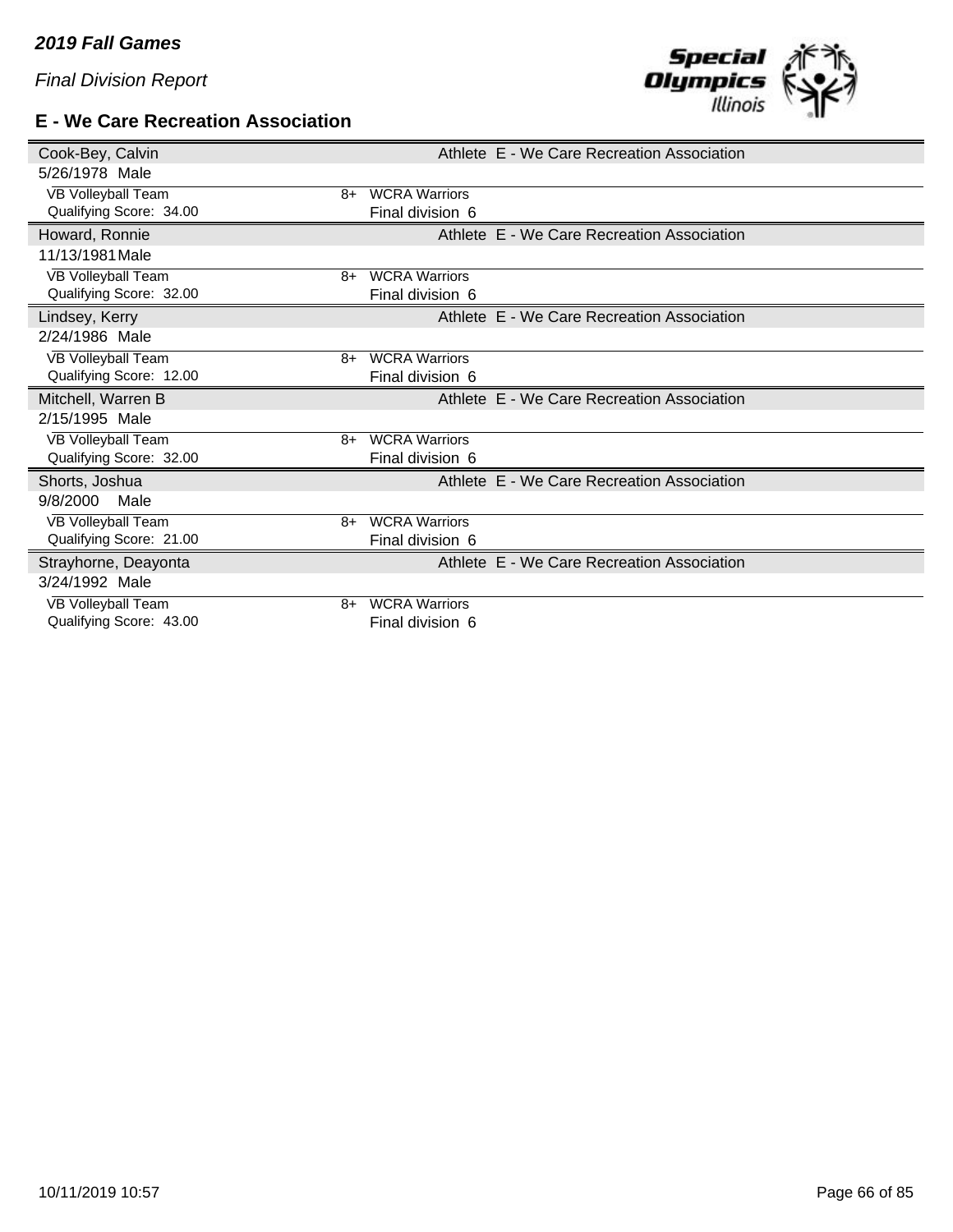#### **E - We Care Recreation Association**



| Cook-Bey, Calvin                                    |                                          | Athlete E - We Care Recreation Association |  |
|-----------------------------------------------------|------------------------------------------|--------------------------------------------|--|
| 5/26/1978 Male                                      |                                          |                                            |  |
| <b>VB Volleyball Team</b><br>$8+$                   | <b>WCRA Warriors</b>                     |                                            |  |
| Qualifying Score: 34.00                             | Final division 6                         |                                            |  |
| Howard, Ronnie                                      |                                          | Athlete E - We Care Recreation Association |  |
| 11/13/1981 Male                                     |                                          |                                            |  |
| VB Volleyball Team<br>8+                            | <b>WCRA Warriors</b>                     |                                            |  |
| Qualifying Score: 32.00                             | Final division 6                         |                                            |  |
| Lindsey, Kerry                                      |                                          | Athlete E - We Care Recreation Association |  |
| 2/24/1986 Male                                      |                                          |                                            |  |
| VB Volleyball Team<br>8+                            | <b>WCRA Warriors</b>                     |                                            |  |
| Qualifying Score: 12.00                             | Final division 6                         |                                            |  |
|                                                     |                                          |                                            |  |
| Mitchell, Warren B                                  |                                          | Athlete E - We Care Recreation Association |  |
| 2/15/1995 Male                                      |                                          |                                            |  |
| VB Volleyball Team<br>8+                            | <b>WCRA Warriors</b>                     |                                            |  |
| Qualifying Score: 32.00                             | Final division 6                         |                                            |  |
| Shorts, Joshua                                      |                                          | Athlete E - We Care Recreation Association |  |
| 9/8/2000<br>Male                                    |                                          |                                            |  |
| VB Volleyball Team<br>8+                            | <b>WCRA Warriors</b>                     |                                            |  |
| Qualifying Score: 21.00                             | Final division 6                         |                                            |  |
| Strayhorne, Deayonta                                |                                          | Athlete E - We Care Recreation Association |  |
| 3/24/1992 Male                                      |                                          |                                            |  |
| VB Volleyball Team<br>8+<br>Qualifying Score: 43.00 | <b>WCRA Warriors</b><br>Final division 6 |                                            |  |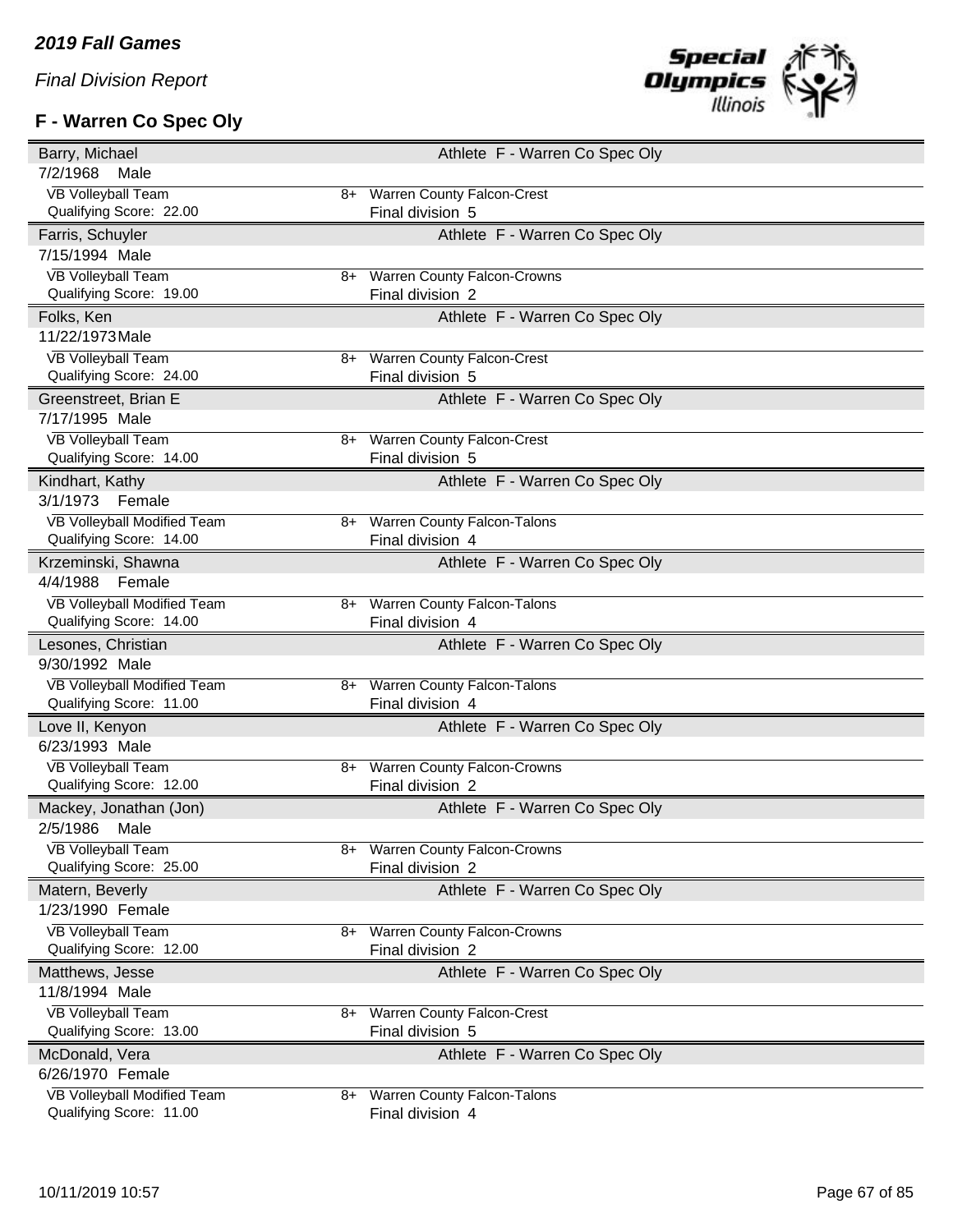# **F - Warren Co Spec Oly**



| Barry, Michael                     |      | Athlete F - Warren Co Spec Oly     |
|------------------------------------|------|------------------------------------|
| 7/2/1968<br>Male                   |      |                                    |
| <b>VB Volleyball Team</b>          | 8+   | Warren County Falcon-Crest         |
| Qualifying Score: 22.00            |      | Final division 5                   |
| Farris, Schuyler                   |      | Athlete F - Warren Co Spec Oly     |
| 7/15/1994 Male                     |      |                                    |
| <b>VB Volleyball Team</b>          | 8+   | <b>Warren County Falcon-Crowns</b> |
| Qualifying Score: 19.00            |      | Final division 2                   |
| Folks, Ken                         |      | Athlete F - Warren Co Spec Oly     |
| 11/22/1973 Male                    |      |                                    |
| <b>VB Volleyball Team</b>          | 8+   | Warren County Falcon-Crest         |
| Qualifying Score: 24.00            |      | Final division 5                   |
| Greenstreet, Brian E               |      | Athlete F - Warren Co Spec Oly     |
| 7/17/1995 Male                     |      |                                    |
| <b>VB Volleyball Team</b>          | 8+   | <b>Warren County Falcon-Crest</b>  |
| Qualifying Score: 14.00            |      | Final division 5                   |
| Kindhart, Kathy                    |      | Athlete F - Warren Co Spec Oly     |
| 3/1/1973<br>Female                 |      |                                    |
| VB Volleyball Modified Team        | 8+   | <b>Warren County Falcon-Talons</b> |
| Qualifying Score: 14.00            |      | Final division 4                   |
| Krzeminski, Shawna                 |      | Athlete F - Warren Co Spec Oly     |
| 4/4/1988<br>Female                 |      |                                    |
| VB Volleyball Modified Team        | 8+   | <b>Warren County Falcon-Talons</b> |
| Qualifying Score: 14.00            |      | Final division 4                   |
| Lesones, Christian                 |      | Athlete F - Warren Co Spec Oly     |
| 9/30/1992 Male                     |      |                                    |
| <b>VB Volleyball Modified Team</b> | 8+   | <b>Warren County Falcon-Talons</b> |
| Qualifying Score: 11.00            |      | Final division 4                   |
| Love II, Kenyon                    |      | Athlete F - Warren Co Spec Oly     |
| 6/23/1993 Male                     |      |                                    |
| <b>VB Volleyball Team</b>          | 8+   | <b>Warren County Falcon-Crowns</b> |
| Qualifying Score: 12.00            |      | Final division 2                   |
| Mackey, Jonathan (Jon)             |      | Athlete F - Warren Co Spec Oly     |
| 2/5/1986<br>Male                   |      |                                    |
| <b>VB Volleyball Team</b>          | 8+   | <b>Warren County Falcon-Crowns</b> |
| Qualifying Score: 25.00            |      | Final division 2                   |
| Matern, Beverly                    |      | Athlete F - Warren Co Spec Oly     |
| 1/23/1990 Female                   |      |                                    |
| <b>VB Volleyball Team</b>          | 8+   | <b>Warren County Falcon-Crowns</b> |
| Qualifying Score: 12.00            |      | Final division 2                   |
| Matthews, Jesse                    |      | Athlete F - Warren Co Spec Oly     |
| 11/8/1994 Male                     |      |                                    |
| <b>VB Volleyball Team</b>          | $8+$ | <b>Warren County Falcon-Crest</b>  |
| Qualifying Score: 13.00            |      | Final division 5                   |
| McDonald, Vera                     |      | Athlete F - Warren Co Spec Oly     |
| 6/26/1970 Female                   |      |                                    |
| VB Volleyball Modified Team        | 8+   | Warren County Falcon-Talons        |
| Qualifying Score: 11.00            |      | Final division 4                   |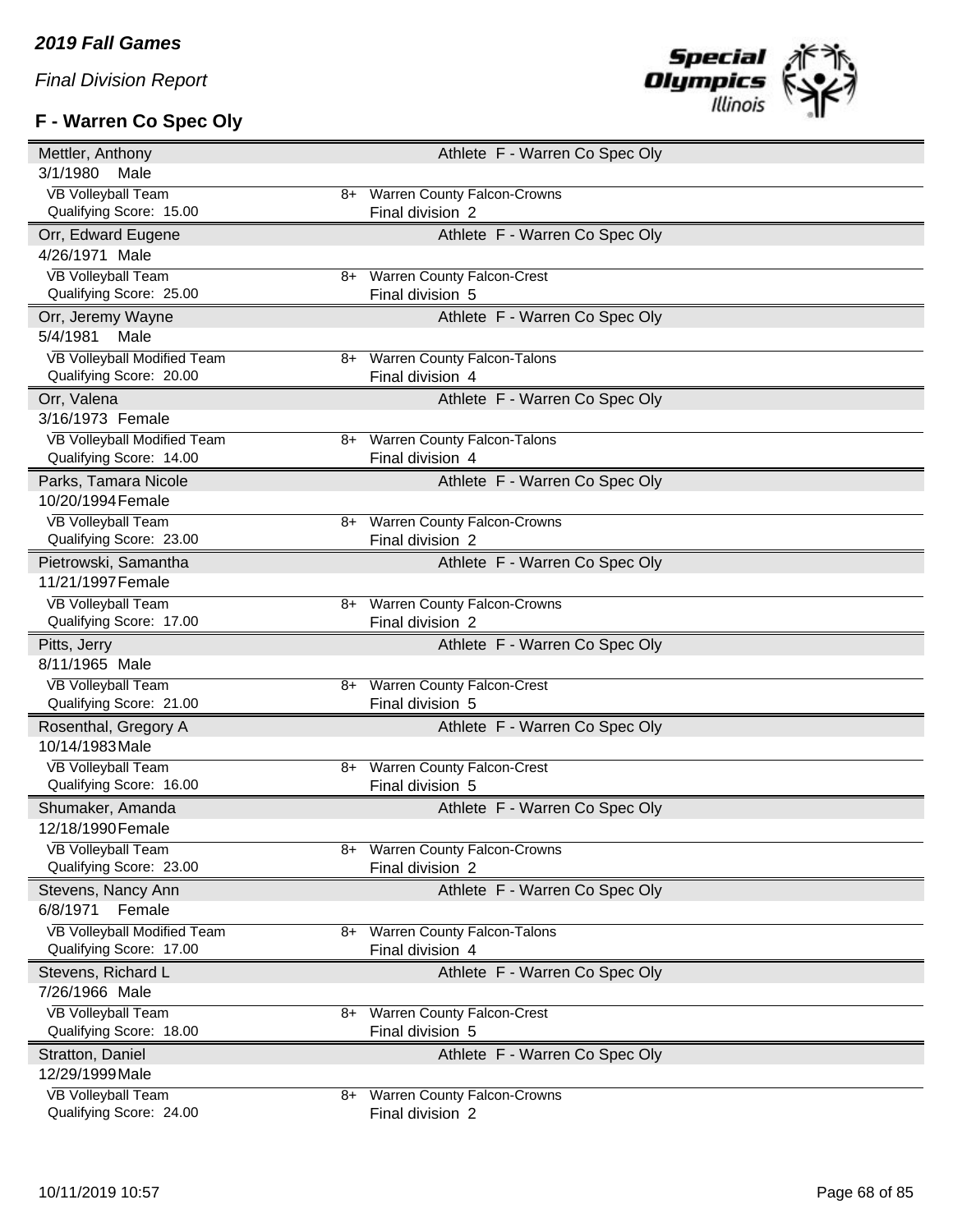# **F - Warren Co Spec Oly**



| Mettler, Anthony                                     |      | Athlete F - Warren Co Spec Oly                  |
|------------------------------------------------------|------|-------------------------------------------------|
| 3/1/1980<br>Male                                     |      |                                                 |
| <b>VB Volleyball Team</b>                            | $8+$ | <b>Warren County Falcon-Crowns</b>              |
| Qualifying Score: 15.00                              |      | Final division 2                                |
| Orr, Edward Eugene                                   |      | Athlete F - Warren Co Spec Oly                  |
| 4/26/1971 Male                                       |      |                                                 |
| <b>VB Volleyball Team</b>                            | $8+$ | <b>Warren County Falcon-Crest</b>               |
| Qualifying Score: 25.00                              |      | Final division 5                                |
| Orr, Jeremy Wayne                                    |      | Athlete F - Warren Co Spec Oly                  |
| 5/4/1981<br>Male                                     |      |                                                 |
| VB Volleyball Modified Team                          | 8+   | <b>Warren County Falcon-Talons</b>              |
| Qualifying Score: 20.00                              |      | Final division 4                                |
| Orr, Valena                                          |      | Athlete F - Warren Co Spec Oly                  |
| 3/16/1973 Female                                     |      |                                                 |
| VB Volleyball Modified Team                          |      | 8+ Warren County Falcon-Talons                  |
| Qualifying Score: 14.00                              |      | Final division 4                                |
| Parks, Tamara Nicole                                 |      | Athlete F - Warren Co Spec Oly                  |
| 10/20/1994 Female                                    |      |                                                 |
| <b>VB Volleyball Team</b>                            | 8+   | <b>Warren County Falcon-Crowns</b>              |
| Qualifying Score: 23.00                              |      | Final division 2                                |
| Pietrowski, Samantha                                 |      | Athlete F - Warren Co Spec Oly                  |
| 11/21/1997 Female                                    |      |                                                 |
| <b>VB Volleyball Team</b>                            | 8+   | <b>Warren County Falcon-Crowns</b>              |
| Qualifying Score: 17.00                              |      | Final division 2                                |
|                                                      |      |                                                 |
| Pitts, Jerry                                         |      | Athlete F - Warren Co Spec Oly                  |
| 8/11/1965 Male                                       |      |                                                 |
| <b>VB Volleyball Team</b>                            | 8+   | <b>Warren County Falcon-Crest</b>               |
| Qualifying Score: 21.00                              |      | Final division 5                                |
| Rosenthal, Gregory A                                 |      | Athlete F - Warren Co Spec Oly                  |
| 10/14/1983 Male                                      |      |                                                 |
| <b>VB Volleyball Team</b>                            | 8+   | <b>Warren County Falcon-Crest</b>               |
| Qualifying Score: 16.00                              |      | Final division 5                                |
| Shumaker, Amanda                                     |      | Athlete F - Warren Co Spec Oly                  |
| 12/18/1990 Female                                    |      |                                                 |
| <b>VB Volleyball Team</b>                            | 8+   | <b>Warren County Falcon-Crowns</b>              |
| Qualifying Score: 23.00                              |      | Final division 2                                |
| Stevens, Nancy Ann                                   |      | Athlete F - Warren Co Spec Oly                  |
| 6/8/1971<br>Female                                   |      |                                                 |
| VB Volleyball Modified Team                          | 8+   | <b>Warren County Falcon-Talons</b>              |
| Qualifying Score: 17.00                              |      | Final division 4                                |
| Stevens, Richard L                                   |      | Athlete F - Warren Co Spec Oly                  |
| 7/26/1966 Male                                       |      |                                                 |
| <b>VB Volleyball Team</b>                            | $8+$ | <b>Warren County Falcon-Crest</b>               |
| Qualifying Score: 18.00                              |      | Final division 5                                |
| Stratton, Daniel                                     |      | Athlete F - Warren Co Spec Oly                  |
| 12/29/1999 Male                                      |      |                                                 |
| <b>VB Volleyball Team</b><br>Qualifying Score: 24.00 | 8+   | Warren County Falcon-Crowns<br>Final division 2 |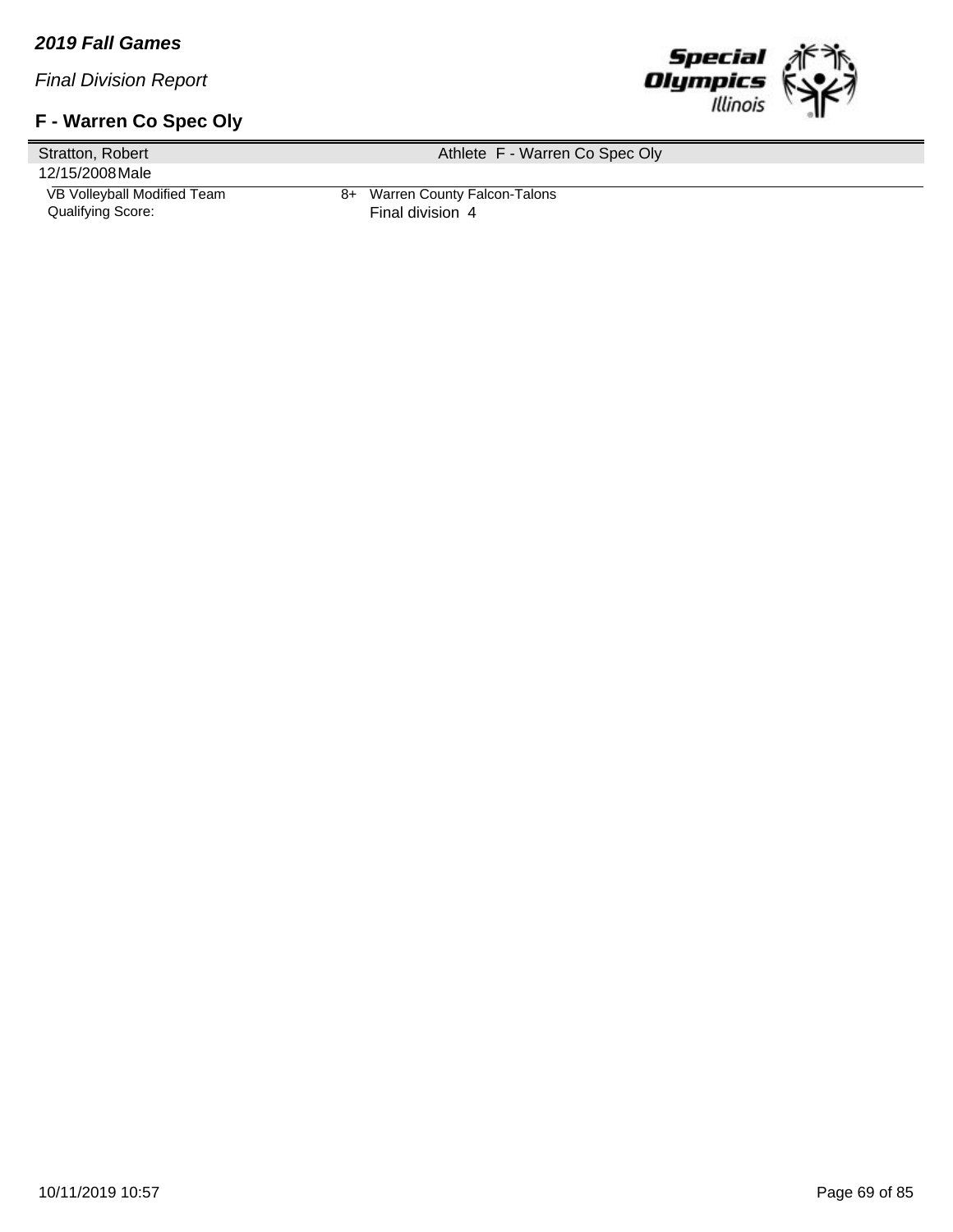## **F - Warren Co Spec Oly**



Stratton, Robert 12/15/2008Male Athlete F - Warren Co Spec Oly VB Volleyball Modified Team 8+ Warren County Falcon-Talons<br>Qualifying Score: Final division 4 Final division 4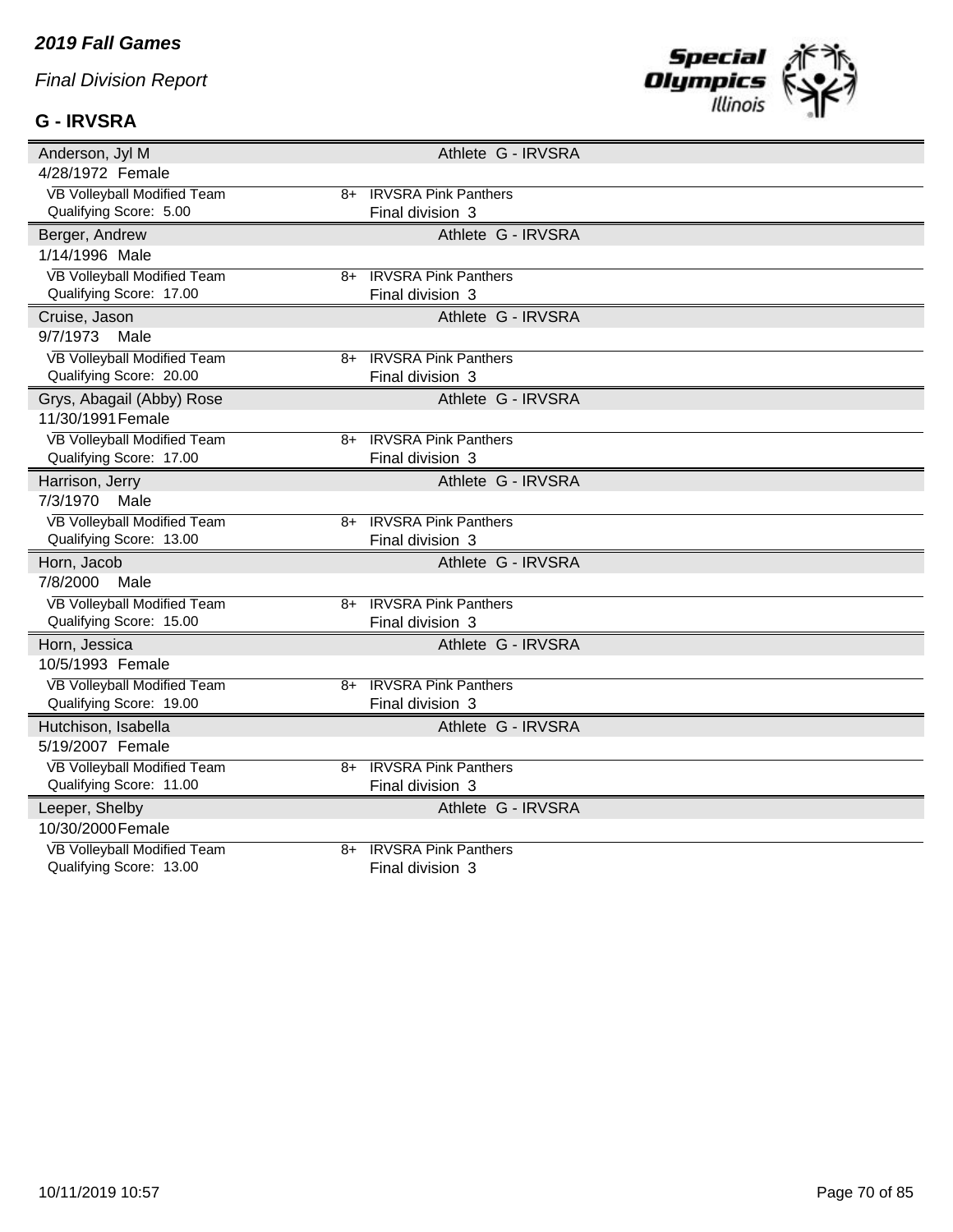### **G - IRVSRA**



| Anderson, Jyl M                            | Athlete G - IRVSRA          |
|--------------------------------------------|-----------------------------|
| 4/28/1972 Female                           |                             |
| VB Volleyball Modified Team<br>$8+$        | <b>IRVSRA Pink Panthers</b> |
| Qualifying Score: 5.00                     | Final division 3            |
| Berger, Andrew                             | Athlete G - IRVSRA          |
| 1/14/1996 Male                             |                             |
| <b>VB Volleyball Modified Team</b><br>8+   | <b>IRVSRA Pink Panthers</b> |
| Qualifying Score: 17.00                    | Final division 3            |
| Cruise, Jason                              | Athlete G - IRVSRA          |
| 9/7/1973<br>Male                           |                             |
| VB Volleyball Modified Team<br>8+          | <b>IRVSRA Pink Panthers</b> |
| Qualifying Score: 20.00                    | Final division 3            |
| Grys, Abagail (Abby) Rose                  | Athlete G - IRVSRA          |
| 11/30/1991 Female                          |                             |
| <b>VB Volleyball Modified Team</b><br>8+   | <b>IRVSRA Pink Panthers</b> |
| Qualifying Score: 17.00                    | Final division 3            |
| Harrison, Jerry                            | Athlete G - IRVSRA          |
| 7/3/1970<br>Male                           |                             |
| <b>VB Volleyball Modified Team</b><br>8+   | <b>IRVSRA Pink Panthers</b> |
| Qualifying Score: 13.00                    | Final division 3            |
| Horn, Jacob                                | Athlete G - IRVSRA          |
| 7/8/2000<br>Male                           |                             |
| <b>VB Volleyball Modified Team</b><br>8+   | <b>IRVSRA Pink Panthers</b> |
| Qualifying Score: 15.00                    | Final division 3            |
| Horn, Jessica                              | Athlete G - IRVSRA          |
| 10/5/1993 Female                           |                             |
| <b>VB Volleyball Modified Team</b><br>$8+$ | <b>IRVSRA Pink Panthers</b> |
| Qualifying Score: 19.00                    | Final division 3            |
| Hutchison, Isabella                        | Athlete G - IRVSRA          |
| 5/19/2007 Female                           |                             |
| <b>VB Volleyball Modified Team</b><br>8+   | <b>IRVSRA Pink Panthers</b> |
| Qualifying Score: 11.00                    | Final division 3            |
| Leeper, Shelby                             | Athlete G - IRVSRA          |
| 10/30/2000 Female                          |                             |
| <b>VB Volleyball Modified Team</b><br>$8+$ | <b>IRVSRA Pink Panthers</b> |
| Qualifying Score: 13.00                    | Final division 3            |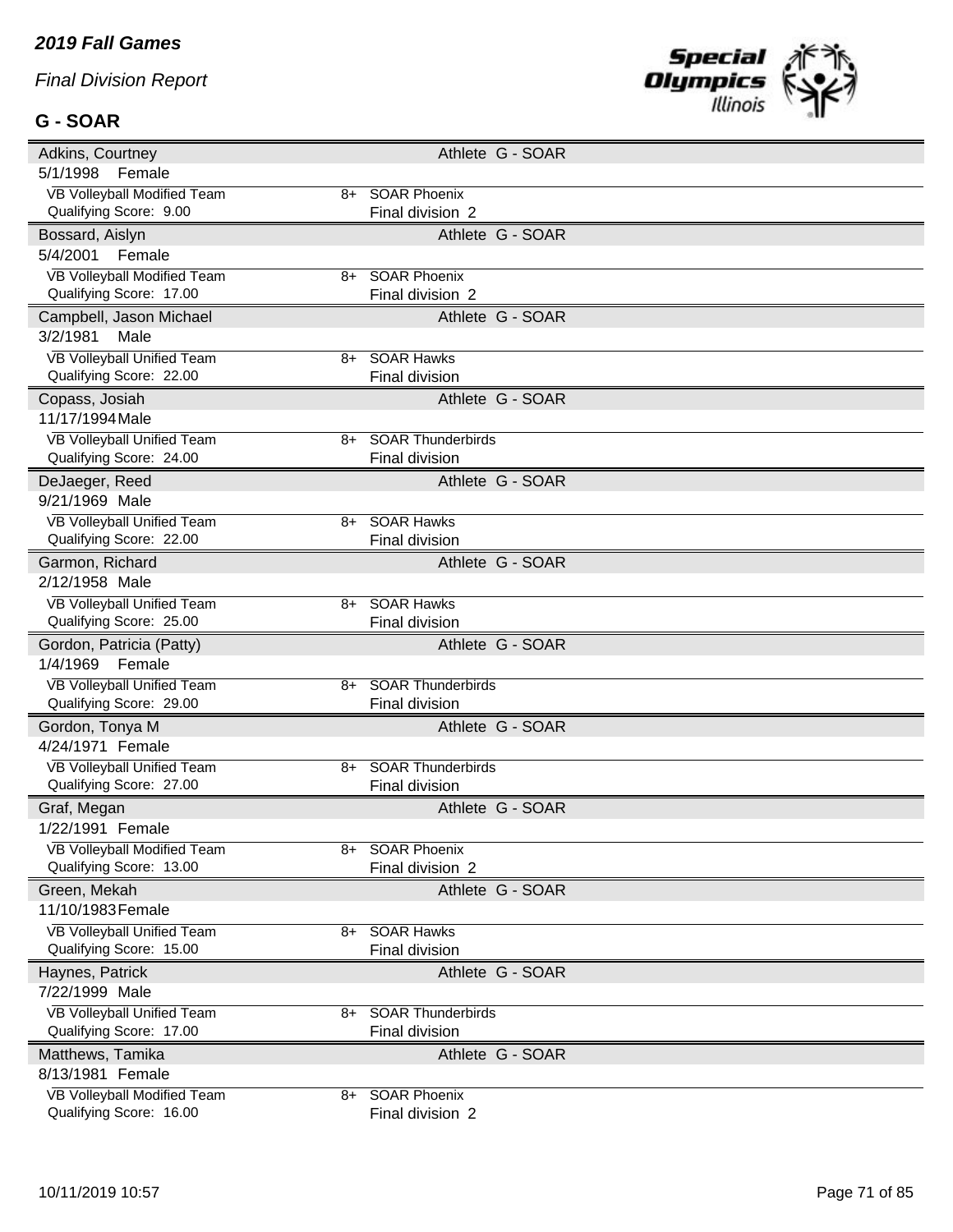#### **G - SOAR**



| Adkins, Courtney                                       |      | Athlete G - SOAR                        |
|--------------------------------------------------------|------|-----------------------------------------|
| 5/1/1998<br>Female                                     |      |                                         |
| VB Volleyball Modified Team                            |      | 8+ SOAR Phoenix                         |
| Qualifying Score: 9.00                                 |      | Final division 2                        |
| Bossard, Aislyn                                        |      | Athlete G - SOAR                        |
| 5/4/2001<br>Female                                     |      |                                         |
| VB Volleyball Modified Team                            | 8+   | <b>SOAR Phoenix</b>                     |
| Qualifying Score: 17.00                                |      | Final division 2                        |
| Campbell, Jason Michael                                |      | Athlete G - SOAR                        |
| 3/2/1981<br>Male                                       |      |                                         |
| <b>VB Volleyball Unified Team</b>                      | 8+   | <b>SOAR Hawks</b>                       |
| Qualifying Score: 22.00                                |      | Final division                          |
| Copass, Josiah                                         |      | Athlete G - SOAR                        |
| 11/17/1994 Male                                        |      |                                         |
| VB Volleyball Unified Team                             | 8+   | <b>SOAR Thunderbirds</b>                |
| Qualifying Score: 24.00                                |      | Final division                          |
| DeJaeger, Reed                                         |      | Athlete G - SOAR                        |
| 9/21/1969 Male                                         |      |                                         |
| VB Volleyball Unified Team                             | 8+   | <b>SOAR Hawks</b>                       |
| Qualifying Score: 22.00                                |      | Final division                          |
| Garmon, Richard                                        |      | Athlete G - SOAR                        |
| 2/12/1958 Male                                         |      |                                         |
| VB Volleyball Unified Team                             | 8+   | <b>SOAR Hawks</b>                       |
| Qualifying Score: 25.00                                |      | Final division                          |
|                                                        |      |                                         |
| Gordon, Patricia (Patty)                               |      | Athlete G - SOAR                        |
| 1/4/1969<br>Female                                     |      |                                         |
| VB Volleyball Unified Team                             | 8+   | <b>SOAR Thunderbirds</b>                |
| Qualifying Score: 29.00                                |      | Final division                          |
| Gordon, Tonya M                                        |      | Athlete G - SOAR                        |
| 4/24/1971 Female                                       |      |                                         |
| VB Volleyball Unified Team                             | $8+$ | <b>SOAR Thunderbirds</b>                |
| Qualifying Score: 27.00                                |      | Final division                          |
| Graf, Megan                                            |      | Athlete G - SOAR                        |
| 1/22/1991 Female                                       |      |                                         |
| VB Volleyball Modified Team                            |      | SOAR Phoenix                            |
| Qualifying Score: 13.00                                |      | Final division 2                        |
| Green, Mekah                                           |      | Athlete G - SOAR                        |
| 11/10/1983 Female                                      |      |                                         |
| VB Volleyball Unified Team                             | 8+   | <b>SOAR Hawks</b>                       |
| Qualifying Score: 15.00                                |      | Final division                          |
| Haynes, Patrick                                        |      | Athlete G - SOAR                        |
| 7/22/1999 Male                                         |      |                                         |
| <b>VB Volleyball Unified Team</b>                      | 8+   | <b>SOAR Thunderbirds</b>                |
| Qualifying Score: 17.00                                |      | Final division                          |
| Matthews, Tamika                                       |      | Athlete G - SOAR                        |
| 8/13/1981 Female                                       |      |                                         |
| VB Volleyball Modified Team<br>Qualifying Score: 16.00 | 8+   | <b>SOAR Phoenix</b><br>Final division 2 |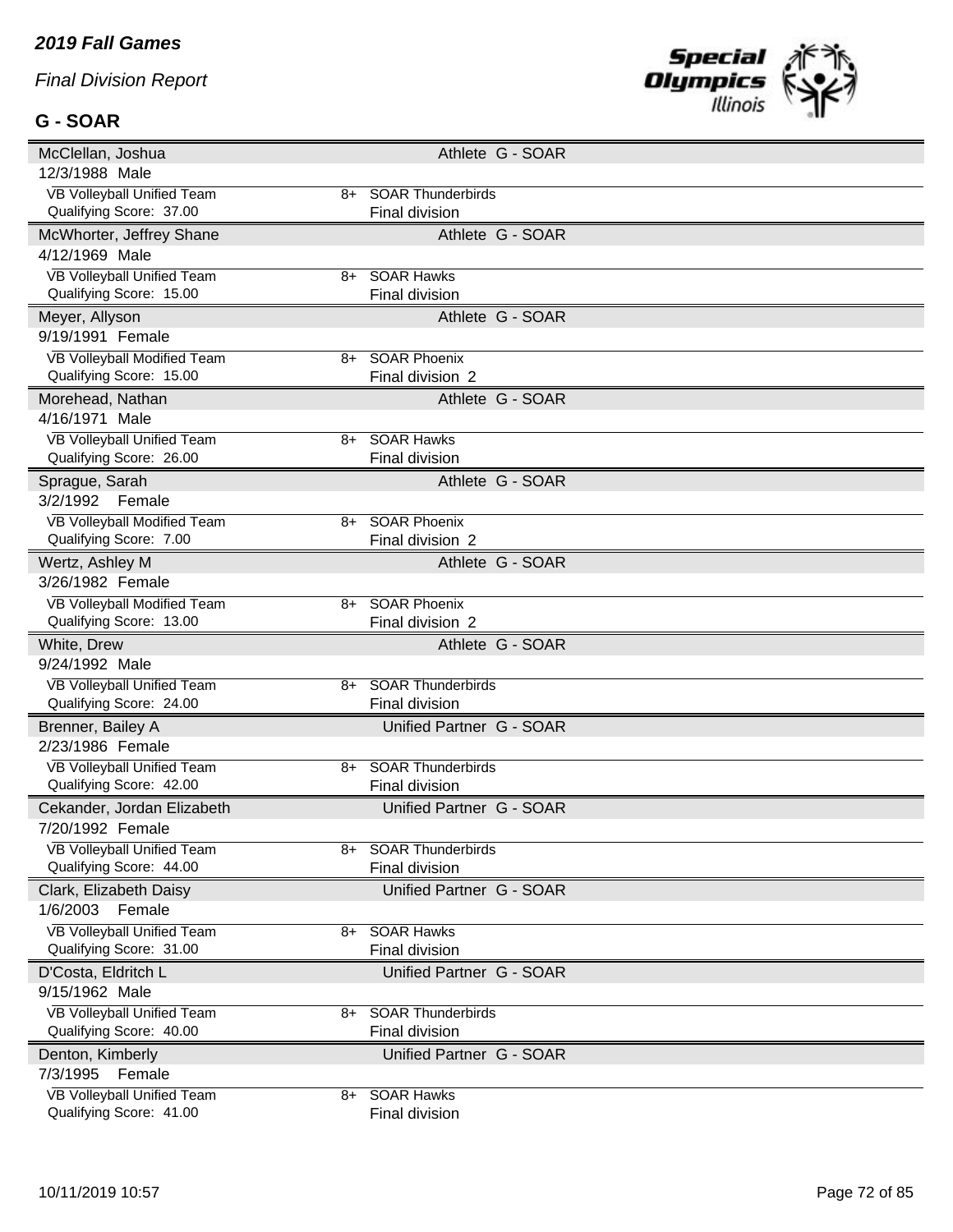#### **G - SOAR**



| McClellan, Joshua                                     |    | Athlete G - SOAR                                  |
|-------------------------------------------------------|----|---------------------------------------------------|
| 12/3/1988 Male                                        |    |                                                   |
| VB Volleyball Unified Team                            |    | 8+ SOAR Thunderbirds                              |
| Qualifying Score: 37.00                               |    | <b>Final division</b>                             |
| McWhorter, Jeffrey Shane                              |    | Athlete G - SOAR                                  |
| 4/12/1969 Male                                        |    |                                                   |
| VB Volleyball Unified Team                            | 8+ | <b>SOAR Hawks</b>                                 |
| Qualifying Score: 15.00                               |    | Final division                                    |
| Meyer, Allyson                                        |    | Athlete G - SOAR                                  |
| 9/19/1991 Female                                      |    |                                                   |
| VB Volleyball Modified Team                           | 8+ | <b>SOAR Phoenix</b>                               |
| Qualifying Score: 15.00                               |    | Final division 2                                  |
| Morehead, Nathan                                      |    | Athlete G - SOAR                                  |
| 4/16/1971 Male                                        |    |                                                   |
| VB Volleyball Unified Team                            | 8+ | SOAR Hawks                                        |
| Qualifying Score: 26.00                               |    | Final division                                    |
| Sprague, Sarah                                        |    | Athlete G - SOAR                                  |
| 3/2/1992<br>Female                                    |    |                                                   |
| VB Volleyball Modified Team                           |    | 8+ SOAR Phoenix                                   |
| Qualifying Score: 7.00                                |    | Final division 2                                  |
| Wertz, Ashley M                                       |    | Athlete G - SOAR                                  |
| 3/26/1982 Female                                      |    |                                                   |
| VB Volleyball Modified Team                           | 8+ | <b>SOAR Phoenix</b>                               |
| Qualifying Score: 13.00                               |    | Final division 2                                  |
|                                                       |    |                                                   |
|                                                       |    |                                                   |
| White, Drew<br>9/24/1992 Male                         |    | Athlete G - SOAR                                  |
|                                                       | 8+ |                                                   |
| VB Volleyball Unified Team<br>Qualifying Score: 24.00 |    | <b>SOAR Thunderbirds</b><br>Final division        |
|                                                       |    |                                                   |
| Brenner, Bailey A<br>2/23/1986 Female                 |    | Unified Partner G - SOAR                          |
|                                                       | 8+ |                                                   |
| VB Volleyball Unified Team<br>Qualifying Score: 42.00 |    | <b>SOAR Thunderbirds</b><br><b>Final division</b> |
|                                                       |    |                                                   |
| Cekander, Jordan Elizabeth<br>7/20/1992 Female        |    | Unified Partner G - SOAR                          |
|                                                       |    |                                                   |
| VB Volleyball Unified Team<br>Qualifying Score: 44.00 |    | <b>SOAR Thunderbirds</b><br><b>Final division</b> |
|                                                       |    |                                                   |
| Clark, Elizabeth Daisy<br>1/6/2003 Female             |    | Unified Partner G - SOAR                          |
|                                                       |    |                                                   |
| VB Volleyball Unified Team<br>Qualifying Score: 31.00 |    | 8+ SOAR Hawks<br>Final division                   |
|                                                       |    |                                                   |
| D'Costa, Eldritch L<br>9/15/1962 Male                 |    | Unified Partner G - SOAR                          |
|                                                       | 8+ |                                                   |
| VB Volleyball Unified Team<br>Qualifying Score: 40.00 |    | <b>SOAR Thunderbirds</b>                          |
|                                                       |    | Final division                                    |
| Denton, Kimberly                                      |    | Unified Partner G - SOAR                          |
| 7/3/1995<br>Female<br>VB Volleyball Unified Team      |    | 8+ SOAR Hawks                                     |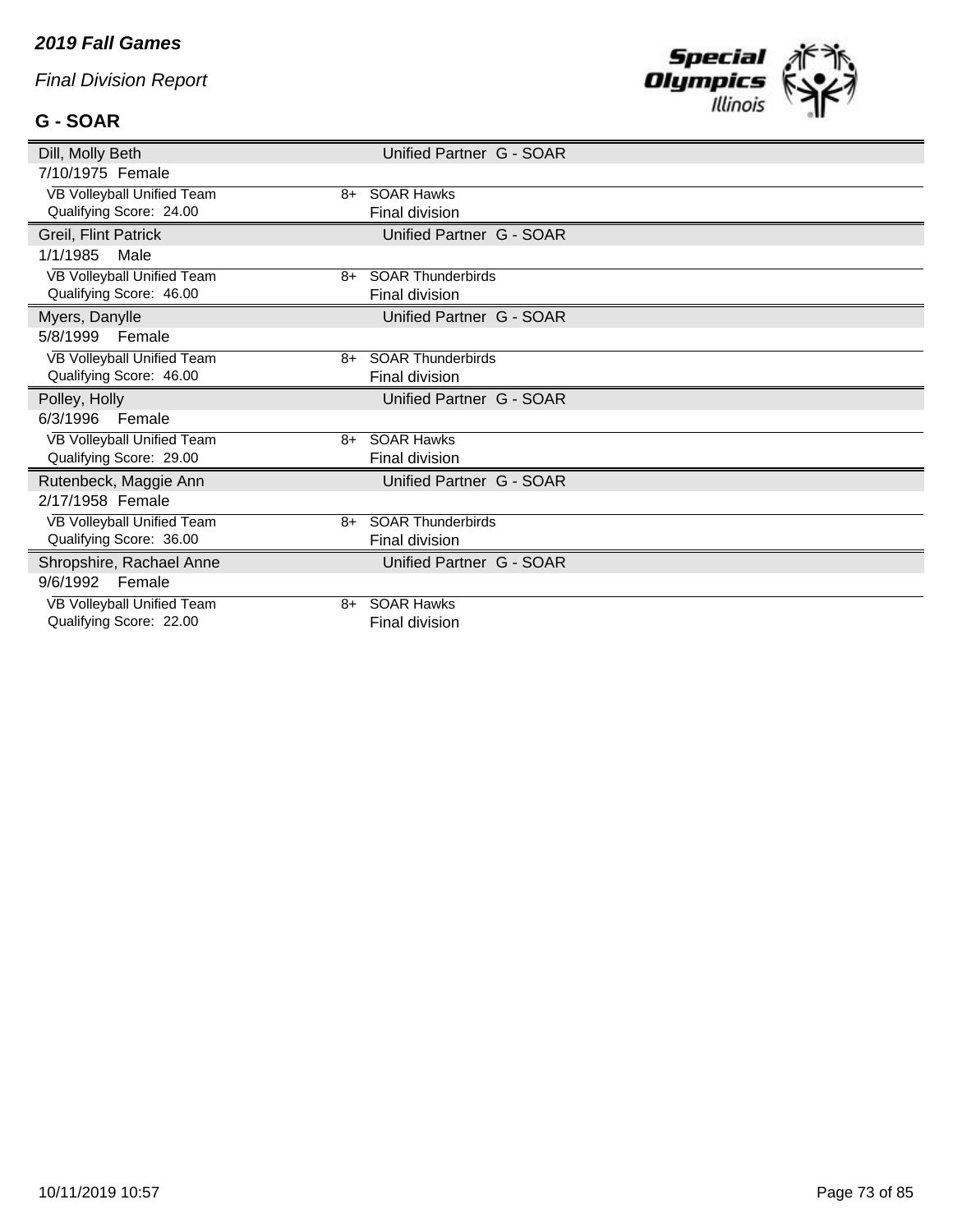# **G - SOAR**



| Dill, Molly Beth                                      |      | Unified Partner G - SOAR |
|-------------------------------------------------------|------|--------------------------|
| 7/10/1975 Female                                      |      |                          |
| VB Volleyball Unified Team                            | 8+   | <b>SOAR Hawks</b>        |
| Qualifying Score: 24.00                               |      | Final division           |
| Greil, Flint Patrick                                  |      | Unified Partner G - SOAR |
| 1/1/1985<br>Male                                      |      |                          |
| VB Volleyball Unified Team                            | 8+   | <b>SOAR Thunderbirds</b> |
| Qualifying Score: 46.00                               |      | Final division           |
| Myers, Danylle                                        |      | Unified Partner G - SOAR |
| 5/8/1999<br>Female                                    |      |                          |
| VB Volleyball Unified Team                            | 8+   | <b>SOAR Thunderbirds</b> |
| Qualifying Score: 46.00                               |      | Final division           |
|                                                       |      |                          |
| Polley, Holly                                         |      | Unified Partner G - SOAR |
| 6/3/1996<br>Female                                    |      |                          |
| VB Volleyball Unified Team                            |      | 8+ SOAR Hawks            |
| Qualifying Score: 29.00                               |      | Final division           |
| Rutenbeck, Maggie Ann                                 |      | Unified Partner G - SOAR |
| 2/17/1958 Female                                      |      |                          |
| VB Volleyball Unified Team                            | $8+$ | <b>SOAR Thunderbirds</b> |
| Qualifying Score: 36.00                               |      | Final division           |
| Shropshire, Rachael Anne                              |      | Unified Partner G - SOAR |
| 9/6/1992<br>Female                                    |      |                          |
| VB Volleyball Unified Team<br>Qualifying Score: 22.00 | 8+   | <b>SOAR Hawks</b>        |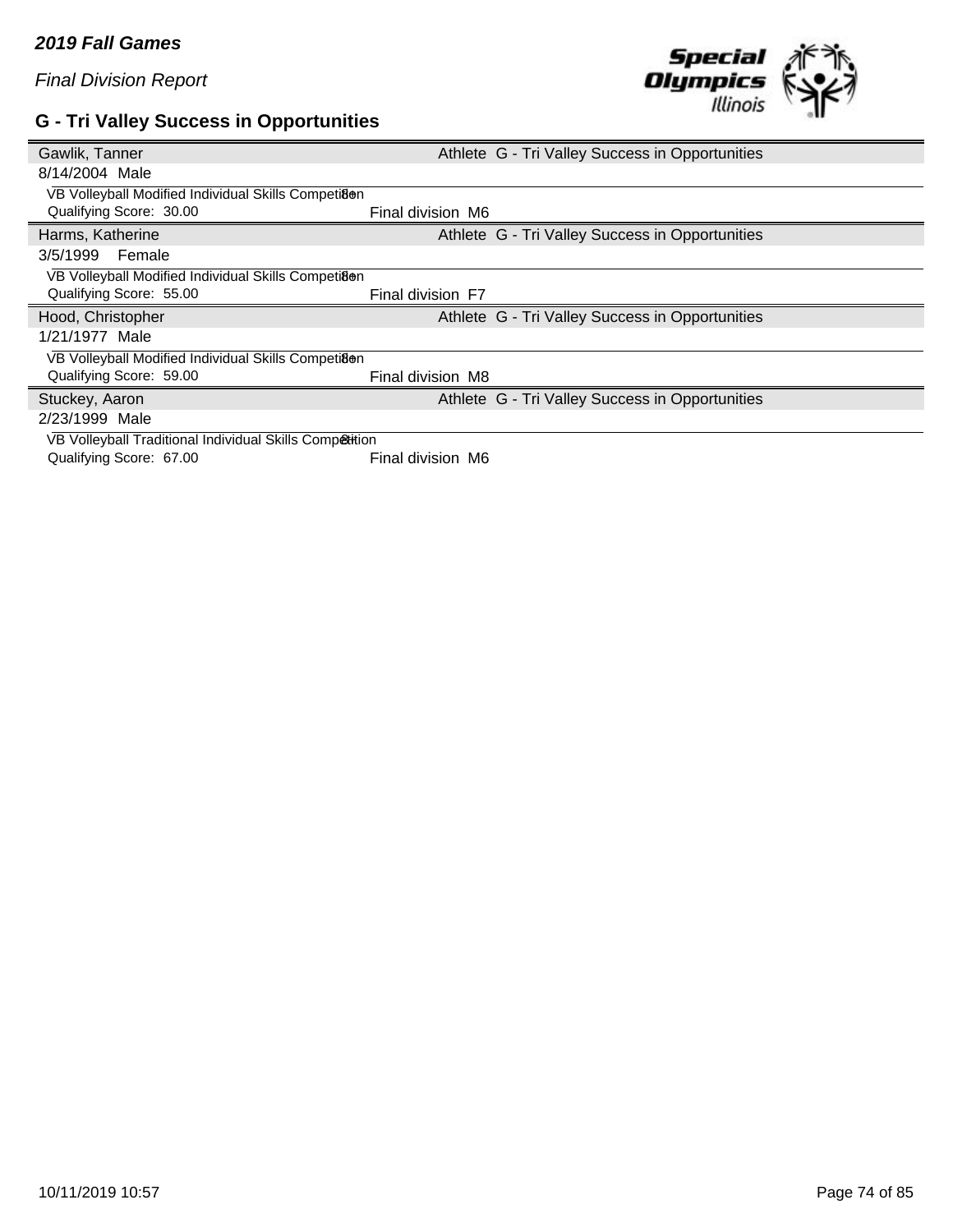## **G - Tri Valley Success in Opportunities**



| Gawlik, Tanner                                          | Athlete G - Tri Valley Success in Opportunities |
|---------------------------------------------------------|-------------------------------------------------|
| 8/14/2004 Male                                          |                                                 |
| VB Volleyball Modified Individual Skills Competiaen     |                                                 |
| Qualifying Score: 30.00                                 | Final division M6                               |
| Harms, Katherine                                        | Athlete G - Tri Valley Success in Opportunities |
| 3/5/1999<br>Female                                      |                                                 |
| VB Volleyball Modified Individual Skills Competiaen     |                                                 |
| Qualifying Score: 55.00                                 | Final division F7                               |
|                                                         |                                                 |
| Hood, Christopher                                       | Athlete G - Tri Valley Success in Opportunities |
| 1/21/1977 Male                                          |                                                 |
| VB Volleyball Modified Individual Skills Competiaen     |                                                 |
| Qualifying Score: 59.00                                 | Final division M8                               |
| Stuckey, Aaron                                          | Athlete G - Tri Valley Success in Opportunities |
| 2/23/1999 Male                                          |                                                 |
| VB Volleyball Traditional Individual Skills Competition |                                                 |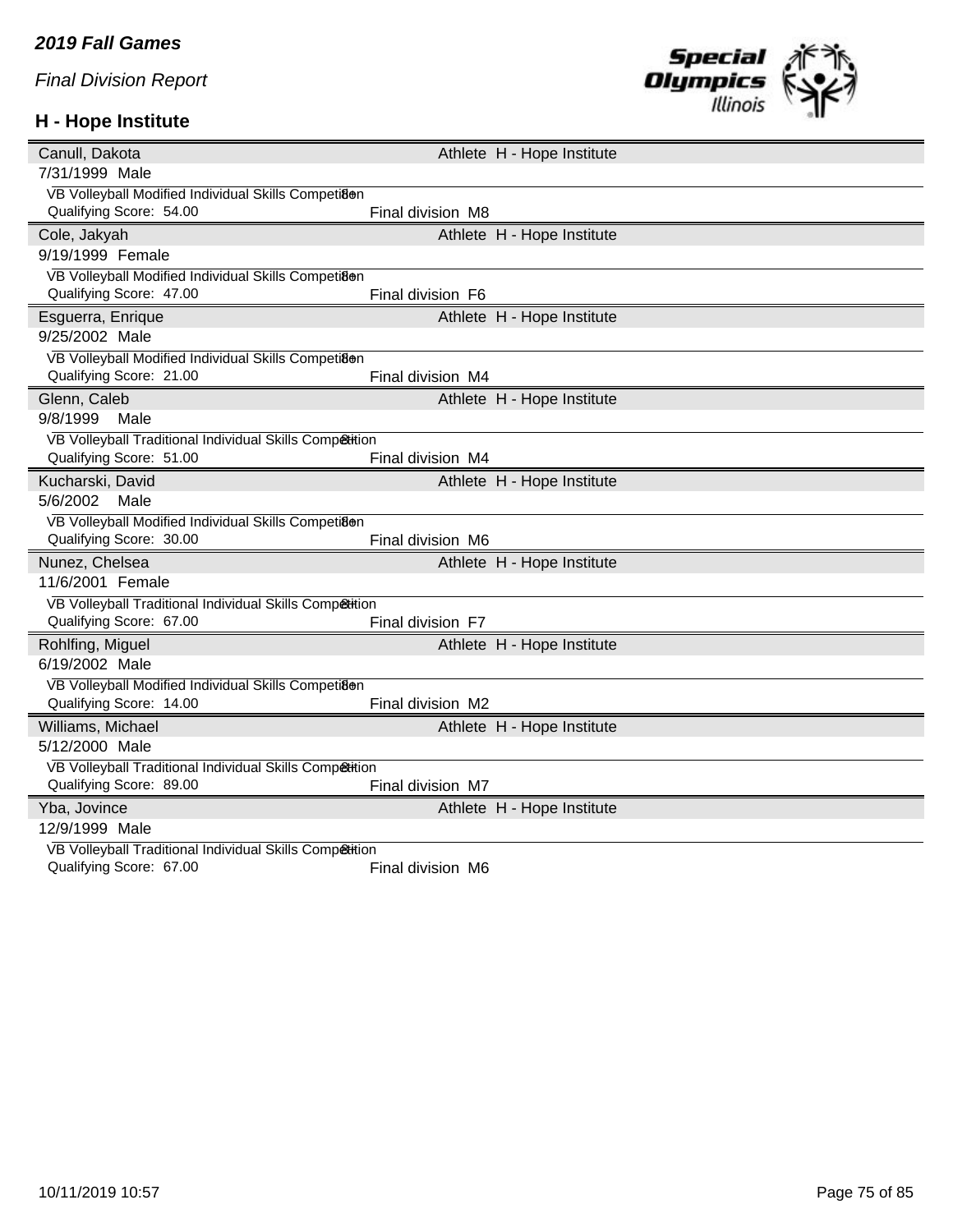## **H - Hope Institute**



| Canull, Dakota                                          | Athlete H - Hope Institute |  |
|---------------------------------------------------------|----------------------------|--|
| 7/31/1999 Male                                          |                            |  |
| VB Volleyball Modified Individual Skills Competi8en     |                            |  |
| Qualifying Score: 54.00                                 | Final division M8          |  |
| Cole, Jakyah                                            | Athlete H - Hope Institute |  |
| 9/19/1999 Female                                        |                            |  |
| VB Volleyball Modified Individual Skills Competi8@n     |                            |  |
| Qualifying Score: 47.00                                 | Final division F6          |  |
| Esguerra, Enrique                                       | Athlete H - Hope Institute |  |
| 9/25/2002 Male                                          |                            |  |
| VB Volleyball Modified Individual Skills Competi8en     |                            |  |
| Qualifying Score: 21.00                                 | Final division M4          |  |
| Glenn, Caleb                                            | Athlete H - Hope Institute |  |
| 9/8/1999<br>Male                                        |                            |  |
| VB Volleyball Traditional Individual Skills Competition |                            |  |
| Qualifying Score: 51.00                                 | Final division M4          |  |
| Kucharski, David                                        | Athlete H - Hope Institute |  |
| 5/6/2002<br>Male                                        |                            |  |
| VB Volleyball Modified Individual Skills Competi8@n     |                            |  |
| Qualifying Score: 30.00                                 | Final division M6          |  |
| Nunez, Chelsea                                          | Athlete H - Hope Institute |  |
| 11/6/2001 Female                                        |                            |  |
| VB Volleyball Traditional Individual Skills Competition |                            |  |
| Qualifying Score: 67.00                                 | Final division F7          |  |
| Rohlfing, Miguel                                        | Athlete H - Hope Institute |  |
| 6/19/2002 Male                                          |                            |  |
| VB Volleyball Modified Individual Skills Competi8en     |                            |  |
| Qualifying Score: 14.00                                 | Final division M2          |  |
| Williams, Michael                                       | Athlete H - Hope Institute |  |
| 5/12/2000 Male                                          |                            |  |
| VB Volleyball Traditional Individual Skills Competition |                            |  |
| Qualifying Score: 89.00                                 | Final division M7          |  |
| Yba, Jovince                                            | Athlete H - Hope Institute |  |
| 12/9/1999 Male                                          |                            |  |
| VB Volleyball Traditional Individual Skills Competition |                            |  |
| Qualifying Score: 67.00                                 | Final division M6          |  |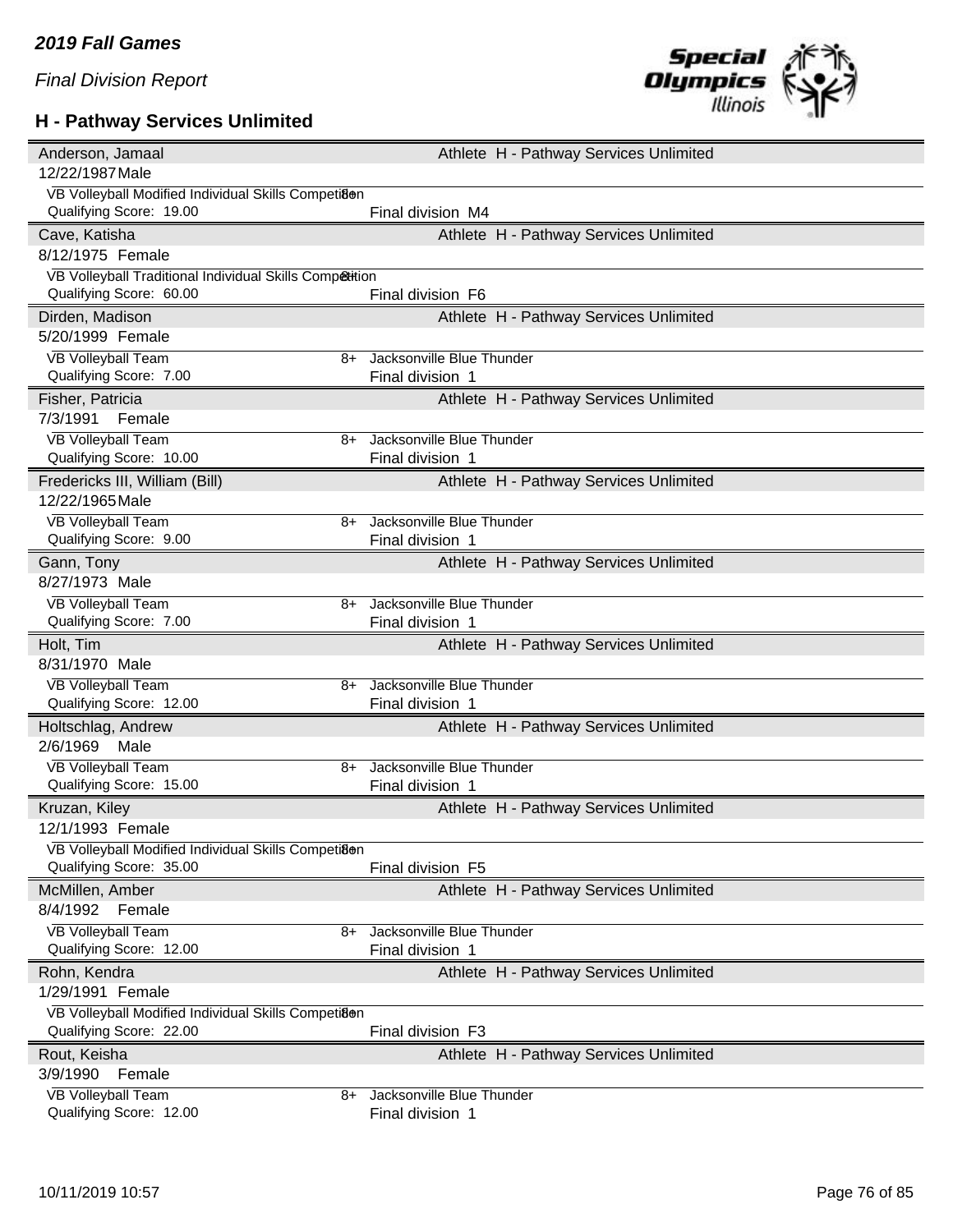## **H - Pathway Services Unlimited**



| Anderson, Jamaal                                           | Athlete H - Pathway Services Unlimited        |
|------------------------------------------------------------|-----------------------------------------------|
| 12/22/1987 Male                                            |                                               |
| VB Volleyball Modified Individual Skills Competi8en        |                                               |
| Qualifying Score: 19.00                                    | Final division M4                             |
| Cave, Katisha                                              | Athlete H - Pathway Services Unlimited        |
| 8/12/1975 Female                                           |                                               |
| VB Volleyball Traditional Individual Skills Competition    |                                               |
| Qualifying Score: 60.00                                    | Final division F6                             |
| Dirden, Madison                                            | Athlete H - Pathway Services Unlimited        |
| 5/20/1999 Female                                           |                                               |
| <b>VB Volleyball Team</b><br>8+                            | Jacksonville Blue Thunder                     |
| Qualifying Score: 7.00                                     | Final division 1                              |
| Fisher, Patricia                                           | Athlete H - Pathway Services Unlimited        |
| 7/3/1991<br>Female                                         |                                               |
| <b>VB Volleyball Team</b><br>8+                            | Jacksonville Blue Thunder                     |
| Qualifying Score: 10.00                                    | Final division 1                              |
| Fredericks III, William (Bill)                             | Athlete H - Pathway Services Unlimited        |
| 12/22/1965 Male                                            |                                               |
| <b>VB Volleyball Team</b><br>8+                            | Jacksonville Blue Thunder                     |
| Qualifying Score: 9.00                                     | Final division 1                              |
| Gann, Tony                                                 | Athlete H - Pathway Services Unlimited        |
| 8/27/1973 Male                                             |                                               |
| <b>VB Volleyball Team</b><br>8+                            | Jacksonville Blue Thunder                     |
| Qualifying Score: 7.00                                     | Final division 1                              |
|                                                            |                                               |
| Holt, Tim                                                  | Athlete H - Pathway Services Unlimited        |
| 8/31/1970 Male                                             |                                               |
| VB Volleyball Team<br>8+                                   | Jacksonville Blue Thunder                     |
| Qualifying Score: 12.00                                    | Final division 1                              |
| Holtschlag, Andrew                                         | Athlete H - Pathway Services Unlimited        |
| 2/6/1969<br>Male                                           |                                               |
| <b>VB Volleyball Team</b><br>8+                            | Jacksonville Blue Thunder                     |
| Qualifying Score: 15.00                                    | Final division 1                              |
| Kruzan, Kiley                                              | Athlete H - Pathway Services Unlimited        |
| 12/1/1993 Female                                           |                                               |
| VB Volleyball Modified Individual Skills Competi8@n        |                                               |
| Qualifying Score: 35.00                                    | Final division F5                             |
| McMillen, Amber                                            | Athlete H - Pathway Services Unlimited        |
| 8/4/1992 Female                                            |                                               |
| <b>VB Volleyball Team</b><br>8+                            | Jacksonville Blue Thunder                     |
| Qualifying Score: 12.00                                    | Final division 1                              |
| Rohn, Kendra                                               | Athlete H - Pathway Services Unlimited        |
| 1/29/1991 Female                                           |                                               |
| VB Volleyball Modified Individual Skills Competi8en        |                                               |
| Qualifying Score: 22.00                                    | Final division F3                             |
| Rout, Keisha                                               | Athlete H - Pathway Services Unlimited        |
| 3/9/1990<br>Female                                         |                                               |
| <b>VB Volleyball Team</b><br>8+<br>Qualifying Score: 12.00 | Jacksonville Blue Thunder<br>Final division 1 |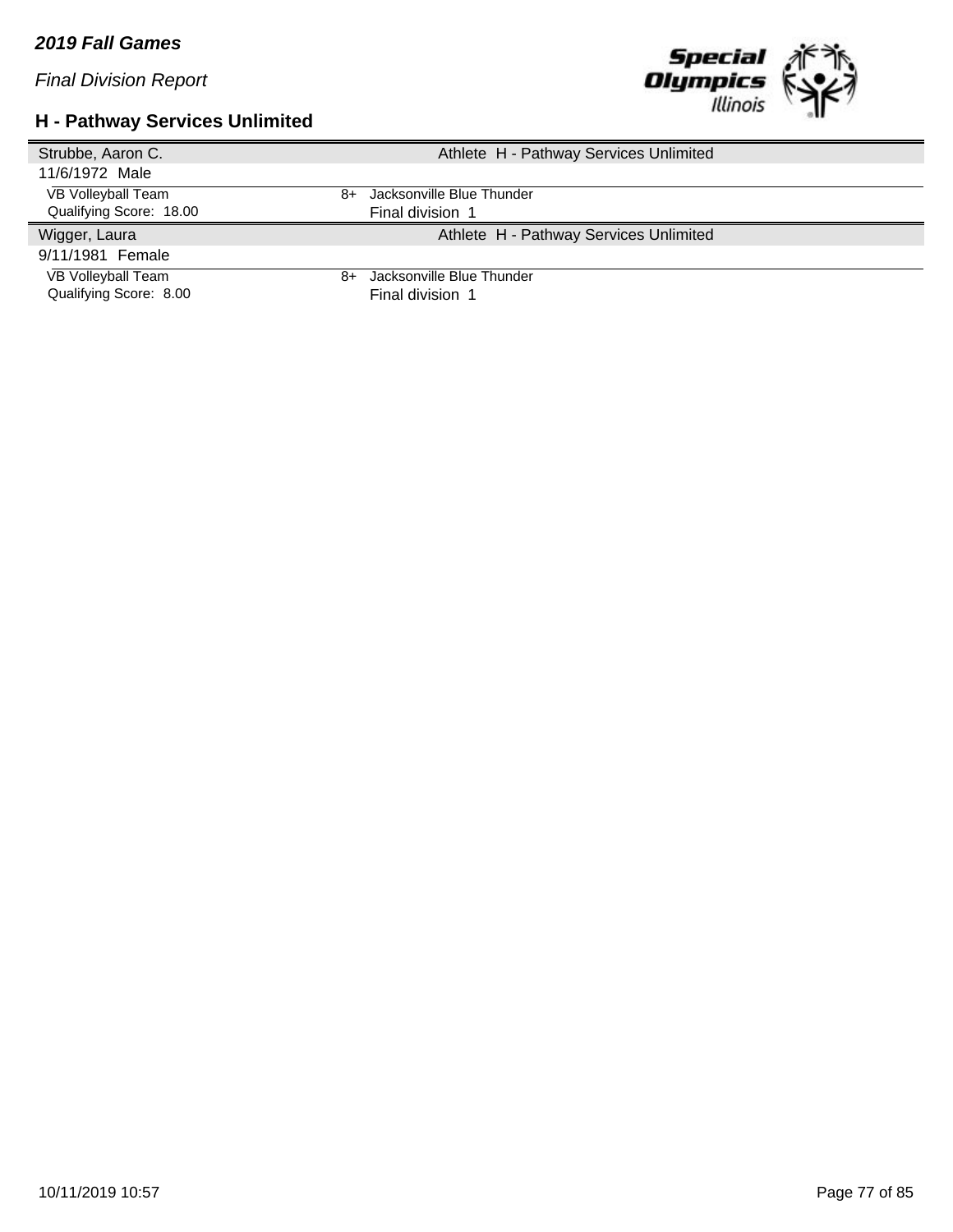*Final Division Report*

## **H - Pathway Services Unlimited**



| Strubbe, Aaron C.       | Athlete H - Pathway Services Unlimited |
|-------------------------|----------------------------------------|
| 11/6/1972 Male          |                                        |
| VB Volleyball Team      | Jacksonville Blue Thunder<br>8+        |
| Qualifying Score: 18.00 | Final division 1                       |
| Wigger, Laura           | Athlete H - Pathway Services Unlimited |
| 9/11/1981 Female        |                                        |
| VB Volleyball Team      | Jacksonville Blue Thunder<br>8+        |
| Qualifying Score: 8.00  | Final division 1                       |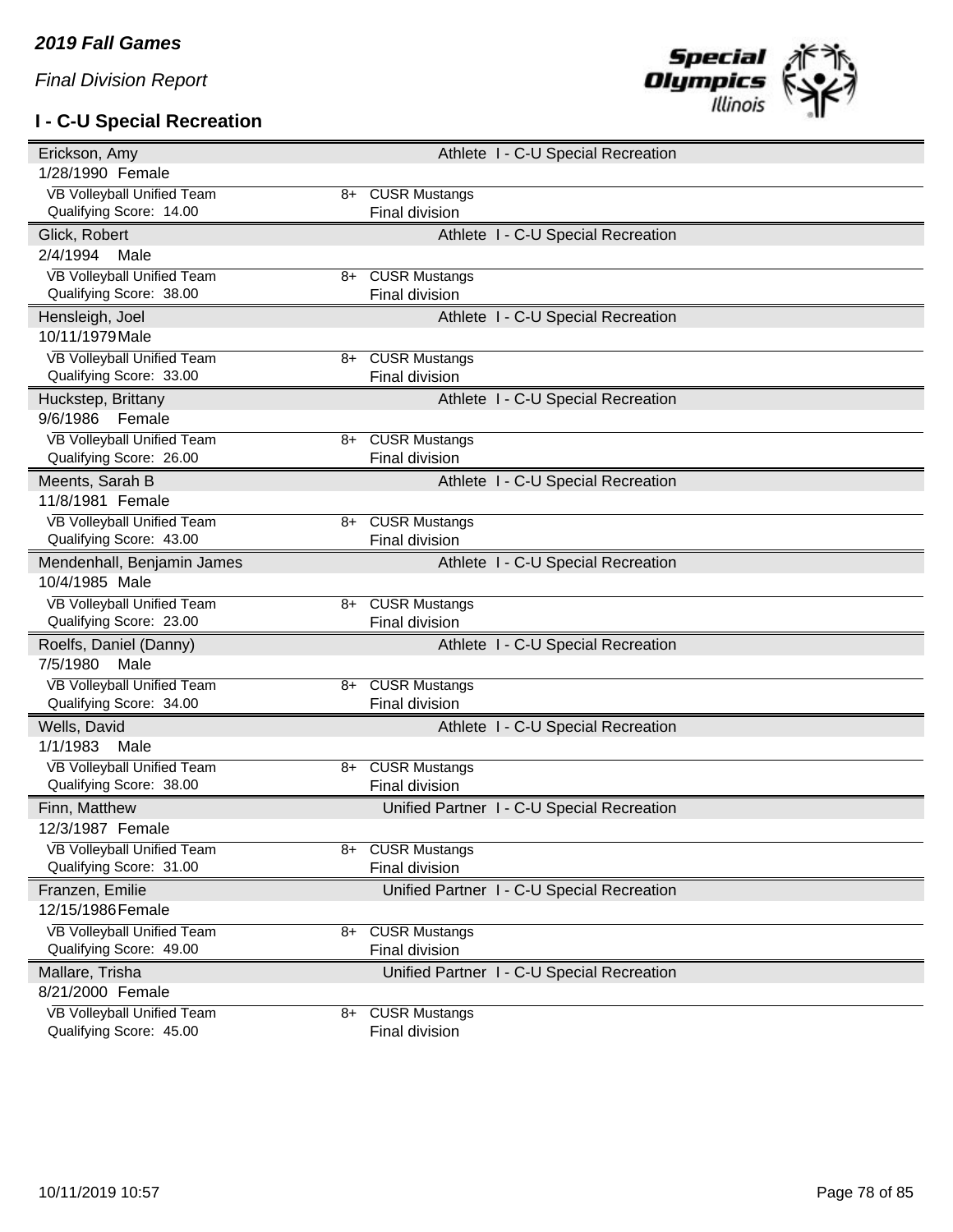## **I - C-U Special Recreation**



| Erickson, Amy                                         |      | Athlete I - C-U Special Recreation         |
|-------------------------------------------------------|------|--------------------------------------------|
| 1/28/1990 Female                                      |      |                                            |
| VB Volleyball Unified Team                            | 8+   | <b>CUSR Mustangs</b>                       |
| Qualifying Score: 14.00                               |      | Final division                             |
| Glick, Robert                                         |      | Athlete I - C-U Special Recreation         |
| 2/4/1994<br>Male                                      |      |                                            |
| VB Volleyball Unified Team                            | 8+   | <b>CUSR Mustangs</b>                       |
| Qualifying Score: 38.00                               |      | <b>Final division</b>                      |
| Hensleigh, Joel                                       |      | Athlete I - C-U Special Recreation         |
| 10/11/1979 Male                                       |      |                                            |
| VB Volleyball Unified Team                            | 8+   | <b>CUSR Mustangs</b>                       |
| Qualifying Score: 33.00                               |      | Final division                             |
| Huckstep, Brittany                                    |      | Athlete I - C-U Special Recreation         |
| 9/6/1986<br>Female                                    |      |                                            |
| VB Volleyball Unified Team                            | $8+$ | <b>CUSR Mustangs</b>                       |
| Qualifying Score: 26.00                               |      | Final division                             |
| Meents, Sarah B                                       |      | Athlete I - C-U Special Recreation         |
| 11/8/1981 Female                                      |      |                                            |
| VB Volleyball Unified Team                            | 8+   | <b>CUSR Mustangs</b>                       |
| Qualifying Score: 43.00                               |      | <b>Final division</b>                      |
| Mendenhall, Benjamin James                            |      | Athlete I - C-U Special Recreation         |
| 10/4/1985 Male                                        |      |                                            |
| VB Volleyball Unified Team                            | $8+$ | <b>CUSR Mustangs</b>                       |
| Qualifying Score: 23.00                               |      | Final division                             |
| Roelfs, Daniel (Danny)                                |      | Athlete I - C-U Special Recreation         |
| 7/5/1980<br>Male                                      |      |                                            |
| VB Volleyball Unified Team                            | 8+   | <b>CUSR Mustangs</b>                       |
| Qualifying Score: 34.00                               |      | <b>Final division</b>                      |
| Wells, David                                          |      | Athlete I - C-U Special Recreation         |
| 1/1/1983<br>Male                                      |      |                                            |
| VB Volleyball Unified Team                            | $8+$ | <b>CUSR Mustangs</b>                       |
| Qualifying Score: 38.00                               |      | Final division                             |
| Finn, Matthew                                         |      | Unified Partner I - C-U Special Recreation |
| 12/3/1987 Female                                      |      |                                            |
| VB Volleyball Unified Team<br>Qualifying Score: 31.00 | 8+   | <b>CUSR Mustangs</b><br>Final division     |
|                                                       |      |                                            |
| Franzen, Emilie<br>12/15/1986 Female                  |      | Unified Partner I - C-U Special Recreation |
|                                                       |      |                                            |
| VB Volleyball Unified Team<br>Qualifying Score: 49.00 | 8+   | <b>CUSR Mustangs</b><br>Final division     |
|                                                       |      |                                            |
| Mallare, Trisha<br>8/21/2000 Female                   |      | Unified Partner I - C-U Special Recreation |
| VB Volleyball Unified Team                            |      |                                            |
| Qualifying Score: 45.00                               | 8+   | <b>CUSR Mustangs</b><br>Final division     |
|                                                       |      |                                            |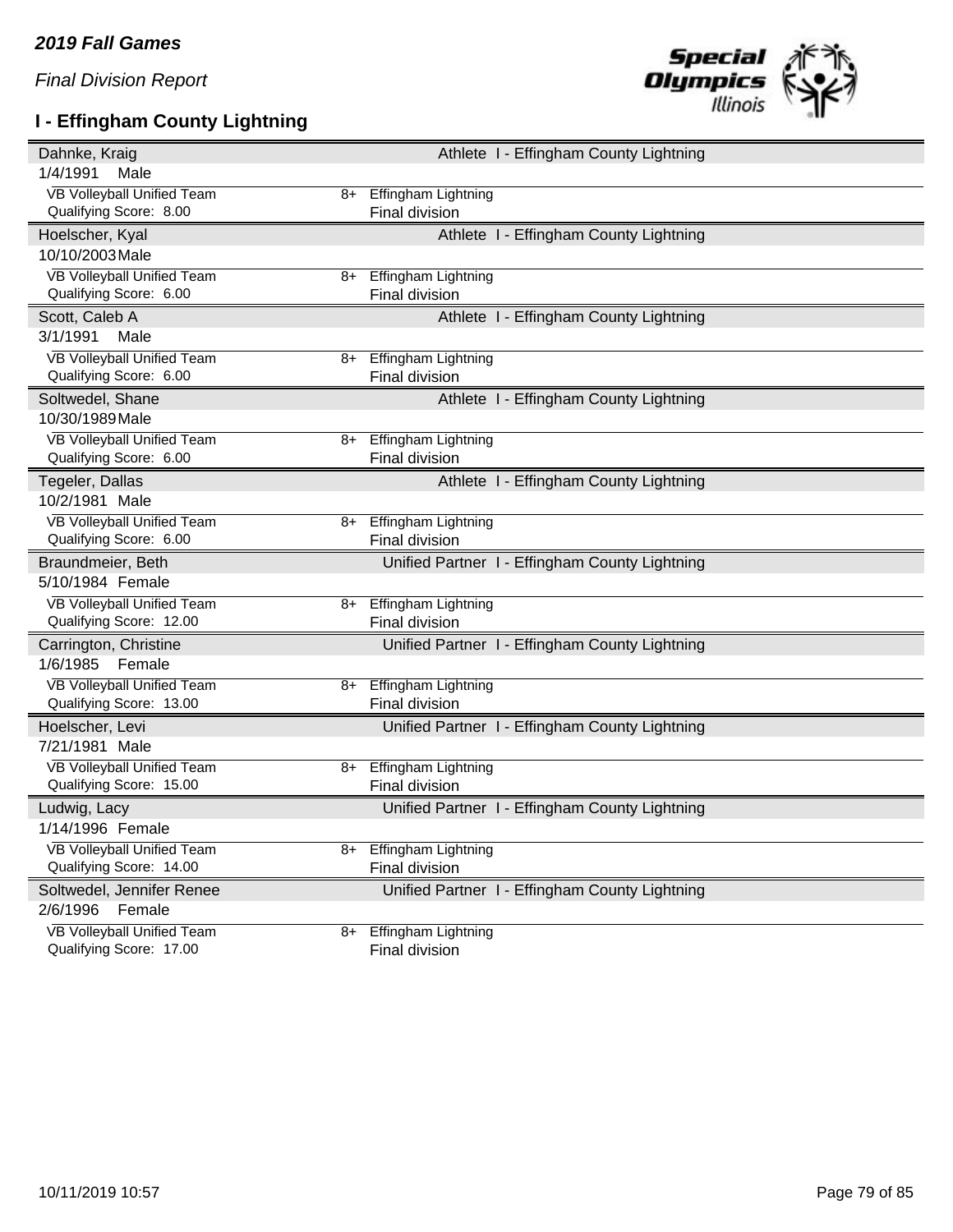# **I - Effingham County Lightning**



| Dahnke, Kraig                                         |    | Athlete I - Effingham County Lightning         |
|-------------------------------------------------------|----|------------------------------------------------|
| 1/4/1991<br>Male                                      |    |                                                |
| VB Volleyball Unified Team                            | 8+ | <b>Effingham Lightning</b>                     |
| Qualifying Score: 8.00                                |    | Final division                                 |
| Hoelscher, Kyal                                       |    | Athlete I - Effingham County Lightning         |
| 10/10/2003 Male                                       |    |                                                |
| VB Volleyball Unified Team                            | 8+ | <b>Effingham Lightning</b>                     |
| Qualifying Score: 6.00                                |    | <b>Final division</b>                          |
| Scott, Caleb A                                        |    | Athlete I - Effingham County Lightning         |
| 3/1/1991<br>Male                                      |    |                                                |
| VB Volleyball Unified Team                            | 8+ | Effingham Lightning                            |
| Qualifying Score: 6.00                                |    | Final division                                 |
| Soltwedel, Shane                                      |    | Athlete I - Effingham County Lightning         |
| 10/30/1989 Male                                       |    |                                                |
| VB Volleyball Unified Team                            |    | 8+ Effingham Lightning                         |
| Qualifying Score: 6.00                                |    | Final division                                 |
| Tegeler, Dallas                                       |    | Athlete I - Effingham County Lightning         |
| 10/2/1981 Male                                        |    |                                                |
| VB Volleyball Unified Team                            | 8+ | <b>Effingham Lightning</b>                     |
| Qualifying Score: 6.00                                |    | Final division                                 |
|                                                       |    |                                                |
| Braundmeier, Beth                                     |    | Unified Partner I - Effingham County Lightning |
| 5/10/1984 Female                                      |    |                                                |
| <b>VB Volleyball Unified Team</b>                     | 8+ | <b>Effingham Lightning</b>                     |
| Qualifying Score: 12.00                               |    | Final division                                 |
| Carrington, Christine                                 |    | Unified Partner I - Effingham County Lightning |
| 1/6/1985<br>Female                                    |    |                                                |
| VB Volleyball Unified Team                            | 8+ | Effingham Lightning                            |
| Qualifying Score: 13.00                               |    | Final division                                 |
| Hoelscher, Levi                                       |    | Unified Partner I - Effingham County Lightning |
| 7/21/1981 Male                                        |    |                                                |
| VB Volleyball Unified Team                            |    | 8+ Effingham Lightning                         |
| Qualifying Score: 15.00                               |    | Final division                                 |
| Ludwig, Lacy                                          |    | Unified Partner I - Effingham County Lightning |
| 1/14/1996 Female                                      |    |                                                |
| VB Volleyball Unified Team                            |    | 8+ Effingham Lightning                         |
| Qualifying Score: 14.00                               |    | Final division                                 |
| Soltwedel, Jennifer Renee                             |    | Unified Partner I - Effingham County Lightning |
| 2/6/1996<br>Female                                    |    |                                                |
| VB Volleyball Unified Team<br>Qualifying Score: 17.00 | 8+ | Effingham Lightning<br>Final division          |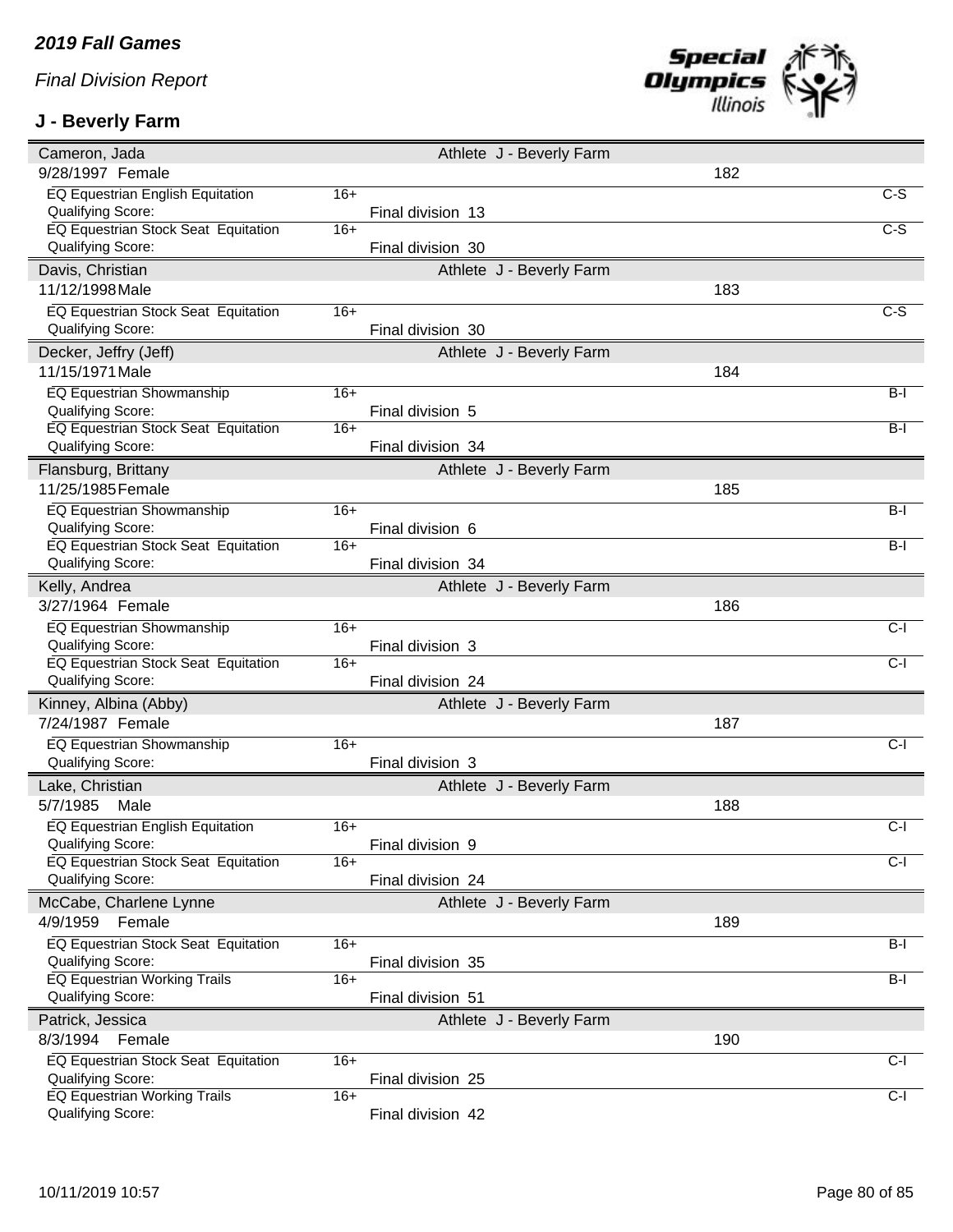## **J - Beverly Farm**



| Cameron, Jada                                                   |       |                   | Athlete J - Beverly Farm |     |                   |
|-----------------------------------------------------------------|-------|-------------------|--------------------------|-----|-------------------|
| 9/28/1997 Female                                                |       |                   |                          | 182 |                   |
| EQ Equestrian English Equitation                                | $16+$ |                   |                          |     | C-S               |
| Qualifying Score:                                               |       | Final division 13 |                          |     |                   |
| EQ Equestrian Stock Seat Equitation                             | $16+$ |                   |                          |     | $C-S$             |
| Qualifying Score:                                               |       | Final division 30 |                          |     |                   |
| Davis, Christian                                                |       |                   | Athlete J - Beverly Farm |     |                   |
| 11/12/1998 Male                                                 |       |                   |                          | 183 |                   |
| EQ Equestrian Stock Seat Equitation                             | $16+$ |                   |                          |     | $C-S$             |
| Qualifying Score:                                               |       | Final division 30 |                          |     |                   |
| Decker, Jeffry (Jeff)                                           |       |                   | Athlete J - Beverly Farm |     |                   |
| 11/15/1971 Male                                                 |       |                   |                          | 184 |                   |
| EQ Equestrian Showmanship                                       | $16+$ |                   |                          |     | $B-I$             |
| Qualifying Score:                                               |       | Final division 5  |                          |     |                   |
| EQ Equestrian Stock Seat Equitation                             | $16+$ |                   |                          |     | $B-I$             |
| Qualifying Score:                                               |       | Final division 34 |                          |     |                   |
| Flansburg, Brittany                                             |       |                   | Athlete J - Beverly Farm |     |                   |
| 11/25/1985 Female                                               |       |                   |                          | 185 |                   |
| EQ Equestrian Showmanship                                       | $16+$ |                   |                          |     | $B-I$             |
| Qualifying Score:                                               |       | Final division 6  |                          |     |                   |
| EQ Equestrian Stock Seat Equitation                             | $16+$ |                   |                          |     | $B-I$             |
| Qualifying Score:                                               |       | Final division 34 |                          |     |                   |
| Kelly, Andrea                                                   |       |                   | Athlete J - Beverly Farm |     |                   |
| 3/27/1964 Female                                                |       |                   |                          | 186 |                   |
| EQ Equestrian Showmanship                                       | $16+$ |                   |                          |     | $C-I$             |
| Qualifying Score:                                               |       | Final division 3  |                          |     |                   |
| EQ Equestrian Stock Seat Equitation                             | $16+$ |                   |                          |     | $\overline{C}$ -l |
| Qualifying Score:                                               |       | Final division 24 |                          |     |                   |
| Kinney, Albina (Abby)                                           |       |                   | Athlete J - Beverly Farm |     |                   |
| 7/24/1987 Female                                                |       |                   |                          | 187 |                   |
| EQ Equestrian Showmanship                                       | $16+$ |                   |                          |     | $C-I$             |
| Qualifying Score:                                               |       | Final division 3  |                          |     |                   |
| Lake, Christian                                                 |       |                   |                          |     |                   |
| 5/7/1985<br>Male                                                |       |                   | Athlete J - Beverly Farm | 188 |                   |
|                                                                 |       |                   |                          |     |                   |
| EQ Equestrian English Equitation<br>Qualifying Score:           | $16+$ |                   |                          |     | $C-I$             |
| EQ Equestrian Stock Seat Equitation                             | $16+$ | Final division 9  |                          |     | $C-I$             |
| Qualifying Score:                                               |       | Final division 24 |                          |     |                   |
| McCabe, Charlene Lynne                                          |       |                   | Athlete J - Beverly Farm |     |                   |
| 4/9/1959<br>Female                                              |       |                   |                          | 189 |                   |
|                                                                 | $16+$ |                   |                          |     | $B-I$             |
| EQ Equestrian Stock Seat Equitation<br><b>Qualifying Score:</b> |       |                   |                          |     |                   |
| <b>EQ Equestrian Working Trails</b>                             | $16+$ | Final division 35 |                          |     | $B-I$             |
| Qualifying Score:                                               |       | Final division 51 |                          |     |                   |
| Patrick, Jessica                                                |       |                   | Athlete J - Beverly Farm |     |                   |
| 8/3/1994<br>Female                                              |       |                   |                          | 190 |                   |
|                                                                 |       |                   |                          |     | $C-I$             |
| EQ Equestrian Stock Seat Equitation<br>Qualifying Score:        | $16+$ |                   |                          |     |                   |
| EQ Equestrian Working Trails                                    | $16+$ | Final division 25 |                          |     | $C-I$             |
| Qualifying Score:                                               |       | Final division 42 |                          |     |                   |
|                                                                 |       |                   |                          |     |                   |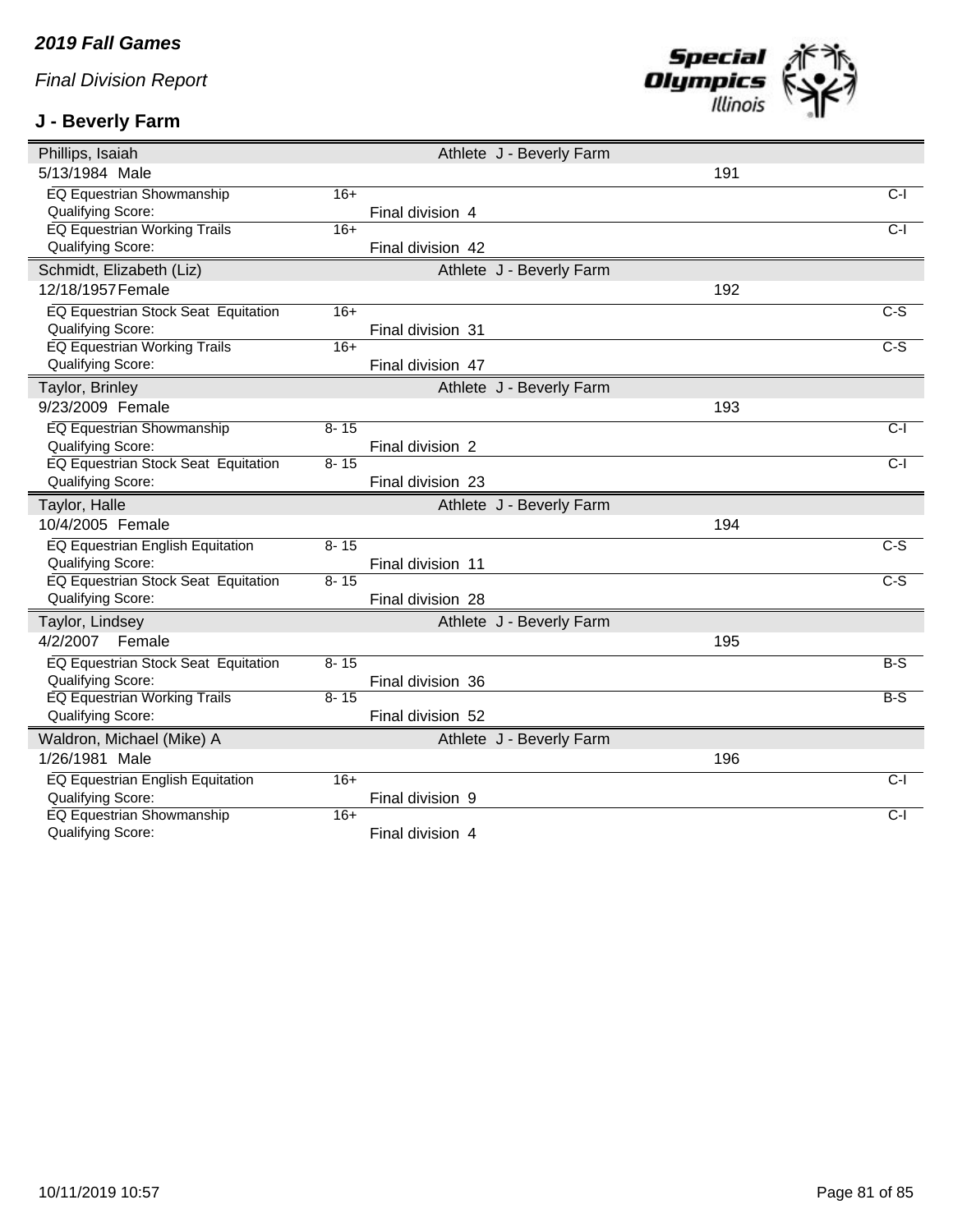## **J - Beverly Farm**



| Phillips, Isaiah                                      |          | Athlete J - Beverly Farm |     |                   |
|-------------------------------------------------------|----------|--------------------------|-----|-------------------|
| 5/13/1984 Male                                        |          |                          | 191 |                   |
| <b>EQ Equestrian Showmanship</b>                      | $16+$    |                          |     | $C-I$             |
| Qualifying Score:                                     |          | Final division 4         |     |                   |
| <b>EQ Equestrian Working Trails</b>                   | $16+$    |                          |     | $\overline{C-1}$  |
| Qualifying Score:                                     |          | Final division 42        |     |                   |
| Schmidt, Elizabeth (Liz)                              |          | Athlete J - Beverly Farm |     |                   |
| 12/18/1957 Female                                     |          |                          | 192 |                   |
| <b>EQ Equestrian Stock Seat Equitation</b>            | $16+$    |                          |     | $C-S$             |
| <b>Qualifying Score:</b>                              |          | Final division 31        |     |                   |
| EQ Equestrian Working Trails                          | $16+$    |                          |     | $\overline{C-S}$  |
| Qualifying Score:                                     |          | Final division 47        |     |                   |
| Taylor, Brinley                                       |          | Athlete J - Beverly Farm |     |                   |
| 9/23/2009 Female                                      |          |                          | 193 |                   |
| EQ Equestrian Showmanship                             | $8 - 15$ |                          |     | $\overline{C}$ -l |
| Qualifying Score:                                     |          | Final division 2         |     |                   |
| EQ Equestrian Stock Seat Equitation                   | $8 - 15$ |                          |     | $C-I$             |
| Qualifying Score:                                     |          | Final division 23        |     |                   |
| Taylor, Halle                                         |          | Athlete J - Beverly Farm |     |                   |
| 10/4/2005 Female                                      |          |                          | 194 |                   |
|                                                       |          |                          |     |                   |
| EQ Equestrian English Equitation                      | $8 - 15$ |                          |     | $\overline{c-s}$  |
| Qualifying Score:                                     |          | Final division 11        |     |                   |
| <b>EQ Equestrian Stock Seat Equitation</b>            | $8 - 15$ |                          |     | $C-S$             |
| Qualifying Score:                                     |          | Final division 28        |     |                   |
| Taylor, Lindsey                                       |          | Athlete J - Beverly Farm |     |                   |
| 4/2/2007<br>Female                                    |          |                          | 195 |                   |
| <b>EQ Equestrian Stock Seat Equitation</b>            | $8 - 15$ |                          |     | $B-S$             |
| Qualifying Score:                                     |          | Final division 36        |     |                   |
| <b>EQ Equestrian Working Trails</b>                   | $8 - 15$ |                          |     | $B-S$             |
| <b>Qualifying Score:</b>                              |          | Final division 52        |     |                   |
| Waldron, Michael (Mike) A                             |          | Athlete J - Beverly Farm |     |                   |
| 1/26/1981 Male                                        |          |                          | 196 |                   |
| EQ Equestrian English Equitation                      | $16+$    |                          |     | $C-I$             |
| Qualifying Score:                                     |          | Final division 9         |     |                   |
| <b>EQ Equestrian Showmanship</b><br>Qualifying Score: | $16+$    | Final division 4         |     | $C-I$             |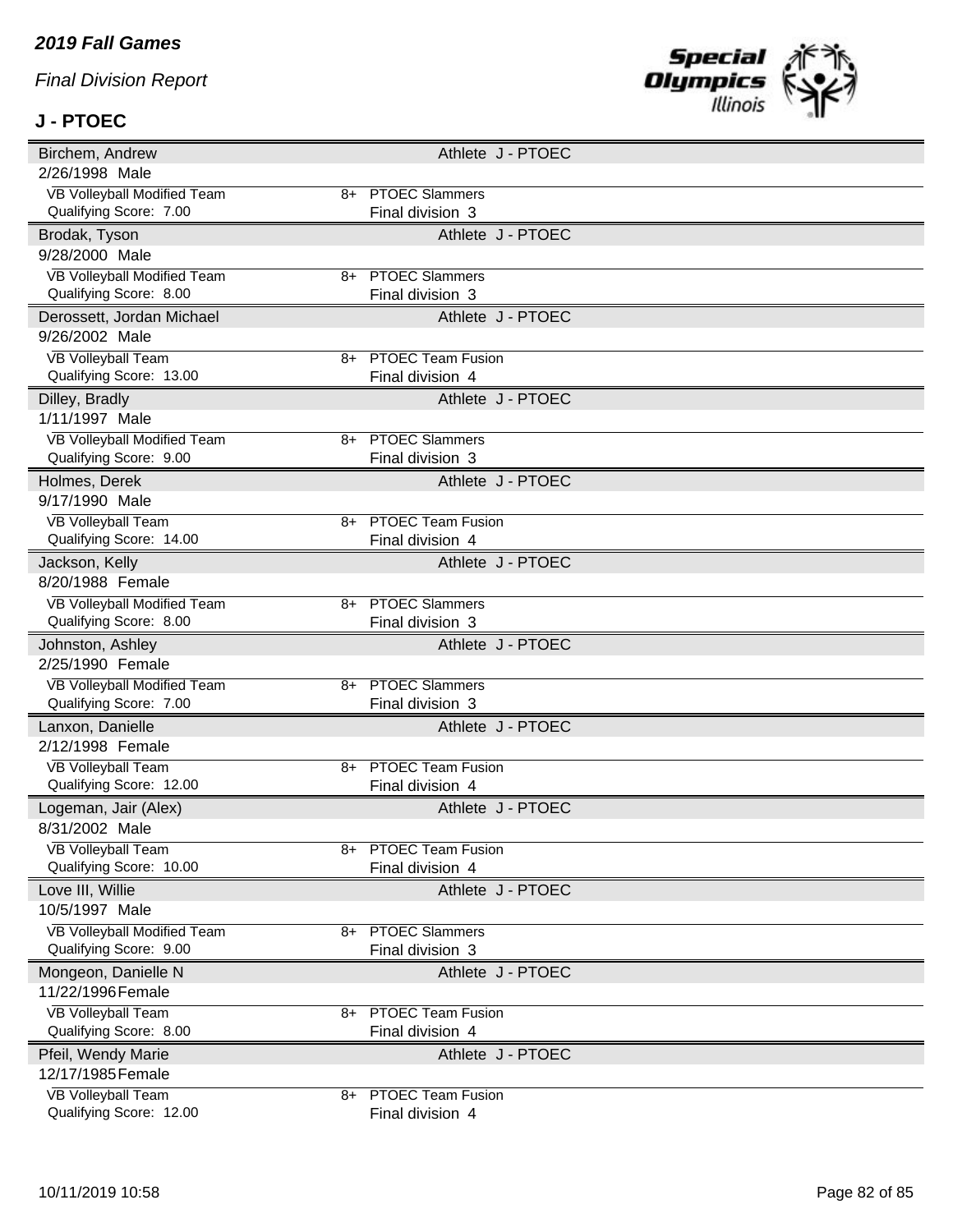## **J - PTOEC**



| Birchem, Andrew                                      | Athlete J - PTOEC                                  |  |
|------------------------------------------------------|----------------------------------------------------|--|
| 2/26/1998 Male                                       |                                                    |  |
| VB Volleyball Modified Team                          | 8+ PTOEC Slammers                                  |  |
| Qualifying Score: 7.00                               | Final division 3                                   |  |
| Brodak, Tyson                                        | Athlete J - PTOEC                                  |  |
| 9/28/2000 Male                                       |                                                    |  |
| VB Volleyball Modified Team                          | 8+ PTOEC Slammers                                  |  |
| Qualifying Score: 8.00                               | Final division 3                                   |  |
| Derossett, Jordan Michael                            | Athlete J - PTOEC                                  |  |
| 9/26/2002 Male                                       |                                                    |  |
| <b>VB Volleyball Team</b>                            | <b>PTOEC Team Fusion</b><br>8+                     |  |
| Qualifying Score: 13.00                              | Final division 4                                   |  |
| Dilley, Bradly                                       | Athlete J - PTOEC                                  |  |
| 1/11/1997 Male                                       |                                                    |  |
| VB Volleyball Modified Team                          | <b>PTOEC Slammers</b><br>8+                        |  |
| Qualifying Score: 9.00                               | Final division 3                                   |  |
| Holmes, Derek                                        | Athlete J - PTOEC                                  |  |
| 9/17/1990 Male                                       |                                                    |  |
| <b>VB Volleyball Team</b>                            | <b>PTOEC Team Fusion</b><br>8+                     |  |
| Qualifying Score: 14.00                              | Final division 4                                   |  |
| Jackson, Kelly                                       | Athlete J - PTOEC                                  |  |
| 8/20/1988 Female                                     |                                                    |  |
| VB Volleyball Modified Team                          | 8+ PTOEC Slammers                                  |  |
| Qualifying Score: 8.00                               | Final division 3                                   |  |
|                                                      |                                                    |  |
| Johnston, Ashley                                     | Athlete J - PTOEC                                  |  |
| 2/25/1990 Female                                     |                                                    |  |
| VB Volleyball Modified Team                          | 8+ PTOEC Slammers                                  |  |
| Qualifying Score: 7.00                               | Final division 3                                   |  |
| Lanxon, Danielle                                     | Athlete J - PTOEC                                  |  |
| 2/12/1998 Female                                     |                                                    |  |
| <b>VB Volleyball Team</b>                            | <b>PTOEC Team Fusion</b><br>8+                     |  |
| Qualifying Score: 12.00                              | Final division 4                                   |  |
| Logeman, Jair (Alex)                                 | Athlete J - PTOEC                                  |  |
| 8/31/2002 Male                                       |                                                    |  |
| <b>VB Volleyball Team</b>                            | <b>PTOEC Team Fusion</b><br>8+                     |  |
| Qualifying Score: 10.00                              | Final division 4                                   |  |
| Love III, Willie                                     | Athlete J - PTOEC                                  |  |
| 10/5/1997 Male                                       |                                                    |  |
| VB Volleyball Modified Team                          | <b>PTOEC Slammers</b><br>8+                        |  |
| Qualifying Score: 9.00                               | Final division 3                                   |  |
| Mongeon, Danielle N                                  | Athlete J - PTOEC                                  |  |
| 11/22/1996 Female                                    |                                                    |  |
| <b>VB Volleyball Team</b>                            | <b>PTOEC Team Fusion</b><br>8+                     |  |
| Qualifying Score: 8.00                               | Final division 4                                   |  |
| Pfeil, Wendy Marie                                   | Athlete J - PTOEC                                  |  |
| 12/17/1985 Female                                    |                                                    |  |
| <b>VB Volleyball Team</b><br>Qualifying Score: 12.00 | <b>PTOEC Team Fusion</b><br>8+<br>Final division 4 |  |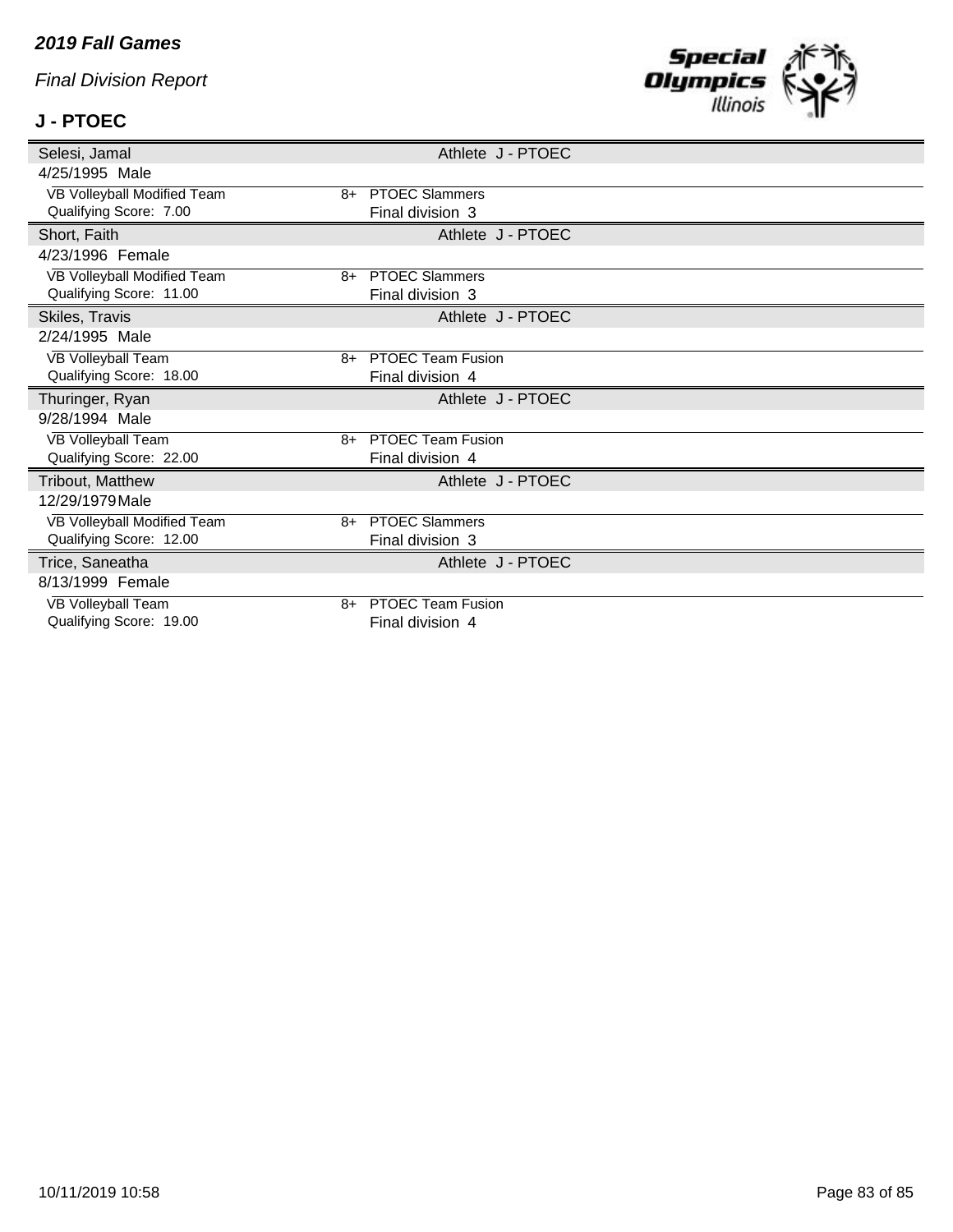#### *2019 Fall Games*

*Final Division Report*

# **J - PTOEC**



| Selesi, Jamal                                        |    | Athlete J - PTOEC        |  |
|------------------------------------------------------|----|--------------------------|--|
| 4/25/1995 Male                                       |    |                          |  |
| VB Volleyball Modified Team                          |    | 8+ PTOEC Slammers        |  |
| Qualifying Score: 7.00                               |    | Final division 3         |  |
| Short, Faith                                         |    | Athlete J - PTOEC        |  |
| 4/23/1996 Female                                     |    |                          |  |
| VB Volleyball Modified Team                          | 8+ | <b>PTOEC Slammers</b>    |  |
| Qualifying Score: 11.00                              |    | Final division 3         |  |
| Skiles, Travis                                       |    | Athlete J - PTOEC        |  |
| 2/24/1995 Male                                       |    |                          |  |
| <b>VB Volleyball Team</b>                            | 8+ | <b>PTOEC Team Fusion</b> |  |
| Qualifying Score: 18.00                              |    | Final division 4         |  |
|                                                      |    |                          |  |
| Thuringer, Ryan                                      |    | Athlete J - PTOEC        |  |
| 9/28/1994 Male                                       |    |                          |  |
| <b>VB Volleyball Team</b>                            |    | 8+ PTOEC Team Fusion     |  |
| Qualifying Score: 22.00                              |    | Final division 4         |  |
| Tribout, Matthew                                     |    | Athlete J - PTOEC        |  |
| 12/29/1979 Male                                      |    |                          |  |
| VB Volleyball Modified Team                          | 8+ | <b>PTOEC Slammers</b>    |  |
| Qualifying Score: 12.00                              |    | Final division 3         |  |
| Trice, Saneatha                                      |    | Athlete J - PTOEC        |  |
| 8/13/1999 Female                                     |    |                          |  |
| <b>VB Volleyball Team</b><br>Qualifying Score: 19.00 | 8+ | <b>PTOEC Team Fusion</b> |  |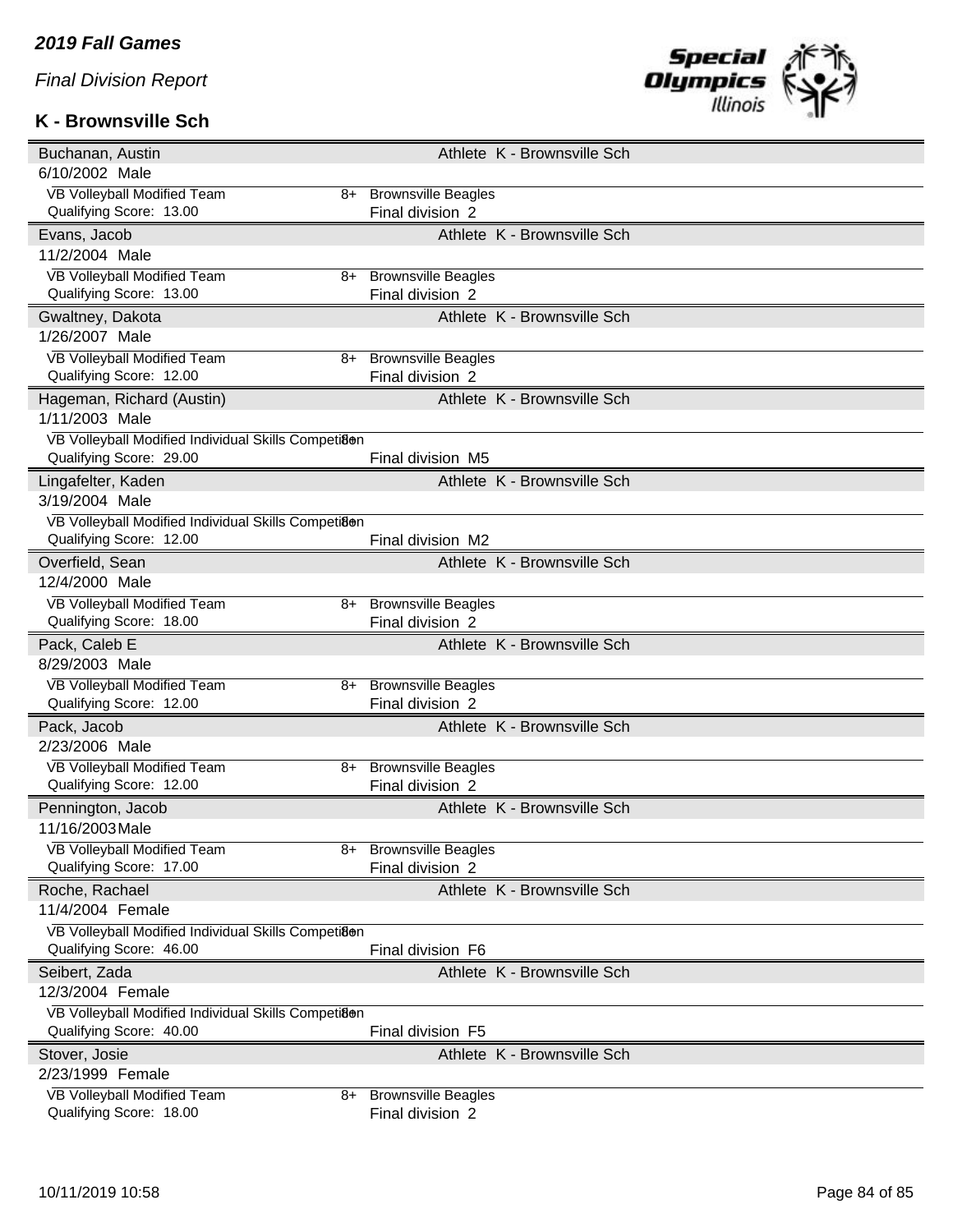#### **K - Brownsville Sch**



| Buchanan, Austin                                       |    | Athlete K - Brownsville Sch                    |
|--------------------------------------------------------|----|------------------------------------------------|
| 6/10/2002 Male                                         |    |                                                |
| VB Volleyball Modified Team                            | 8+ | <b>Brownsville Beagles</b>                     |
| Qualifying Score: 13.00                                |    | Final division 2                               |
| Evans, Jacob                                           |    | Athlete K - Brownsville Sch                    |
| 11/2/2004 Male                                         |    |                                                |
| VB Volleyball Modified Team                            | 8+ | <b>Brownsville Beagles</b>                     |
| Qualifying Score: 13.00                                |    | Final division 2                               |
| Gwaltney, Dakota                                       |    | Athlete K - Brownsville Sch                    |
| 1/26/2007 Male                                         |    |                                                |
| VB Volleyball Modified Team                            | 8+ | <b>Brownsville Beagles</b>                     |
| Qualifying Score: 12.00                                |    | Final division 2                               |
| Hageman, Richard (Austin)                              |    | Athlete K - Brownsville Sch                    |
| 1/11/2003 Male                                         |    |                                                |
| VB Volleyball Modified Individual Skills Competiaen    |    |                                                |
| Qualifying Score: 29.00                                |    | Final division M5                              |
| Lingafelter, Kaden                                     |    | Athlete K - Brownsville Sch                    |
| 3/19/2004 Male                                         |    |                                                |
| VB Volleyball Modified Individual Skills Competiaen    |    |                                                |
| Qualifying Score: 12.00                                |    | Final division M2                              |
| Overfield, Sean                                        |    | Athlete K - Brownsville Sch                    |
| 12/4/2000 Male                                         |    |                                                |
| VB Volleyball Modified Team                            | 8+ | <b>Brownsville Beagles</b>                     |
| Qualifying Score: 18.00                                |    | Final division 2                               |
|                                                        |    |                                                |
| Pack, Caleb E                                          |    | Athlete K - Brownsville Sch                    |
| 8/29/2003 Male                                         |    |                                                |
| VB Volleyball Modified Team                            | 8+ | <b>Brownsville Beagles</b>                     |
| Qualifying Score: 12.00                                |    | Final division 2                               |
| Pack, Jacob                                            |    | Athlete K - Brownsville Sch                    |
| 2/23/2006 Male                                         |    |                                                |
| VB Volleyball Modified Team                            | 8+ | <b>Brownsville Beagles</b>                     |
| Qualifying Score: 12.00                                |    | Final division 2                               |
| Pennington, Jacob                                      |    | Athlete K - Brownsville Sch                    |
| 11/16/2003 Male                                        |    |                                                |
| VB Volleyball Modified Team                            | 8+ | <b>Brownsville Beagles</b>                     |
| Qualifying Score: 17.00                                |    | Final division 2                               |
| Roche, Rachael                                         |    | Athlete K - Brownsville Sch                    |
| 11/4/2004 Female                                       |    |                                                |
| VB Volleyball Modified Individual Skills Competi8en    |    |                                                |
| Qualifying Score: 46.00                                |    | Final division F6                              |
| Seibert, Zada                                          |    | Athlete K - Brownsville Sch                    |
| 12/3/2004 Female                                       |    |                                                |
| VB Volleyball Modified Individual Skills Competiaen    |    |                                                |
| Qualifying Score: 40.00                                |    | Final division F5                              |
| Stover, Josie                                          |    | Athlete K - Brownsville Sch                    |
| 2/23/1999 Female                                       |    |                                                |
| VB Volleyball Modified Team<br>Qualifying Score: 18.00 | 8+ | <b>Brownsville Beagles</b><br>Final division 2 |